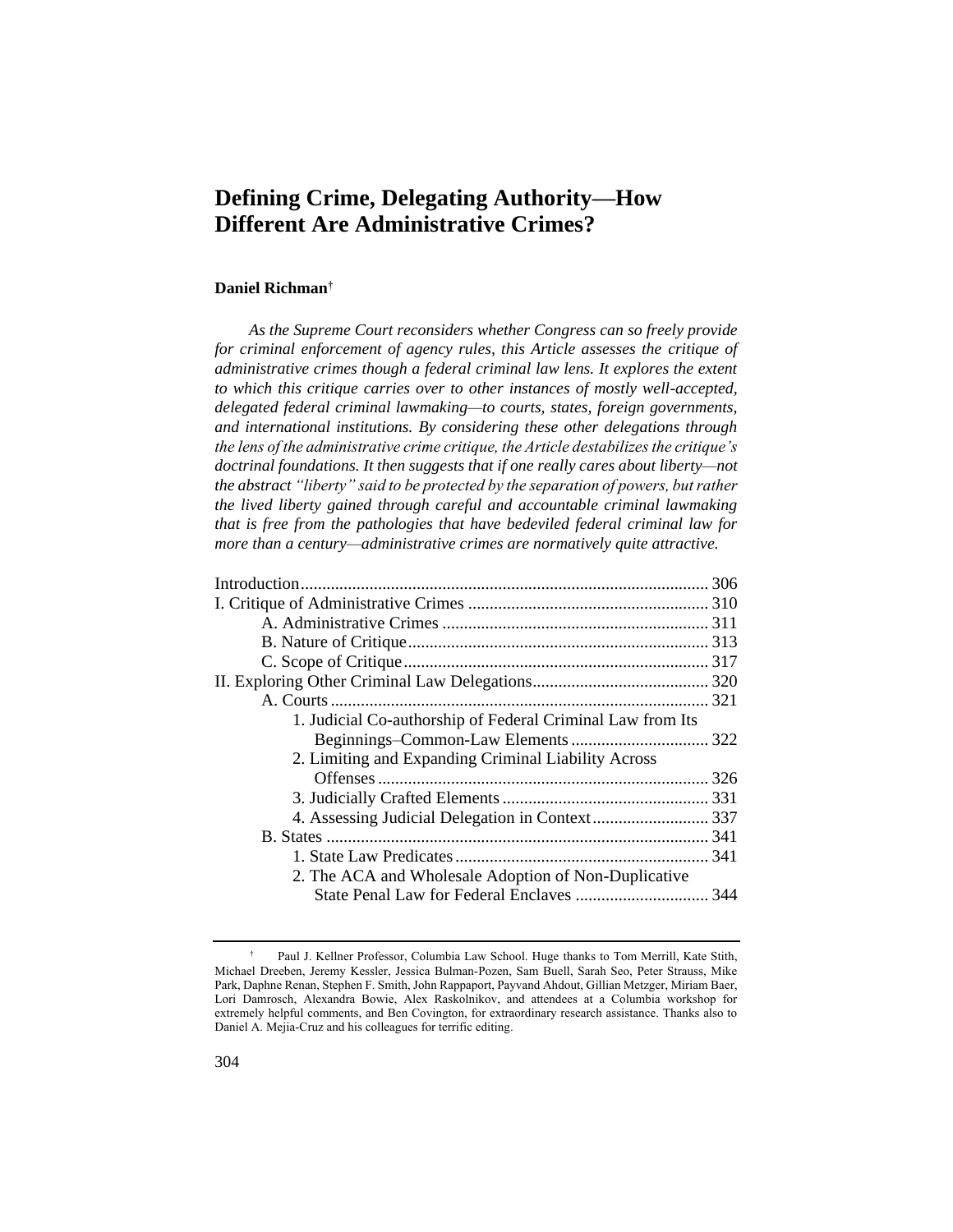# **Defining Crime, Delegating Authority—How Different Are Administrative Crimes?**

# **Daniel Richman†**

*As the Supreme Court reconsiders whether Congress can so freely provide*  for criminal enforcement of agency rules, this Article assesses the critique of *administrative crimes though a federal criminal law lens. It explores the extent to which this critique carries over to other instances of mostly well-accepted, delegated federal criminal lawmaking—to courts, states, foreign governments, and international institutions. By considering these other delegations through the lens of the administrative crime critique, the Article destabilizes the critique's doctrinal foundations. It then suggests that if one really cares about liberty—not the abstract "liberty" said to be protected by the separation of powers, but rather the lived liberty gained through careful and accountable criminal lawmaking that is free from the pathologies that have bedeviled federal criminal law for more than a century—administrative crimes are normatively quite attractive.*

| 1. Judicial Co-authorship of Federal Criminal Law from Its |  |
|------------------------------------------------------------|--|
|                                                            |  |
| 2. Limiting and Expanding Criminal Liability Across        |  |
|                                                            |  |
|                                                            |  |
|                                                            |  |
|                                                            |  |
|                                                            |  |
| 2. The ACA and Wholesale Adoption of Non-Duplicative       |  |
|                                                            |  |
|                                                            |  |

<sup>†</sup> Paul J. Kellner Professor, Columbia Law School. Huge thanks to Tom Merrill, Kate Stith, Michael Dreeben, Jeremy Kessler, Jessica Bulman-Pozen, Sam Buell, Sarah Seo, Peter Strauss, Mike Park, Daphne Renan, Stephen F. Smith, John Rappaport, Payvand Ahdout, Gillian Metzger, Miriam Baer, Lori Damrosch, Alexandra Bowie, Alex Raskolnikov, and attendees at a Columbia workshop for extremely helpful comments, and Ben Covington, for extraordinary research assistance. Thanks also to Daniel A. Mejia-Cruz and his colleagues for terrific editing.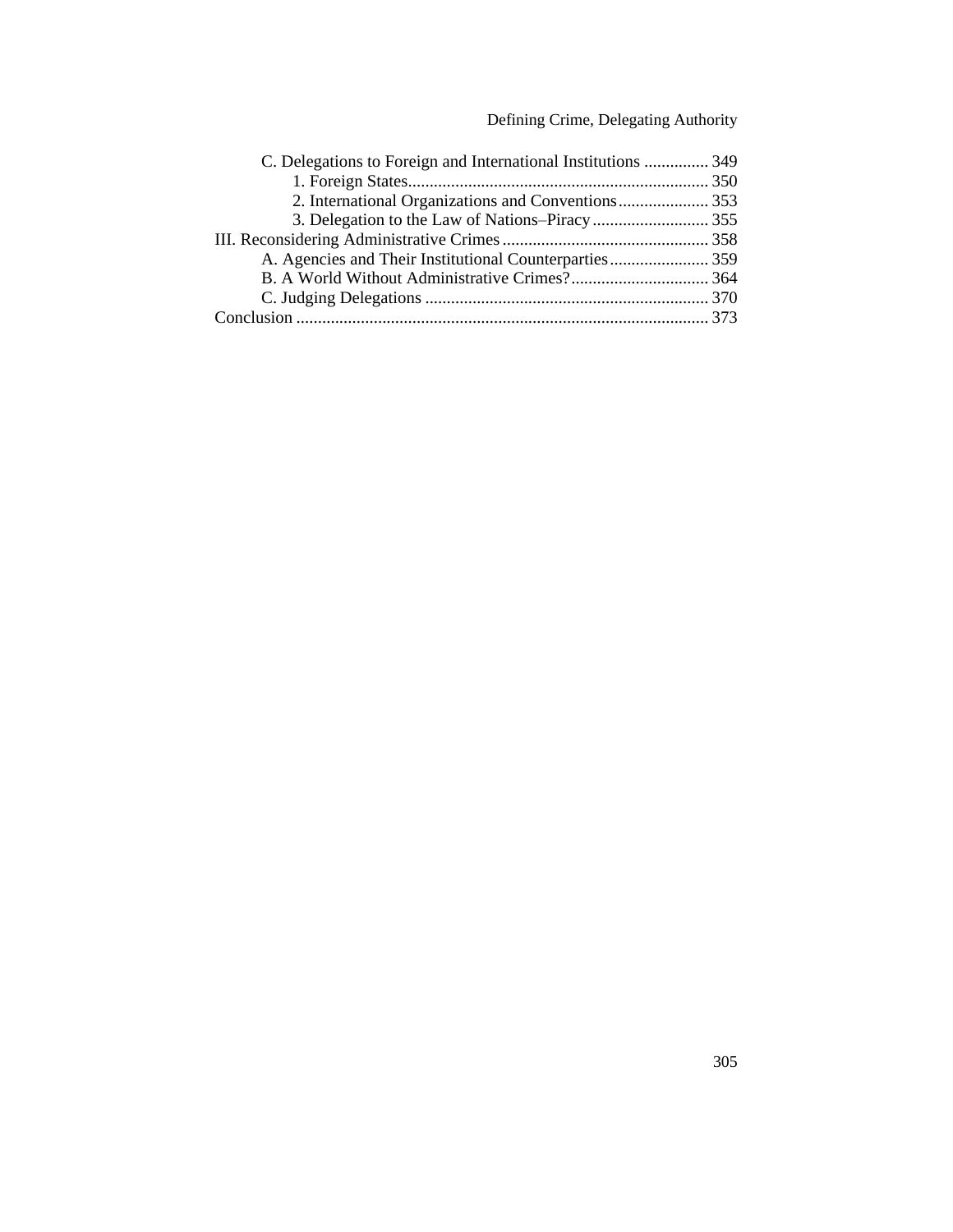# Defining Crime, Delegating Authority

| C. Delegations to Foreign and International Institutions  349 |  |
|---------------------------------------------------------------|--|
|                                                               |  |
|                                                               |  |
|                                                               |  |
|                                                               |  |
|                                                               |  |
|                                                               |  |
|                                                               |  |
|                                                               |  |
|                                                               |  |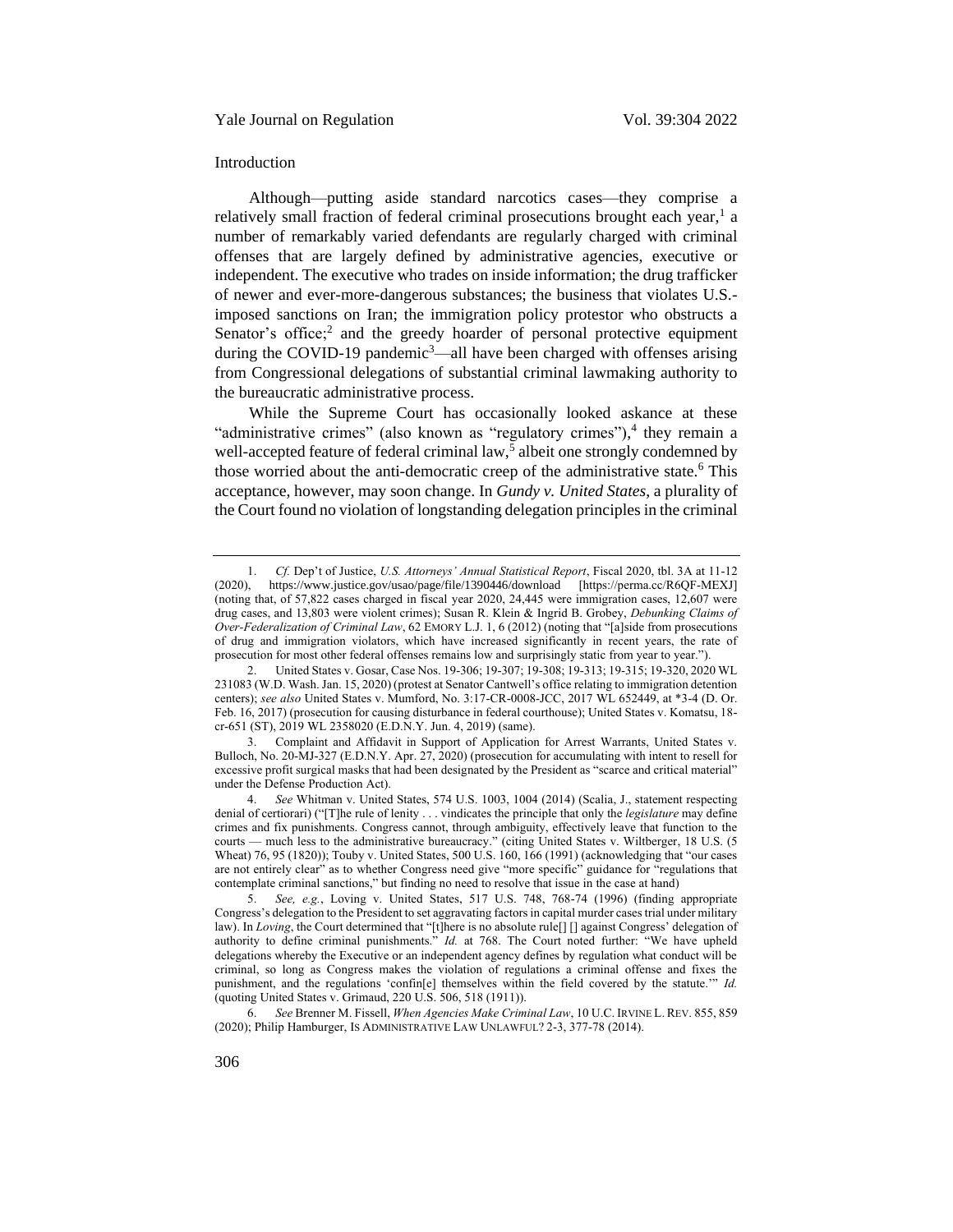### <span id="page-2-0"></span>Introduction

<span id="page-2-2"></span>Although—putting aside standard narcotics cases—they comprise a relatively small fraction of federal criminal prosecutions brought each year,<sup>1</sup> a number of remarkably varied defendants are regularly charged with criminal offenses that are largely defined by administrative agencies, executive or independent. The executive who trades on inside information; the drug trafficker of newer and ever-more-dangerous substances; the business that violates U.S. imposed sanctions on Iran; the immigration policy protestor who obstructs a Senator's office;<sup>2</sup> and the greedy hoarder of personal protective equipment during the COVID-19 pandemic<sup>3</sup>—all have been charged with offenses arising from Congressional delegations of substantial criminal lawmaking authority to the bureaucratic administrative process.

<span id="page-2-3"></span><span id="page-2-1"></span>While the Supreme Court has occasionally looked askance at these "administrative crimes" (also known as "regulatory crimes"),<sup>4</sup> they remain a well-accepted feature of federal criminal law,<sup>5</sup> albeit one strongly condemned by those worried about the anti-democratic creep of the administrative state.<sup>6</sup> This acceptance, however, may soon change. In *Gundy v. United States*, a plurality of the Court found no violation of longstanding delegation principles in the criminal

<sup>1.</sup> *Cf.* Dep't of Justice, *U.S. Attorneys' Annual Statistical Report*, Fiscal 2020, tbl. 3A at 11-12 https://www.justice.gov/usao/page/file/1390446/download [https://perma.cc/R6QF-MEXJ] (noting that, of 57,822 cases charged in fiscal year 2020, 24,445 were immigration cases, 12,607 were drug cases, and 13,803 were violent crimes); Susan R. Klein & Ingrid B. Grobey, *Debunking Claims of Over-Federalization of Criminal Law*, 62 EMORY L.J. 1, 6 (2012) (noting that "[a]side from prosecutions of drug and immigration violators, which have increased significantly in recent years, the rate of prosecution for most other federal offenses remains low and surprisingly static from year to year.").

<sup>2.</sup> United States v. Gosar, Case Nos. 19-306; 19-307; 19-308; 19-313; 19-315; 19-320, 2020 WL 231083 (W.D. Wash. Jan. 15, 2020) (protest at Senator Cantwell's office relating to immigration detention centers); *see also* United States v. Mumford, No. 3:17-CR-0008-JCC, 2017 WL 652449, at \*3-4 (D. Or. Feb. 16, 2017) (prosecution for causing disturbance in federal courthouse); United States v. Komatsu, 18 cr-651 (ST), 2019 WL 2358020 (E.D.N.Y. Jun. 4, 2019) (same).

<sup>3.</sup> Complaint and Affidavit in Support of Application for Arrest Warrants, United States v. Bulloch, No. 20-MJ-327 (E.D.N.Y. Apr. 27, 2020) (prosecution for accumulating with intent to resell for excessive profit surgical masks that had been designated by the President as "scarce and critical material" under the Defense Production Act).

<sup>4.</sup> *See* Whitman v. United States, 574 U.S. 1003, 1004 (2014) (Scalia, J., statement respecting denial of certiorari) ("[T]he rule of lenity . . . vindicates the principle that only the *legislature* may define crimes and fix punishments. Congress cannot, through ambiguity, effectively leave that function to the courts — much less to the administrative bureaucracy." (citing United States v. Wiltberger, 18 U.S. (5 Wheat) 76, 95 (1820)); Touby v. United States, 500 U.S. 160, 166 (1991) (acknowledging that "our cases are not entirely clear" as to whether Congress need give "more specific" guidance for "regulations that contemplate criminal sanctions," but finding no need to resolve that issue in the case at hand)

<sup>5.</sup> *See, e.g.*, Loving v. United States, 517 U.S. 748, 768-74 (1996) (finding appropriate Congress's delegation to the President to set aggravating factors in capital murder cases trial under military law). In *Loving*, the Court determined that "[t]here is no absolute rule[] [] against Congress' delegation of authority to define criminal punishments." *Id.* at 768. The Court noted further: "We have upheld delegations whereby the Executive or an independent agency defines by regulation what conduct will be criminal, so long as Congress makes the violation of regulations a criminal offense and fixes the punishment, and the regulations 'confin[e] themselves within the field covered by the statute.'" *Id.* (quoting United States v. Grimaud, 220 U.S. 506, 518 (1911)).

<sup>6.</sup> *See* Brenner M. Fissell, *When Agencies Make Criminal Law*, 10 U.C. IRVINE L.REV. 855, 859 (2020); Philip Hamburger, IS ADMINISTRATIVE LAW UNLAWFUL? 2-3, 377-78 (2014).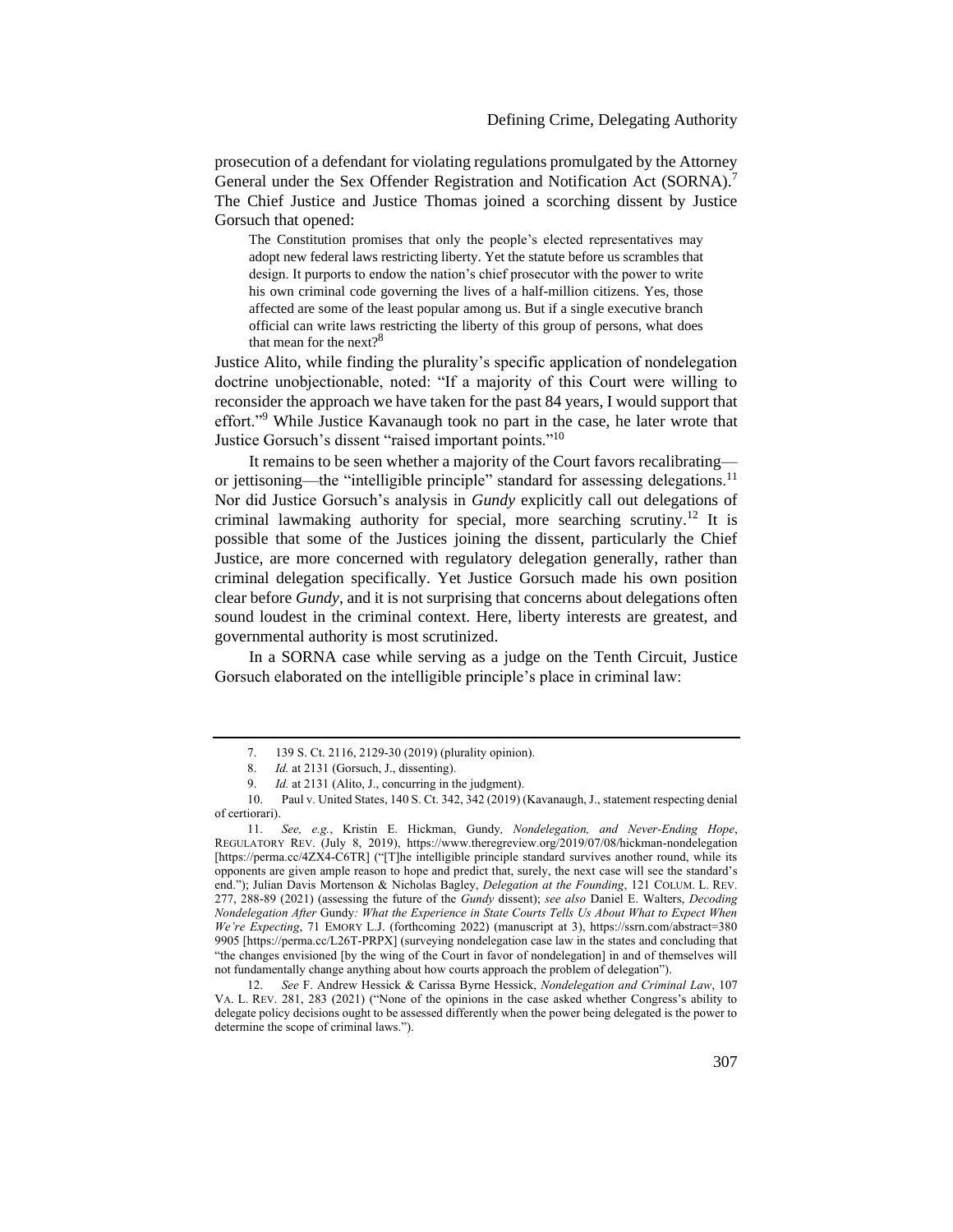prosecution of a defendant for violating regulations promulgated by the Attorney General under the Sex Offender Registration and Notification Act (SORNA).<sup>7</sup> The Chief Justice and Justice Thomas joined a scorching dissent by Justice Gorsuch that opened:

The Constitution promises that only the people's elected representatives may adopt new federal laws restricting liberty. Yet the statute before us scrambles that design. It purports to endow the nation's chief prosecutor with the power to write his own criminal code governing the lives of a half-million citizens. Yes, those affected are some of the least popular among us. But if a single executive branch official can write laws restricting the liberty of this group of persons, what does that mean for the next? $8^8$ 

Justice Alito, while finding the plurality's specific application of nondelegation doctrine unobjectionable, noted: "If a majority of this Court were willing to reconsider the approach we have taken for the past 84 years, I would support that effort."<sup>9</sup> While Justice Kavanaugh took no part in the case, he later wrote that Justice Gorsuch's dissent "raised important points."<sup>10</sup>

<span id="page-3-1"></span><span id="page-3-0"></span>It remains to be seen whether a majority of the Court favors recalibrating or jettisoning—the "intelligible principle" standard for assessing delegations.<sup>11</sup> Nor did Justice Gorsuch's analysis in *Gundy* explicitly call out delegations of criminal lawmaking authority for special, more searching scrutiny.<sup>12</sup> It is possible that some of the Justices joining the dissent, particularly the Chief Justice, are more concerned with regulatory delegation generally, rather than criminal delegation specifically. Yet Justice Gorsuch made his own position clear before *Gundy*, and it is not surprising that concerns about delegations often sound loudest in the criminal context. Here, liberty interests are greatest, and governmental authority is most scrutinized.

In a SORNA case while serving as a judge on the Tenth Circuit, Justice Gorsuch elaborated on the intelligible principle's place in criminal law:

<sup>7.</sup> 139 S. Ct. 2116, 2129-30 (2019) (plurality opinion).

<sup>8.</sup> *Id.* at 2131 (Gorsuch, J., dissenting).

<sup>9.</sup> *Id.* at 2131 (Alito, J., concurring in the judgment).

<sup>10.</sup> Paul v. United States, 140 S. Ct. 342, 342 (2019) (Kavanaugh, J., statement respecting denial of certiorari).

<sup>11.</sup> *See, e.g.*, Kristin E. Hickman, Gundy*, Nondelegation, and Never-Ending Hope*, REGULATORY REV. (July 8, 2019), https://www.theregreview.org/2019/07/08/hickman-nondelegation [https://perma.cc/4ZX4-C6TR] ("[T]he intelligible principle standard survives another round, while its opponents are given ample reason to hope and predict that, surely, the next case will see the standard's end."); Julian Davis Mortenson & Nicholas Bagley, *Delegation at the Founding*, 121 COLUM. L. REV. 277, 288-89 (2021) (assessing the future of the *Gundy* dissent); *see also* Daniel E. Walters, *Decoding Nondelegation After* Gundy*: What the Experience in State Courts Tells Us About What to Expect When We're Expecting*, 71 EMORY L.J. (forthcoming 2022) (manuscript at 3), https://ssrn.com/abstract=380 9905 [https://perma.cc/L26T-PRPX] (surveying nondelegation case law in the states and concluding that "the changes envisioned [by the wing of the Court in favor of nondelegation] in and of themselves will not fundamentally change anything about how courts approach the problem of delegation").

<sup>12.</sup> *See* F. Andrew Hessick & Carissa Byrne Hessick, *Nondelegation and Criminal Law*, 107 VA. L. REV. 281, 283 (2021) ("None of the opinions in the case asked whether Congress's ability to delegate policy decisions ought to be assessed differently when the power being delegated is the power to determine the scope of criminal laws.").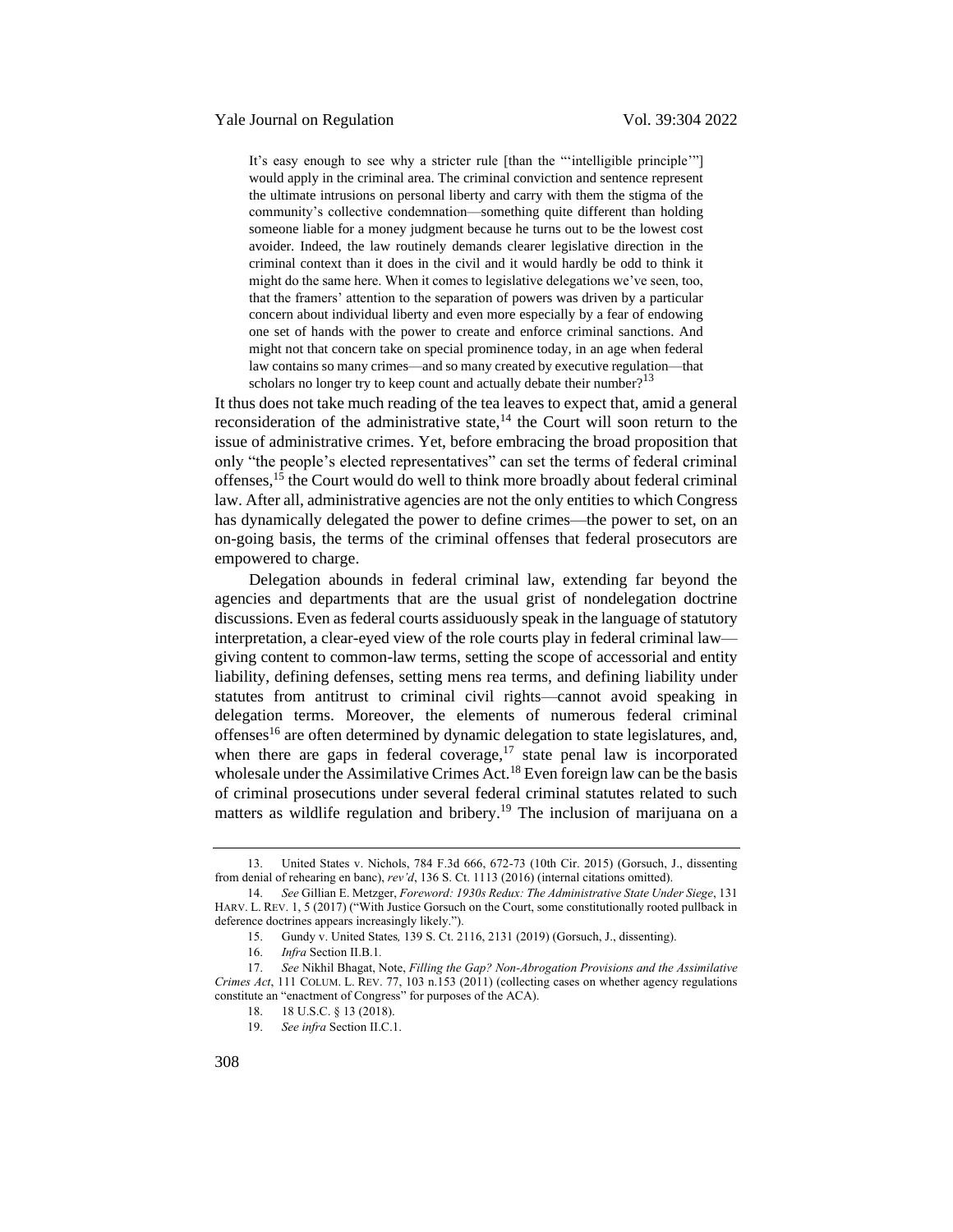It's easy enough to see why a stricter rule [than the "'intelligible principle'"] would apply in the criminal area. The criminal conviction and sentence represent the ultimate intrusions on personal liberty and carry with them the stigma of the community's collective condemnation—something quite different than holding someone liable for a money judgment because he turns out to be the lowest cost avoider. Indeed, the law routinely demands clearer legislative direction in the criminal context than it does in the civil and it would hardly be odd to think it might do the same here. When it comes to legislative delegations we've seen, too, that the framers' attention to the separation of powers was driven by a particular concern about individual liberty and even more especially by a fear of endowing one set of hands with the power to create and enforce criminal sanctions. And might not that concern take on special prominence today, in an age when federal law contains so many crimes—and so many created by executive regulation—that scholars no longer try to keep count and actually debate their number?<sup>13</sup>

<span id="page-4-0"></span>It thus does not take much reading of the tea leaves to expect that, amid a general reconsideration of the administrative state, $14$  the Court will soon return to the issue of administrative crimes. Yet, before embracing the broad proposition that only "the people's elected representatives" can set the terms of federal criminal offenses,<sup>15</sup> the Court would do well to think more broadly about federal criminal law. After all, administrative agencies are not the only entities to which Congress has dynamically delegated the power to define crimes—the power to set, on an on-going basis, the terms of the criminal offenses that federal prosecutors are empowered to charge.

Delegation abounds in federal criminal law, extending far beyond the agencies and departments that are the usual grist of nondelegation doctrine discussions. Even as federal courts assiduously speak in the language of statutory interpretation, a clear-eyed view of the role courts play in federal criminal law giving content to common-law terms, setting the scope of accessorial and entity liability, defining defenses, setting mens rea terms, and defining liability under statutes from antitrust to criminal civil rights—cannot avoid speaking in delegation terms. Moreover, the elements of numerous federal criminal offenses<sup>16</sup> are often determined by dynamic delegation to state legislatures, and, when there are gaps in federal coverage, $17$  state penal law is incorporated wholesale under the Assimilative Crimes Act.<sup>18</sup> Even foreign law can be the basis of criminal prosecutions under several federal criminal statutes related to such matters as wildlife regulation and bribery.<sup>19</sup> The inclusion of marijuana on a

<sup>13.</sup> United States v. Nichols, 784 F.3d 666, 672-73 (10th Cir. 2015) (Gorsuch, J., dissenting from denial of rehearing en banc), *rev'd*, 136 S. Ct. 1113 (2016) (internal citations omitted).

<sup>14.</sup> *See* Gillian E. Metzger, *Foreword: 1930s Redux: The Administrative State Under Siege*, 131 HARV. L. REV. 1, 5 (2017) ("With Justice Gorsuch on the Court, some constitutionally rooted pullback in deference doctrines appears increasingly likely.").

<sup>15.</sup> Gundy v. United States*,* 139 S. Ct. 2116, 2131 (2019) (Gorsuch, J., dissenting).

<sup>16.</sup> *Infra* Section II.B.1*.*

<sup>17.</sup> *See* Nikhil Bhagat, Note, *Filling the Gap? Non-Abrogation Provisions and the Assimilative Crimes Act*, 111 COLUM. L. REV. 77, 103 n.153 (2011) (collecting cases on whether agency regulations constitute an "enactment of Congress" for purposes of the ACA).

<sup>18.</sup> 18 U.S.C. § 13 (2018).

<sup>19.</sup> *See infra* Section II.C.1.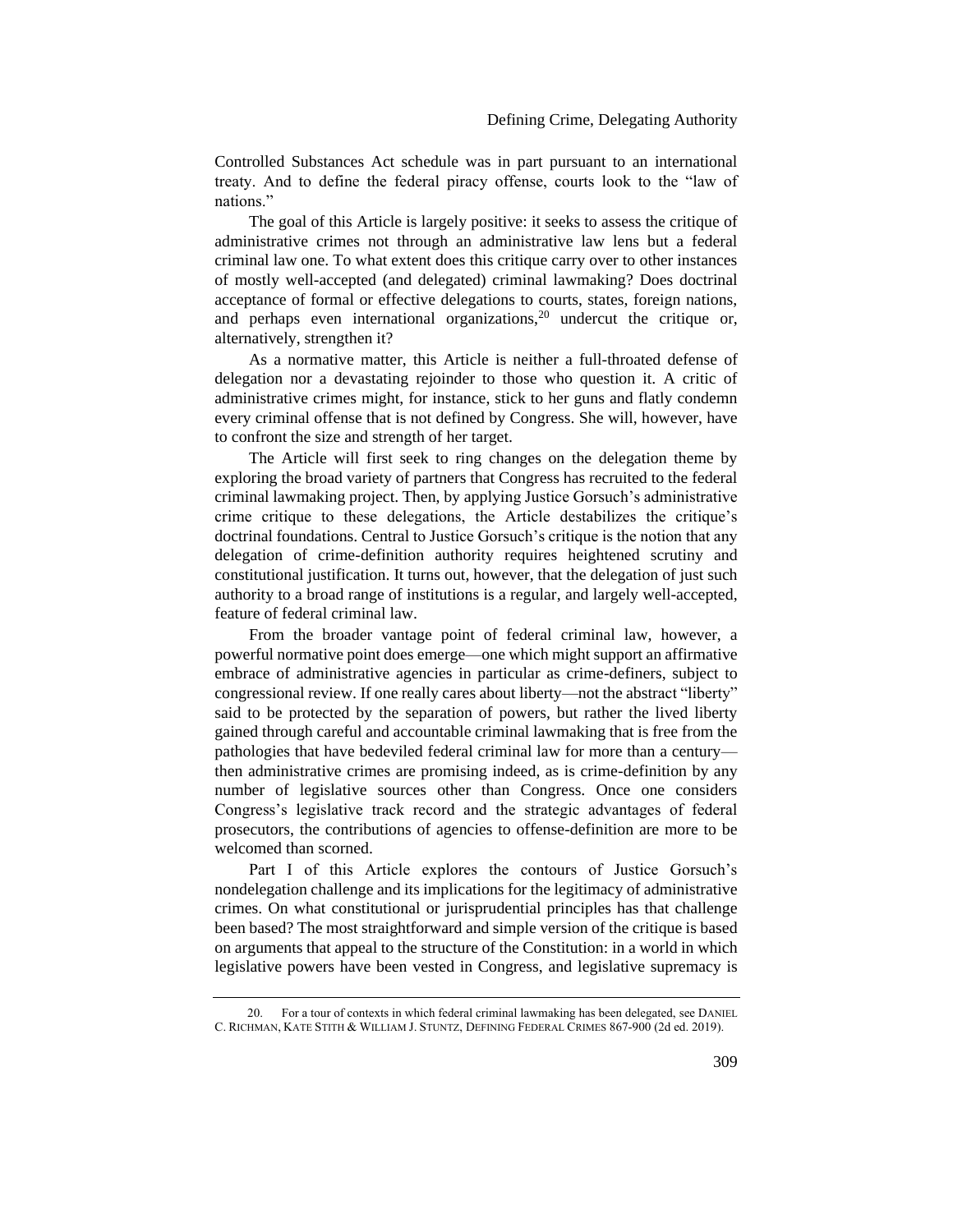Controlled Substances Act schedule was in part pursuant to an international treaty. And to define the federal piracy offense, courts look to the "law of nations."

The goal of this Article is largely positive: it seeks to assess the critique of administrative crimes not through an administrative law lens but a federal criminal law one. To what extent does this critique carry over to other instances of mostly well-accepted (and delegated) criminal lawmaking? Does doctrinal acceptance of formal or effective delegations to courts, states, foreign nations, and perhaps even international organizations,<sup>20</sup> undercut the critique or, alternatively, strengthen it?

<span id="page-5-0"></span>As a normative matter, this Article is neither a full-throated defense of delegation nor a devastating rejoinder to those who question it. A critic of administrative crimes might, for instance, stick to her guns and flatly condemn every criminal offense that is not defined by Congress. She will, however, have to confront the size and strength of her target.

The Article will first seek to ring changes on the delegation theme by exploring the broad variety of partners that Congress has recruited to the federal criminal lawmaking project. Then, by applying Justice Gorsuch's administrative crime critique to these delegations, the Article destabilizes the critique's doctrinal foundations. Central to Justice Gorsuch's critique is the notion that any delegation of crime-definition authority requires heightened scrutiny and constitutional justification. It turns out, however, that the delegation of just such authority to a broad range of institutions is a regular, and largely well-accepted, feature of federal criminal law.

From the broader vantage point of federal criminal law, however, a powerful normative point does emerge—one which might support an affirmative embrace of administrative agencies in particular as crime-definers, subject to congressional review. If one really cares about liberty—not the abstract "liberty" said to be protected by the separation of powers, but rather the lived liberty gained through careful and accountable criminal lawmaking that is free from the pathologies that have bedeviled federal criminal law for more than a century then administrative crimes are promising indeed, as is crime-definition by any number of legislative sources other than Congress. Once one considers Congress's legislative track record and the strategic advantages of federal prosecutors, the contributions of agencies to offense-definition are more to be welcomed than scorned.

Part I of this Article explores the contours of Justice Gorsuch's nondelegation challenge and its implications for the legitimacy of administrative crimes. On what constitutional or jurisprudential principles has that challenge been based? The most straightforward and simple version of the critique is based on arguments that appeal to the structure of the Constitution: in a world in which legislative powers have been vested in Congress, and legislative supremacy is

<sup>20.</sup> For a tour of contexts in which federal criminal lawmaking has been delegated, see DANIEL C. RICHMAN, KATE STITH & WILLIAM J. STUNTZ, DEFINING FEDERAL CRIMES 867-900 (2d ed. 2019).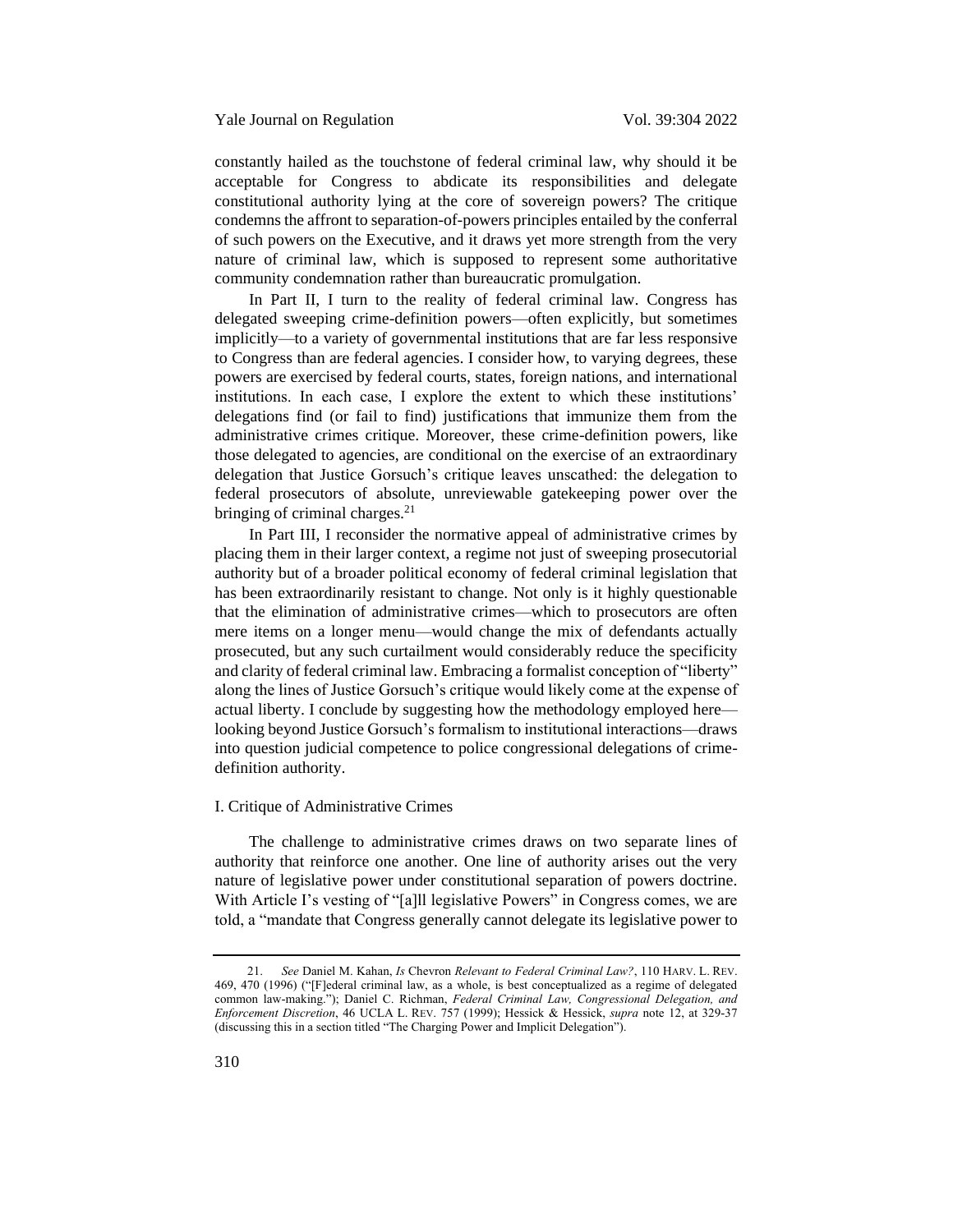constantly hailed as the touchstone of federal criminal law, why should it be acceptable for Congress to abdicate its responsibilities and delegate constitutional authority lying at the core of sovereign powers? The critique condemns the affront to separation-of-powers principles entailed by the conferral of such powers on the Executive, and it draws yet more strength from the very nature of criminal law, which is supposed to represent some authoritative community condemnation rather than bureaucratic promulgation.

In Part II, I turn to the reality of federal criminal law. Congress has delegated sweeping crime-definition powers—often explicitly, but sometimes implicitly—to a variety of governmental institutions that are far less responsive to Congress than are federal agencies. I consider how, to varying degrees, these powers are exercised by federal courts, states, foreign nations, and international institutions. In each case, I explore the extent to which these institutions' delegations find (or fail to find) justifications that immunize them from the administrative crimes critique. Moreover, these crime-definition powers, like those delegated to agencies, are conditional on the exercise of an extraordinary delegation that Justice Gorsuch's critique leaves unscathed: the delegation to federal prosecutors of absolute, unreviewable gatekeeping power over the bringing of criminal charges.<sup>21</sup>

<span id="page-6-1"></span>In Part III, I reconsider the normative appeal of administrative crimes by placing them in their larger context, a regime not just of sweeping prosecutorial authority but of a broader political economy of federal criminal legislation that has been extraordinarily resistant to change. Not only is it highly questionable that the elimination of administrative crimes—which to prosecutors are often mere items on a longer menu—would change the mix of defendants actually prosecuted, but any such curtailment would considerably reduce the specificity and clarity of federal criminal law. Embracing a formalist conception of "liberty" along the lines of Justice Gorsuch's critique would likely come at the expense of actual liberty. I conclude by suggesting how the methodology employed here looking beyond Justice Gorsuch's formalism to institutional interactions—draws into question judicial competence to police congressional delegations of crimedefinition authority.

# <span id="page-6-0"></span>I. Critique of Administrative Crimes

The challenge to administrative crimes draws on two separate lines of authority that reinforce one another. One line of authority arises out the very nature of legislative power under constitutional separation of powers doctrine. With Article I's vesting of "[a]ll legislative Powers" in Congress comes, we are told, a "mandate that Congress generally cannot delegate its legislative power to

<sup>21.</sup> *See* Daniel M. Kahan, *Is* Chevron *Relevant to Federal Criminal Law?*, 110 HARV. L. REV. 469, 470 (1996) ("[F]ederal criminal law, as a whole, is best conceptualized as a regime of delegated common law-making."); Daniel C. Richman, *Federal Criminal Law, Congressional Delegation, and Enforcement Discretion*, 46 UCLA L. REV. 757 (1999); Hessick & Hessick, *supra* note [12,](#page-3-0) at 329-37 (discussing this in a section titled "The Charging Power and Implicit Delegation").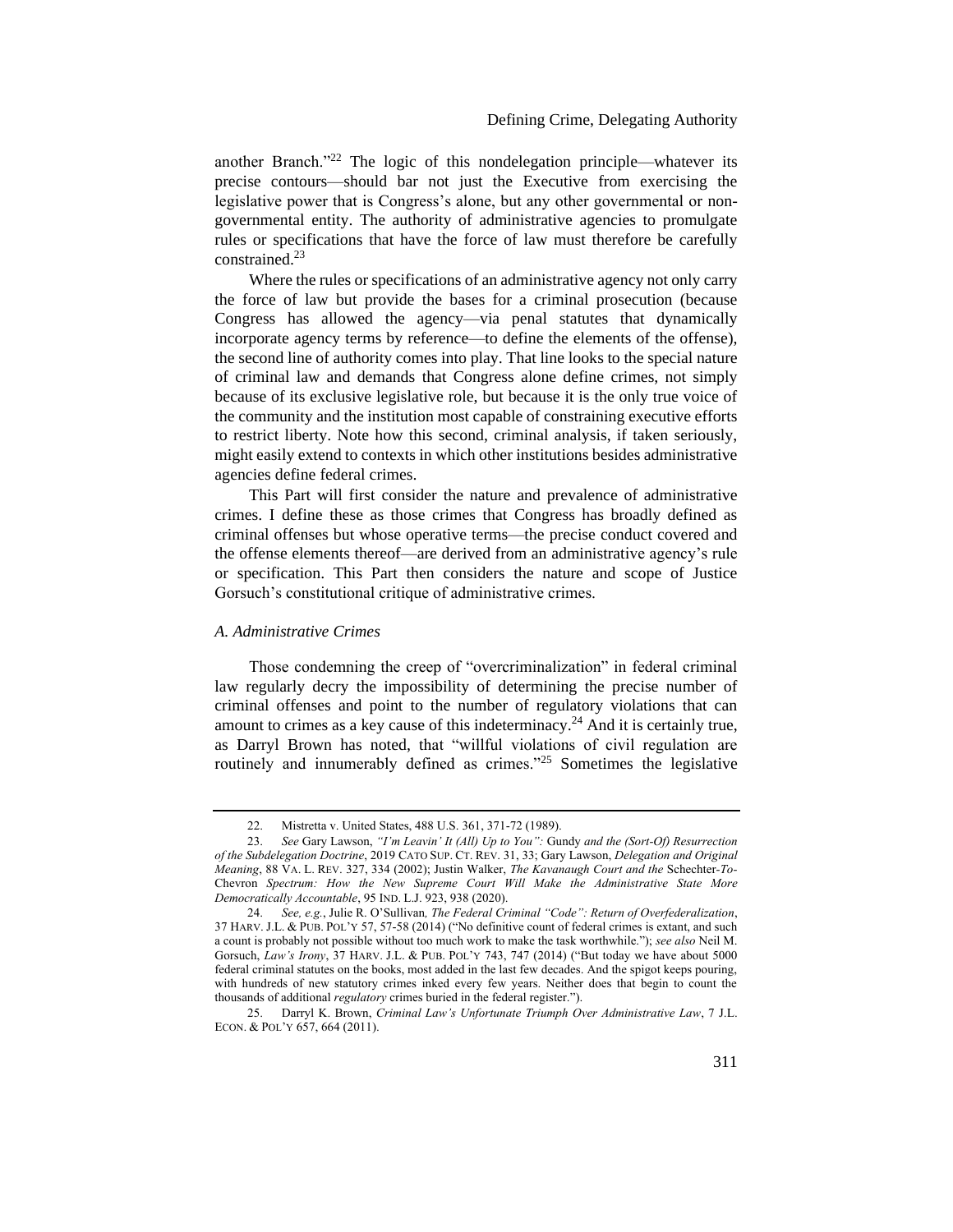another Branch. $22$ <sup>22</sup> The logic of this nondelegation principle—whatever its precise contours—should bar not just the Executive from exercising the legislative power that is Congress's alone, but any other governmental or nongovernmental entity. The authority of administrative agencies to promulgate rules or specifications that have the force of law must therefore be carefully constrained.<sup>23</sup>

Where the rules or specifications of an administrative agency not only carry the force of law but provide the bases for a criminal prosecution (because Congress has allowed the agency—via penal statutes that dynamically incorporate agency terms by reference—to define the elements of the offense), the second line of authority comes into play. That line looks to the special nature of criminal law and demands that Congress alone define crimes, not simply because of its exclusive legislative role, but because it is the only true voice of the community and the institution most capable of constraining executive efforts to restrict liberty. Note how this second, criminal analysis, if taken seriously, might easily extend to contexts in which other institutions besides administrative agencies define federal crimes.

This Part will first consider the nature and prevalence of administrative crimes. I define these as those crimes that Congress has broadly defined as criminal offenses but whose operative terms—the precise conduct covered and the offense elements thereof—are derived from an administrative agency's rule or specification. This Part then considers the nature and scope of Justice Gorsuch's constitutional critique of administrative crimes.

### <span id="page-7-0"></span>*A. Administrative Crimes*

Those condemning the creep of "overcriminalization" in federal criminal law regularly decry the impossibility of determining the precise number of criminal offenses and point to the number of regulatory violations that can amount to crimes as a key cause of this indeterminacy.<sup>24</sup> And it is certainly true, as Darryl Brown has noted, that "willful violations of civil regulation are routinely and innumerably defined as crimes."<sup>25</sup> Sometimes the legislative

<sup>22.</sup> Mistretta v. United States, 488 U.S. 361, 371-72 (1989).

<sup>23.</sup> *See* Gary Lawson, *"I'm Leavin' It (All) Up to You":* Gundy *and the (Sort-Of) Resurrection of the Subdelegation Doctrine*, 2019 CATO SUP. CT. REV. 31, 33; Gary Lawson, *Delegation and Original Meaning*, 88 VA. L. REV. 327, 334 (2002); Justin Walker, *The Kavanaugh Court and the* Schechter*-To-*Chevron *Spectrum: How the New Supreme Court Will Make the Administrative State More Democratically Accountable*, 95 IND. L.J. 923, 938 (2020).

<sup>24.</sup> *See, e.g.*, Julie R. O'Sullivan*, The Federal Criminal "Code": Return of Overfederalization*, 37 HARV. J.L. & PUB. POL'Y 57, 57-58 (2014) ("No definitive count of federal crimes is extant, and such a count is probably not possible without too much work to make the task worthwhile."); *see also* Neil M. Gorsuch, *Law's Irony*, 37 HARV. J.L. & PUB. POL'Y 743, 747 (2014) ("But today we have about 5000 federal criminal statutes on the books, most added in the last few decades. And the spigot keeps pouring, with hundreds of new statutory crimes inked every few years. Neither does that begin to count the thousands of additional *regulatory* crimes buried in the federal register.").

<sup>25.</sup> Darryl K. Brown, *Criminal Law's Unfortunate Triumph Over Administrative Law*, 7 J.L. ECON. & POL'Y 657, 664 (2011).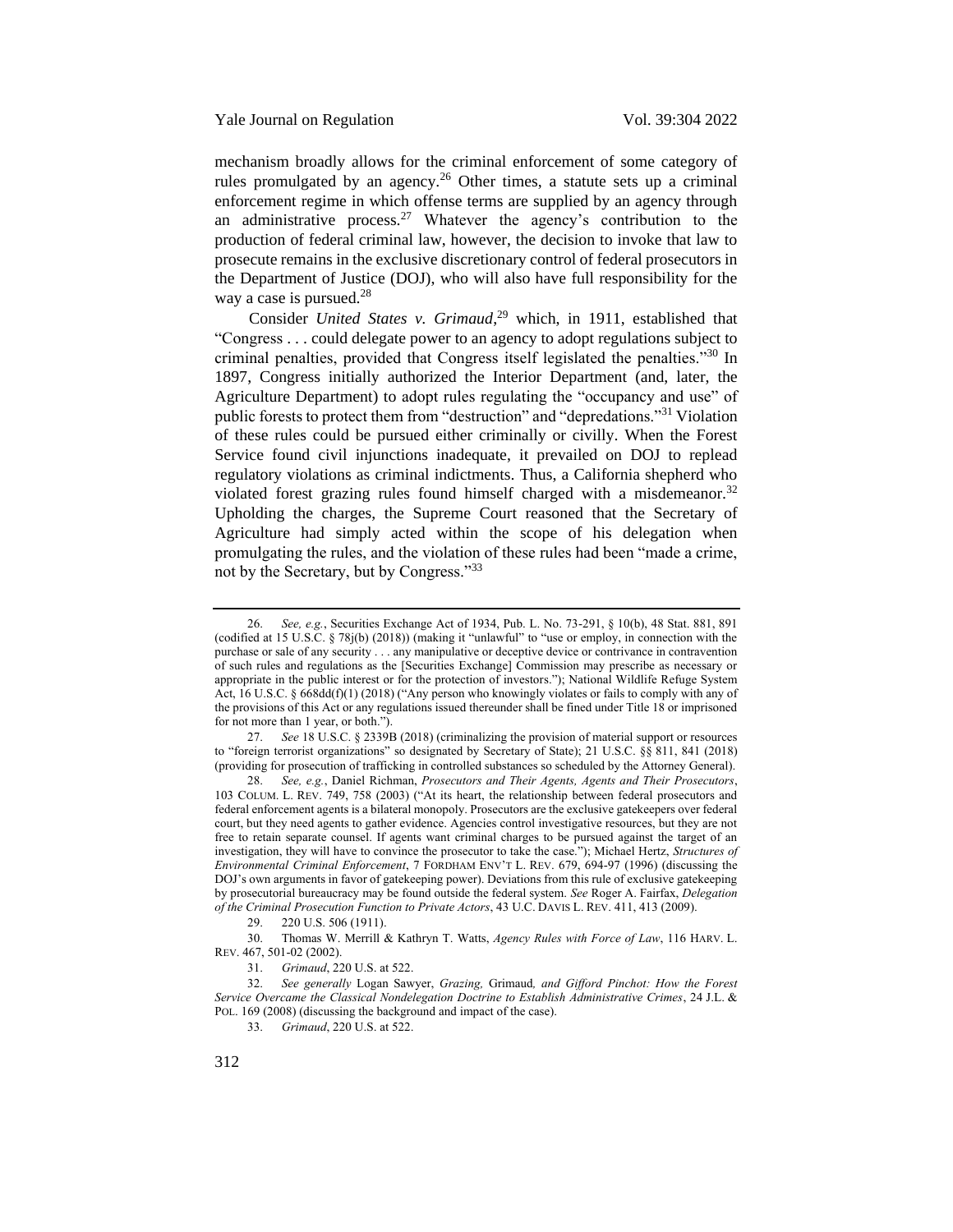mechanism broadly allows for the criminal enforcement of some category of rules promulgated by an agency.<sup>26</sup> Other times, a statute sets up a criminal enforcement regime in which offense terms are supplied by an agency through an administrative process.<sup>27</sup> Whatever the agency's contribution to the production of federal criminal law, however, the decision to invoke that law to prosecute remains in the exclusive discretionary control of federal prosecutors in the Department of Justice (DOJ), who will also have full responsibility for the way a case is pursued. $28$ 

<span id="page-8-0"></span>Consider *United States v. Grimaud*, <sup>29</sup> which, in 1911, established that "Congress . . . could delegate power to an agency to adopt regulations subject to criminal penalties, provided that Congress itself legislated the penalties."<sup>30</sup> In 1897, Congress initially authorized the Interior Department (and, later, the Agriculture Department) to adopt rules regulating the "occupancy and use" of public forests to protect them from "destruction" and "depredations."<sup>31</sup> Violation of these rules could be pursued either criminally or civilly. When the Forest Service found civil injunctions inadequate, it prevailed on DOJ to replead regulatory violations as criminal indictments. Thus, a California shepherd who violated forest grazing rules found himself charged with a misdemeanor. $32$ Upholding the charges, the Supreme Court reasoned that the Secretary of Agriculture had simply acted within the scope of his delegation when promulgating the rules, and the violation of these rules had been "made a crime, not by the Secretary, but by Congress."<sup>33</sup>

<sup>26.</sup> *See, e.g.*, Securities Exchange Act of 1934, Pub. L. No. 73-291, § 10(b), 48 Stat. 881, 891 (codified at 15 U.S.C. § 78j(b) (2018)) (making it "unlawful" to "use or employ, in connection with the purchase or sale of any security . . . any manipulative or deceptive device or contrivance in contravention of such rules and regulations as the [Securities Exchange] Commission may prescribe as necessary or appropriate in the public interest or for the protection of investors."); National Wildlife Refuge System Act, 16 U.S.C. § 668dd(f)(1) (2018) ("Any person who knowingly violates or fails to comply with any of the provisions of this Act or any regulations issued thereunder shall be fined under Title 18 or imprisoned for not more than 1 year, or both.").

<sup>27.</sup> *See* 18 U.S.C. § 2339B (2018) (criminalizing the provision of material support or resources to "foreign terrorist organizations" so designated by Secretary of State); 21 U.S.C. §§ 811, 841 (2018) (providing for prosecution of trafficking in controlled substances so scheduled by the Attorney General).

<sup>28.</sup> *See, e.g.*, Daniel Richman, *Prosecutors and Their Agents, Agents and Their Prosecutors*, 103 COLUM. L. REV. 749, 758 (2003) ("At its heart, the relationship between federal prosecutors and federal enforcement agents is a bilateral monopoly. Prosecutors are the exclusive gatekeepers over federal court, but they need agents to gather evidence. Agencies control investigative resources, but they are not free to retain separate counsel. If agents want criminal charges to be pursued against the target of an investigation, they will have to convince the prosecutor to take the case."); Michael Hertz, *Structures of Environmental Criminal Enforcement*, 7 FORDHAM ENV'T L. REV. 679, 694-97 (1996) (discussing the DOJ's own arguments in favor of gatekeeping power). Deviations from this rule of exclusive gatekeeping by prosecutorial bureaucracy may be found outside the federal system. *See* Roger A. Fairfax, *Delegation of the Criminal Prosecution Function to Private Actors*, 43 U.C. DAVIS L. REV. 411, 413 (2009).

<sup>29.</sup> 220 U.S. 506 (1911).

<sup>30.</sup> Thomas W. Merrill & Kathryn T. Watts, *Agency Rules with Force of Law*, 116 HARV. L. REV. 467, 501-02 (2002).

<sup>31.</sup> *Grimaud*, 220 U.S. at 522.

<sup>32.</sup> *See generally* Logan Sawyer, *Grazing,* Grimaud*, and Gifford Pinchot: How the Forest Service Overcame the Classical Nondelegation Doctrine to Establish Administrative Crimes*, 24 J.L. & POL. 169 (2008) (discussing the background and impact of the case).

<sup>33.</sup> *Grimaud*, 220 U.S. at 522.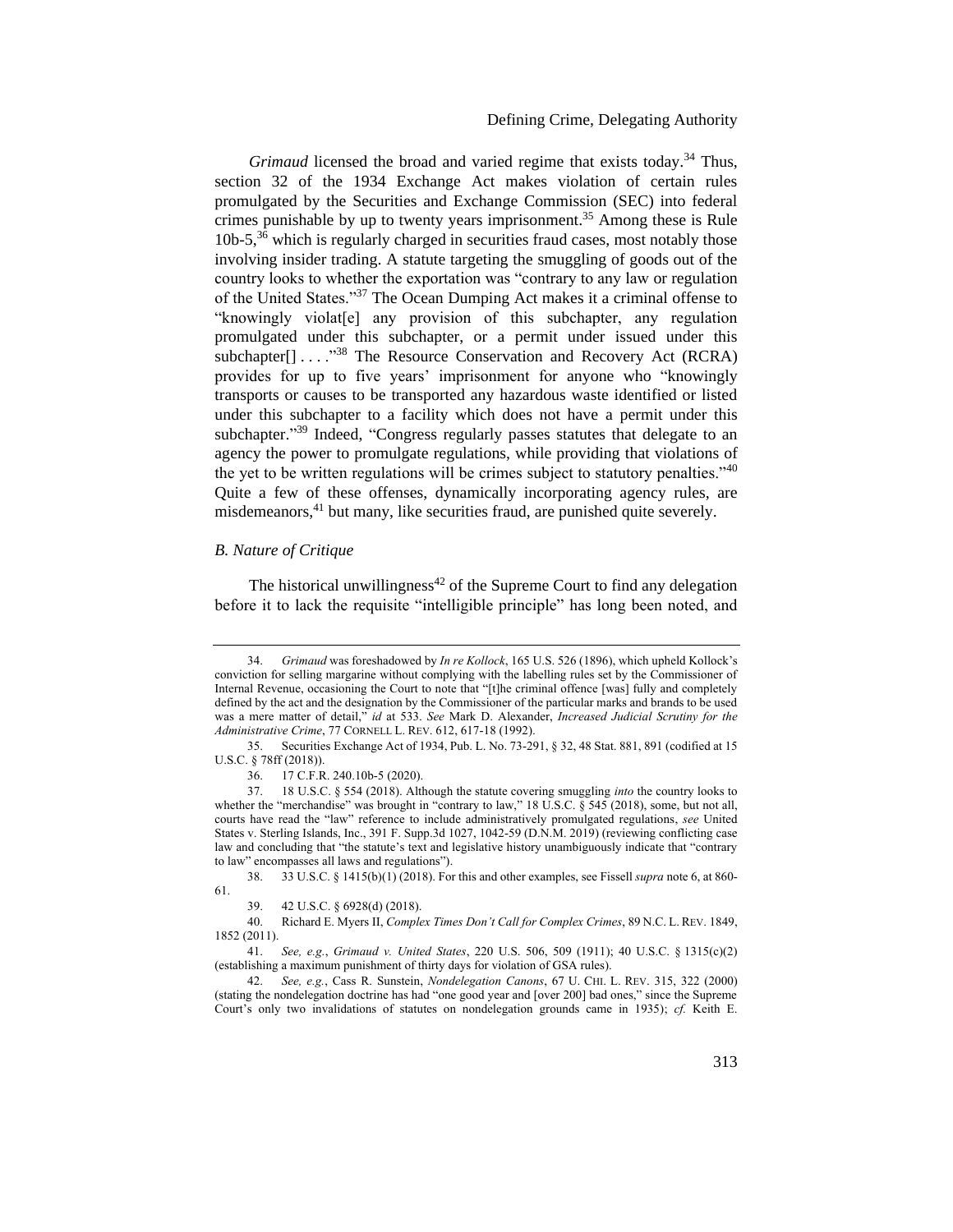# Defining Crime, Delegating Authority

*Grimaud* licensed the broad and varied regime that exists today.<sup>34</sup> Thus, section 32 of the 1934 Exchange Act makes violation of certain rules promulgated by the Securities and Exchange Commission (SEC) into federal crimes punishable by up to twenty years imprisonment.<sup>35</sup> Among these is Rule 10b-5,<sup>36</sup> which is regularly charged in securities fraud cases, most notably those involving insider trading. A statute targeting the smuggling of goods out of the country looks to whether the exportation was "contrary to any law or regulation of the United States."<sup>37</sup> The Ocean Dumping Act makes it a criminal offense to "knowingly violat[e] any provision of this subchapter, any regulation promulgated under this subchapter, or a permit under issued under this subchapter $[$ ] . . . . <sup>338</sup> The Resource Conservation and Recovery Act (RCRA) provides for up to five years' imprisonment for anyone who "knowingly transports or causes to be transported any hazardous waste identified or listed under this subchapter to a facility which does not have a permit under this subchapter."<sup>39</sup> Indeed, "Congress regularly passes statutes that delegate to an agency the power to promulgate regulations, while providing that violations of the yet to be written regulations will be crimes subject to statutory penalties."<sup>40</sup> Quite a few of these offenses, dynamically incorporating agency rules, are misdemeanors,<sup>41</sup> but many, like securities fraud, are punished quite severely.

# <span id="page-9-0"></span>*B. Nature of Critique*

<span id="page-9-1"></span>The historical unwillingness<sup> $42$ </sup> of the Supreme Court to find any delegation before it to lack the requisite "intelligible principle" has long been noted, and

38. 33 U.S.C. § 1415(b)(1) (2018). For this and other examples, see Fissell *supra* not[e 6,](#page-2-1) at 860- 61.

<sup>34.</sup> *Grimaud* was foreshadowed by *In re Kollock*, 165 U.S. 526 (1896), which upheld Kollock's conviction for selling margarine without complying with the labelling rules set by the Commissioner of Internal Revenue, occasioning the Court to note that "[t]he criminal offence [was] fully and completely defined by the act and the designation by the Commissioner of the particular marks and brands to be used was a mere matter of detail," *id* at 533. *See* Mark D. Alexander, *Increased Judicial Scrutiny for the Administrative Crime*, 77 CORNELL L. REV. 612, 617-18 (1992).

<sup>35.</sup> Securities Exchange Act of 1934, Pub. L. No. 73-291, § 32, 48 Stat. 881, 891 (codified at 15 U.S.C. § 78ff (2018)).

<sup>36.</sup> 17 C.F.R. 240.10b-5 (2020).

<sup>37.</sup> 18 U.S.C. § 554 (2018). Although the statute covering smuggling *into* the country looks to whether the "merchandise" was brought in "contrary to law," 18 U.S.C. § 545 (2018), some, but not all, courts have read the "law" reference to include administratively promulgated regulations, *see* United States v. Sterling Islands, Inc., 391 F. Supp.3d 1027, 1042-59 (D.N.M. 2019) (reviewing conflicting case law and concluding that "the statute's text and legislative history unambiguously indicate that "contrary to law" encompasses all laws and regulations").

<sup>39.</sup> 42 U.S.C. § 6928(d) (2018).

<sup>40.</sup> Richard E. Myers II, *Complex Times Don't Call for Complex Crimes*, 89 N.C. L. REV. 1849, 1852 (2011).

<sup>41.</sup> *See, e.g.*, *Grimaud v. United States*, 220 U.S. 506, 509 (1911); 40 U.S.C. § 1315(c)(2) (establishing a maximum punishment of thirty days for violation of GSA rules).

<sup>42.</sup> *See, e.g.*, Cass R. Sunstein, *Nondelegation Canons*, 67 U. CHI. L. REV. 315, 322 (2000) (stating the nondelegation doctrine has had "one good year and [over 200] bad ones," since the Supreme Court's only two invalidations of statutes on nondelegation grounds came in 1935); *cf.* Keith E.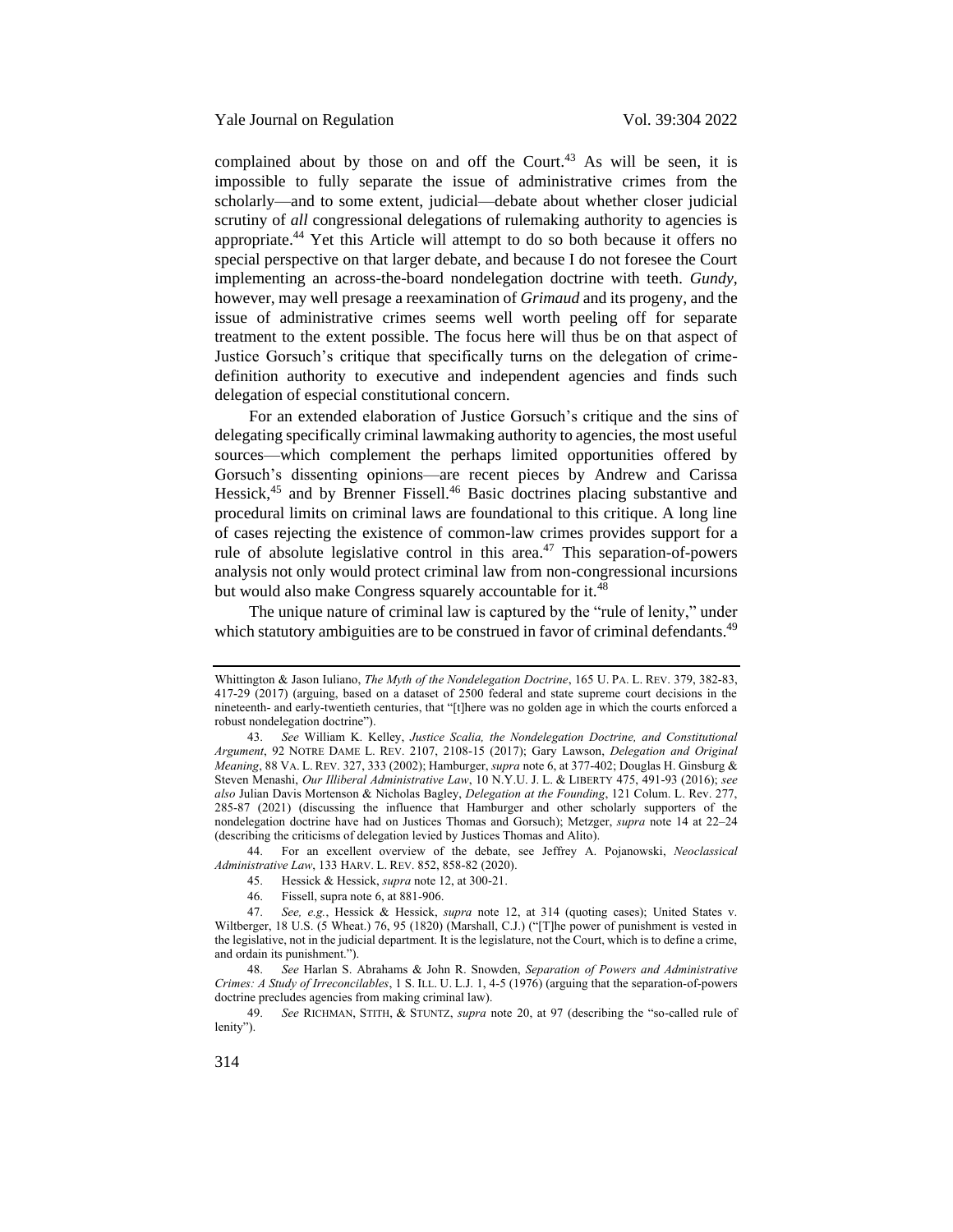complained about by those on and off the Court.<sup>43</sup> As will be seen, it is impossible to fully separate the issue of administrative crimes from the scholarly—and to some extent, judicial—debate about whether closer judicial scrutiny of *all* congressional delegations of rulemaking authority to agencies is appropriate.<sup>44</sup> Yet this Article will attempt to do so both because it offers no special perspective on that larger debate, and because I do not foresee the Court implementing an across-the-board nondelegation doctrine with teeth. *Gundy*, however, may well presage a reexamination of *Grimaud* and its progeny, and the issue of administrative crimes seems well worth peeling off for separate treatment to the extent possible. The focus here will thus be on that aspect of Justice Gorsuch's critique that specifically turns on the delegation of crimedefinition authority to executive and independent agencies and finds such delegation of especial constitutional concern.

<span id="page-10-0"></span>For an extended elaboration of Justice Gorsuch's critique and the sins of delegating specifically criminal lawmaking authority to agencies, the most useful sources—which complement the perhaps limited opportunities offered by Gorsuch's dissenting opinions—are recent pieces by Andrew and Carissa Hessick,<sup>45</sup> and by Brenner Fissell.<sup>46</sup> Basic doctrines placing substantive and procedural limits on criminal laws are foundational to this critique. A long line of cases rejecting the existence of common-law crimes provides support for a rule of absolute legislative control in this area. $47$  This separation-of-powers analysis not only would protect criminal law from non-congressional incursions but would also make Congress squarely accountable for it.<sup>48</sup>

The unique nature of criminal law is captured by the "rule of lenity," under which statutory ambiguities are to be construed in favor of criminal defendants.<sup>49</sup>

44. For an excellent overview of the debate, see Jeffrey A. Pojanowski, *Neoclassical Administrative Law*, 133 HARV. L. REV. 852, 858-82 (2020).

46. Fissell, supra note [6,](#page-2-1) at 881-906.

48. *See* Harlan S. Abrahams & John R. Snowden, *Separation of Powers and Administrative Crimes: A Study of Irreconcilables*, 1 S. ILL. U. L.J. 1, 4-5 (1976) (arguing that the separation-of-powers doctrine precludes agencies from making criminal law).

49. *See* RICHMAN, STITH, & STUNTZ, *supra* note [20](#page-5-0), at 97 (describing the "so-called rule of lenity").

Whittington & Jason Iuliano, *The Myth of the Nondelegation Doctrine*, 165 U. PA. L. REV. 379, 382-83, 417-29 (2017) (arguing, based on a dataset of 2500 federal and state supreme court decisions in the nineteenth- and early-twentieth centuries, that "[t]here was no golden age in which the courts enforced a robust nondelegation doctrine").

<sup>43.</sup> *See* William K. Kelley, *Justice Scalia, the Nondelegation Doctrine, and Constitutional Argument*, 92 NOTRE DAME L. REV. 2107, 2108-15 (2017); Gary Lawson, *Delegation and Original Meaning*, 88 VA. L. REV. 327, 333 (2002); Hamburger, *supra* not[e 6,](#page-2-1) at 377-402; Douglas H. Ginsburg & Steven Menashi, *Our Illiberal Administrative Law*, 10 N.Y.U. J. L. & LIBERTY 475, 491-93 (2016); *see also* Julian Davis Mortenson & Nicholas Bagley, *Delegation at the Founding*, 121 Colum. L. Rev. 277, 285-87 (2021) (discussing the influence that Hamburger and other scholarly supporters of the nondelegation doctrine have had on Justices Thomas and Gorsuch); Metzger, *supra* note [14](#page-4-0) at 22–24 (describing the criticisms of delegation levied by Justices Thomas and Alito).

<sup>45.</sup> Hessick & Hessick, *supra* note [12,](#page-3-0) at 300-21.

<sup>47.</sup> *See, e.g.*, Hessick & Hessick, *supra* note [12,](#page-3-0) at 314 (quoting cases); United States v. Wiltberger, 18 U.S. (5 Wheat.) 76, 95 (1820) (Marshall, C.J.) ("[T]he power of punishment is vested in the legislative, not in the judicial department. It is the legislature, not the Court, which is to define a crime, and ordain its punishment.").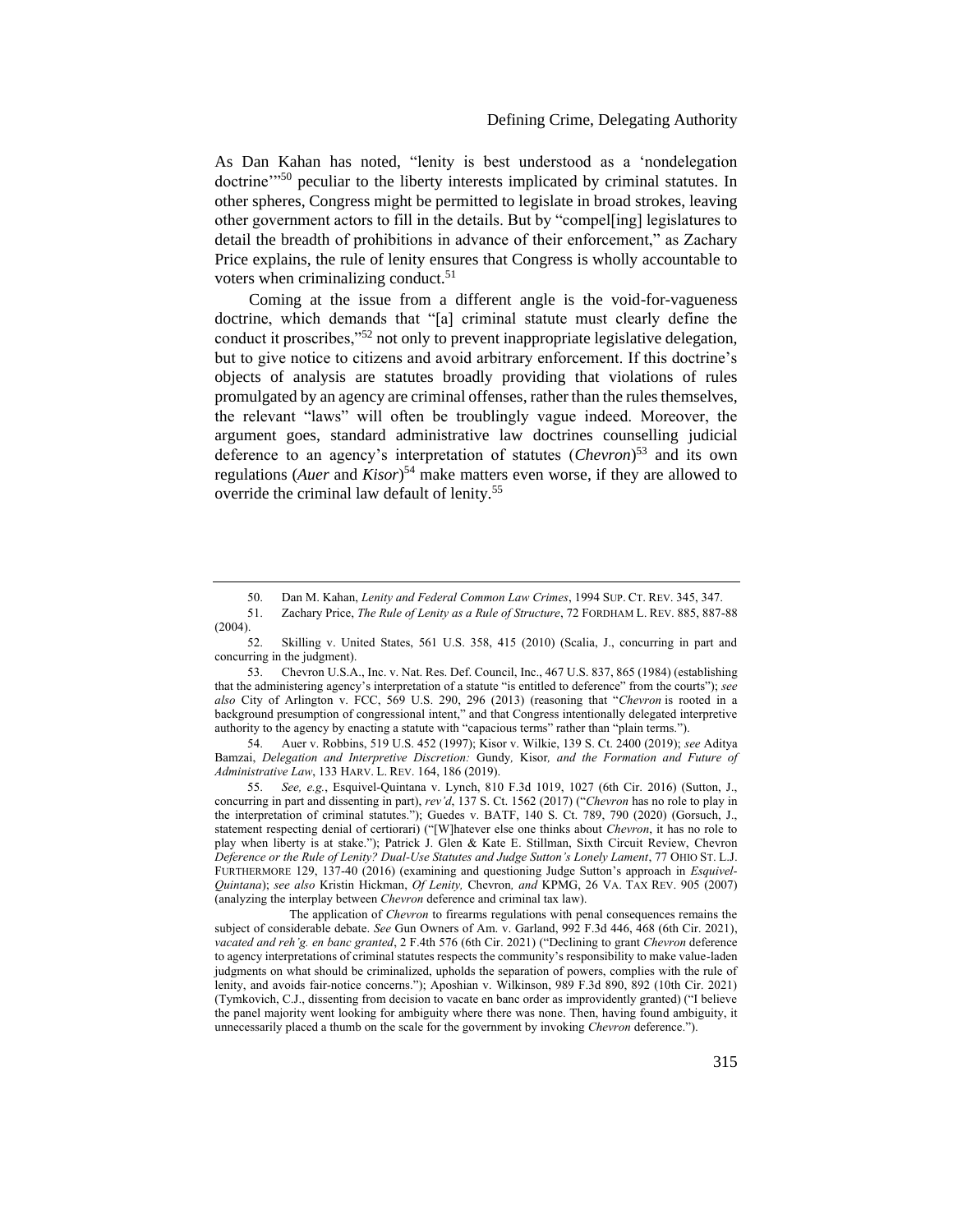<span id="page-11-1"></span>As Dan Kahan has noted, "lenity is best understood as a 'nondelegation doctrine<sup>"50</sup> peculiar to the liberty interests implicated by criminal statutes. In other spheres, Congress might be permitted to legislate in broad strokes, leaving other government actors to fill in the details. But by "compel[ing] legislatures to detail the breadth of prohibitions in advance of their enforcement," as Zachary Price explains, the rule of lenity ensures that Congress is wholly accountable to voters when criminalizing conduct. $5<sup>1</sup>$ 

Coming at the issue from a different angle is the void-for-vagueness doctrine, which demands that "[a] criminal statute must clearly define the conduct it proscribes,"<sup>52</sup> not only to prevent inappropriate legislative delegation, but to give notice to citizens and avoid arbitrary enforcement. If this doctrine's objects of analysis are statutes broadly providing that violations of rules promulgated by an agency are criminal offenses, rather than the rules themselves, the relevant "laws" will often be troublingly vague indeed. Moreover, the argument goes, standard administrative law doctrines counselling judicial deference to an agency's interpretation of statutes (*Chevron*) <sup>53</sup> and its own regulations (*Auer* and *Kisor*) <sup>54</sup> make matters even worse, if they are allowed to override the criminal law default of lenity.<sup>55</sup>

54. Auer v. Robbins, 519 U.S. 452 (1997); Kisor v. Wilkie, 139 S. Ct. 2400 (2019); *see* Aditya Bamzai, *Delegation and Interpretive Discretion:* Gundy*,* Kisor*, and the Formation and Future of Administrative Law*, 133 HARV. L. REV. 164, 186 (2019).

55. *See, e.g.*, Esquivel-Quintana v. Lynch, 810 F.3d 1019, 1027 (6th Cir. 2016) (Sutton, J., concurring in part and dissenting in part), *rev'd*, 137 S. Ct. 1562 (2017) ("*Chevron* has no role to play in the interpretation of criminal statutes."); Guedes v. BATF, 140 S. Ct. 789, 790 (2020) (Gorsuch, J., statement respecting denial of certiorari) ("[W]hatever else one thinks about *Chevron*, it has no role to play when liberty is at stake."); Patrick J. Glen & Kate E. Stillman, Sixth Circuit Review, Chevron *Deference or the Rule of Lenity? Dual-Use Statutes and Judge Sutton's Lonely Lament*, 77 OHIO ST. L.J. FURTHERMORE 129, 137-40 (2016) (examining and questioning Judge Sutton's approach in *Esquivel-Quintana*); *see also* Kristin Hickman, *Of Lenity,* Chevron*, and* KPMG, 26 VA. TAX REV. 905 (2007) (analyzing the interplay between *Chevron* deference and criminal tax law).

The application of *Chevron* to firearms regulations with penal consequences remains the subject of considerable debate. *See* Gun Owners of Am. v. Garland, 992 F.3d 446, 468 (6th Cir. 2021), *vacated and reh'g. en banc granted*, 2 F.4th 576 (6th Cir. 2021) ("Declining to grant *[Chevron](https://1.next.westlaw.com/Link/Document/FullText?findType=Y&serNum=1984130736&pubNum=0000780&originatingDoc=Ie54b83108dcf11eb8c2cff889eaa90d0&refType=RP&originationContext=document&transitionType=DocumentItem&contextData=(sc.Keycite))* deference to agency interpretations of criminal statutes respects the community's responsibility to make value-laden judgments on what should be criminalized, upholds the separation of powers, complies with the rule of lenity, and avoids fair-notice concerns."); Aposhian v. Wilkinson, 989 F.3d 890, 892 (10th Cir. 2021) (Tymkovich, C.J., dissenting from decision to vacate en banc order as improvidently granted) ("I believe the panel majority went looking for ambiguity where there was none. Then, having found ambiguity, it unnecessarily placed a thumb on the scale for the government by invoking *Chevron* deference.").

<span id="page-11-0"></span><sup>50.</sup> Dan M. Kahan, *Lenity and Federal Common Law Crimes*, 1994 SUP. CT. REV. 345, 347.

<sup>51.</sup> Zachary Price, *The Rule of Lenity as a Rule of Structure*, 72 FORDHAM L. REV. 885, 887-88 (2004).

<sup>52.</sup> Skilling v. United States, 561 U.S. 358, 415 (2010) (Scalia, J., concurring in part and concurring in the judgment).

<sup>53.</sup> Chevron U.S.A., Inc. v. Nat. Res. Def. Council, Inc., 467 U.S. 837, 865 (1984) (establishing that the administering agency's interpretation of a statute "is entitled to deference" from the courts"); *see also* City of Arlington v. FCC, 569 U.S. 290, 296 (2013) (reasoning that "*[Chevron](https://1.next.westlaw.com/Link/Document/FullText?findType=Y&serNum=1984130736&pubNum=0000780&originatingDoc=Ie54b83108dcf11eb8c2cff889eaa90d0&refType=RP&originationContext=document&transitionType=DocumentItem&contextData=(sc.Keycite))* is rooted in a background presumption of congressional intent," and that Congress intentionally delegated interpretive authority to the agency by enacting a statute with "capacious terms" rather than "plain terms.").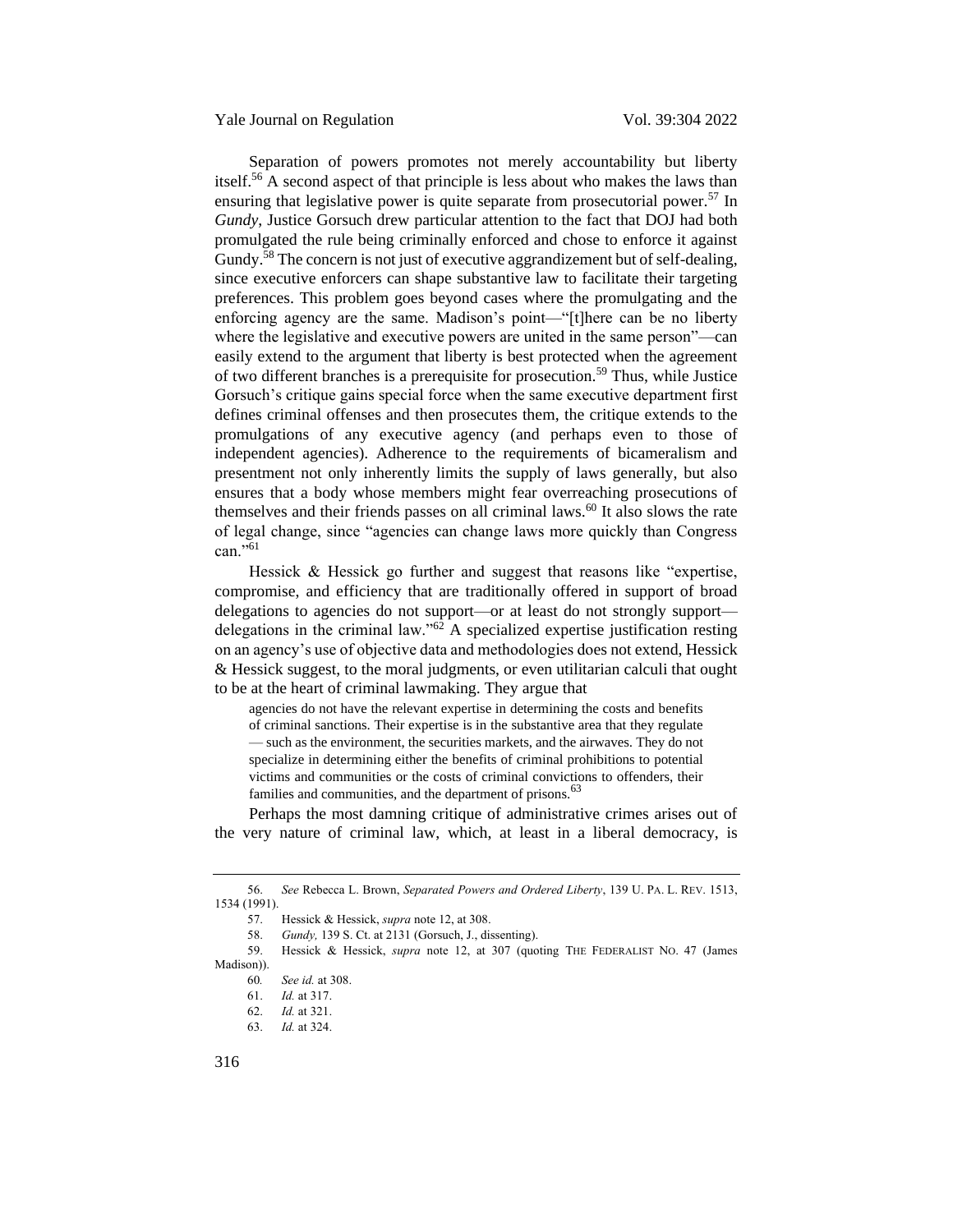Separation of powers promotes not merely accountability but liberty itself.<sup>56</sup> A second aspect of that principle is less about who makes the laws than ensuring that legislative power is quite separate from prosecutorial power.<sup>57</sup> In *Gundy*, Justice Gorsuch drew particular attention to the fact that DOJ had both promulgated the rule being criminally enforced and chose to enforce it against Gundy.<sup>58</sup> The concern is not just of executive aggrandizement but of self-dealing, since executive enforcers can shape substantive law to facilitate their targeting preferences. This problem goes beyond cases where the promulgating and the enforcing agency are the same. Madison's point—"[t]here can be no liberty where the legislative and executive powers are united in the same person"—can easily extend to the argument that liberty is best protected when the agreement of two different branches is a prerequisite for prosecution.<sup>59</sup> Thus, while Justice Gorsuch's critique gains special force when the same executive department first defines criminal offenses and then prosecutes them, the critique extends to the promulgations of any executive agency (and perhaps even to those of independent agencies). Adherence to the requirements of bicameralism and presentment not only inherently limits the supply of laws generally, but also ensures that a body whose members might fear overreaching prosecutions of themselves and their friends passes on all criminal laws. $60$  It also slows the rate of legal change, since "agencies can change laws more quickly than Congress  $can.$ <sup>561</sup>

Hessick & Hessick go further and suggest that reasons like "expertise, compromise, and efficiency that are traditionally offered in support of broad delegations to agencies do not support—or at least do not strongly support delegations in the criminal law."<sup>62</sup> A specialized expertise justification resting on an agency's use of objective data and methodologies does not extend, Hessick & Hessick suggest, to the moral judgments, or even utilitarian calculi that ought to be at the heart of criminal lawmaking. They argue that

agencies do not have the relevant expertise in determining the costs and benefits of criminal sanctions. Their expertise is in the substantive area that they regulate — such as the environment, the securities markets, and the airwaves. They do not specialize in determining either the benefits of criminal prohibitions to potential victims and communities or the costs of criminal convictions to offenders, their families and communities, and the department of prisons.<sup>63</sup>

Perhaps the most damning critique of administrative crimes arises out of the very nature of criminal law, which, at least in a liberal democracy, is

59. Hessick & Hessick, *supra* note [12,](#page-3-0) at 307 (quoting THE FEDERALIST NO. 47 (James Madison)).

<sup>56.</sup> *See* Rebecca L. Brown, *Separated Powers and Ordered Liberty*, 139 U. PA. L. REV. 1513, 1534 (1991).

<sup>57.</sup> Hessick & Hessick, *supra* note [12,](#page-3-0) at 308.

<sup>58.</sup> *Gundy,* 139 S. Ct. at 2131 (Gorsuch, J., dissenting).

<sup>60</sup>*. See id.* at 308.

<sup>61.</sup> *Id.* at 317.

<sup>62.</sup> *Id.* at 321.

<sup>63.</sup> *Id.* at 324.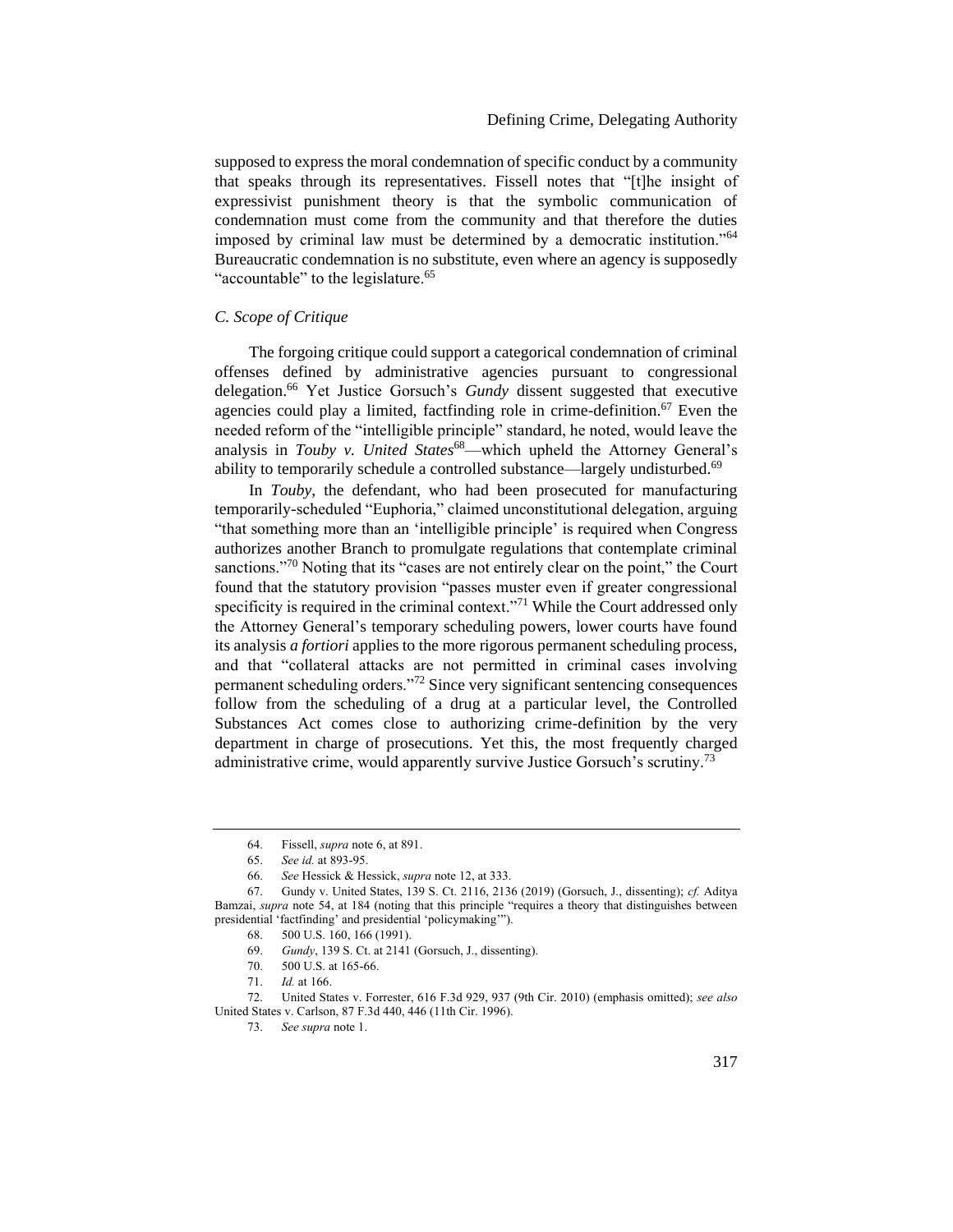supposed to express the moral condemnation of specific conduct by a community that speaks through its representatives. Fissell notes that "[t]he insight of expressivist punishment theory is that the symbolic communication of condemnation must come from the community and that therefore the duties imposed by criminal law must be determined by a democratic institution."<sup>64</sup> Bureaucratic condemnation is no substitute, even where an agency is supposedly "accountable" to the legislature. $65$ 

# <span id="page-13-0"></span>*C. Scope of Critique*

<span id="page-13-1"></span>The forgoing critique could support a categorical condemnation of criminal offenses defined by administrative agencies pursuant to congressional delegation.<sup>66</sup> Yet Justice Gorsuch's *Gundy* dissent suggested that executive agencies could play a limited, factfinding role in crime-definition.<sup>67</sup> Even the needed reform of the "intelligible principle" standard, he noted, would leave the analysis in *Touby v. United States*<sup>68</sup>—which upheld the Attorney General's ability to temporarily schedule a controlled substance—largely undisturbed.<sup>69</sup>

In *Touby*, the defendant, who had been prosecuted for manufacturing temporarily-scheduled "Euphoria," claimed unconstitutional delegation, arguing "that something more than an 'intelligible principle' is required when Congress authorizes another Branch to promulgate regulations that contemplate criminal sanctions.<sup>"70</sup> Noting that its "cases are not entirely clear on the point," the Court found that the statutory provision "passes muster even if greater congressional specificity is required in the criminal context."<sup>71</sup> While the Court addressed only the Attorney General's temporary scheduling powers, lower courts have found its analysis *a fortiori* applies to the more rigorous permanent scheduling process, and that "collateral attacks are not permitted in criminal cases involving permanent scheduling orders."<sup>72</sup> Since very significant sentencing consequences follow from the scheduling of a drug at a particular level, the Controlled Substances Act comes close to authorizing crime-definition by the very department in charge of prosecutions. Yet this, the most frequently charged administrative crime, would apparently survive Justice Gorsuch's scrutiny.<sup>73</sup>

<sup>64.</sup> Fissell, *supra* note [6,](#page-2-1) at 891.

<sup>65.</sup> *See id.* at 893-95.

<sup>66.</sup> *See* Hessick & Hessick, *supra* not[e 12,](#page-3-0) at 333.

<sup>67.</sup> Gundy v. United States, 139 S. Ct. 2116, 2136 (2019) (Gorsuch, J., dissenting); *cf.* Aditya Bamzai, *supra* note [54,](#page-11-0) at 184 (noting that this principle "requires a theory that distinguishes between presidential 'factfinding' and presidential 'policymaking'").

<sup>68.</sup> 500 U.S. 160, 166 (1991).

<sup>69.</sup> *Gundy*, 139 S. Ct. at 2141 (Gorsuch, J., dissenting).

<sup>70.</sup> 500 U.S. at 165-66.

<sup>71.</sup> *Id.* at 166.

<sup>72.</sup> United States v. Forrester, 616 F.3d 929, 937 (9th Cir. 2010) (emphasis omitted); *see also* United States v. Carlson, 87 F.3d 440, 446 (11th Cir. 1996).

<sup>73.</sup> *See supra* not[e 1.](#page-2-2)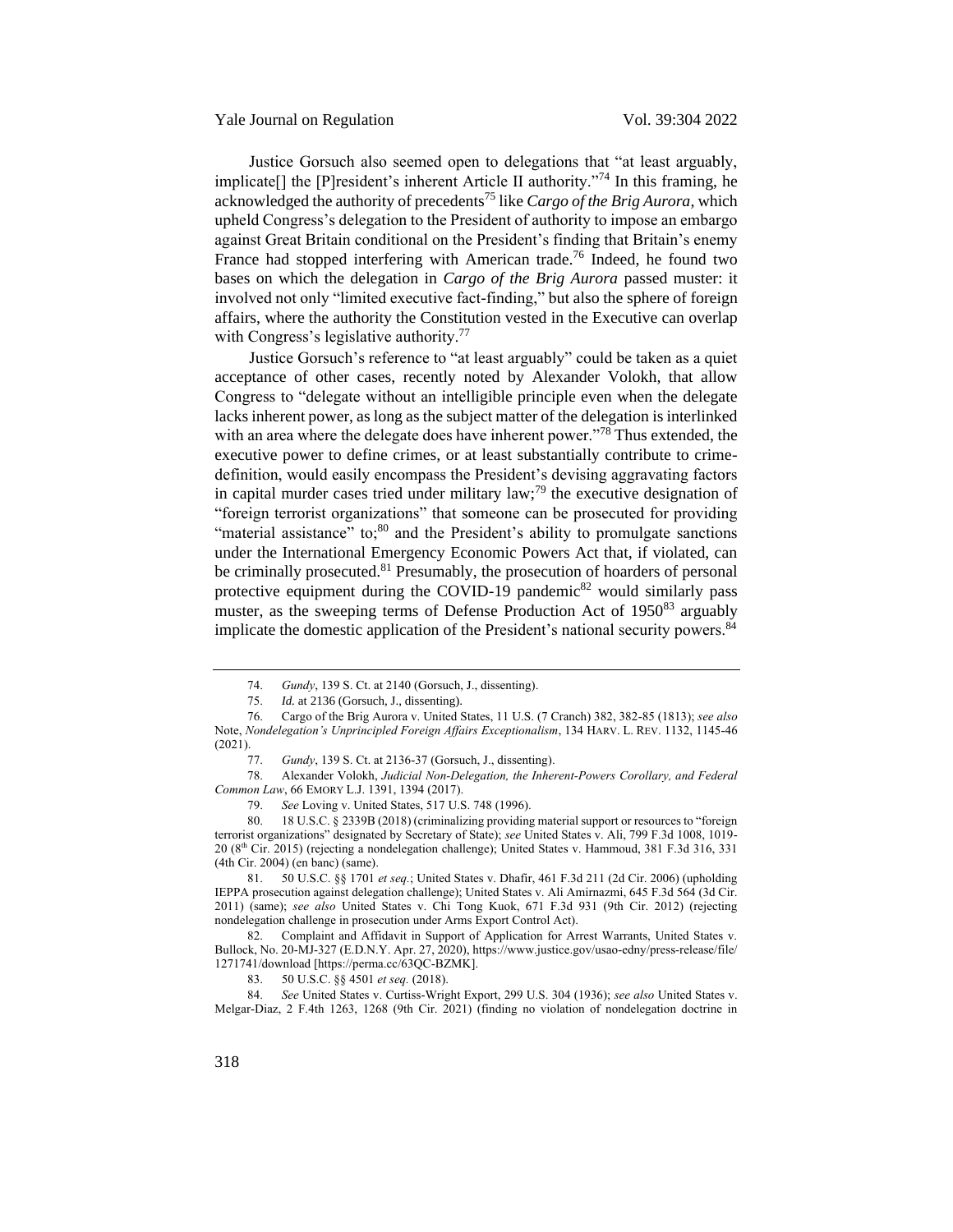Yale Journal on Regulation Vol. 39:304 2022

Justice Gorsuch also seemed open to delegations that "at least arguably, implicate[] the [P]resident's inherent Article II authority."<sup>74</sup> In this framing, he acknowledged the authority of precedents<sup>75</sup> like *Cargo of the Brig Aurora,* which upheld Congress's delegation to the President of authority to impose an embargo against Great Britain conditional on the President's finding that Britain's enemy France had stopped interfering with American trade.<sup>76</sup> Indeed, he found two bases on which the delegation in *Cargo of the Brig Aurora* passed muster: it involved not only "limited executive fact-finding," but also the sphere of foreign affairs, where the authority the Constitution vested in the Executive can overlap with Congress's legislative authority.<sup>77</sup>

<span id="page-14-0"></span>Justice Gorsuch's reference to "at least arguably" could be taken as a quiet acceptance of other cases, recently noted by Alexander Volokh, that allow Congress to "delegate without an intelligible principle even when the delegate lacks inherent power, as long as the subject matter of the delegation is interlinked with an area where the delegate does have inherent power."<sup>78</sup> Thus extended, the executive power to define crimes, or at least substantially contribute to crimedefinition, would easily encompass the President's devising aggravating factors in capital murder cases tried under military law;<sup>79</sup> the executive designation of "foreign terrorist organizations" that someone can be prosecuted for providing "material assistance" to; $80$  and the President's ability to promulgate sanctions under the International Emergency Economic Powers Act that, if violated, can be criminally prosecuted.<sup>81</sup> Presumably, the prosecution of hoarders of personal protective equipment during the COVID-19 pandemic $82$  would similarly pass muster, as the sweeping terms of Defense Production Act of  $1950^{83}$  arguably implicate the domestic application of the President's national security powers.<sup>84</sup>

<sup>74.</sup> *Gundy*, 139 S. Ct. at 2140 (Gorsuch, J., dissenting).

<sup>75.</sup> *Id.* at 2136 (Gorsuch, J., dissenting).

<sup>76.</sup> Cargo of the Brig Aurora v. United States, 11 U.S. (7 Cranch) 382, 382-85 (1813); *see also* Note, *Nondelegation's Unprincipled Foreign Affairs Exceptionalism*, 134 HARV. L. REV. 1132, 1145-46 (2021).

<sup>77.</sup> *Gundy*, 139 S. Ct. at 2136-37 (Gorsuch, J., dissenting).

<sup>78.</sup> Alexander Volokh, *Judicial Non-Delegation, the Inherent-Powers Corollary, and Federal Common Law*, 66 EMORY L.J. 1391, 1394 (2017).

<sup>79.</sup> *See* Loving v. United States, 517 U.S. 748 (1996).

<sup>80.</sup> 18 U.S.C. § 2339B (2018) (criminalizing providing material support or resources to "foreign terrorist organizations" designated by Secretary of State); *see* United States v. Ali, 799 F.3d 1008, 1019- 20 (8th Cir. 2015) (rejecting a nondelegation challenge); United States v. Hammoud, 381 F.3d 316, 331 (4th Cir. 2004) (en banc) (same).

<sup>81.</sup> 50 U.S.C. §§ 1701 *et seq.*; United States v. Dhafir, 461 F.3d 211 (2d Cir. 2006) (upholding IEPPA prosecution against delegation challenge); United States v. Ali Amirnazmi, 645 F.3d 564 (3d Cir. 2011) (same); *see also* United States v. Chi Tong Kuok, 671 F.3d 931 (9th Cir. 2012) (rejecting nondelegation challenge in prosecution under Arms Export Control Act).

<sup>82.</sup> Complaint and Affidavit in Support of Application for Arrest Warrants, United States v. Bullock, No. 20-MJ-327 (E.D.N.Y. Apr. 27, 2020), https://www.justice.gov/usao-edny/press-release/file/ 1271741/download [https://perma.cc/63QC-BZMK].

<sup>83.</sup> 50 U.S.C. §§ 4501 *et seq.* (2018).

<sup>84.</sup> *See* United States v. Curtiss-Wright Export, 299 U.S. 304 (1936); *see also* United States v. Melgar-Diaz, 2 F.4th 1263, 1268 (9th Cir. 2021) (finding no violation of nondelegation doctrine in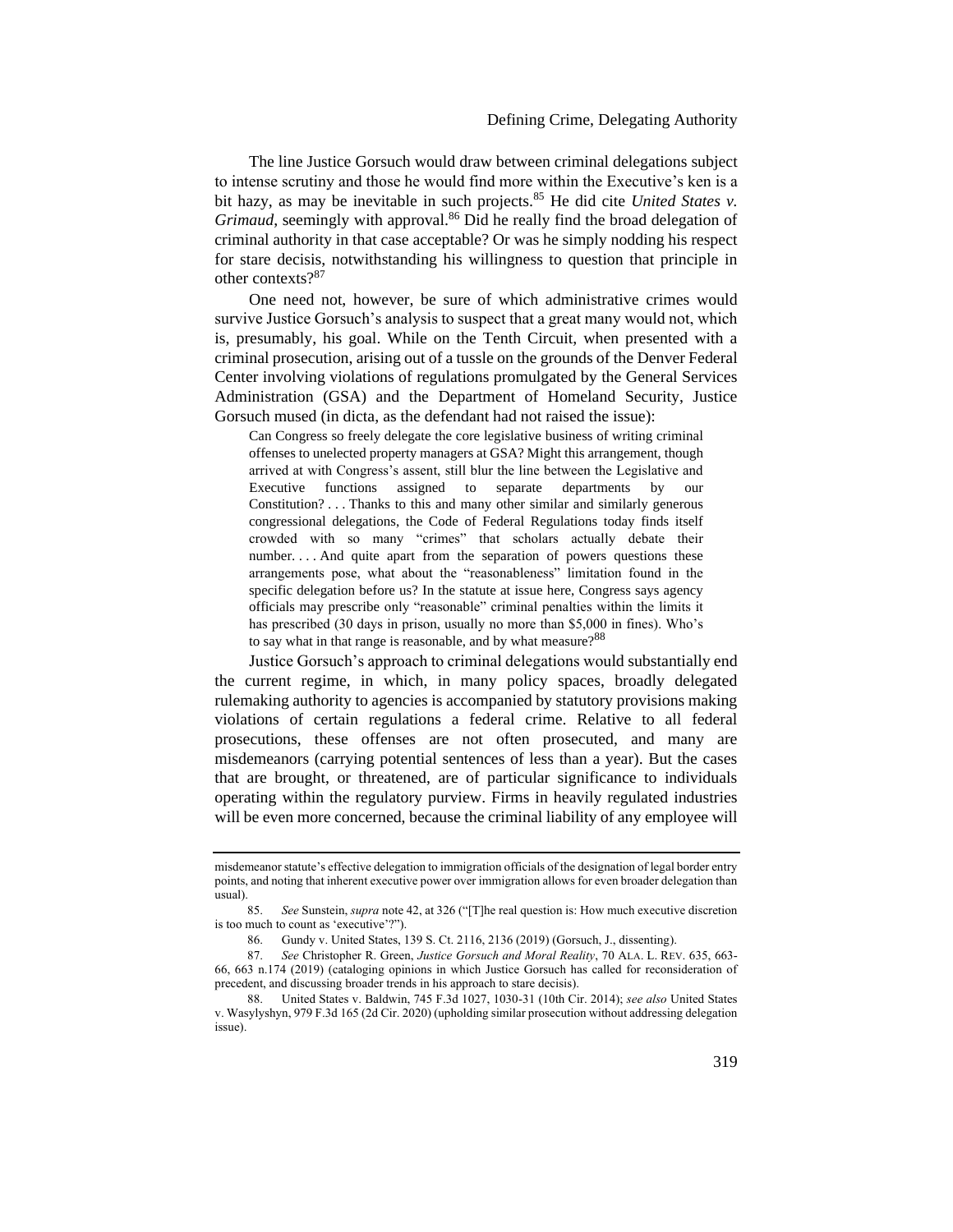# Defining Crime, Delegating Authority

The line Justice Gorsuch would draw between criminal delegations subject to intense scrutiny and those he would find more within the Executive's ken is a bit hazy, as may be inevitable in such projects.<sup>85</sup> He did cite *United States v*. *Grimaud*, seemingly with approval.<sup>86</sup> Did he really find the broad delegation of criminal authority in that case acceptable? Or was he simply nodding his respect for stare decisis, notwithstanding his willingness to question that principle in other contexts?<sup>87</sup>

One need not, however, be sure of which administrative crimes would survive Justice Gorsuch's analysis to suspect that a great many would not, which is, presumably, his goal. While on the Tenth Circuit, when presented with a criminal prosecution, arising out of a tussle on the grounds of the Denver Federal Center involving violations of regulations promulgated by the General Services Administration (GSA) and the Department of Homeland Security, Justice Gorsuch mused (in dicta, as the defendant had not raised the issue):

Can Congress so freely delegate the core legislative business of writing criminal offenses to unelected property managers at GSA? Might this arrangement, though arrived at with Congress's assent, still blur the line between the Legislative and Executive functions assigned to separate departments by our Constitution? . . . Thanks to this and many other similar and similarly generous congressional delegations, the Code of Federal Regulations today finds itself crowded with so many "crimes" that scholars actually debate their number. . . . And quite apart from the separation of powers questions these arrangements pose, what about the "reasonableness" limitation found in the specific delegation before us? In the statute at issue here, Congress says agency officials may prescribe only "reasonable" criminal penalties within the limits it has prescribed (30 days in prison, usually no more than \$5,000 in fines). Who's to say what in that range is reasonable, and by what measure?<sup>88</sup>

Justice Gorsuch's approach to criminal delegations would substantially end the current regime, in which, in many policy spaces, broadly delegated rulemaking authority to agencies is accompanied by statutory provisions making violations of certain regulations a federal crime. Relative to all federal prosecutions, these offenses are not often prosecuted, and many are misdemeanors (carrying potential sentences of less than a year). But the cases that are brought, or threatened, are of particular significance to individuals operating within the regulatory purview. Firms in heavily regulated industries will be even more concerned, because the criminal liability of any employee will

misdemeanor statute's effective delegation to immigration officials of the designation of legal border entry points, and noting that inherent executive power over immigration allows for even broader delegation than usual).

<sup>85.</sup> *See* Sunstein, *supra* not[e 42](#page-9-1), at 326 ("[T]he real question is: How much executive discretion is too much to count as 'executive'?").

<sup>86.</sup> Gundy v. United States, 139 S. Ct. 2116, 2136 (2019) (Gorsuch, J., dissenting).

<sup>87.</sup> *See* Christopher R. Green, *Justice Gorsuch and Moral Reality*, 70 ALA. L. REV. 635, 663- 66, 663 n.174 (2019) (cataloging opinions in which Justice Gorsuch has called for reconsideration of precedent, and discussing broader trends in his approach to stare decisis).

<sup>88.</sup> United States v. Baldwin, 745 F.3d 1027, 1030-31 (10th Cir. 2014); *see also* United States v. Wasylyshyn, 979 F.3d 165 (2d Cir. 2020) (upholding similar prosecution without addressing delegation issue).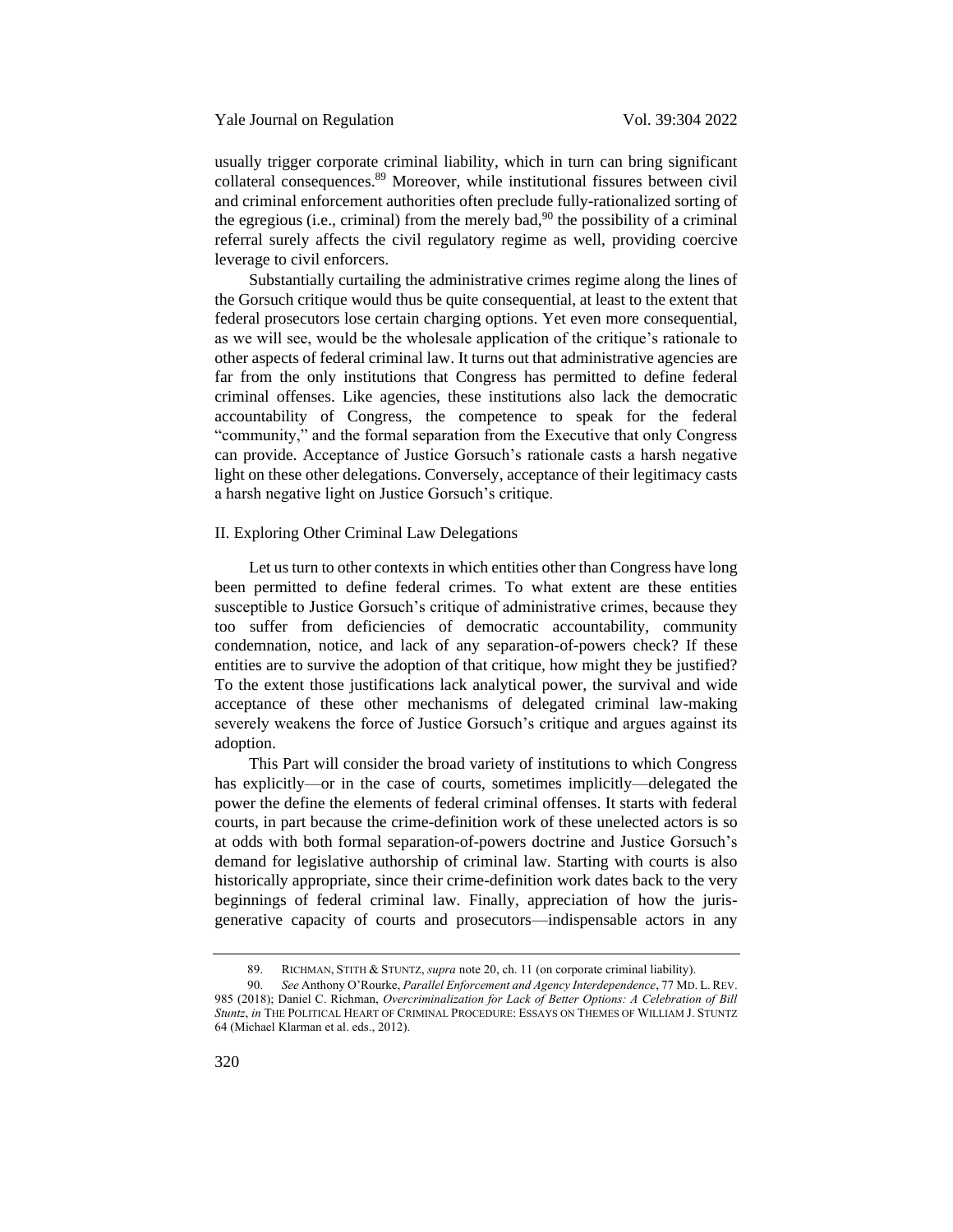usually trigger corporate criminal liability, which in turn can bring significant collateral consequences.<sup>89</sup> Moreover, while institutional fissures between civil and criminal enforcement authorities often preclude fully-rationalized sorting of the egregious (i.e., criminal) from the merely bad,<sup>90</sup> the possibility of a criminal referral surely affects the civil regulatory regime as well, providing coercive leverage to civil enforcers.

Substantially curtailing the administrative crimes regime along the lines of the Gorsuch critique would thus be quite consequential, at least to the extent that federal prosecutors lose certain charging options. Yet even more consequential, as we will see, would be the wholesale application of the critique's rationale to other aspects of federal criminal law. It turns out that administrative agencies are far from the only institutions that Congress has permitted to define federal criminal offenses. Like agencies, these institutions also lack the democratic accountability of Congress, the competence to speak for the federal "community," and the formal separation from the Executive that only Congress can provide. Acceptance of Justice Gorsuch's rationale casts a harsh negative light on these other delegations. Conversely, acceptance of their legitimacy casts a harsh negative light on Justice Gorsuch's critique.

#### <span id="page-16-0"></span>II. Exploring Other Criminal Law Delegations

Let us turn to other contexts in which entities other than Congress have long been permitted to define federal crimes. To what extent are these entities susceptible to Justice Gorsuch's critique of administrative crimes, because they too suffer from deficiencies of democratic accountability, community condemnation, notice, and lack of any separation-of-powers check? If these entities are to survive the adoption of that critique, how might they be justified? To the extent those justifications lack analytical power, the survival and wide acceptance of these other mechanisms of delegated criminal law-making severely weakens the force of Justice Gorsuch's critique and argues against its adoption.

This Part will consider the broad variety of institutions to which Congress has explicitly—or in the case of courts, sometimes implicitly—delegated the power the define the elements of federal criminal offenses. It starts with federal courts, in part because the crime-definition work of these unelected actors is so at odds with both formal separation-of-powers doctrine and Justice Gorsuch's demand for legislative authorship of criminal law. Starting with courts is also historically appropriate, since their crime-definition work dates back to the very beginnings of federal criminal law. Finally, appreciation of how the jurisgenerative capacity of courts and prosecutors—indispensable actors in any

<sup>89.</sup> RICHMAN, STITH & STUNTZ, *supra* note [20,](#page-5-0) ch. 11 (on corporate criminal liability).

<sup>90.</sup> *See* Anthony O'Rourke, *Parallel Enforcement and Agency Interdependence*, 77 MD. L.REV. 985 (2018); Daniel C. Richman, *Overcriminalization for Lack of Better Options: A Celebration of Bill Stuntz*, *in* THE POLITICAL HEART OF CRIMINAL PROCEDURE: ESSAYS ON THEMES OF WILLIAM J. STUNTZ 64 (Michael Klarman et al. eds., 2012).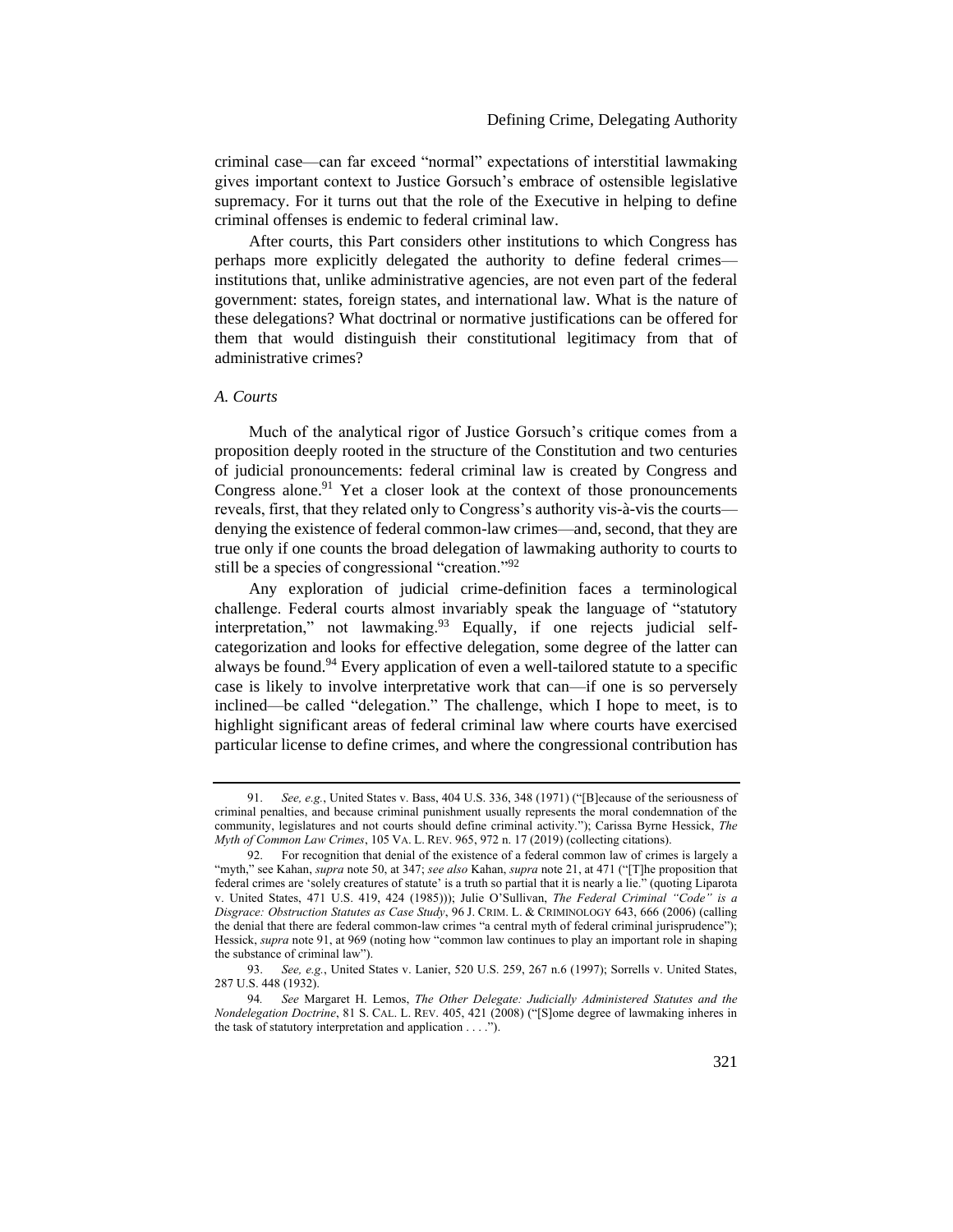criminal case—can far exceed "normal" expectations of interstitial lawmaking gives important context to Justice Gorsuch's embrace of ostensible legislative supremacy. For it turns out that the role of the Executive in helping to define criminal offenses is endemic to federal criminal law.

After courts, this Part considers other institutions to which Congress has perhaps more explicitly delegated the authority to define federal crimes institutions that, unlike administrative agencies, are not even part of the federal government: states, foreign states, and international law. What is the nature of these delegations? What doctrinal or normative justifications can be offered for them that would distinguish their constitutional legitimacy from that of administrative crimes?

### <span id="page-17-0"></span>*A. Courts*

<span id="page-17-1"></span>Much of the analytical rigor of Justice Gorsuch's critique comes from a proposition deeply rooted in the structure of the Constitution and two centuries of judicial pronouncements: federal criminal law is created by Congress and Congress alone.<sup>91</sup> Yet a closer look at the context of those pronouncements reveals, first, that they related only to Congress's authority vis-à-vis the courts denying the existence of federal common-law crimes—and, second, that they are true only if one counts the broad delegation of lawmaking authority to courts to still be a species of congressional "creation."<sup>92</sup>

<span id="page-17-3"></span><span id="page-17-2"></span>Any exploration of judicial crime-definition faces a terminological challenge. Federal courts almost invariably speak the language of "statutory interpretation," not lawmaking. $93$  Equally, if one rejects judicial selfcategorization and looks for effective delegation, some degree of the latter can always be found.<sup>94</sup> Every application of even a well-tailored statute to a specific case is likely to involve interpretative work that can—if one is so perversely inclined—be called "delegation." The challenge, which I hope to meet, is to highlight significant areas of federal criminal law where courts have exercised particular license to define crimes, and where the congressional contribution has

<sup>91.</sup> *See, e.g.*, United States v. Bass, 404 U.S. 336, 348 (1971) ("[B]ecause of the seriousness of criminal penalties, and because criminal punishment usually represents the moral condemnation of the community, legislatures and not courts should define criminal activity."); Carissa Byrne Hessick, *The Myth of Common Law Crimes*, 105 VA. L. REV. 965, 972 n. 17 (2019) (collecting citations).

<sup>92.</sup> For recognition that denial of the existence of a federal common law of crimes is largely a "myth," see Kahan, *supra* note [50,](#page-11-1) at 347; *see also* Kahan, *supra* not[e 21](#page-6-1), at 471 ("[T]he proposition that federal crimes are 'solely creatures of statute' is a truth so partial that it is nearly a lie." (quoting Liparota v. United States, 471 U.S. 419, 424 (1985))); Julie O'Sullivan, *The Federal Criminal "Code" is a Disgrace: Obstruction Statutes as Case Study*, 96 J. CRIM. L. & CRIMINOLOGY 643, 666 (2006) (calling the denial that there are federal common-law crimes "a central myth of federal criminal jurisprudence"); Hessick, *supra* not[e 91](#page-17-1), at 969 (noting how "common law continues to play an important role in shaping the substance of criminal law").

<sup>93.</sup> *See, e.g.*, United States v. Lanier, 520 U.S. 259, 267 n.6 (1997); Sorrells v. United States, 287 U.S. 448 (1932).

<sup>94</sup>*. See* Margaret H. Lemos, *The Other Delegate: Judicially Administered Statutes and the Nondelegation Doctrine*, 81 S. CAL. L. REV. 405, 421 (2008) ("[S]ome degree of lawmaking inheres in the task of statutory interpretation and application . . . .").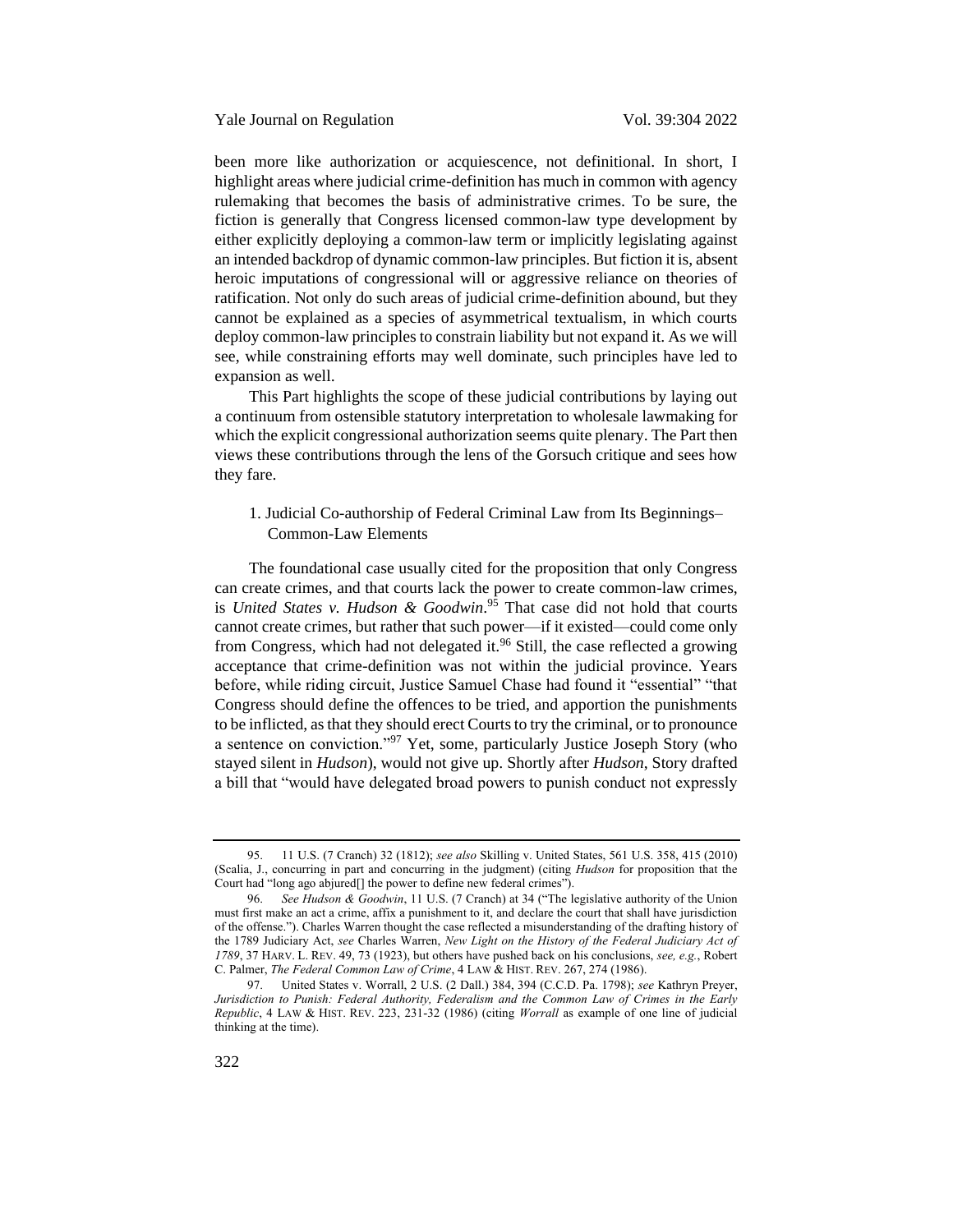been more like authorization or acquiescence, not definitional. In short, I highlight areas where judicial crime-definition has much in common with agency rulemaking that becomes the basis of administrative crimes. To be sure, the fiction is generally that Congress licensed common-law type development by either explicitly deploying a common-law term or implicitly legislating against an intended backdrop of dynamic common-law principles. But fiction it is, absent heroic imputations of congressional will or aggressive reliance on theories of ratification. Not only do such areas of judicial crime-definition abound, but they cannot be explained as a species of asymmetrical textualism, in which courts deploy common-law principles to constrain liability but not expand it. As we will see, while constraining efforts may well dominate, such principles have led to expansion as well.

This Part highlights the scope of these judicial contributions by laying out a continuum from ostensible statutory interpretation to wholesale lawmaking for which the explicit congressional authorization seems quite plenary. The Part then views these contributions through the lens of the Gorsuch critique and sees how they fare.

<span id="page-18-0"></span>1. Judicial Co-authorship of Federal Criminal Law from Its Beginnings– Common-Law Elements

The foundational case usually cited for the proposition that only Congress can create crimes, and that courts lack the power to create common-law crimes, is *United States v. Hudson & Goodwin*. <sup>95</sup> That case did not hold that courts cannot create crimes, but rather that such power—if it existed—could come only from Congress, which had not delegated it.<sup>96</sup> Still, the case reflected a growing acceptance that crime-definition was not within the judicial province. Years before, while riding circuit, Justice Samuel Chase had found it "essential" "that Congress should define the offences to be tried, and apportion the punishments to be inflicted, as that they should erect Courts to try the criminal, or to pronounce a sentence on conviction."<sup>97</sup> Yet, some, particularly Justice Joseph Story (who stayed silent in *Hudson*), would not give up. Shortly after *Hudson*, Story drafted a bill that "would have delegated broad powers to punish conduct not expressly

<span id="page-18-1"></span><sup>95.</sup> 11 U.S. (7 Cranch) 32 (1812); *see also* Skilling v. United States, 561 U.S. 358, 415 (2010) (Scalia, J., concurring in part and concurring in the judgment) (citing *Hudson* for proposition that the Court had "long ago abjured[] the power to define new federal crimes").

<sup>96.</sup> *See Hudson & Goodwin*, 11 U.S. (7 Cranch) at 34 ("The legislative authority of the Union must first make an act a crime, affix a punishment to it, and declare the court that shall have jurisdiction of the offense."). Charles Warren thought the case reflected a misunderstanding of the drafting history of the 1789 Judiciary Act, *see* Charles Warren, *New Light on the History of the Federal Judiciary Act of 1789*, 37 HARV. L. REV. 49, 73 (1923), but others have pushed back on his conclusions, *see, e.g.*, Robert C. Palmer, *The Federal Common Law of Crime*, 4 LAW & HIST. REV. 267, 274 (1986).

<sup>97.</sup> United States v. Worrall, 2 U.S. (2 Dall.) 384, 394 (C.C.D. Pa. 1798); *see* Kathryn Preyer, *Jurisdiction to Punish: Federal Authority, Federalism and the Common Law of Crimes in the Early Republic*, 4 LAW & HIST. REV. 223, 231-32 (1986) (citing *Worrall* as example of one line of judicial thinking at the time).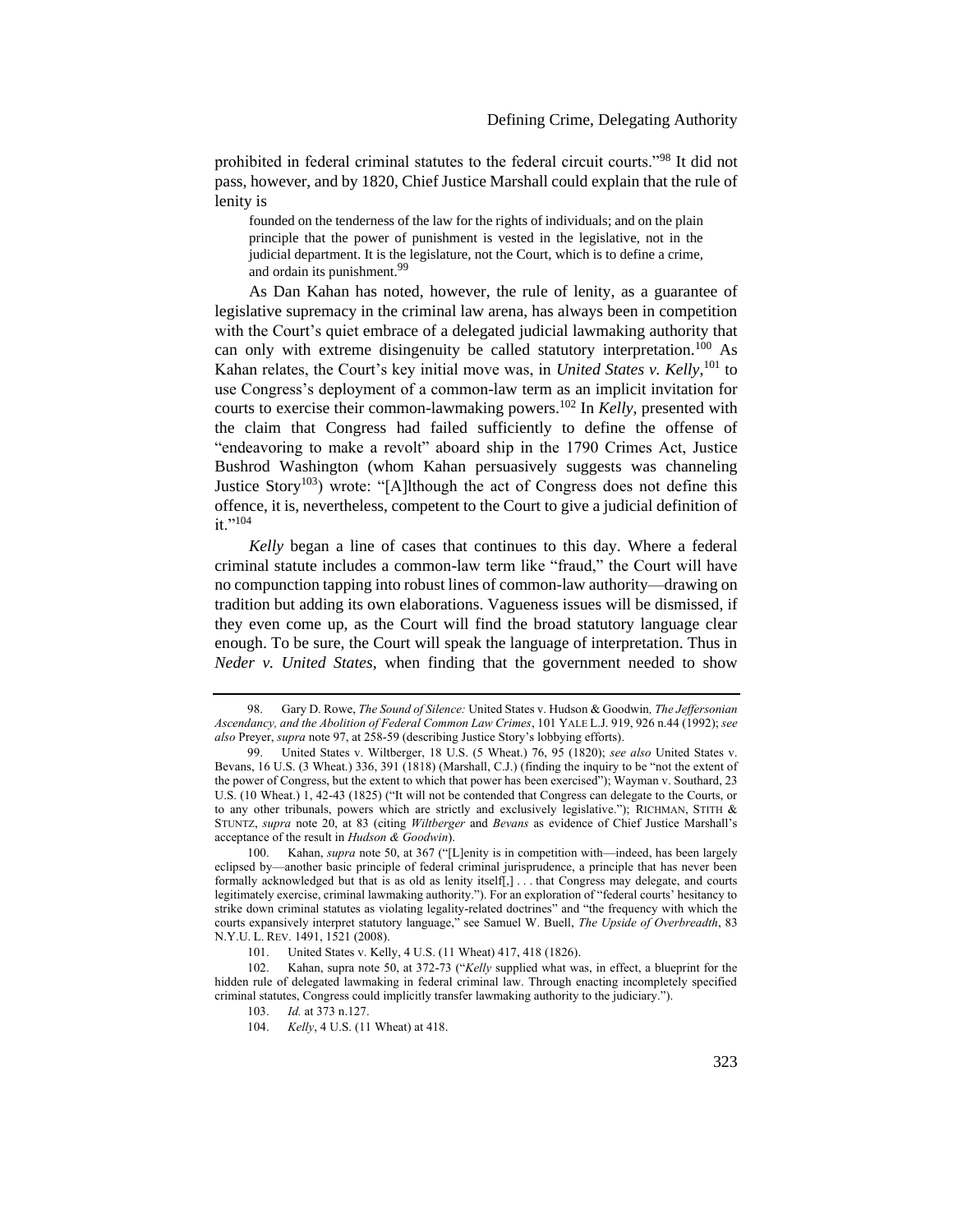prohibited in federal criminal statutes to the federal circuit courts."<sup>98</sup> It did not pass, however, and by 1820, Chief Justice Marshall could explain that the rule of lenity is

<span id="page-19-0"></span>founded on the tenderness of the law for the rights of individuals; and on the plain principle that the power of punishment is vested in the legislative, not in the judicial department. It is the legislature, not the Court, which is to define a crime, and ordain its punishment.<sup>99</sup>

As Dan Kahan has noted, however, the rule of lenity, as a guarantee of legislative supremacy in the criminal law arena, has always been in competition with the Court's quiet embrace of a delegated judicial lawmaking authority that can only with extreme disingenuity be called statutory interpretation.<sup>100</sup> As Kahan relates, the Court's key initial move was, in *United States v. Kelly*, <sup>101</sup> to use Congress's deployment of a common-law term as an implicit invitation for courts to exercise their common-lawmaking powers.<sup>102</sup> In *Kelly*, presented with the claim that Congress had failed sufficiently to define the offense of "endeavoring to make a revolt" aboard ship in the 1790 Crimes Act, Justice Bushrod Washington (whom Kahan persuasively suggests was channeling Justice Story<sup>103</sup>) wrote: "[A]lthough the act of Congress does not define this offence, it is, nevertheless, competent to the Court to give a judicial definition of it."<sup>104</sup>

*Kelly* began a line of cases that continues to this day. Where a federal criminal statute includes a common-law term like "fraud," the Court will have no compunction tapping into robust lines of common-law authority—drawing on tradition but adding its own elaborations. Vagueness issues will be dismissed, if they even come up, as the Court will find the broad statutory language clear enough. To be sure, the Court will speak the language of interpretation. Thus in *Neder v. United States*, when finding that the government needed to show

<sup>98.</sup> Gary D. Rowe, *The Sound of Silence:* United States v. Hudson & Goodwin*, The Jeffersonian Ascendancy, and the Abolition of Federal Common Law Crimes*, 101 YALE L.J. 919, 926 n.44 (1992); *see also* Preyer, *supra* not[e 97,](#page-18-1) at 258-59 (describing Justice Story's lobbying efforts).

<sup>99.</sup> United States v. Wiltberger, 18 U.S. (5 Wheat.) 76, 95 (1820); *see also* United States v. Bevans, 16 U.S. (3 Wheat.) 336, 391 (1818) (Marshall, C.J.) (finding the inquiry to be "not the extent of the power of Congress, but the extent to which that power has been exercised"); Wayman v. Southard, 23 U.S. (10 Wheat.) 1, 42-43 (1825) ("It will not be contended that Congress can delegate to the Courts, or to any other tribunals, powers which are strictly and exclusively legislative."); RICHMAN, STITH & STUNTZ, *supra* note [20,](#page-5-0) at 83 (citing *Wiltberger* and *Bevans* as evidence of Chief Justice Marshall's acceptance of the result in *Hudson & Goodwin*).

<sup>100.</sup> Kahan, *supra* note [50](#page-11-1), at 367 ("[L]enity is in competition with—indeed, has been largely eclipsed by—another basic principle of federal criminal jurisprudence, a principle that has never been formally acknowledged but that is as old as lenity itself[,] . . . that Congress may delegate, and courts legitimately exercise, criminal lawmaking authority."). For an exploration of "federal courts' hesitancy to strike down criminal statutes as violating legality-related doctrines" and "the frequency with which the courts expansively interpret statutory language," see Samuel W. Buell, *The Upside of Overbreadth*, 83 N.Y.U. L. REV. 1491, 1521 (2008).

<sup>101.</sup> United States v. Kelly, 4 U.S. (11 Wheat) 417, 418 (1826).

<sup>102.</sup> Kahan, supra not[e 50,](#page-11-1) at 372-73 ("*Kelly* supplied what was, in effect, a blueprint for the hidden rule of delegated lawmaking in federal criminal law. Through enacting incompletely specified criminal statutes, Congress could implicitly transfer lawmaking authority to the judiciary.").

<sup>103.</sup> *Id.* at 373 n.127.

<sup>104.</sup> *Kelly*, 4 U.S. (11 Wheat) at 418.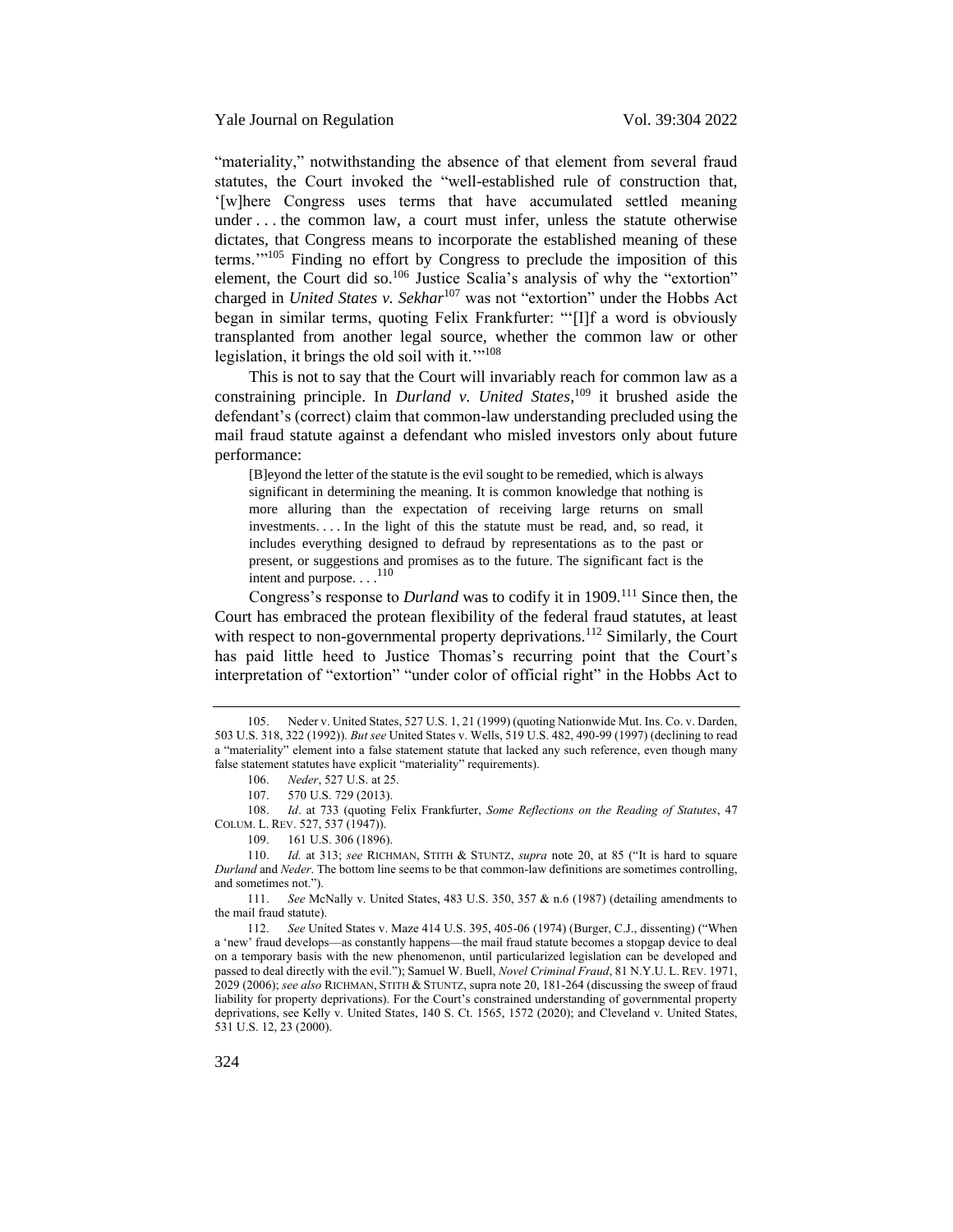Yale Journal on Regulation Vol. 39:304 2022

"materiality," notwithstanding the absence of that element from several fraud statutes, the Court invoked the "well-established rule of construction that, '[w]here Congress uses terms that have accumulated settled meaning under . . . the common law, a court must infer, unless the statute otherwise dictates, that Congress means to incorporate the established meaning of these terms.'"<sup>105</sup> Finding no effort by Congress to preclude the imposition of this element, the Court did so.<sup>106</sup> Justice Scalia's analysis of why the "extortion" charged in *United States v. Sekhar*<sup>107</sup> was not "extortion" under the Hobbs Act began in similar terms, quoting Felix Frankfurter: "'[I]f a word is obviously transplanted from another legal source, whether the common law or other legislation, it brings the old soil with it.""<sup>108</sup>

This is not to say that the Court will invariably reach for common law as a constraining principle. In *Durland v. United States*, <sup>109</sup> it brushed aside the defendant's (correct) claim that common-law understanding precluded using the mail fraud statute against a defendant who misled investors only about future performance:

[B]eyond the letter of the statute is the evil sought to be remedied, which is always significant in determining the meaning. It is common knowledge that nothing is more alluring than the expectation of receiving large returns on small investments. . . . In the light of this the statute must be read, and, so read, it includes everything designed to defraud by representations as to the past or present, or suggestions and promises as to the future. The significant fact is the intent and purpose.  $\ldots$ <sup>110</sup>

Congress's response to *Durland* was to codify it in 1909.<sup>111</sup> Since then, the Court has embraced the protean flexibility of the federal fraud statutes, at least with respect to non-governmental property deprivations.<sup>112</sup> Similarly, the Court has paid little heed to Justice Thomas's recurring point that the Court's interpretation of "extortion" "under color of official right" in the Hobbs Act to

<sup>105.</sup> Neder v. United States, 527 U.S. 1, 21 (1999) (quoting Nationwide Mut. Ins. Co. v. Darden, 503 U.S. 318, 322 (1992)). *But see* United States v. Wells, 519 U.S. 482, 490-99 (1997) (declining to read a "materiality" element into a false statement statute that lacked any such reference, even though many false statement statutes have explicit "materiality" requirements).

<sup>106.</sup> *Neder*, 527 U.S. at 25.

<sup>107.</sup> 570 U.S. 729 (2013).

<sup>108.</sup> *Id*. at 733 (quoting Felix Frankfurter, *Some Reflections on the Reading of Statutes*, 47

COLUM. L. REV. 527, 537 (1947)).

<sup>109.</sup> 161 U.S. 306 (1896).

<sup>110.</sup> *Id.* at 313; *see* RICHMAN, STITH & STUNTZ, *supra* note [20](#page-5-0), at 85 ("It is hard to square *Durland* and *Neder*. The bottom line seems to be that common-law definitions are sometimes controlling, and sometimes not.").

<sup>111.</sup> *See* McNally v. United States, 483 U.S. 350, 357 & n.6 (1987) (detailing amendments to the mail fraud statute).

<sup>112.</sup> *See* United States v. Maze 414 U.S. 395, 405-06 (1974) (Burger, C.J., dissenting) ("When a 'new' fraud develops—as constantly happens—the mail fraud statute becomes a stopgap device to deal on a temporary basis with the new phenomenon, until particularized legislation can be developed and passed to deal directly with the evil."); Samuel W. Buell, *Novel Criminal Fraud*, 81 N.Y.U. L. REV. 1971, 2029 (2006); *see also* RICHMAN, STITH & STUNTZ, supra note [20,](#page-5-0) 181-264 (discussing the sweep of fraud liability for property deprivations). For the Court's constrained understanding of governmental property deprivations, see Kelly v. United States, 140 S. Ct. 1565, 1572 (2020); and Cleveland v. United States, 531 U.S. 12, 23 (2000).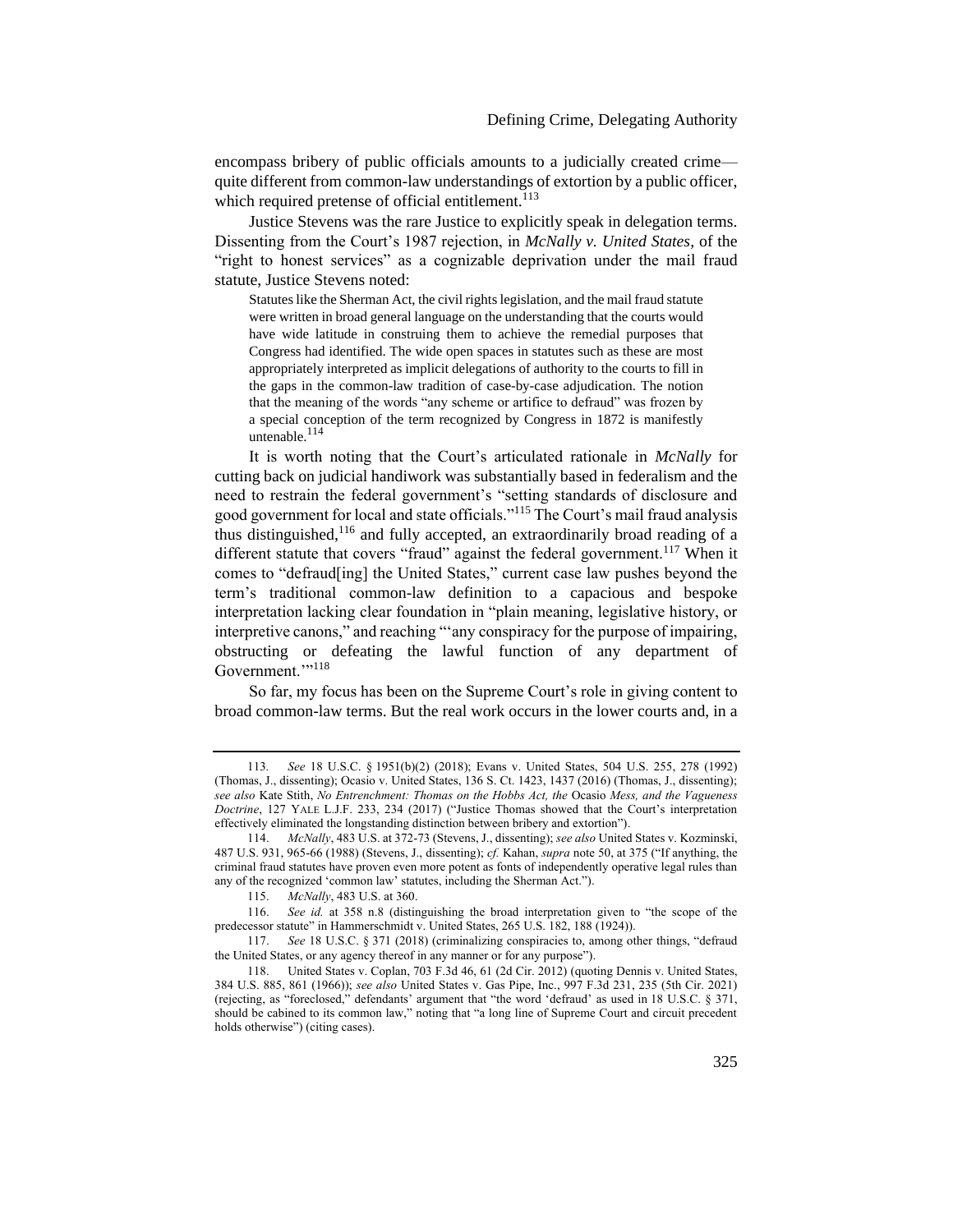encompass bribery of public officials amounts to a judicially created crime quite different from common-law understandings of extortion by a public officer, which required pretense of official entitlement.<sup>113</sup>

Justice Stevens was the rare Justice to explicitly speak in delegation terms. Dissenting from the Court's 1987 rejection, in *McNally v. United States*, of the "right to honest services" as a cognizable deprivation under the mail fraud statute, Justice Stevens noted:

Statutes like the Sherman Act, the civil rights legislation, and the mail fraud statute were written in broad general language on the understanding that the courts would have wide latitude in construing them to achieve the remedial purposes that Congress had identified. The wide open spaces in statutes such as these are most appropriately interpreted as implicit delegations of authority to the courts to fill in the gaps in the common-law tradition of case-by-case adjudication. The notion that the meaning of the words "any scheme or artifice to defraud" was frozen by a special conception of the term recognized by Congress in 1872 is manifestly untenable. $114$ 

It is worth noting that the Court's articulated rationale in *McNally* for cutting back on judicial handiwork was substantially based in federalism and the need to restrain the federal government's "setting standards of disclosure and good government for local and state officials."<sup>115</sup> The Court's mail fraud analysis thus distinguished,<sup>116</sup> and fully accepted, an extraordinarily broad reading of a different statute that covers "fraud" against the federal government.<sup>117</sup> When it comes to "defraud[ing] the United States," current case law pushes beyond the term's traditional common-law definition to a capacious and bespoke interpretation lacking clear foundation in "plain meaning, legislative history, or interpretive canons," and reaching "'any conspiracy for the purpose of impairing, obstructing or defeating the lawful function of any department of Government."<sup>118</sup>

So far, my focus has been on the Supreme Court's role in giving content to broad common-law terms. But the real work occurs in the lower courts and, in a

<sup>113</sup>*. See* 18 U.S.C. § 1951(b)(2) (2018); Evans v. United States, 504 U.S. 255, 278 (1992) (Thomas, J., dissenting); Ocasio v. United States, 136 S. Ct. 1423, 1437 (2016) (Thomas, J., dissenting); *see also* Kate Stith, *No Entrenchment: Thomas on the Hobbs Act, the* Ocasio *Mess, and the Vagueness Doctrine*, 127 YALE L.J.F. 233, 234 (2017) ("Justice Thomas showed that the Court's interpretation effectively eliminated the longstanding distinction between bribery and extortion").

<sup>114.</sup> *McNally*, 483 U.S. at 372-73 (Stevens, J., dissenting); *see also* United States v. Kozminski, 487 U.S. 931, 965-66 (1988) (Stevens, J., dissenting); *cf.* Kahan, *supra* not[e 50](#page-11-1), at 375 ("If anything, the criminal fraud statutes have proven even more potent as fonts of independently operative legal rules than any of the recognized 'common law' statutes, including the Sherman Act.").

<sup>115.</sup> *McNally*, 483 U.S. at 360.

<sup>116.</sup> *See id.* at 358 n.8 (distinguishing the broad interpretation given to "the scope of the predecessor statute" in Hammerschmidt v. United States, 265 U.S. 182, 188 (1924)).<br>117. See 18 U.S.C. § 371 (2018) (criminalizing conspiracies to, among ot

See 18 U.S.C. § 371 (2018) (criminalizing conspiracies to, among other things, "defraud the United States, or any agency thereof in any manner or for any purpose").

<sup>118.</sup> United States v. Coplan, 703 F.3d 46, 61 (2d Cir. 2012) (quoting Dennis v. United States, 384 U.S. 885, 861 (1966)); *see also* United States v. Gas Pipe, Inc., 997 F.3d 231, 235 (5th Cir. 2021) (rejecting, as "foreclosed," defendants' argument that "the word 'defraud' as used in 18 U.S.C. § 371, should be cabined to its common law," noting that "a long line of Supreme Court and circuit precedent holds otherwise") (citing cases).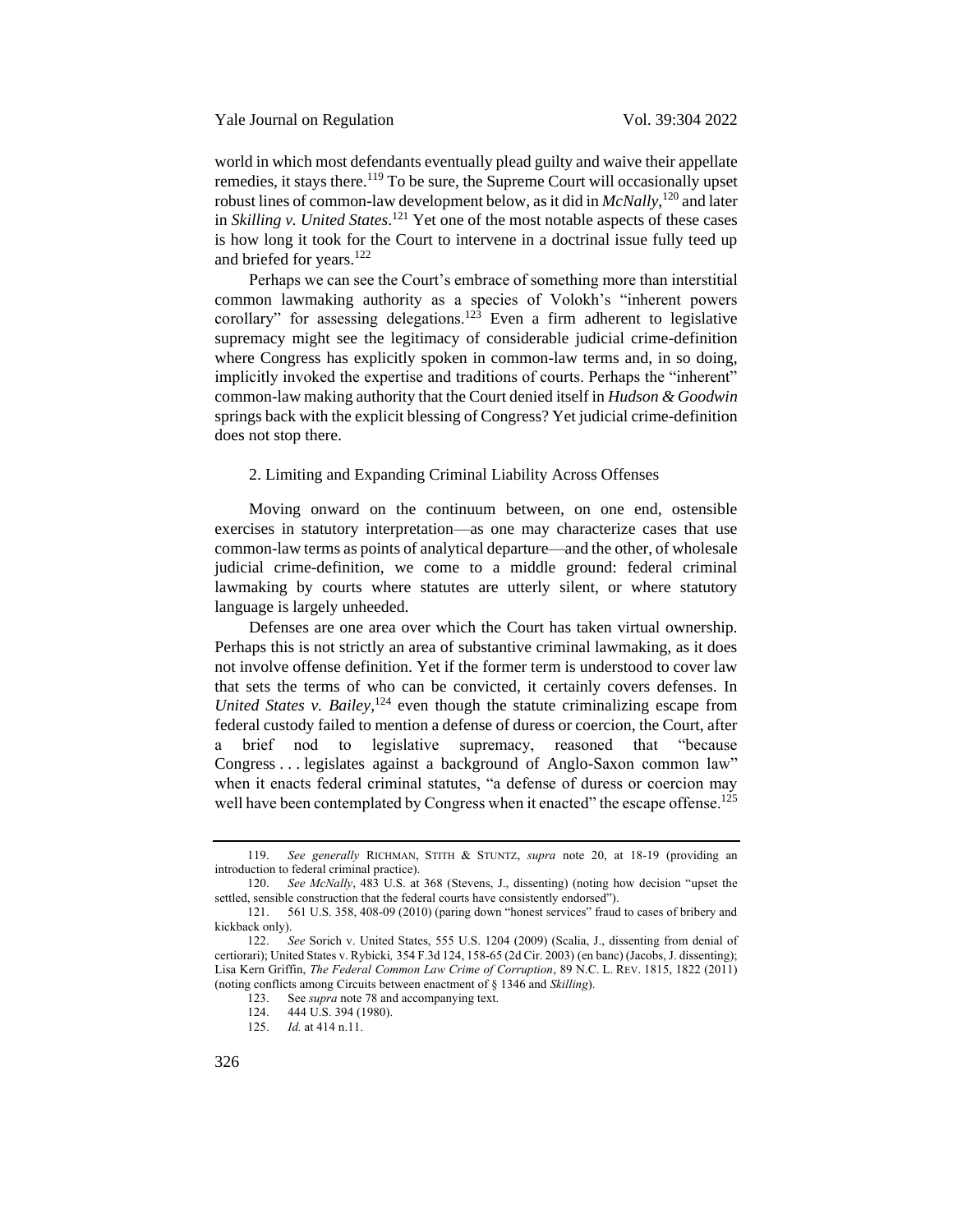world in which most defendants eventually plead guilty and waive their appellate remedies, it stays there.<sup>119</sup> To be sure, the Supreme Court will occasionally upset robust lines of common-law development below, as it did in *McNally*, <sup>120</sup> and later in *Skilling v. United States*. <sup>121</sup> Yet one of the most notable aspects of these cases is how long it took for the Court to intervene in a doctrinal issue fully teed up and briefed for years.<sup>122</sup>

Perhaps we can see the Court's embrace of something more than interstitial common lawmaking authority as a species of Volokh's "inherent powers corollary" for assessing delegations.<sup>123</sup> Even a firm adherent to legislative supremacy might see the legitimacy of considerable judicial crime-definition where Congress has explicitly spoken in common-law terms and, in so doing, implicitly invoked the expertise and traditions of courts. Perhaps the "inherent" common-law making authority that the Court denied itself in *Hudson & Goodwin* springs back with the explicit blessing of Congress? Yet judicial crime-definition does not stop there.

# <span id="page-22-0"></span>2. Limiting and Expanding Criminal Liability Across Offenses

Moving onward on the continuum between, on one end, ostensible exercises in statutory interpretation—as one may characterize cases that use common-law terms as points of analytical departure—and the other, of wholesale judicial crime-definition, we come to a middle ground: federal criminal lawmaking by courts where statutes are utterly silent, or where statutory language is largely unheeded.

Defenses are one area over which the Court has taken virtual ownership. Perhaps this is not strictly an area of substantive criminal lawmaking, as it does not involve offense definition. Yet if the former term is understood to cover law that sets the terms of who can be convicted, it certainly covers defenses. In *United States v. Bailey*, <sup>124</sup> even though the statute criminalizing escape from federal custody failed to mention a defense of duress or coercion, the Court, after a brief nod to legislative supremacy, reasoned that "because Congress . . . legislates against a background of Anglo-Saxon common law" when it enacts federal criminal statutes, "a defense of duress or coercion may well have been contemplated by Congress when it enacted" the escape offense.<sup>125</sup>

<sup>119.</sup> *See generally* RICHMAN, STITH & STUNTZ, *supra* note [20,](#page-5-0) at 18-19 (providing an introduction to federal criminal practice).

<sup>120.</sup> *See McNally*, 483 U.S. at 368 (Stevens, J., dissenting) (noting how decision "upset the settled, sensible construction that the federal courts have consistently endorsed").

<sup>121.</sup> 561 U.S. 358, 408-09 (2010) (paring down "honest services" fraud to cases of bribery and kickback only).

<sup>122.</sup> *See* Sorich v. United States, 555 U.S. 1204 (2009) (Scalia, J., dissenting from denial of certiorari); United States v. Rybicki*,* 354 F.3d 124, 158-65 (2d Cir. 2003) (en banc) (Jacobs, J. dissenting); Lisa Kern Griffin, *The Federal Common Law Crime of Corruption*, 89 N.C. L. REV. 1815, 1822 (2011) (noting conflicts among Circuits between enactment of § 1346 and *Skilling*).

See *supra* not[e 78](#page-14-0) and accompanying text.

<sup>124.</sup> 444 U.S. 394 (1980).

<sup>125.</sup> *Id.* at 414 n.11.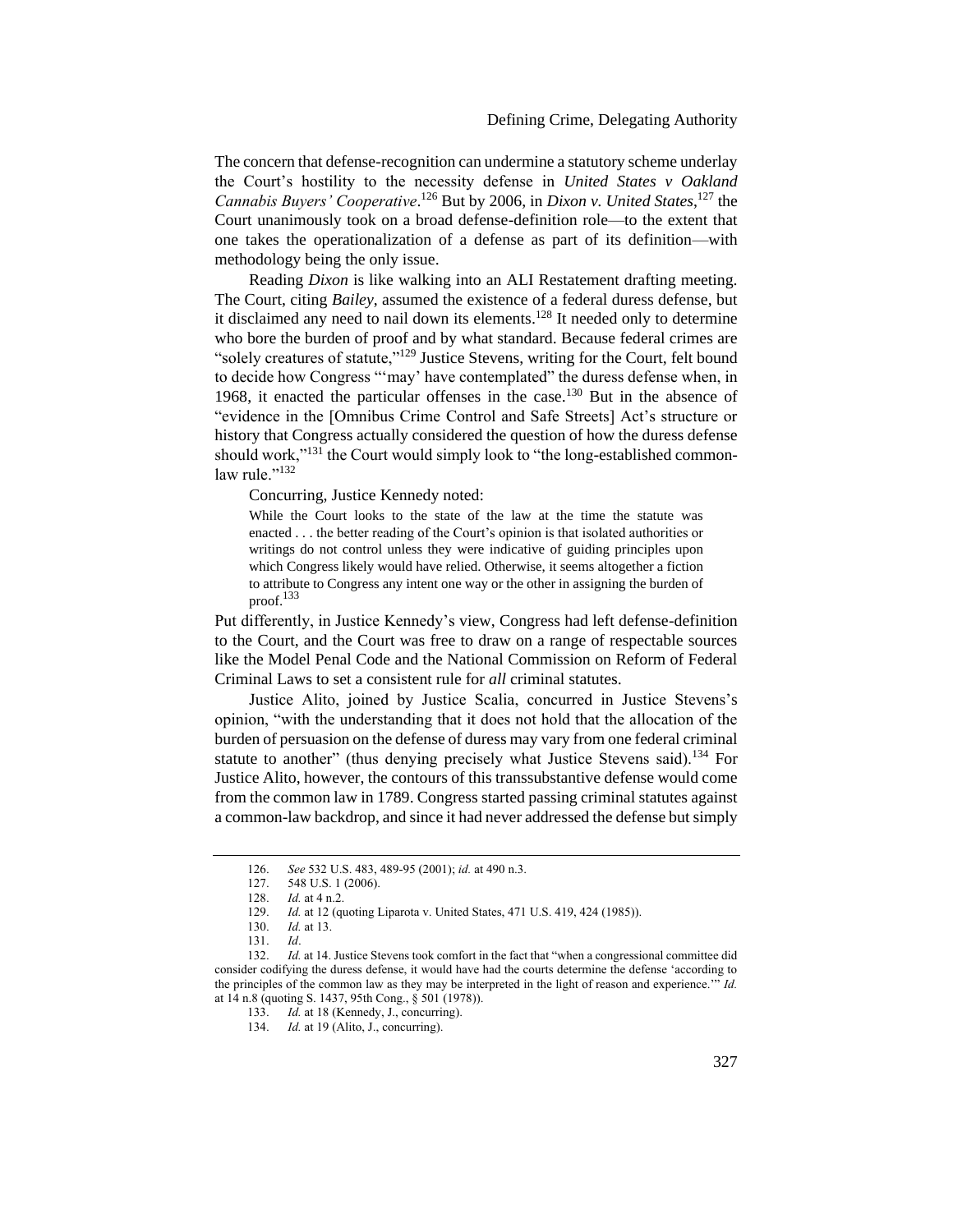### Defining Crime, Delegating Authority

The concern that defense-recognition can undermine a statutory scheme underlay the Court's hostility to the necessity defense in *United States v Oakland*  Cannabis Buyers' Cooperative.<sup>126</sup> But by 2006, in *Dixon v. United States*,<sup>127</sup> the Court unanimously took on a broad defense-definition role—to the extent that one takes the operationalization of a defense as part of its definition—with methodology being the only issue.

Reading *Dixon* is like walking into an ALI Restatement drafting meeting. The Court, citing *Bailey*, assumed the existence of a federal duress defense, but it disclaimed any need to nail down its elements.<sup>128</sup> It needed only to determine who bore the burden of proof and by what standard. Because federal crimes are "solely creatures of statute,"<sup>129</sup> Justice Stevens, writing for the Court, felt bound to decide how Congress "'may' have contemplated" the duress defense when, in 1968, it enacted the particular offenses in the case.<sup>130</sup> But in the absence of "evidence in the [Omnibus Crime Control and Safe Streets] Act's structure or history that Congress actually considered the question of how the duress defense should work,"<sup>131</sup> the Court would simply look to "the long-established commonlaw rule $^{132}$ 

Concurring, Justice Kennedy noted:

While the Court looks to the state of the law at the time the statute was enacted . . . the better reading of the Court's opinion is that isolated authorities or writings do not control unless they were indicative of guiding principles upon which Congress likely would have relied. Otherwise, it seems altogether a fiction to attribute to Congress any intent one way or the other in assigning the burden of proof.<sup>133</sup>

Put differently, in Justice Kennedy's view, Congress had left defense-definition to the Court, and the Court was free to draw on a range of respectable sources like the Model Penal Code and the National Commission on Reform of Federal Criminal Laws to set a consistent rule for *all* criminal statutes.

Justice Alito, joined by Justice Scalia, concurred in Justice Stevens's opinion, "with the understanding that it does not hold that the allocation of the burden of persuasion on the defense of duress may vary from one federal criminal statute to another" (thus denying precisely what Justice Stevens said).<sup>134</sup> For Justice Alito, however, the contours of this transsubstantive defense would come from the common law in 1789. Congress started passing criminal statutes against a common-law backdrop, and since it had never addressed the defense but simply

<sup>126.</sup> *See* 532 U.S. 483, 489-95 (2001); *id.* at 490 n.3.

<sup>127.</sup> 548 U.S. 1 (2006).

<sup>128.</sup> *Id.* at 4 n.2.

<sup>129.</sup> *Id.* at 12 (quoting Liparota v. United States, 471 U.S. 419, 424 (1985)).

<sup>130.</sup> *Id.* at 13.

<sup>131.</sup> *Id*.

<sup>132.</sup> *Id.* at 14. Justice Stevens took comfort in the fact that "when a congressional committee did consider codifying the duress defense, it would have had the courts determine the defense 'according to the principles of the common law as they may be interpreted in the light of reason and experience.'" *Id.*  at 14 n.8 (quoting S. 1437, 95th Cong., § 501 (1978)).

<sup>133.</sup> *Id.* at 18 (Kennedy, J., concurring).

<sup>134.</sup> *Id.* at 19 (Alito, J., concurring).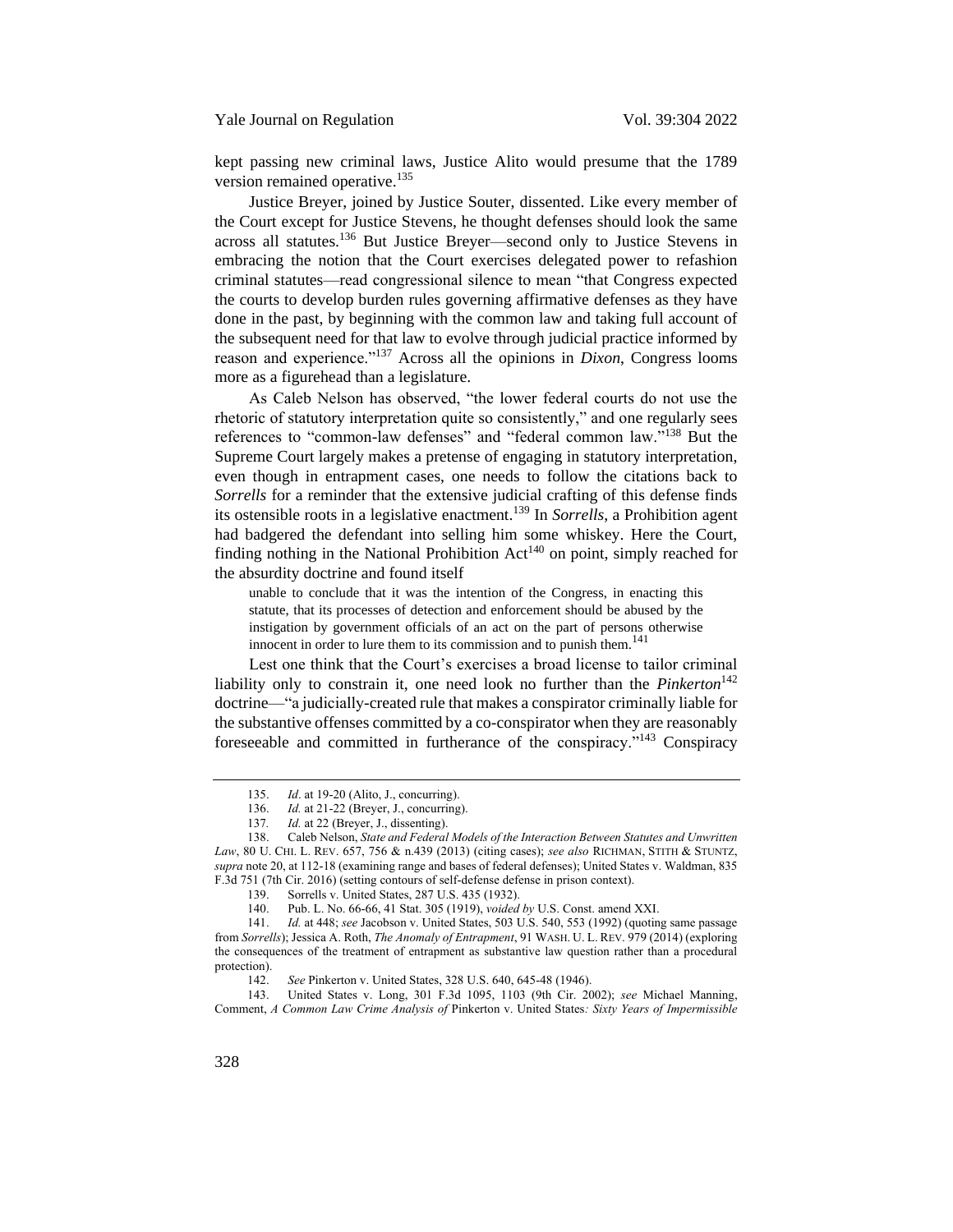kept passing new criminal laws, Justice Alito would presume that the 1789 version remained operative.<sup>135</sup>

Justice Breyer, joined by Justice Souter, dissented. Like every member of the Court except for Justice Stevens, he thought defenses should look the same across all statutes.<sup>136</sup> But Justice Breyer—second only to Justice Stevens in embracing the notion that the Court exercises delegated power to refashion criminal statutes—read congressional silence to mean "that Congress expected the courts to develop burden rules governing affirmative defenses as they have done in the past, by beginning with the common law and taking full account of the subsequent need for that law to evolve through judicial practice informed by reason and experience."<sup>137</sup> Across all the opinions in *Dixon*, Congress looms more as a figurehead than a legislature.

As Caleb Nelson has observed, "the lower federal courts do not use the rhetoric of statutory interpretation quite so consistently," and one regularly sees references to "common-law defenses" and "federal common law."<sup>138</sup> But the Supreme Court largely makes a pretense of engaging in statutory interpretation, even though in entrapment cases, one needs to follow the citations back to *Sorrells* for a reminder that the extensive judicial crafting of this defense finds its ostensible roots in a legislative enactment.<sup>139</sup> In *Sorrells*, a Prohibition agent had badgered the defendant into selling him some whiskey. Here the Court, finding nothing in the National Prohibition  $Act^{140}$  on point, simply reached for the absurdity doctrine and found itself

unable to conclude that it was the intention of the Congress, in enacting this statute, that its processes of detection and enforcement should be abused by the instigation by government officials of an act on the part of persons otherwise innocent in order to lure them to its commission and to punish them.<sup>141</sup>

Lest one think that the Court's exercises a broad license to tailor criminal liability only to constrain it, one need look no further than the *Pinkerton*<sup>142</sup> doctrine—"a judicially-created rule that makes a conspirator criminally liable for the substantive offenses committed by a co-conspirator when they are reasonably foreseeable and committed in furtherance of the conspiracy."<sup>143</sup> Conspiracy

143. United States v. Long, 301 F.3d 1095, 1103 (9th Cir. 2002); *see* Michael Manning, Comment, *A Common Law Crime Analysis of* Pinkerton v. United States*: Sixty Years of Impermissible* 

<span id="page-24-0"></span><sup>135.</sup> *Id*. at 19-20 (Alito, J., concurring).

<sup>136.</sup> *Id.* at 21-22 (Breyer, J., concurring).

<sup>137</sup>*. Id.* at 22 (Breyer, J., dissenting).

<sup>138.</sup> Caleb Nelson, *State and Federal Models of the Interaction Between Statutes and Unwritten Law*, 80 U. CHI. L. REV. 657, 756 & n.439 (2013) (citing cases); *see also* RICHMAN, STITH & STUNTZ, *supra* not[e 20,](#page-5-0) at 112-18 (examining range and bases of federal defenses); United States v. Waldman, 835 F.3d 751 (7th Cir. 2016) (setting contours of self-defense defense in prison context).

<sup>139.</sup> Sorrells v. United States, 287 U.S. 435 (1932).

<sup>140.</sup> Pub. L. No. 66-66, 41 Stat. 305 (1919), *voided by* U.S. Const. amend XXI.

<sup>141.</sup> *Id.* at 448; *see* Jacobson v. United States, 503 U.S. 540, 553 (1992) (quoting same passage from *Sorrells*); Jessica A. Roth, *The Anomaly of Entrapment*, 91 WASH. U. L. REV. 979 (2014) (exploring the consequences of the treatment of entrapment as substantive law question rather than a procedural protection).

<sup>142.</sup> *See* Pinkerton v. United States, 328 U.S. 640, 645-48 (1946).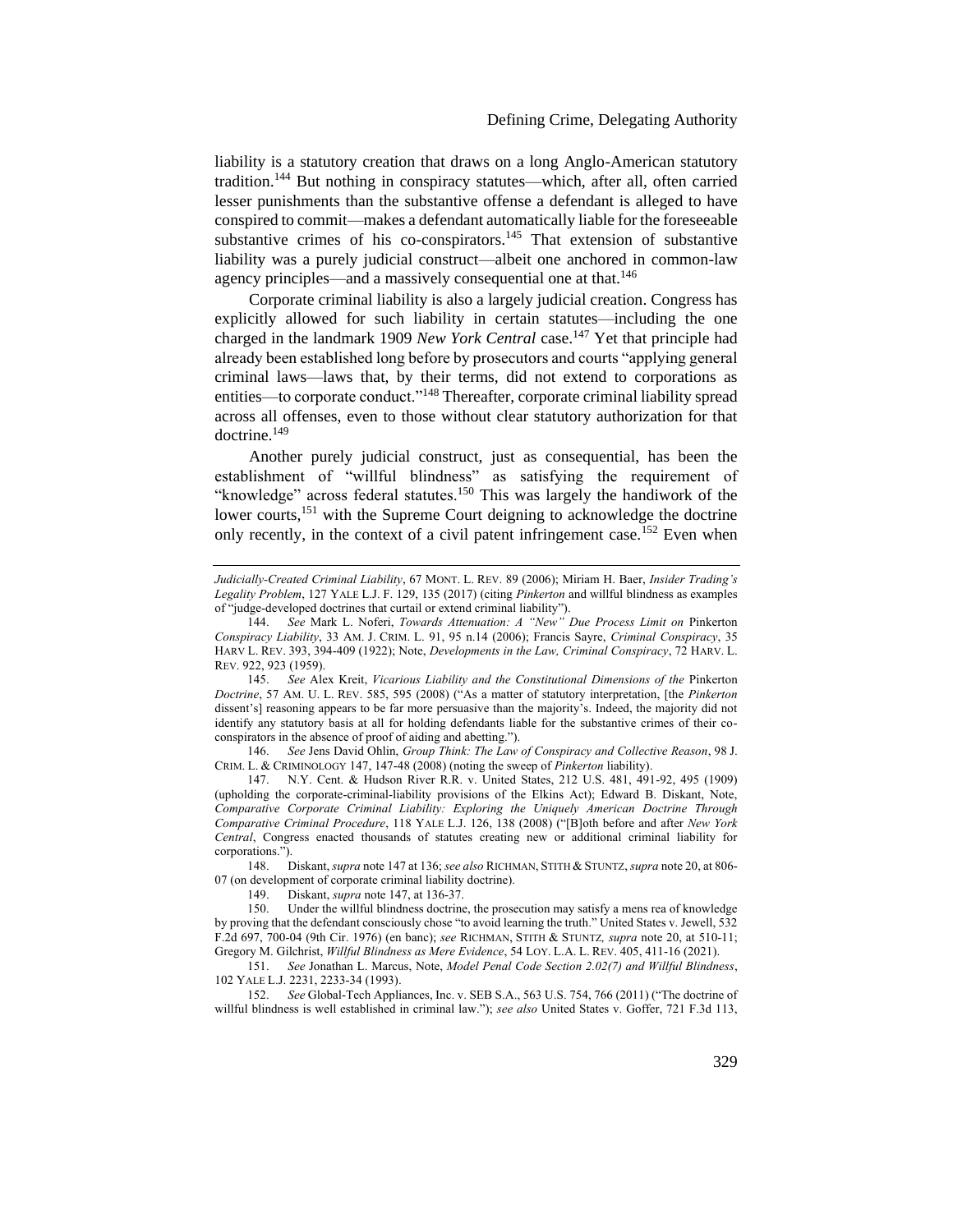liability is a statutory creation that draws on a long Anglo-American statutory tradition.<sup>144</sup> But nothing in conspiracy statutes—which, after all, often carried lesser punishments than the substantive offense a defendant is alleged to have conspired to commit—makes a defendant automatically liable for the foreseeable substantive crimes of his co-conspirators.<sup>145</sup> That extension of substantive liability was a purely judicial construct—albeit one anchored in common-law agency principles—and a massively consequential one at that.<sup>146</sup>

<span id="page-25-0"></span>Corporate criminal liability is also a largely judicial creation. Congress has explicitly allowed for such liability in certain statutes—including the one charged in the landmark 1909 *New York Central* case.<sup>147</sup> Yet that principle had already been established long before by prosecutors and courts "applying general criminal laws—laws that, by their terms, did not extend to corporations as entities—to corporate conduct."<sup>148</sup> Thereafter, corporate criminal liability spread across all offenses, even to those without clear statutory authorization for that doctrine.<sup>149</sup>

Another purely judicial construct, just as consequential, has been the establishment of "willful blindness" as satisfying the requirement of "knowledge" across federal statutes.<sup>150</sup> This was largely the handiwork of the lower courts,<sup>151</sup> with the Supreme Court deigning to acknowledge the doctrine only recently, in the context of a civil patent infringement case.<sup>152</sup> Even when

146. *See* Jens David Ohlin, *Group Think: The Law of Conspiracy and Collective Reason*, 98 J. CRIM. L. & CRIMINOLOGY 147, 147-48 (2008) (noting the sweep of *Pinkerton* liability).

147. N.Y. Cent. & Hudson River R.R. v. United States, 212 U.S. 481, 491-92, 495 (1909) (upholding the corporate-criminal-liability provisions of the Elkins Act); Edward B. Diskant, Note, *Comparative Corporate Criminal Liability: Exploring the Uniquely American Doctrine Through Comparative Criminal Procedure*, 118 YALE L.J. 126, 138 (2008) ("[B]oth before and after *New York Central*, Congress enacted thousands of statutes creating new or additional criminal liability for corporations.").

148. Diskant, *supra* not[e 147](#page-25-0) at 136; *see also* RICHMAN, STITH & STUNTZ, *supra* not[e 20,](#page-5-0) at 806- 07 (on development of corporate criminal liability doctrine).

*Judicially-Created Criminal Liability*, 67 MONT. L. REV. 89 (2006); Miriam H. Baer, *Insider Trading's Legality Problem*, 127 YALE L.J. F. 129, 135 (2017) (citing *Pinkerton* and willful blindness as examples of "judge-developed doctrines that curtail or extend criminal liability").

<sup>144.</sup> *See* Mark L. Noferi, *Towards Attenuation: A "New" Due Process Limit on* Pinkerton *Conspiracy Liability*, 33 AM. J. CRIM. L. 91, 95 n.14 (2006); Francis Sayre, *Criminal Conspiracy*, 35 HARV L. REV. 393, 394-409 (1922); Note, *Developments in the Law, Criminal Conspiracy*, 72 HARV. L. REV. 922, 923 (1959).

<sup>145.</sup> *See* Alex Kreit, *Vicarious Liability and the Constitutional Dimensions of the* Pinkerton *Doctrine*, 57 AM. U. L. REV. 585, 595 (2008) ("As a matter of statutory interpretation, [the *Pinkerton* dissent's] reasoning appears to be far more persuasive than the majority's. Indeed, the majority did not identify any statutory basis at all for holding defendants liable for the substantive crimes of their coconspirators in the absence of proof of aiding and abetting.").

<sup>149.</sup> Diskant, *supra* note [147,](#page-25-0) at 136-37.

<sup>150.</sup> Under the willful blindness doctrine, the prosecution may satisfy a mens rea of knowledge by proving that the defendant consciously chose "to avoid learning the truth." United States v. Jewell, 532 F.2d 697, 700-04 (9th Cir. 1976) (en banc); *see* RICHMAN, STITH & STUNTZ*, supra* note [20,](#page-5-0) at 510-11; Gregory M. Gilchrist, *Willful Blindness as Mere Evidence*, 54 LOY. L.A. L. REV. 405, 411-16 (2021).

<sup>151.</sup> *See* Jonathan L. Marcus, Note, *Model Penal Code Section 2.02(7) and Willful Blindness*, 102 YALE L.J. 2231, 2233-34 (1993).

<sup>152.</sup> *See* Global-Tech Appliances, Inc. v. SEB S.A., 563 U.S. 754, 766 (2011) ("The doctrine of willful blindness is well established in criminal law."); *see also* United States v. Goffer, 721 F.3d 113,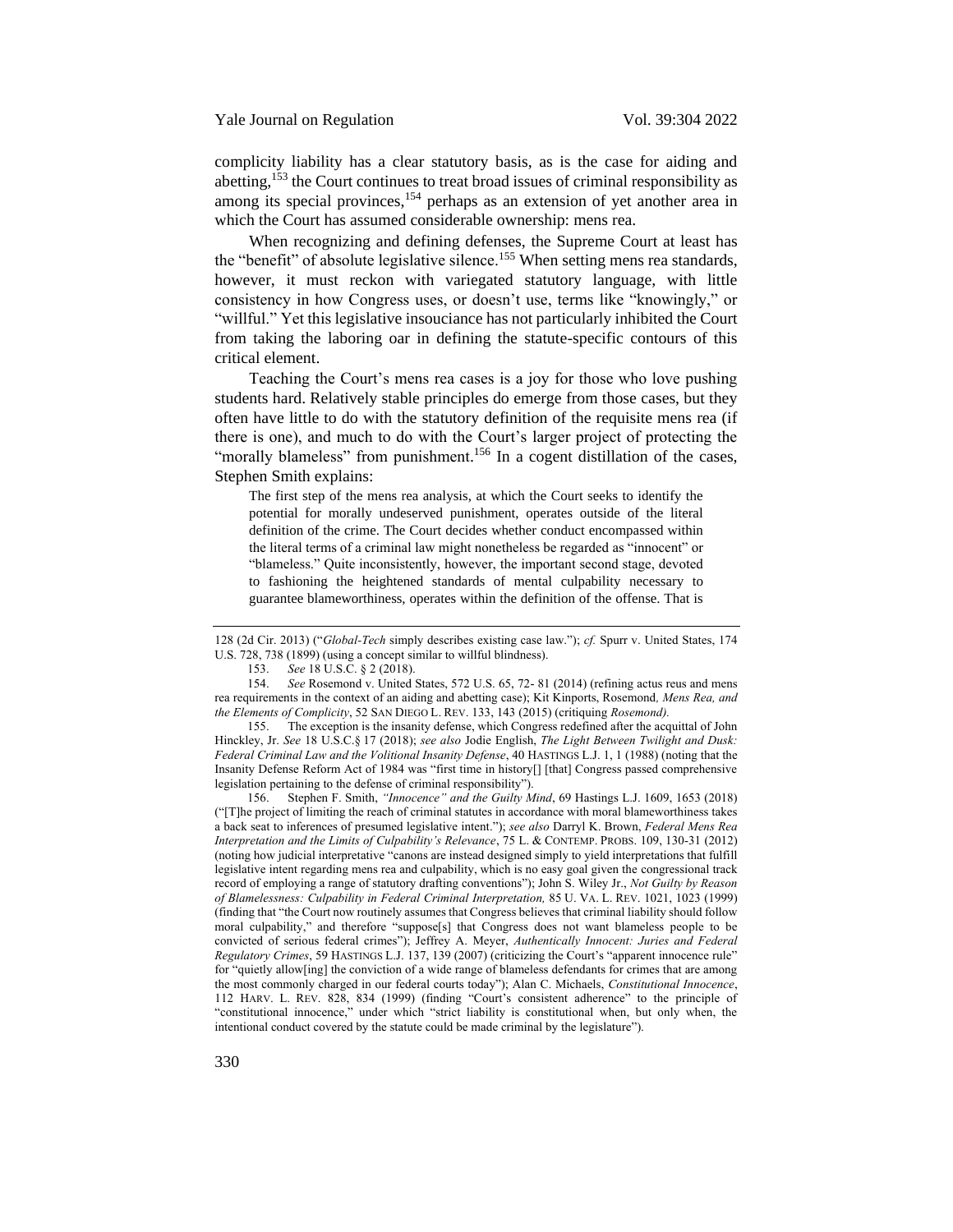complicity liability has a clear statutory basis, as is the case for aiding and abetting,<sup>153</sup> the Court continues to treat broad issues of criminal responsibility as among its special provinces,<sup>154</sup> perhaps as an extension of yet another area in which the Court has assumed considerable ownership: mens rea.

When recognizing and defining defenses, the Supreme Court at least has the "benefit" of absolute legislative silence.<sup>155</sup> When setting mens rea standards, however, it must reckon with variegated statutory language, with little consistency in how Congress uses, or doesn't use, terms like "knowingly," or "willful." Yet this legislative insouciance has not particularly inhibited the Court from taking the laboring oar in defining the statute-specific contours of this critical element.

Teaching the Court's mens rea cases is a joy for those who love pushing students hard. Relatively stable principles do emerge from those cases, but they often have little to do with the statutory definition of the requisite mens rea (if there is one), and much to do with the Court's larger project of protecting the "morally blameless" from punishment.<sup>156</sup> In a cogent distillation of the cases, Stephen Smith explains:

<span id="page-26-0"></span>The first step of the mens rea analysis, at which the Court seeks to identify the potential for morally undeserved punishment, operates outside of the literal definition of the crime. The Court decides whether conduct encompassed within the literal terms of a criminal law might nonetheless be regarded as "innocent" or "blameless." Quite inconsistently, however, the important second stage, devoted to fashioning the heightened standards of mental culpability necessary to guarantee blameworthiness, operates within the definition of the offense. That is

155. The exception is the insanity defense, which Congress redefined after the acquittal of John Hinckley, Jr. *See* 18 U.S.C.§ 17 (2018); *see also* Jodie English, *The Light Between Twilight and Dusk: Federal Criminal Law and the Volitional Insanity Defense*, 40 HASTINGS L.J. 1, 1 (1988) (noting that the Insanity Defense Reform Act of 1984 was "first time in history[] [that] Congress passed comprehensive legislation pertaining to the defense of criminal responsibility").

156. Stephen F. Smith, *"Innocence" and the Guilty Mind*, 69 Hastings L.J. 1609, 1653 (2018) ("[T]he project of limiting the reach of criminal statutes in accordance with moral blameworthiness takes a back seat to inferences of presumed legislative intent."); *see also* Darryl K. Brown, *Federal Mens Rea Interpretation and the Limits of Culpability's Relevance*, 75 L. & CONTEMP. PROBS. 109, 130-31 (2012) (noting how judicial interpretative "canons are instead designed simply to yield interpretations that fulfill legislative intent regarding mens rea and culpability, which is no easy goal given the congressional track record of employing a range of statutory drafting conventions"); John S. Wiley Jr., *Not Guilty by Reason of Blamelessness: Culpability in Federal Criminal Interpretation,* 85 U. VA. L. REV. 1021, 1023 (1999) (finding that "the Court now routinely assumes that Congress believes that criminal liability should follow moral culpability," and therefore "suppose[s] that Congress does not want blameless people to be convicted of serious federal crimes"); Jeffrey A. Meyer, *Authentically Innocent: Juries and Federal Regulatory Crimes*, 59 HASTINGS L.J. 137, 139 (2007) (criticizing the Court's "apparent innocence rule" for "quietly allow[ing] the conviction of a wide range of blameless defendants for crimes that are among the most commonly charged in our federal courts today"); Alan C. Michaels, *Constitutional Innocence*, 112 HARV. L. REV. 828, 834 (1999) (finding "Court's consistent adherence" to the principle of "constitutional innocence," under which "strict liability is constitutional when, but only when, the intentional conduct covered by the statute could be made criminal by the legislature").

<sup>128 (2</sup>d Cir. 2013) ("*Global-Tech* simply describes existing case law."); *cf.* Spurr v. United States, 174 U.S. 728, 738 (1899) (using a concept similar to willful blindness).

<sup>153.</sup> *See* 18 U.S.C. § 2 (2018).

See Rosemond v. United States, 572 U.S. 65, 72- 81 (2014) (refining actus reus and mens rea requirements in the context of an aiding and abetting case); Kit Kinports, Rosemond*, Mens Rea, and the Elements of Complicity*, 52 SAN DIEGO L. REV. 133, 143 (2015) (critiquing *Rosemond).*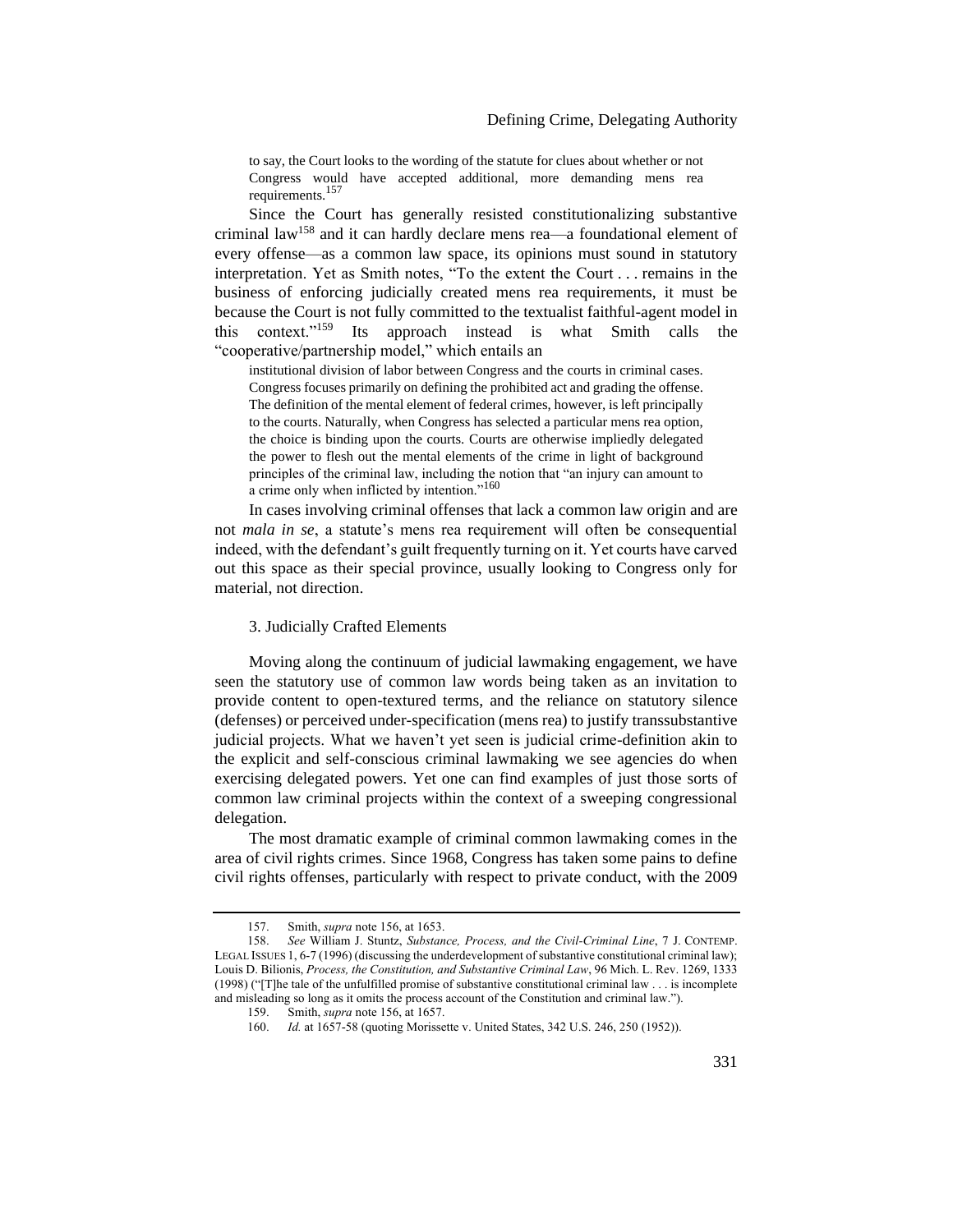to say, the Court looks to the wording of the statute for clues about whether or not Congress would have accepted additional, more demanding mens rea requirements.<sup>157</sup>

Since the Court has generally resisted constitutionalizing substantive criminal law<sup>158</sup> and it can hardly declare mens rea—a foundational element of every offense—as a common law space, its opinions must sound in statutory interpretation. Yet as Smith notes, "To the extent the Court . . . remains in the business of enforcing judicially created mens rea requirements, it must be because the Court is not fully committed to the textualist faithful-agent model in this context."<sup>159</sup> Its approach instead is what Smith calls the "cooperative/partnership model," which entails an

institutional division of labor between Congress and the courts in criminal cases. Congress focuses primarily on defining the prohibited act and grading the offense. The definition of the mental element of federal crimes, however, is left principally to the courts. Naturally, when Congress has selected a particular mens rea option, the choice is binding upon the courts. Courts are otherwise impliedly delegated the power to flesh out the mental elements of the crime in light of background principles of the criminal law, including the notion that "an injury can amount to a crime only when inflicted by intention."<sup>160</sup>

In cases involving criminal offenses that lack a common law origin and are not *mala in se*, a statute's mens rea requirement will often be consequential indeed, with the defendant's guilt frequently turning on it. Yet courts have carved out this space as their special province, usually looking to Congress only for material, not direction.

### <span id="page-27-0"></span>3. Judicially Crafted Elements

Moving along the continuum of judicial lawmaking engagement, we have seen the statutory use of common law words being taken as an invitation to provide content to open-textured terms, and the reliance on statutory silence (defenses) or perceived under-specification (mens rea) to justify transsubstantive judicial projects. What we haven't yet seen is judicial crime-definition akin to the explicit and self-conscious criminal lawmaking we see agencies do when exercising delegated powers. Yet one can find examples of just those sorts of common law criminal projects within the context of a sweeping congressional delegation.

The most dramatic example of criminal common lawmaking comes in the area of civil rights crimes. Since 1968, Congress has taken some pains to define civil rights offenses, particularly with respect to private conduct, with the 2009

<sup>157.</sup> Smith, *supra* not[e 156,](#page-26-0) at 1653.

<sup>158.</sup> *See* William J. Stuntz, *Substance, Process, and the Civil-Criminal Line*, 7 J. CONTEMP. LEGAL ISSUES 1, 6-7 (1996) (discussing the underdevelopment of substantive constitutional criminal law); Louis D. Bilionis, *Process, the Constitution, and Substantive Criminal Law*, 96 Mich. L. Rev. 1269, 1333 (1998) ("[T]he tale of the unfulfilled promise of substantive constitutional criminal law . . . is incomplete and misleading so long as it omits the process account of the Constitution and criminal law.").

<sup>159.</sup> Smith, *supra* not[e 156,](#page-26-0) at 1657.

<sup>160.</sup> *Id.* at 1657-58 (quoting Morissette v. United States, 342 U.S. 246, 250 (1952)).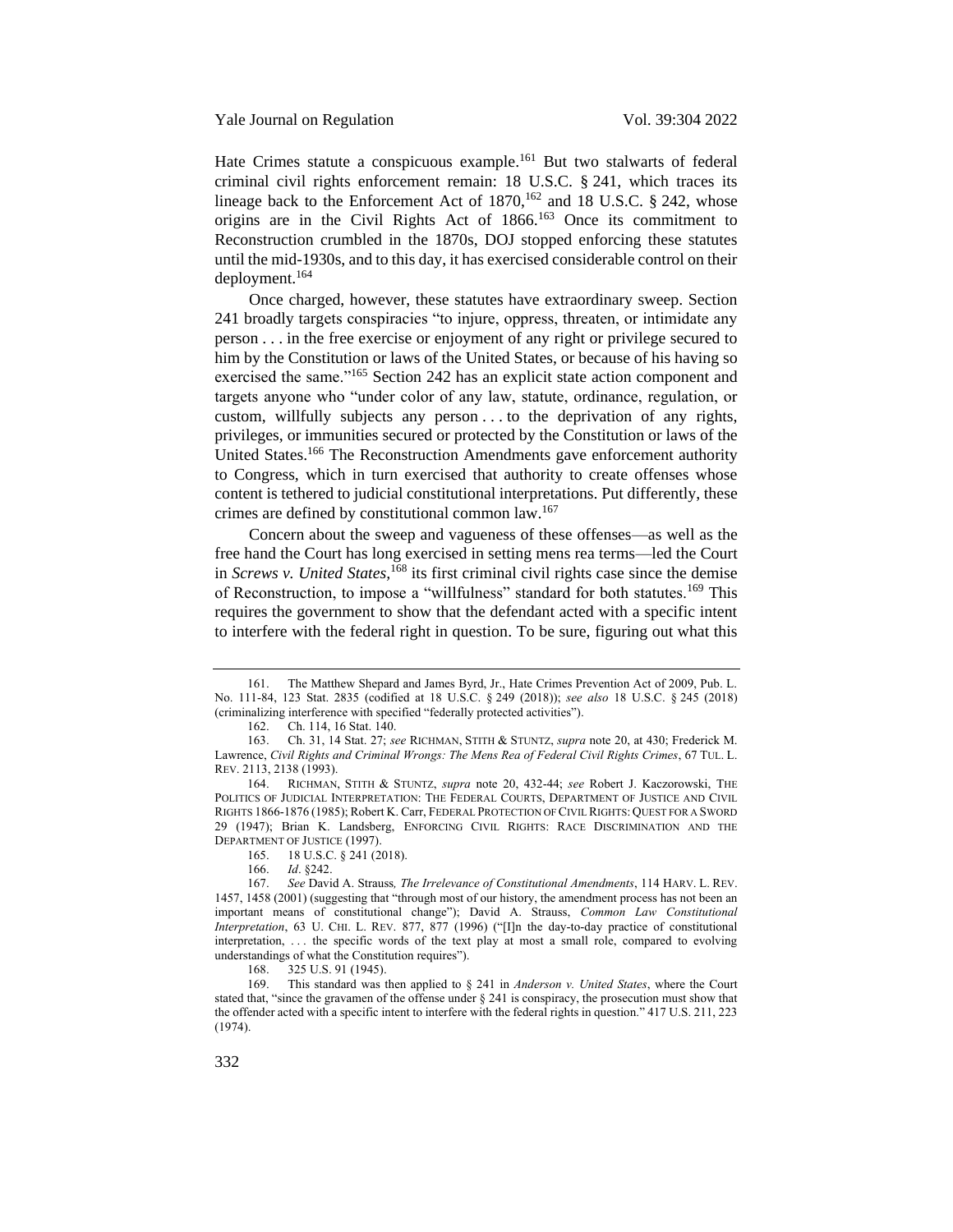Hate Crimes statute a conspicuous example.<sup>161</sup> But two stalwarts of federal criminal civil rights enforcement remain: 18 U.S.C. § 241, which traces its lineage back to the Enforcement Act of  $1870$ ,  $^{162}$  and 18 U.S.C. § 242, whose origins are in the Civil Rights Act of 1866.<sup>163</sup> Once its commitment to Reconstruction crumbled in the 1870s, DOJ stopped enforcing these statutes until the mid-1930s, and to this day, it has exercised considerable control on their deployment.<sup>164</sup>

Once charged, however, these statutes have extraordinary sweep. Section 241 broadly targets conspiracies "to injure, oppress, threaten, or intimidate any person . . . in the free exercise or enjoyment of any right or privilege secured to him by the Constitution or laws of the United States, or because of his having so exercised the same."<sup>165</sup> Section 242 has an explicit state action component and targets anyone who "under color of any law, statute, ordinance, regulation, or custom, willfully subjects any person . . . to the deprivation of any rights, privileges, or immunities secured or protected by the Constitution or laws of the United States.<sup>166</sup> The Reconstruction Amendments gave enforcement authority to Congress, which in turn exercised that authority to create offenses whose content is tethered to judicial constitutional interpretations. Put differently, these crimes are defined by constitutional common law.<sup>167</sup>

Concern about the sweep and vagueness of these offenses—as well as the free hand the Court has long exercised in setting mens rea terms—led the Court in *Screws v. United States*,<sup>168</sup> its first criminal civil rights case since the demise of Reconstruction, to impose a "willfulness" standard for both statutes.<sup>169</sup> This requires the government to show that the defendant acted with a specific intent to interfere with the federal right in question. To be sure, figuring out what this

<sup>161.</sup> The Matthew Shepard and James Byrd, Jr., Hate Crimes Prevention Act of 2009, Pub. L. No. 111-84, 123 Stat. 2835 (codified at 18 U.S.C. § 249 (2018)); *see also* 18 U.S.C. § 245 (2018) (criminalizing interference with specified "federally protected activities").

<sup>162.</sup> Ch. 114, 16 Stat. 140.<br>163. Ch. 31, 14 Stat. 27: se

<sup>163.</sup> Ch. 31, 14 Stat. 27; *see* RICHMAN, STITH & STUNTZ, *supra* note [20,](#page-5-0) at 430; Frederick M. Lawrence, *Civil Rights and Criminal Wrongs: The Mens Rea of Federal Civil Rights Crimes*, 67 TUL. L. REV. 2113, 2138 (1993).

<sup>164.</sup> RICHMAN, STITH & STUNTZ, *supra* note [20,](#page-5-0) 432-44; *see* Robert J. Kaczorowski, THE POLITICS OF JUDICIAL INTERPRETATION: THE FEDERAL COURTS, DEPARTMENT OF JUSTICE AND CIVIL RIGHTS 1866-1876 (1985); Robert K. Carr, FEDERAL PROTECTION OF CIVIL RIGHTS: QUEST FOR A SWORD 29 (1947); Brian K. Landsberg, ENFORCING CIVIL RIGHTS: RACE DISCRIMINATION AND THE DEPARTMENT OF JUSTICE (1997).

<sup>165.</sup> 18 U.S.C. § 241 (2018).

<sup>166.</sup> *Id*. §242.

<sup>167.</sup> *See* David A. Strauss*, The Irrelevance of Constitutional Amendments*, 114 HARV. L. REV. 1457, 1458 (2001) (suggesting that "through most of our history, the amendment process has not been an important means of constitutional change"); David A. Strauss, *Common Law Constitutional Interpretation*, 63 U. CHI. L. REV. 877, 877 (1996) ("[I]n the day-to-day practice of constitutional interpretation, . . . the specific words of the text play at most a small role, compared to evolving understandings of what the Constitution requires").

<sup>168.</sup> 325 U.S. 91 (1945).

<sup>169.</sup> This standard was then applied to § 241 in *Anderson v. United States*, where the Court stated that, "since the gravamen of the offense under § 241 is conspiracy, the prosecution must show that the offender acted with a specific intent to interfere with the federal rights in question." 417 U.S. 211, 223 (1974).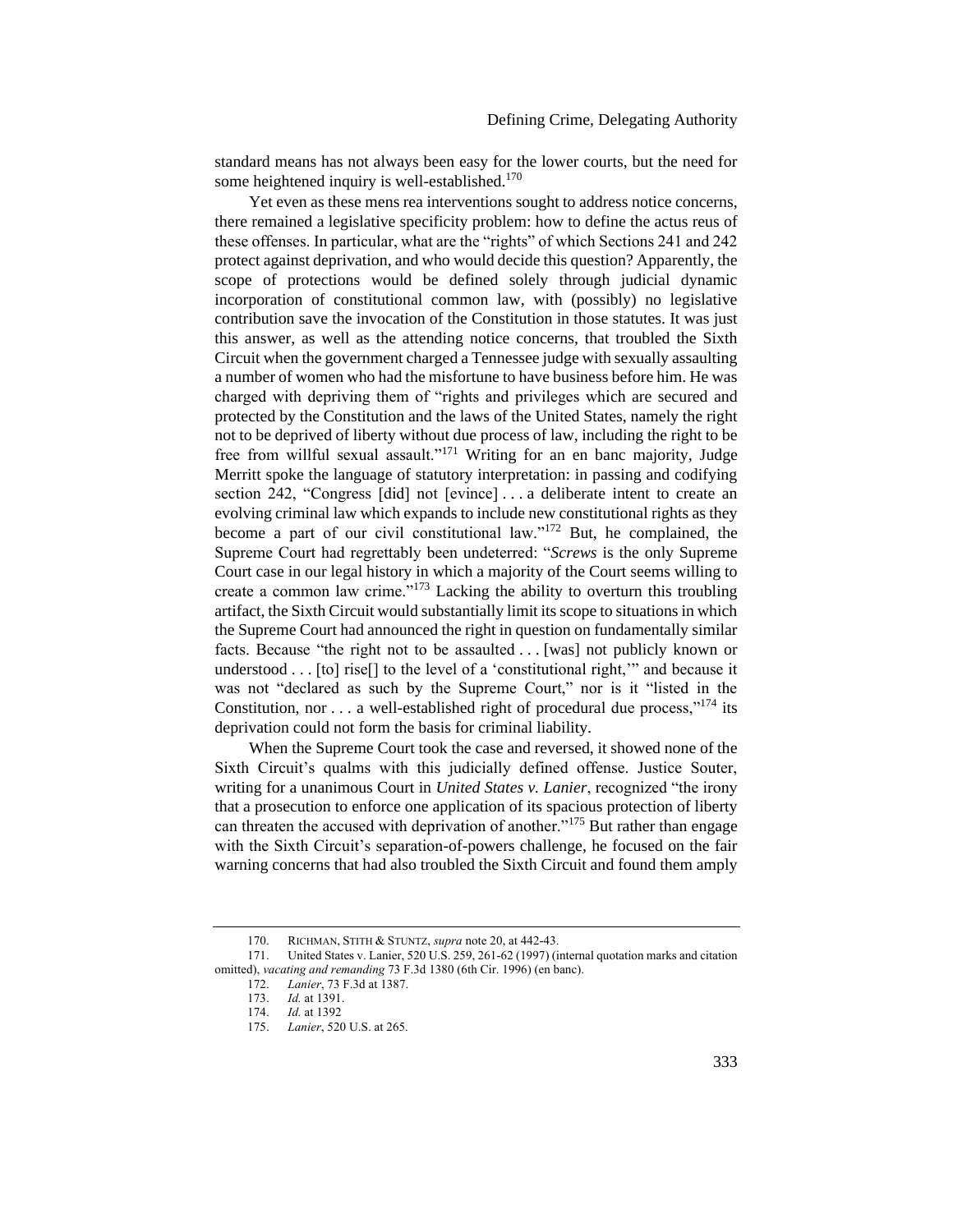standard means has not always been easy for the lower courts, but the need for some heightened inquiry is well-established. $170$ 

Yet even as these mens rea interventions sought to address notice concerns, there remained a legislative specificity problem: how to define the actus reus of these offenses. In particular, what are the "rights" of which Sections 241 and 242 protect against deprivation, and who would decide this question? Apparently, the scope of protections would be defined solely through judicial dynamic incorporation of constitutional common law, with (possibly) no legislative contribution save the invocation of the Constitution in those statutes. It was just this answer, as well as the attending notice concerns, that troubled the Sixth Circuit when the government charged a Tennessee judge with sexually assaulting a number of women who had the misfortune to have business before him. He was charged with depriving them of "rights and privileges which are secured and protected by the Constitution and the laws of the United States, namely the right not to be deprived of liberty without due process of law, including the right to be free from willful sexual assault."<sup>171</sup> Writing for an en banc majority, Judge Merritt spoke the language of statutory interpretation: in passing and codifying section 242, "Congress [did] not [evince] . . . a deliberate intent to create an evolving criminal law which expands to include new constitutional rights as they become a part of our civil constitutional law."<sup>172</sup> But, he complained, the Supreme Court had regrettably been undeterred: "*Screws* is the only Supreme Court case in our legal history in which a majority of the Court seems willing to create a common law crime."<sup>173</sup> Lacking the ability to overturn this troubling artifact, the Sixth Circuit would substantially limit its scope to situations in which the Supreme Court had announced the right in question on fundamentally similar facts. Because "the right not to be assaulted . . . [was] not publicly known or understood . . . [to] rise[] to the level of a 'constitutional right,'" and because it was not "declared as such by the Supreme Court," nor is it "listed in the Constitution, nor  $\dots$  a well-established right of procedural due process,"<sup>174</sup> its deprivation could not form the basis for criminal liability.

When the Supreme Court took the case and reversed, it showed none of the Sixth Circuit's qualms with this judicially defined offense. Justice Souter, writing for a unanimous Court in *United States v. Lanier*, recognized "the irony that a prosecution to enforce one application of its spacious protection of liberty can threaten the accused with deprivation of another."<sup>175</sup> But rather than engage with the Sixth Circuit's separation-of-powers challenge, he focused on the fair warning concerns that had also troubled the Sixth Circuit and found them amply

<sup>170.</sup> RICHMAN, STITH & STUNTZ, *supra* note [20,](#page-5-0) at 442-43.

<sup>171.</sup> United States v. Lanier, 520 U.S. 259, 261-62 (1997) (internal quotation marks and citation omitted), *vacating and remanding* 73 F.3d 1380 (6th Cir. 1996) (en banc).

<sup>172.</sup> *Lanier*, 73 F.3d at 1387.

*Id.* at 1391.

<sup>174.</sup> *Id.* at 1392

<sup>175.</sup> *Lanier*, 520 U.S. at 265.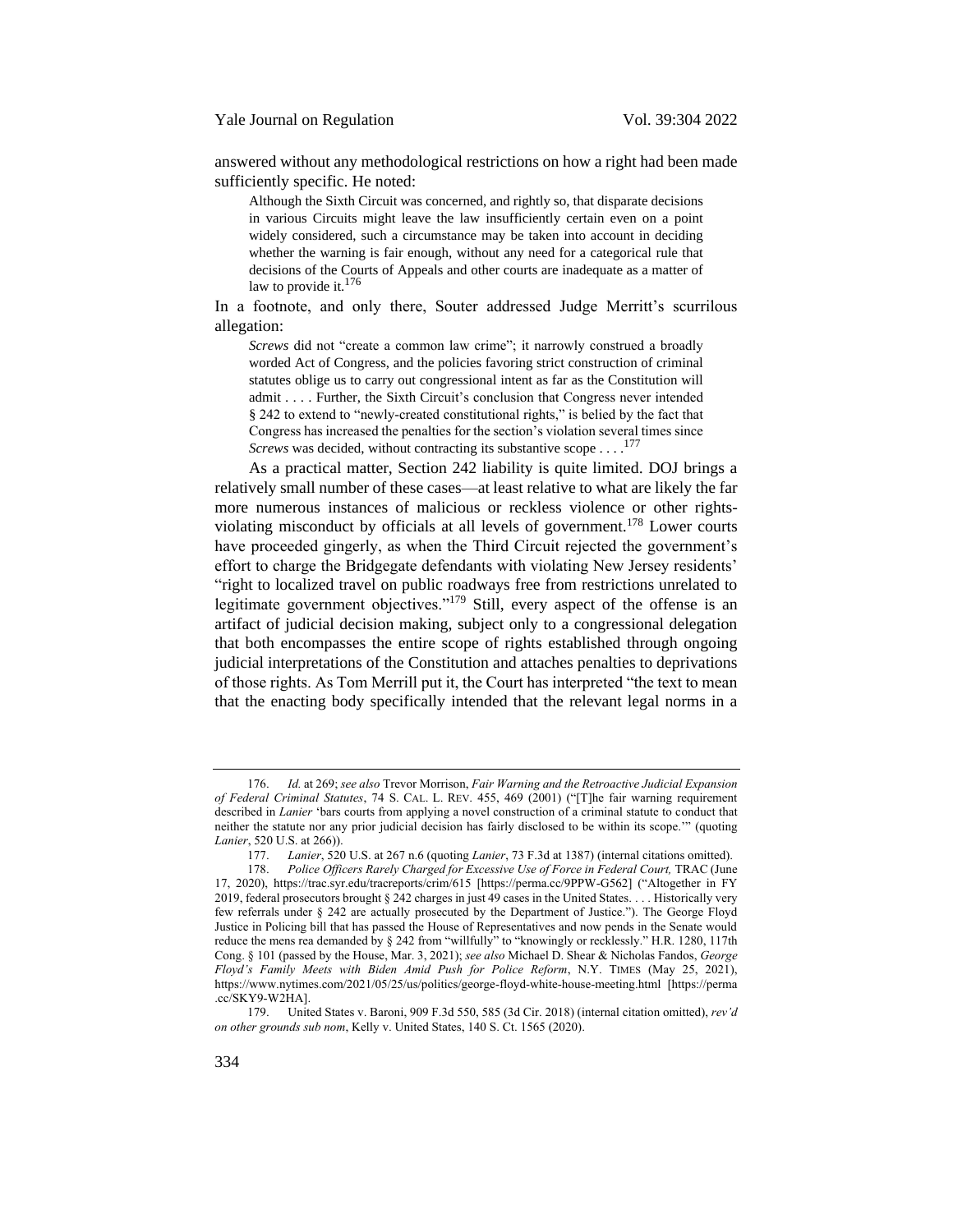Yale Journal on Regulation Vol. 39:304 2022

answered without any methodological restrictions on how a right had been made sufficiently specific. He noted:

Although the Sixth Circuit was concerned, and rightly so, that disparate decisions in various Circuits might leave the law insufficiently certain even on a point widely considered, such a circumstance may be taken into account in deciding whether the warning is fair enough, without any need for a categorical rule that decisions of the Courts of Appeals and other courts are inadequate as a matter of law to provide it.<sup>176</sup>

In a footnote, and only there, Souter addressed Judge Merritt's scurrilous allegation:

*Screws* did not "create a common law crime"; it narrowly construed a broadly worded Act of Congress, and the policies favoring strict construction of criminal statutes oblige us to carry out congressional intent as far as the Constitution will admit . . . . Further, the Sixth Circuit's conclusion that Congress never intended § 242 to extend to "newly-created constitutional rights," is belied by the fact that Congress has increased the penalties for the section's violation several times since *Screws* was decided, without contracting its substantive scope . . . . 177

As a practical matter, Section 242 liability is quite limited. DOJ brings a relatively small number of these cases—at least relative to what are likely the far more numerous instances of malicious or reckless violence or other rightsviolating misconduct by officials at all levels of government.<sup>178</sup> Lower courts have proceeded gingerly, as when the Third Circuit rejected the government's effort to charge the Bridgegate defendants with violating New Jersey residents' "right to localized travel on public roadways free from restrictions unrelated to legitimate government objectives."<sup>179</sup> Still, every aspect of the offense is an artifact of judicial decision making, subject only to a congressional delegation that both encompasses the entire scope of rights established through ongoing judicial interpretations of the Constitution and attaches penalties to deprivations of those rights. As Tom Merrill put it, the Court has interpreted "the text to mean that the enacting body specifically intended that the relevant legal norms in a

<sup>176.</sup> *Id.* at 269; *see also* Trevor Morrison, *Fair Warning and the Retroactive Judicial Expansion of Federal Criminal Statutes*, 74 S. CAL. L. REV. 455, 469 (2001) ("[T]he fair warning requirement described in *Lanier* 'bars courts from applying a novel construction of a criminal statute to conduct that neither the statute nor any prior judicial decision has fairly disclosed to be within its scope.'" (quoting *Lanier*, 520 U.S. at 266)).

<sup>177.</sup> *Lanier*, 520 U.S. at 267 n.6 (quoting *Lanier*, 73 F.3d at 1387) (internal citations omitted).

<sup>178.</sup> Police Officers Rarely Charged for Excessive Use of Force in Federal Court, TRAC (June 17, 2020), https://trac.syr.edu/tracreports/crim/615 [https://perma.cc/9PPW-G562] ("Altogether in FY 2019, federal prosecutors brought § 242 charges in just 49 cases in the United States. . . . Historically very few referrals under § 242 are actually prosecuted by the Department of Justice."). The George Floyd Justice in Policing bill that has passed the House of Representatives and now pends in the Senate would reduce the mens rea demanded by § 242 from "willfully" to "knowingly or recklessly." H.R. 1280, 117th Cong. § 101 (passed by the House, Mar. 3, 2021); *see also* Michael D. Shear & Nicholas Fandos, *George Floyd's Family Meets with Biden Amid Push for Police Reform*, N.Y. TIMES (May 25, 2021), https://www.nytimes.com/2021/05/25/us/politics/george-floyd-white-house-meeting.html [https://perma .cc/SKY9-W2HA].

<sup>179.</sup> United States v. Baroni, 909 F.3d 550, 585 (3d Cir. 2018) (internal citation omitted), *rev'd on other grounds sub nom*, Kelly v. United States, 140 S. Ct. 1565 (2020).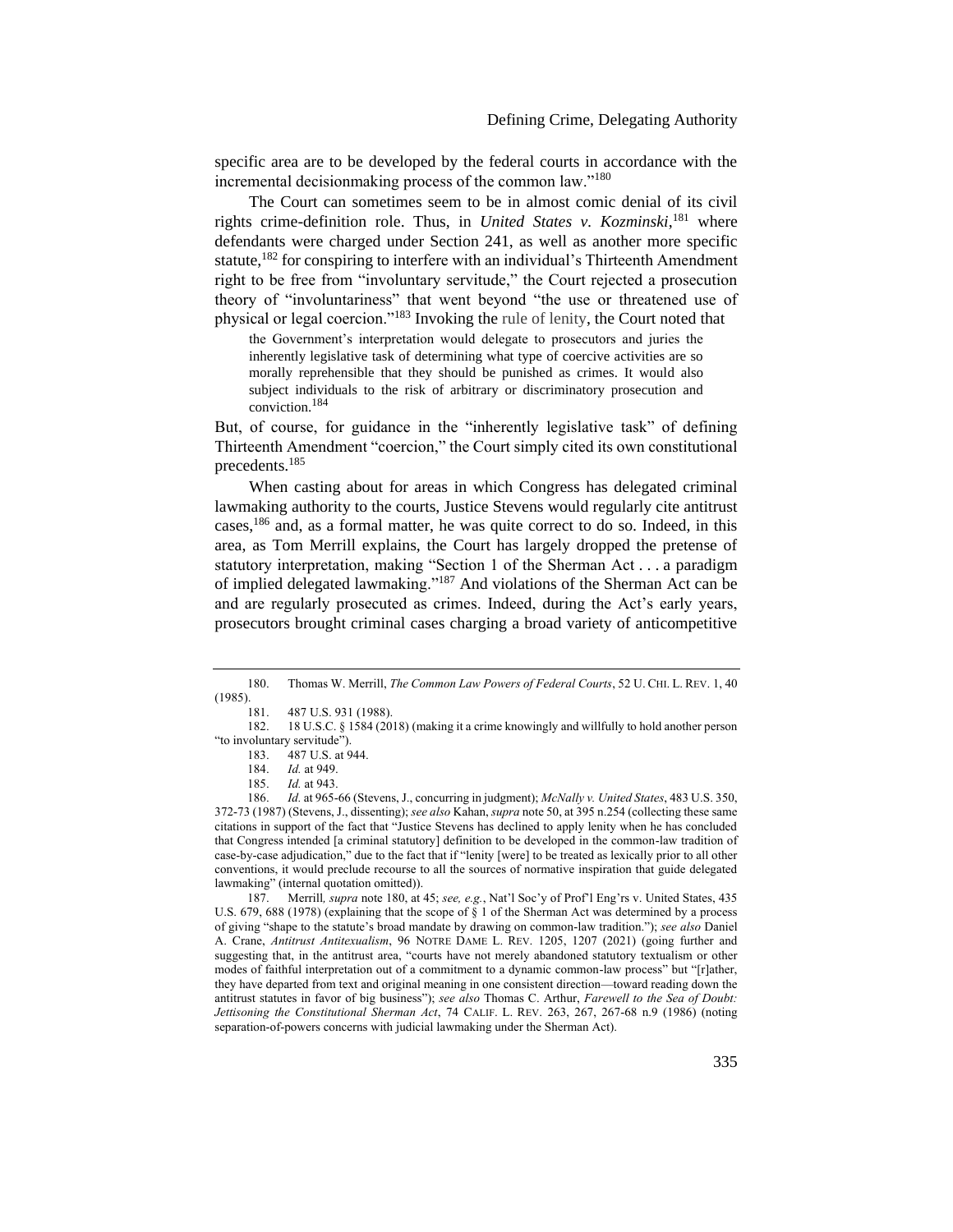<span id="page-31-0"></span>specific area are to be developed by the federal courts in accordance with the incremental decisionmaking process of the common law."<sup>180</sup>

The Court can sometimes seem to be in almost comic denial of its civil rights crime-definition role. Thus, in *United States v. Kozminski*, <sup>181</sup> where defendants were charged under Section 241, as well as another more specific statute,<sup>182</sup> for conspiring to interfere with an individual's Thirteenth Amendment right to be free from "involuntary servitude," the Court rejected a prosecution theory of "involuntariness" that went beyond "the use or threatened use of physical or legal coercion."<sup>183</sup> Invoking the rule of lenity, the Court noted that

the Government's interpretation would delegate to prosecutors and juries the inherently legislative task of determining what type of coercive activities are so morally reprehensible that they should be punished as crimes. It would also subject individuals to the risk of arbitrary or discriminatory prosecution and conviction.<sup>184</sup>

But, of course, for guidance in the "inherently legislative task" of defining Thirteenth Amendment "coercion," the Court simply cited its own constitutional precedents.<sup>185</sup>

When casting about for areas in which Congress has delegated criminal lawmaking authority to the courts, Justice Stevens would regularly cite antitrust cases,<sup>186</sup> and, as a formal matter, he was quite correct to do so. Indeed, in this area, as Tom Merrill explains, the Court has largely dropped the pretense of statutory interpretation, making "Section 1 of the Sherman Act . . . a paradigm of implied delegated lawmaking."<sup>187</sup> And violations of the Sherman Act can be and are regularly prosecuted as crimes. Indeed, during the Act's early years, prosecutors brought criminal cases charging a broad variety of anticompetitive

187. Merrill*, supra* note [180,](#page-31-0) at 45; *see, e.g.*, Nat'l Soc'y of Prof'l Eng'rs v. United States, 435 U.S. 679, 688 (1978) (explaining that the scope of § 1 of the Sherman Act was determined by a process of giving "shape to the statute's broad mandate by drawing on common-law tradition."); *see also* Daniel A. Crane, *Antitrust Antitexualism*, 96 NOTRE DAME L. REV. 1205, 1207 (2021) (going further and suggesting that, in the antitrust area, "courts have not merely abandoned statutory textualism or other modes of faithful interpretation out of a commitment to a dynamic common-law process" but "[r]ather, they have departed from text and original meaning in one consistent direction—toward reading down the antitrust statutes in favor of big business"); *see also* Thomas C. Arthur, *Farewell to the Sea of Doubt: Jettisoning the Constitutional Sherman Act*, 74 CALIF. L. REV. 263, 267, 267-68 n.9 (1986) (noting separation-of-powers concerns with judicial lawmaking under the Sherman Act).

<sup>180.</sup> Thomas W. Merrill, *The Common Law Powers of Federal Courts*, 52 U. CHI. L. REV. 1, 40 (1985).

<sup>181.</sup> 487 U.S. 931 (1988).

<sup>182.</sup> 18 U.S.C. § 1584 (2018) (making it a crime knowingly and willfully to hold another person "to involuntary servitude").

<sup>183.</sup> 487 U.S. at 944.

<sup>184.</sup> *Id.* at 949.

<sup>185.</sup> *Id.* at 943.

<sup>186.</sup> *Id.* at 965-66 (Stevens, J., concurring in judgment); *McNally v. United States*, 483 U.S. 350, 372-73 (1987) (Stevens, J., dissenting); *see also* Kahan, *supra* not[e 50,](#page-11-1) at 395 n.254 (collecting these same citations in support of the fact that "Justice Stevens has declined to apply lenity when he has concluded that Congress intended [a criminal statutory] definition to be developed in the common-law tradition of case-by-case adjudication," due to the fact that if "lenity [were] to be treated as lexically prior to all other conventions, it would preclude recourse to all the sources of normative inspiration that guide delegated lawmaking" (internal quotation omitted)).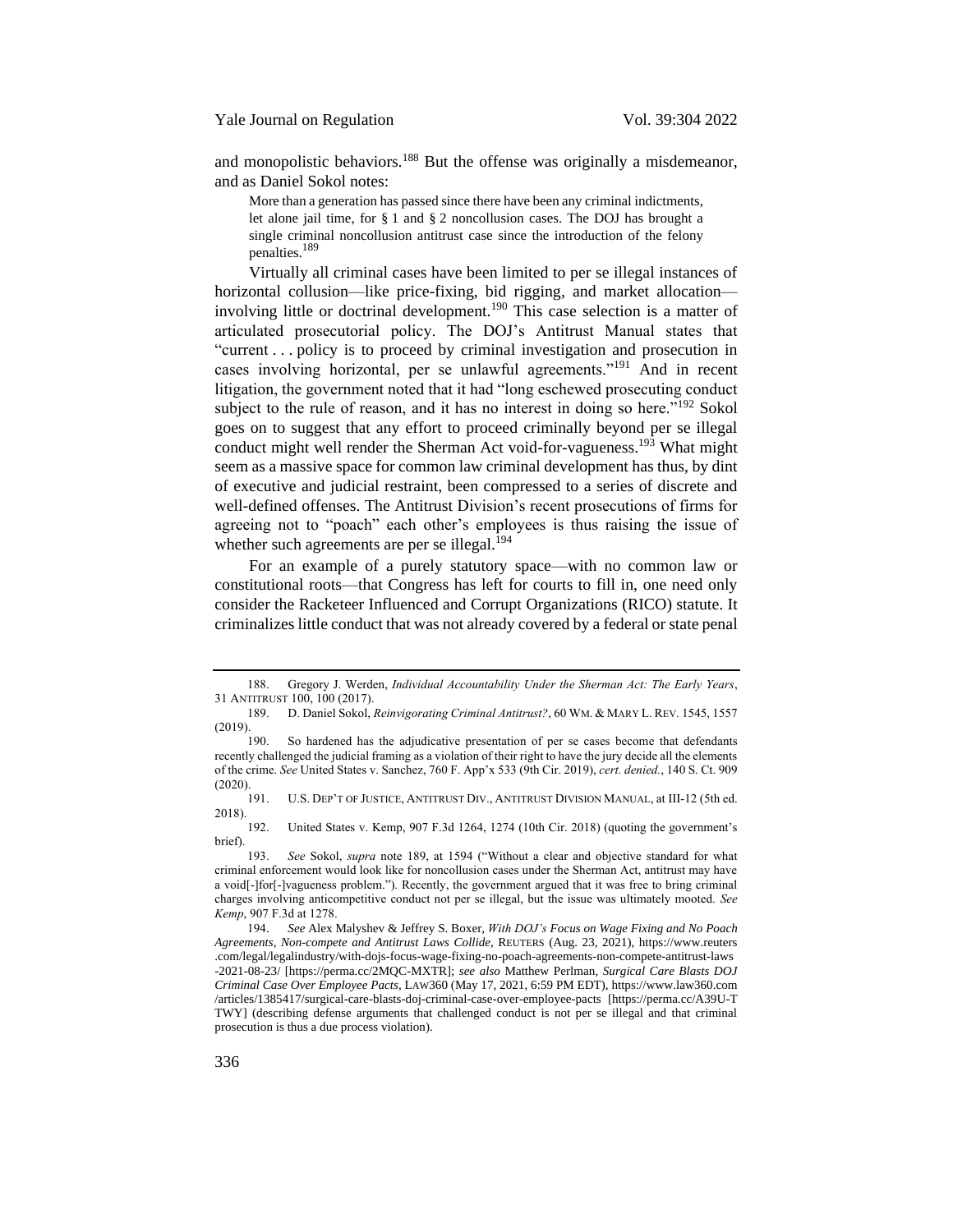and monopolistic behaviors.<sup>188</sup> But the offense was originally a misdemeanor, and as Daniel Sokol notes:

<span id="page-32-0"></span>More than a generation has passed since there have been any criminal indictments, let alone jail time, for § 1 and § 2 noncollusion cases. The DOJ has brought a single criminal noncollusion antitrust case since the introduction of the felony penalties.<sup>189</sup>

Virtually all criminal cases have been limited to per se illegal instances of horizontal collusion—like price-fixing, bid rigging, and market allocation involving little or doctrinal development.<sup>190</sup> This case selection is a matter of articulated prosecutorial policy. The DOJ's Antitrust Manual states that "current . . . policy is to proceed by criminal investigation and prosecution in cases involving horizontal, per se unlawful agreements."<sup>191</sup> And in recent litigation, the government noted that it had "long eschewed prosecuting conduct subject to the rule of reason, and it has no interest in doing so here."<sup>192</sup> Sokol goes on to suggest that any effort to proceed criminally beyond per se illegal conduct might well render the Sherman Act void-for-vagueness.<sup>193</sup> What might seem as a massive space for common law criminal development has thus, by dint of executive and judicial restraint, been compressed to a series of discrete and well-defined offenses. The Antitrust Division's recent prosecutions of firms for agreeing not to "poach" each other's employees is thus raising the issue of whether such agreements are per se illegal. $194$ 

For an example of a purely statutory space—with no common law or constitutional roots—that Congress has left for courts to fill in, one need only consider the Racketeer Influenced and Corrupt Organizations (RICO) statute. It criminalizes little conduct that was not already covered by a federal or state penal

<sup>188.</sup> Gregory J. Werden, *Individual Accountability Under the Sherman Act: The Early Years*, 31 ANTITRUST 100, 100 (2017).

<sup>189.</sup> D. Daniel Sokol, *Reinvigorating Criminal Antitrust?*, 60 WM. & MARY L. REV. 1545, 1557  $(2019).$  190.

So hardened has the adjudicative presentation of per se cases become that defendants recently challenged the judicial framing as a violation of their right to have the jury decide all the elements of the crime. *See* United States v. Sanchez, 760 F. App'x 533 (9th Cir. 2019), *cert. denied.*, 140 S. Ct. 909  $(2020).$  191.

U.S. DEP'T OF JUSTICE, ANTITRUST DIV., ANTITRUST DIVISION MANUAL, at III-12 (5th ed. 2018).

<sup>192.</sup> United States v. Kemp, 907 F.3d 1264, 1274 (10th Cir. 2018) (quoting the government's brief).

<sup>193.</sup> *See* Sokol, *supra* note [189](#page-32-0), at 1594 ("Without a clear and objective standard for what criminal enforcement would look like for noncollusion cases under the Sherman Act, antitrust may have a void[-]for[-]vagueness problem."). Recently, the government argued that it was free to bring criminal charges involving anticompetitive conduct not per se illegal, but the issue was ultimately mooted. *See Kemp*, 907 F.3d at 1278.

<sup>194</sup>. *See* Alex Malyshev & Jeffrey S. Boxer, *With DOJ's Focus on Wage Fixing and No Poach Agreements, Non-compete and Antitrust Laws Collide*, REUTERS (Aug. 23, 2021), https://www.reuters .com/legal/legalindustry/with-dojs-focus-wage-fixing-no-poach-agreements-non-compete-antitrust-laws -2021-08-23/ [https://perma.cc/2MQC-MXTR]; *see also* Matthew Perlman, *Surgical Care Blasts DOJ Criminal Case Over Employee Pacts*, LAW360 (May 17, 2021, 6:59 PM EDT), https://www.law360.com /articles/1385417/surgical-care-blasts-doj-criminal-case-over-employee-pacts [https://perma.cc/A39U-T TWY] (describing defense arguments that challenged conduct is not per se illegal and that criminal prosecution is thus a due process violation).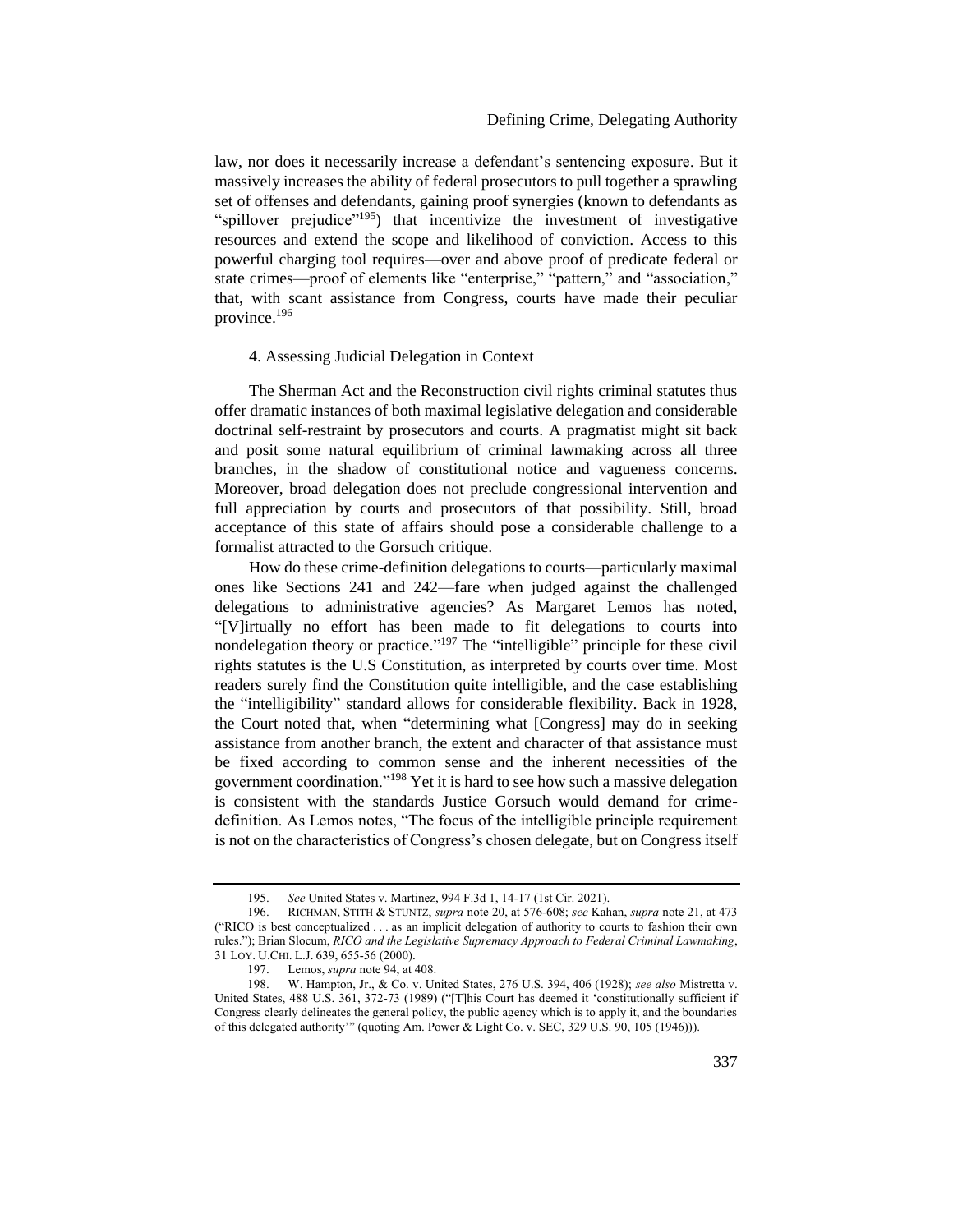law, nor does it necessarily increase a defendant's sentencing exposure. But it massively increases the ability of federal prosecutors to pull together a sprawling set of offenses and defendants, gaining proof synergies (known to defendants as "spillover prejudice"<sup>195</sup>) that incentivize the investment of investigative resources and extend the scope and likelihood of conviction. Access to this powerful charging tool requires—over and above proof of predicate federal or state crimes—proof of elements like "enterprise," "pattern," and "association," that, with scant assistance from Congress, courts have made their peculiar province.<sup>196</sup>

### <span id="page-33-0"></span>4. Assessing Judicial Delegation in Context

The Sherman Act and the Reconstruction civil rights criminal statutes thus offer dramatic instances of both maximal legislative delegation and considerable doctrinal self-restraint by prosecutors and courts. A pragmatist might sit back and posit some natural equilibrium of criminal lawmaking across all three branches, in the shadow of constitutional notice and vagueness concerns. Moreover, broad delegation does not preclude congressional intervention and full appreciation by courts and prosecutors of that possibility. Still, broad acceptance of this state of affairs should pose a considerable challenge to a formalist attracted to the Gorsuch critique.

How do these crime-definition delegations to courts—particularly maximal ones like Sections 241 and 242—fare when judged against the challenged delegations to administrative agencies? As Margaret Lemos has noted, "[V]irtually no effort has been made to fit delegations to courts into nondelegation theory or practice."<sup>197</sup> The "intelligible" principle for these civil rights statutes is the U.S Constitution, as interpreted by courts over time. Most readers surely find the Constitution quite intelligible, and the case establishing the "intelligibility" standard allows for considerable flexibility. Back in 1928, the Court noted that, when "determining what [Congress] may do in seeking assistance from another branch, the extent and character of that assistance must be fixed according to common sense and the inherent necessities of the government coordination."<sup>198</sup> Yet it is hard to see how such a massive delegation is consistent with the standards Justice Gorsuch would demand for crimedefinition. As Lemos notes, "The focus of the intelligible principle requirement is not on the characteristics of Congress's chosen delegate, but on Congress itself

<sup>195.</sup> *See* United States v. Martinez, 994 F.3d 1, 14-17 (1st Cir. 2021).

<sup>196.</sup> RICHMAN, STITH & STUNTZ, *supra* not[e 20,](#page-5-0) at 576-608; *see* Kahan, *supra* not[e 21,](#page-6-1) at 473 ("RICO is best conceptualized . . . as an implicit delegation of authority to courts to fashion their own rules."); Brian Slocum, *RICO and the Legislative Supremacy Approach to Federal Criminal Lawmaking*, 31 LOY. U.CHI. L.J. 639, 655-56 (2000).

<sup>197.</sup> Lemos, *supra* note [94,](#page-17-2) at 408.

<sup>198.</sup> W. Hampton, Jr., & Co. v. United States, 276 U.S. 394, 406 (1928); *see also* Mistretta v. United States, 488 U.S. 361, 372-73 (1989) ("[T]his Court has deemed it 'constitutionally sufficient if Congress clearly delineates the general policy, the public agency which is to apply it, and the boundaries of this delegated authority'" (quoting Am. Power & Light Co. v. SEC, 329 U.S. 90, 105 (1946))).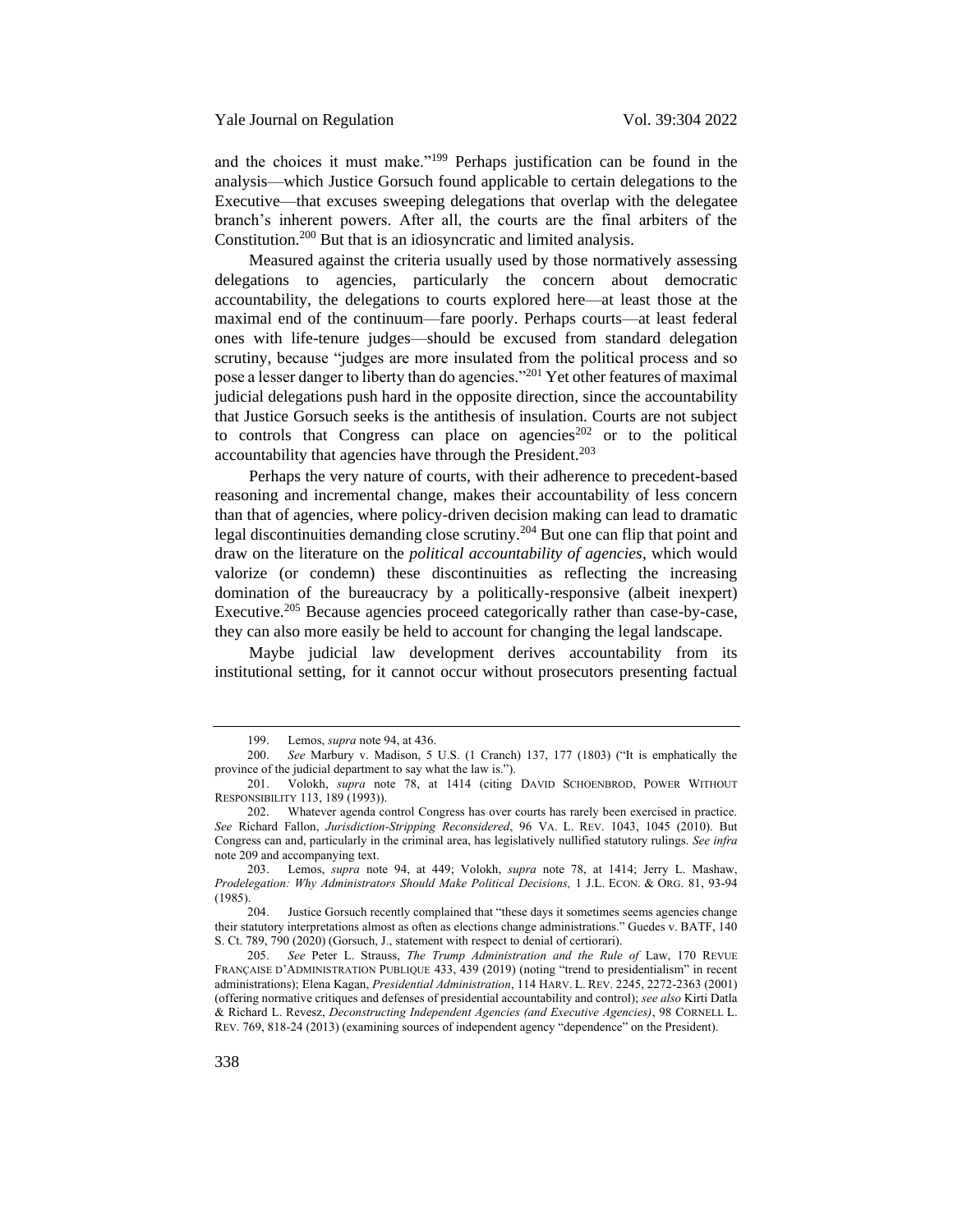and the choices it must make."<sup>199</sup> Perhaps justification can be found in the analysis—which Justice Gorsuch found applicable to certain delegations to the Executive—that excuses sweeping delegations that overlap with the delegatee branch's inherent powers. After all, the courts are the final arbiters of the Constitution.<sup>200</sup> But that is an idiosyncratic and limited analysis.

Measured against the criteria usually used by those normatively assessing delegations to agencies, particularly the concern about democratic accountability, the delegations to courts explored here—at least those at the maximal end of the continuum—fare poorly. Perhaps courts—at least federal ones with life-tenure judges—should be excused from standard delegation scrutiny, because "judges are more insulated from the political process and so pose a lesser danger to liberty than do agencies."<sup>201</sup> Yet other features of maximal judicial delegations push hard in the opposite direction, since the accountability that Justice Gorsuch seeks is the antithesis of insulation. Courts are not subject to controls that Congress can place on agencies<sup>202</sup> or to the political accountability that agencies have through the President.<sup>203</sup>

Perhaps the very nature of courts, with their adherence to precedent-based reasoning and incremental change, makes their accountability of less concern than that of agencies, where policy-driven decision making can lead to dramatic legal discontinuities demanding close scrutiny.<sup>204</sup> But one can flip that point and draw on the literature on the *political accountability of agencies*, which would valorize (or condemn) these discontinuities as reflecting the increasing domination of the bureaucracy by a politically-responsive (albeit inexpert) Executive.<sup>205</sup> Because agencies proceed categorically rather than case-by-case, they can also more easily be held to account for changing the legal landscape.

Maybe judicial law development derives accountability from its institutional setting, for it cannot occur without prosecutors presenting factual

<sup>199.</sup> Lemos, *supra* note [94,](#page-17-2) at 436.

<sup>200.</sup> *See* Marbury v. Madison, 5 U.S. (1 Cranch) 137, 177 (1803) ("It is emphatically the province of the judicial department to say what the law is.").

<sup>201.</sup> Volokh, *supra* note [78,](#page-14-0) at 1414 (citing DAVID SCHOENBROD, POWER WITHOUT RESPONSIBILITY 113, 189 (1993)).

<sup>202.</sup> Whatever agenda control Congress has over courts has rarely been exercised in practice. *See* Richard Fallon, *Jurisdiction-Stripping Reconsidered*, 96 VA. L. REV. 1043, 1045 (2010). But Congress can and, particularly in the criminal area, has legislatively nullified statutory rulings. *See infra* note [209](#page-35-0) and accompanying text.

<sup>203.</sup> Lemos, *supra* note [94,](#page-17-2) at 449; Volokh, *supra* note [78,](#page-14-0) at 1414; Jerry L. Mashaw, *Prodelegation: Why Administrators Should Make Political Decisions,* 1 J.L. ECON. & ORG. 81, 93-94 (1985).

<sup>204.</sup> Justice Gorsuch recently complained that "these days it sometimes seems agencies change their statutory interpretations almost as often as elections change administrations." Guedes v. BATF, 140 S. Ct. 789, 790 (2020) (Gorsuch, J., statement with respect to denial of certiorari).

<sup>205.</sup> *See* Peter L. Strauss, *The Trump Administration and the Rule of* Law, 170 REVUE FRANÇAISE D'ADMINISTRATION PUBLIQUE 433, 439 (2019) (noting "trend to presidentialism" in recent administrations); Elena Kagan, *Presidential Administration*, 114 HARV. L. REV. 2245, 2272-2363 (2001) (offering normative critiques and defenses of presidential accountability and control); *see also* Kirti Datla & Richard L. Revesz, *Deconstructing Independent Agencies (and Executive Agencies)*, 98 CORNELL L. REV. 769, 818-24 (2013) (examining sources of independent agency "dependence" on the President).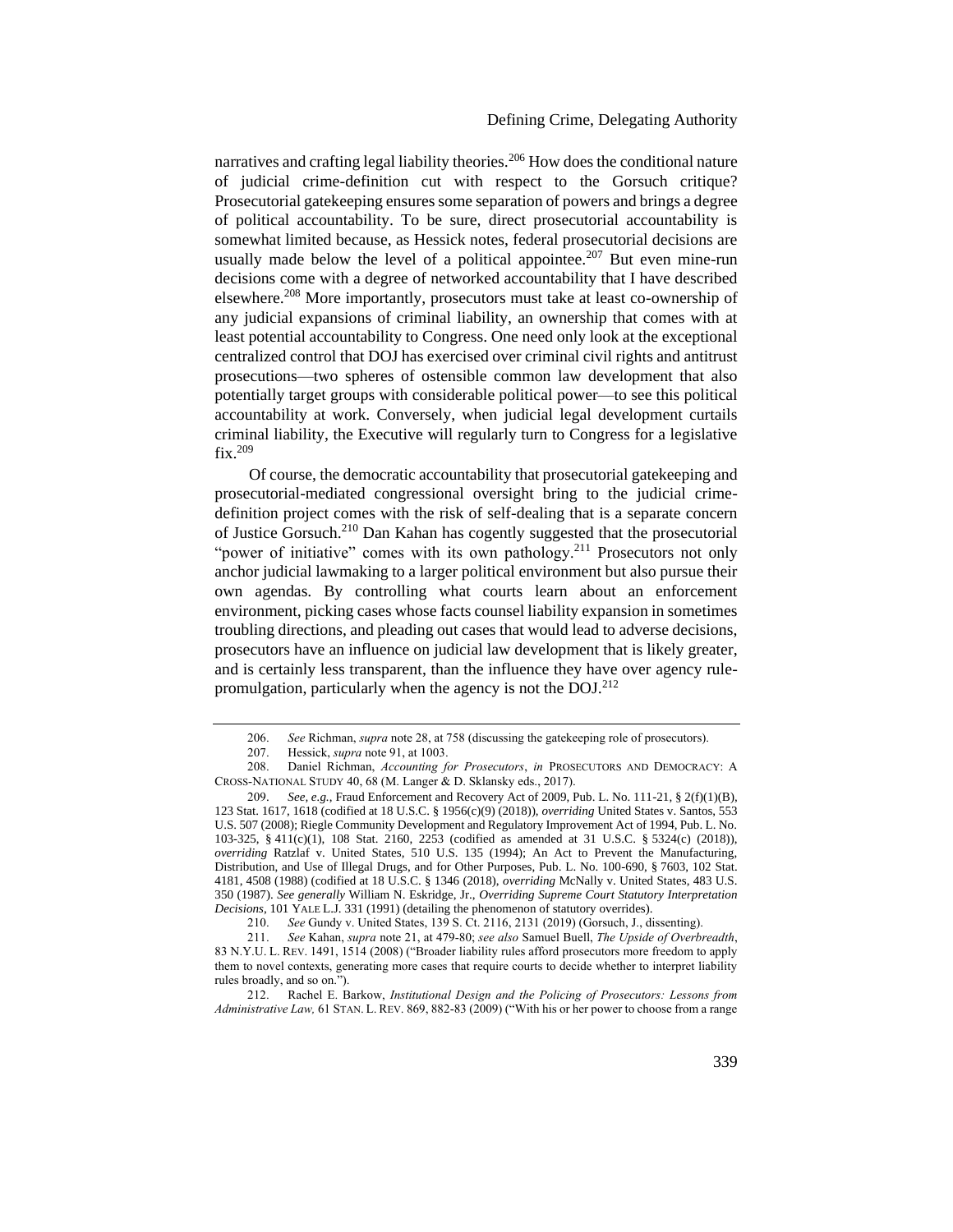<span id="page-35-1"></span>narratives and crafting legal liability theories.<sup>206</sup> How does the conditional nature of judicial crime-definition cut with respect to the Gorsuch critique? Prosecutorial gatekeeping ensures some separation of powers and brings a degree of political accountability. To be sure, direct prosecutorial accountability is somewhat limited because, as Hessick notes, federal prosecutorial decisions are usually made below the level of a political appointee.<sup>207</sup> But even mine-run decisions come with a degree of networked accountability that I have described elsewhere.<sup>208</sup> More importantly, prosecutors must take at least co-ownership of any judicial expansions of criminal liability, an ownership that comes with at least potential accountability to Congress. One need only look at the exceptional centralized control that DOJ has exercised over criminal civil rights and antitrust prosecutions—two spheres of ostensible common law development that also potentially target groups with considerable political power—to see this political accountability at work. Conversely, when judicial legal development curtails criminal liability, the Executive will regularly turn to Congress for a legislative fix.<sup>209</sup>

<span id="page-35-0"></span>Of course, the democratic accountability that prosecutorial gatekeeping and prosecutorial-mediated congressional oversight bring to the judicial crimedefinition project comes with the risk of self-dealing that is a separate concern of Justice Gorsuch.<sup>210</sup> Dan Kahan has cogently suggested that the prosecutorial "power of initiative" comes with its own pathology.<sup>211</sup> Prosecutors not only anchor judicial lawmaking to a larger political environment but also pursue their own agendas. By controlling what courts learn about an enforcement environment, picking cases whose facts counsel liability expansion in sometimes troubling directions, and pleading out cases that would lead to adverse decisions, prosecutors have an influence on judicial law development that is likely greater, and is certainly less transparent, than the influence they have over agency rulepromulgation, particularly when the agency is not the  $DOL^{212}$ 

<sup>206.</sup> *See* Richman, *supra* not[e 28,](#page-8-0) at 758 (discussing the gatekeeping role of prosecutors).

<sup>207.</sup> Hessick, *supra* not[e 91,](#page-17-1) at 1003.

<sup>208.</sup> Daniel Richman, *Accounting for Prosecutors*, *in* PROSECUTORS AND DEMOCRACY: A CROSS-NATIONAL STUDY 40, 68 (M. Langer & D. Sklansky eds., 2017).

<sup>209</sup>. *See, e.g.*, Fraud Enforcement and Recovery Act of 2009, Pub. L. No. 111-21, § 2(f)(1)(B), 123 Stat. 1617, 1618 (codified at 18 U.S.C. § 1956(c)(9) (2018)), *overriding* United States v. Santos, 553 U.S. 507 (2008); Riegle Community Development and Regulatory Improvement Act of 1994, Pub. L. No. 103-325, § 411(c)(1), 108 Stat. 2160, 2253 (codified as amended at 31 U.S.C. § 5324(c) (2018)), *overriding* Ratzlaf v. United States, 510 U.S. 135 (1994); An Act to Prevent the Manufacturing, Distribution, and Use of Illegal Drugs, and for Other Purposes, Pub. L. No. 100-690, § 7603, 102 Stat. 4181, 4508 (1988) (codified at 18 U.S.C. § 1346 (2018), *overriding* McNally v. United States, 483 U.S. 350 (1987). *See generally* William N. Eskridge, Jr., *Overriding Supreme Court Statutory Interpretation Decisions*, 101 YALE L.J. 331 (1991) (detailing the phenomenon of statutory overrides).

<sup>210.</sup> *See* Gundy v. United States, 139 S. Ct. 2116, 2131 (2019) (Gorsuch, J., dissenting).

<sup>211.</sup> *See* Kahan, *supra* note [21,](#page-6-1) at 479-80; *see also* Samuel Buell, *The Upside of Overbreadth*, 83 N.Y.U. L. REV. 1491, 1514 (2008) ("Broader liability rules afford prosecutors more freedom to apply them to novel contexts, generating more cases that require courts to decide whether to interpret liability rules broadly, and so on.").

<sup>212.</sup> Rachel E. Barkow, *Institutional Design and the Policing of Prosecutors: Lessons from Administrative Law,* 61 STAN. L. REV. 869, 882-83 (2009) ("With his or her power to choose from a range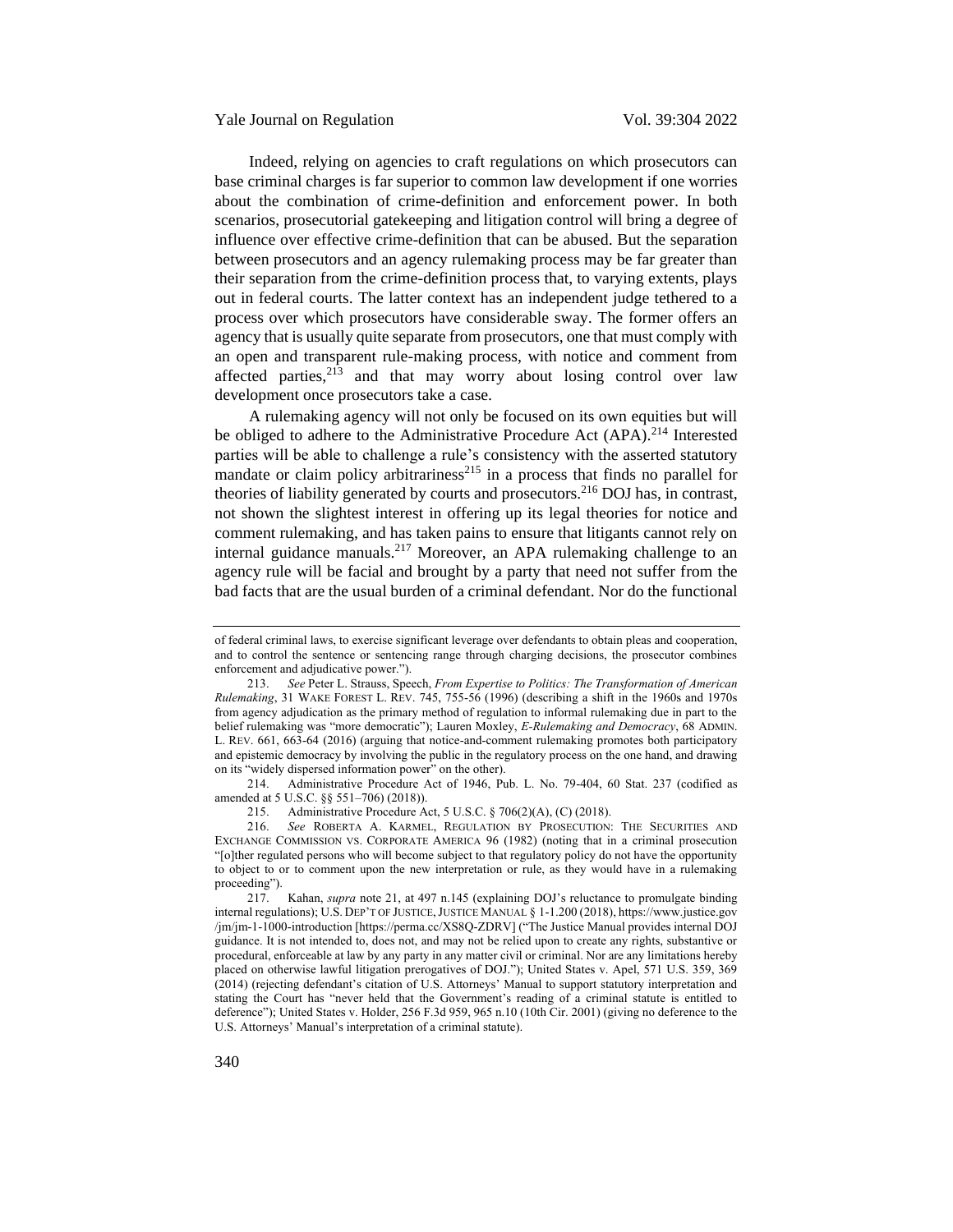Indeed, relying on agencies to craft regulations on which prosecutors can base criminal charges is far superior to common law development if one worries about the combination of crime-definition and enforcement power. In both scenarios, prosecutorial gatekeeping and litigation control will bring a degree of influence over effective crime-definition that can be abused. But the separation between prosecutors and an agency rulemaking process may be far greater than their separation from the crime-definition process that, to varying extents, plays out in federal courts. The latter context has an independent judge tethered to a process over which prosecutors have considerable sway. The former offers an agency that is usually quite separate from prosecutors, one that must comply with an open and transparent rule-making process, with notice and comment from affected parties, $2^{13}$  and that may worry about losing control over law development once prosecutors take a case.

A rulemaking agency will not only be focused on its own equities but will be obliged to adhere to the Administrative Procedure Act (APA).<sup>214</sup> Interested parties will be able to challenge a rule's consistency with the asserted statutory mandate or claim policy arbitrariness<sup>215</sup> in a process that finds no parallel for theories of liability generated by courts and prosecutors.<sup>216</sup> DOJ has, in contrast, not shown the slightest interest in offering up its legal theories for notice and comment rulemaking, and has taken pains to ensure that litigants cannot rely on internal guidance manuals.<sup>217</sup> Moreover, an APA rulemaking challenge to an agency rule will be facial and brought by a party that need not suffer from the bad facts that are the usual burden of a criminal defendant. Nor do the functional

214. Administrative Procedure Act of 1946, Pub. L. No. 79-404, 60 Stat. 237 (codified as amended at 5 U.S.C. §§ 551–706) (2018)).

of federal criminal laws, to exercise significant leverage over defendants to obtain pleas and cooperation, and to control the sentence or sentencing range through charging decisions, the prosecutor combines enforcement and adjudicative power.").

<sup>213.</sup> *See* Peter L. Strauss, Speech, *From Expertise to Politics: The Transformation of American Rulemaking*, 31 WAKE FOREST L. REV. 745, 755-56 (1996) (describing a shift in the 1960s and 1970s from agency adjudication as the primary method of regulation to informal rulemaking due in part to the belief rulemaking was "more democratic"); Lauren Moxley, *E-Rulemaking and Democracy*, 68 ADMIN. L. REV. 661, 663-64 (2016) (arguing that notice-and-comment rulemaking promotes both participatory and epistemic democracy by involving the public in the regulatory process on the one hand, and drawing on its "widely dispersed information power" on the other).

<sup>215.</sup> Administrative Procedure Act, 5 U.S.C. § 706(2)(A), (C) (2018).

<sup>216.</sup> *See* ROBERTA A. KARMEL, REGULATION BY PROSECUTION: THE SECURITIES AND EXCHANGE COMMISSION VS. CORPORATE AMERICA 96 (1982) (noting that in a criminal prosecution "[o]ther regulated persons who will become subject to that regulatory policy do not have the opportunity to object to or to comment upon the new interpretation or rule, as they would have in a rulemaking proceeding").

<sup>217.</sup> Kahan, *supra* note [21,](#page-6-1) at 497 n.145 (explaining DOJ's reluctance to promulgate binding internal regulations); U.S. DEP'T OF JUSTICE,JUSTICE MANUAL § 1-1.200 (2018), https://www.justice.gov /jm/jm-1-1000-introduction [https://perma.cc/XS8Q-ZDRV] ("The Justice Manual provides internal DOJ guidance. It is not intended to, does not, and may not be relied upon to create any rights, substantive or procedural, enforceable at law by any party in any matter civil or criminal. Nor are any limitations hereby placed on otherwise lawful litigation prerogatives of DOJ."); United States v. Apel, 571 U.S. 359, 369 (2014) (rejecting defendant's citation of U.S. Attorneys' Manual to support statutory interpretation and stating the Court has "never held that the Government's reading of a criminal statute is entitled to deference"); United States v. Holder, 256 F.3d 959, 965 n.10 (10th Cir. 2001) (giving no deference to the U.S. Attorneys' Manual's interpretation of a criminal statute).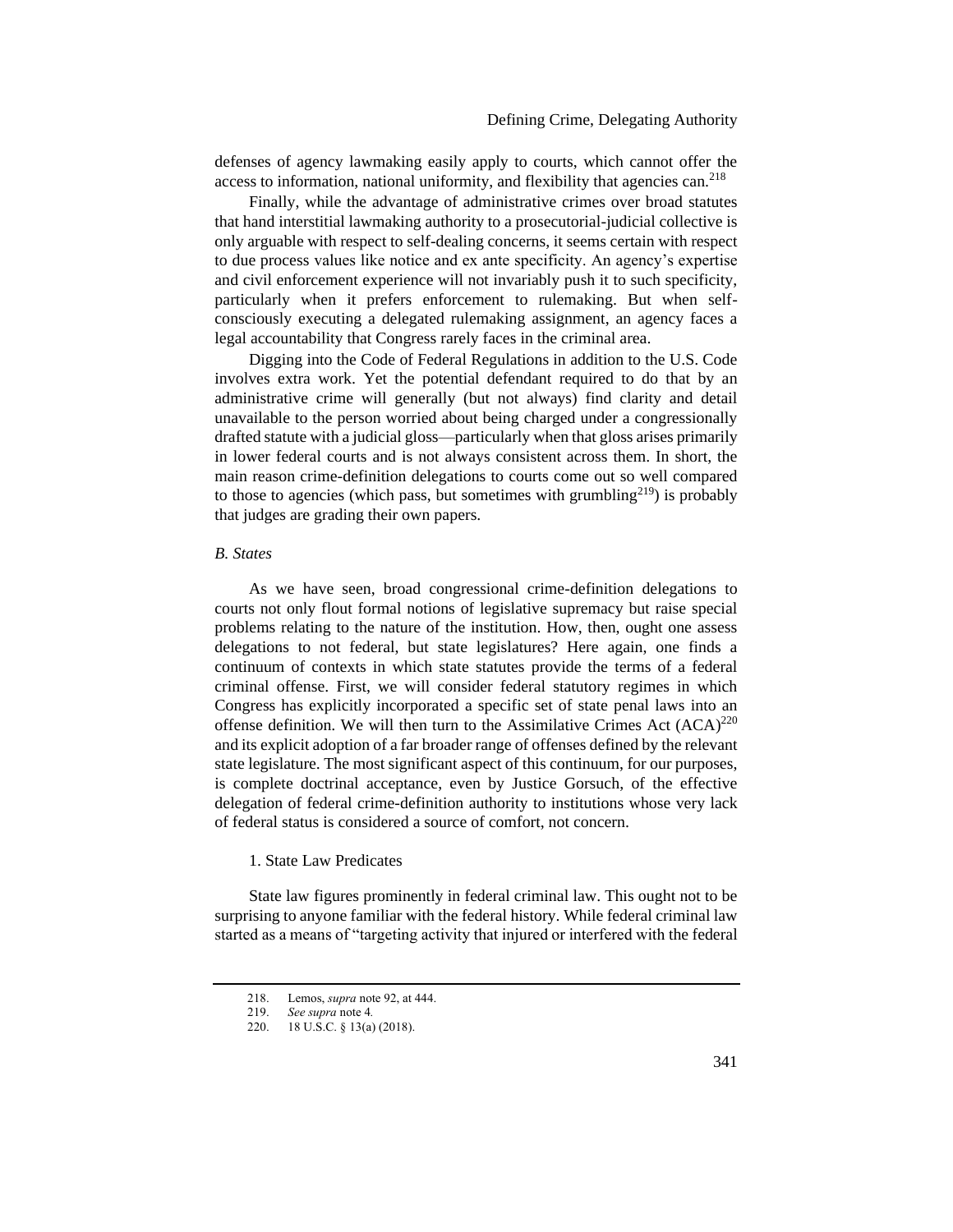defenses of agency lawmaking easily apply to courts, which cannot offer the access to information, national uniformity, and flexibility that agencies can.<sup>218</sup>

Finally, while the advantage of administrative crimes over broad statutes that hand interstitial lawmaking authority to a prosecutorial-judicial collective is only arguable with respect to self-dealing concerns, it seems certain with respect to due process values like notice and ex ante specificity. An agency's expertise and civil enforcement experience will not invariably push it to such specificity, particularly when it prefers enforcement to rulemaking. But when selfconsciously executing a delegated rulemaking assignment, an agency faces a legal accountability that Congress rarely faces in the criminal area.

Digging into the Code of Federal Regulations in addition to the U.S. Code involves extra work. Yet the potential defendant required to do that by an administrative crime will generally (but not always) find clarity and detail unavailable to the person worried about being charged under a congressionally drafted statute with a judicial gloss—particularly when that gloss arises primarily in lower federal courts and is not always consistent across them. In short, the main reason crime-definition delegations to courts come out so well compared to those to agencies (which pass, but sometimes with grumbling<sup>219</sup>) is probably that judges are grading their own papers.

### <span id="page-37-0"></span>*B. States*

As we have seen, broad congressional crime-definition delegations to courts not only flout formal notions of legislative supremacy but raise special problems relating to the nature of the institution. How, then, ought one assess delegations to not federal, but state legislatures? Here again, one finds a continuum of contexts in which state statutes provide the terms of a federal criminal offense. First, we will consider federal statutory regimes in which Congress has explicitly incorporated a specific set of state penal laws into an offense definition. We will then turn to the Assimilative Crimes Act  $(ACA)^{220}$ and its explicit adoption of a far broader range of offenses defined by the relevant state legislature. The most significant aspect of this continuum, for our purposes, is complete doctrinal acceptance, even by Justice Gorsuch, of the effective delegation of federal crime-definition authority to institutions whose very lack of federal status is considered a source of comfort, not concern.

### <span id="page-37-1"></span>1. State Law Predicates

State law figures prominently in federal criminal law. This ought not to be surprising to anyone familiar with the federal history. While federal criminal law started as a means of "targeting activity that injured or interfered with the federal

<sup>218.</sup> Lemos, *supra* note [92,](#page-17-3) at 444.

<sup>219.</sup> *See supra* not[e 4](#page-2-3)*.*

<sup>220.</sup> 18 U.S.C. § 13(a) (2018).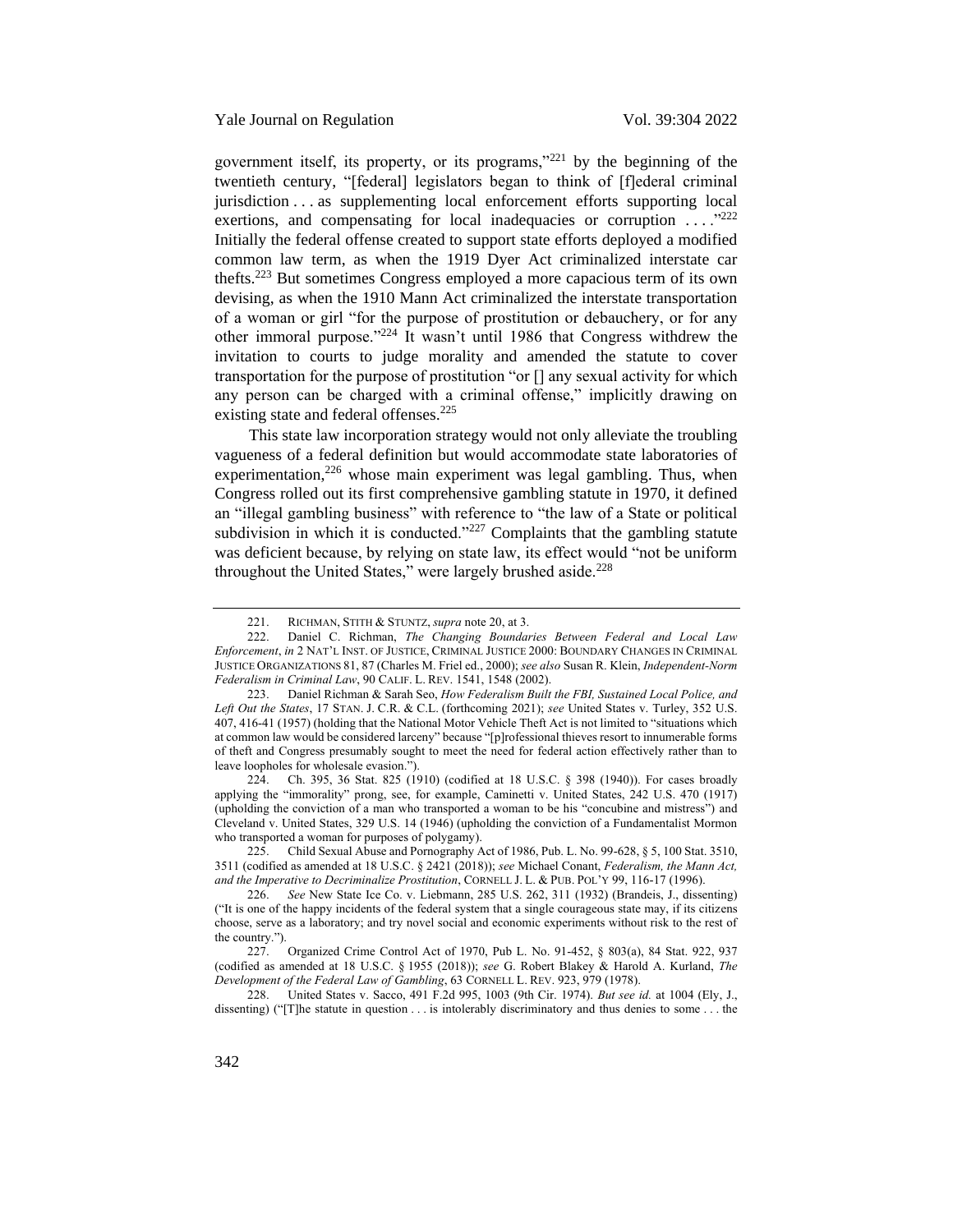government itself, its property, or its programs,"<sup>221</sup> by the beginning of the twentieth century, "[federal] legislators began to think of [f]ederal criminal jurisdiction . . . as supplementing local enforcement efforts supporting local exertions, and compensating for local inadequacies or corruption  $\ldots$ <sup>222</sup> Initially the federal offense created to support state efforts deployed a modified common law term, as when the 1919 Dyer Act criminalized interstate car thefts.<sup>223</sup> But sometimes Congress employed a more capacious term of its own devising, as when the 1910 Mann Act criminalized the interstate transportation of a woman or girl "for the purpose of prostitution or debauchery, or for any other immoral purpose."<sup>224</sup> It wasn't until 1986 that Congress withdrew the invitation to courts to judge morality and amended the statute to cover transportation for the purpose of prostitution "or [] any sexual activity for which any person can be charged with a criminal offense," implicitly drawing on existing state and federal offenses.<sup>225</sup>

This state law incorporation strategy would not only alleviate the troubling vagueness of a federal definition but would accommodate state laboratories of experimentation, $226$  whose main experiment was legal gambling. Thus, when Congress rolled out its first comprehensive gambling statute in 1970, it defined an "illegal gambling business" with reference to "the law of a State or political subdivision in which it is conducted." $227$  Complaints that the gambling statute was deficient because, by relying on state law, its effect would "not be uniform throughout the United States," were largely brushed aside. $228$ 

224. Ch. 395, 36 Stat. 825 (1910) (codified at 18 U.S.C. § 398 (1940)). For cases broadly applying the "immorality" prong, see, for example, Caminetti v. United States, 242 U.S. 470 (1917) (upholding the conviction of a man who transported a woman to be his "concubine and mistress") and Cleveland v. United States, 329 U.S. 14 (1946) (upholding the conviction of a Fundamentalist Mormon who transported a woman for purposes of polygamy).

225. Child Sexual Abuse and Pornography Act of 1986, Pub. L. No. 99-628, § 5, 100 Stat. 3510, 3511 (codified as amended at 18 U.S.C. § 2421 (2018)); *see* Michael Conant, *Federalism, the Mann Act, and the Imperative to Decriminalize Prostitution*, CORNELL J. L. & PUB. POL'Y 99, 116-17 (1996).

226. *See* New State Ice Co. v. Liebmann, 285 U.S. 262, 311 (1932) (Brandeis, J., dissenting) ("It is one of the happy incidents of the federal system that a single courageous state may, if its citizens choose, serve as a laboratory; and try novel social and economic experiments without risk to the rest of the country.").

228. United States v. Sacco, 491 F.2d 995, 1003 (9th Cir. 1974). *But see id.* at 1004 (Ely, J., dissenting) ("[T]he statute in question . . . is intolerably discriminatory and thus denies to some . . . the

<sup>221.</sup> RICHMAN, STITH & STUNTZ, *supra* not[e 20,](#page-5-0) at 3.

<sup>222.</sup> Daniel C. Richman, *The Changing Boundaries Between Federal and Local Law Enforcement*, *in* 2 NAT'L INST. OF JUSTICE, CRIMINAL JUSTICE 2000: BOUNDARY CHANGES IN CRIMINAL JUSTICE ORGANIZATIONS 81, 87 (Charles M. Friel ed., 2000); *see also* Susan R. Klein, *Independent-Norm Federalism in Criminal Law*, 90 CALIF. L. REV. 1541, 1548 (2002).

<sup>223.</sup> Daniel Richman & Sarah Seo, *How Federalism Built the FBI, Sustained Local Police, and Left Out the States*, 17 STAN. J. C.R. & C.L. (forthcoming 2021); *see* United States v. Turley, 352 U.S. 407, 416-41 (1957) (holding that the National Motor Vehicle Theft Act is not limited to "situations which at common law would be considered larceny" because "[p]rofessional thieves resort to innumerable forms of theft and Congress presumably sought to meet the need for federal action effectively rather than to leave loopholes for wholesale evasion.").

<sup>227.</sup> Organized Crime Control Act of 1970, Pub L. No. 91-452, § 803(a), 84 Stat. 922, 937 (codified as amended at 18 U.S.C. § 1955 (2018)); *see* G. Robert Blakey & Harold A. Kurland, *The Development of the Federal Law of Gambling*, 63 CORNELL L. REV. 923, 979 (1978).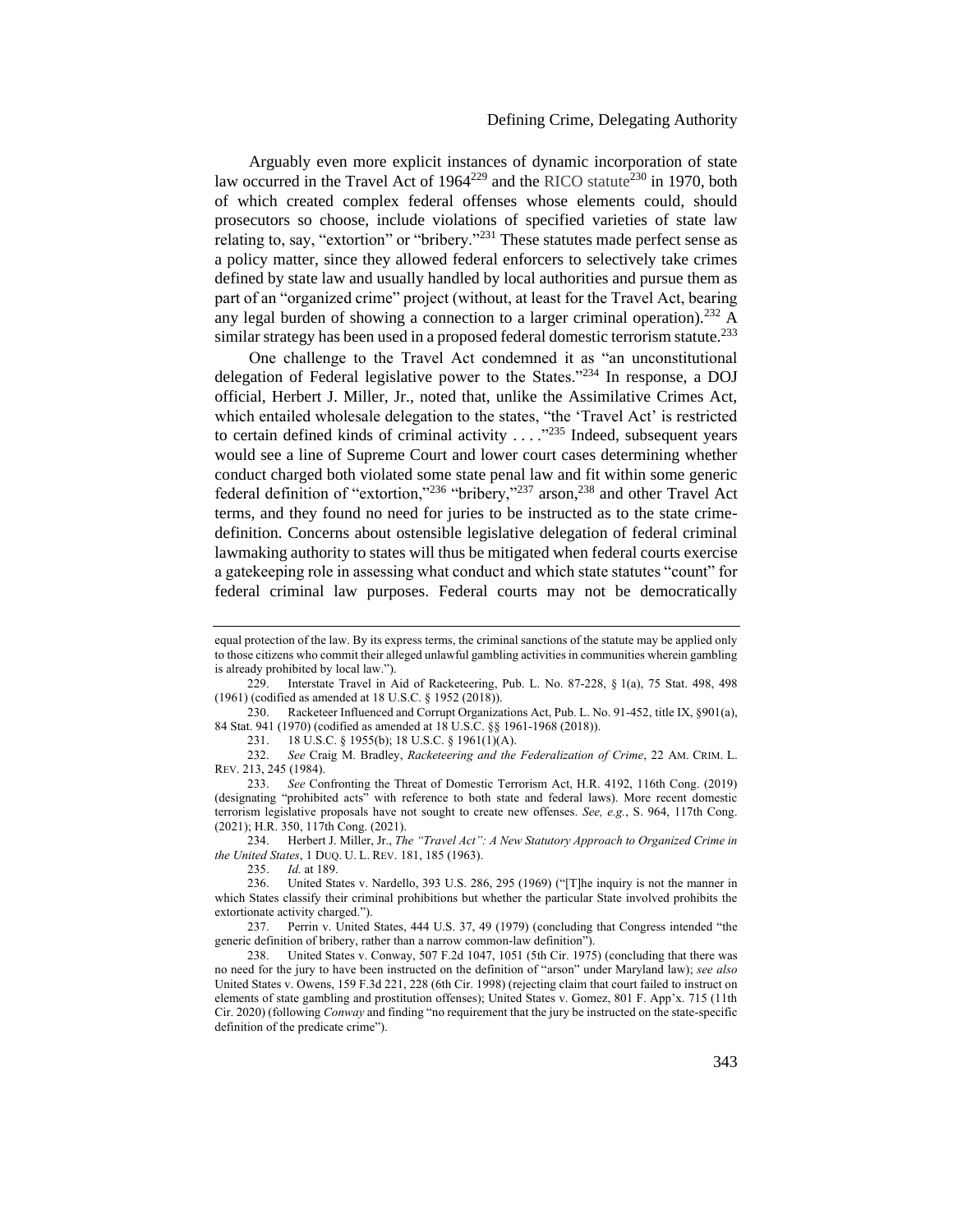# Defining Crime, Delegating Authority

Arguably even more explicit instances of dynamic incorporation of state law occurred in the Travel Act of  $1964^{229}$  and the RICO statute<sup>230</sup> in 1970, both of which created complex federal offenses whose elements could, should prosecutors so choose, include violations of specified varieties of state law relating to, say, "extortion" or "bribery."<sup>231</sup> These statutes made perfect sense as a policy matter, since they allowed federal enforcers to selectively take crimes defined by state law and usually handled by local authorities and pursue them as part of an "organized crime" project (without, at least for the Travel Act, bearing any legal burden of showing a connection to a larger criminal operation).<sup>232</sup> A similar strategy has been used in a proposed federal domestic terrorism statute.<sup>233</sup>

One challenge to the Travel Act condemned it as "an unconstitutional delegation of Federal legislative power to the States."<sup>234</sup> In response, a DOJ official, Herbert J. Miller, Jr., noted that, unlike the Assimilative Crimes Act, which entailed wholesale delegation to the states, "the 'Travel Act' is restricted to certain defined kinds of criminal activity  $\dots$  ."<sup>235</sup> Indeed, subsequent years would see a line of Supreme Court and lower court cases determining whether conduct charged both violated some state penal law and fit within some generic federal definition of "extortion,"<sup>236</sup> "bribery,"<sup>237</sup> arson,<sup>238</sup> and other Travel Act terms, and they found no need for juries to be instructed as to the state crimedefinition. Concerns about ostensible legislative delegation of federal criminal lawmaking authority to states will thus be mitigated when federal courts exercise a gatekeeping role in assessing what conduct and which state statutes "count" for federal criminal law purposes. Federal courts may not be democratically

231. 18 U.S.C. § 1955(b); 18 U.S.C. § 1961(1)(A).

234. Herbert J. Miller, Jr., *The "Travel Act": A New Statutory Approach to Organized Crime in the United States*, 1 DUQ. U. L. REV. 181, 185 (1963).

235. *Id.* at 189.

equal protection of the law. By its express terms, the criminal sanctions of the statute may be applied only to those citizens who commit their alleged unlawful gambling activities in communities wherein gambling is already prohibited by local law.").<br>229 Interstate Travel in A

Interstate Travel in Aid of Racketeering, Pub. L. No. 87-228, § 1(a), 75 Stat. 498, 498 (1961) (codified as amended at 18 U.S.C. § 1952 (2018)).

<sup>230.</sup> Racketeer Influenced and Corrupt Organizations Act, Pub. L. No. 91-452, title IX, §901(a), 84 Stat. 941 (1970) (codified as amended at 18 U.S.C. §§ 1961-1968 (2018)).

<sup>232.</sup> *See* Craig M. Bradley, *Racketeering and the Federalization of Crime*, 22 AM. CRIM. L. REV. 213, 245 (1984).

<sup>233.</sup> *See* Confronting the Threat of Domestic Terrorism Act, H.R. 4192, 116th Cong. (2019) (designating "prohibited acts" with reference to both state and federal laws). More recent domestic terrorism legislative proposals have not sought to create new offenses. *See, e.g.*, S. 964, 117th Cong. (2021); H.R. 350, 117th Cong. (2021).

United States v. Nardello, 393 U.S. 286, 295 (1969) ("T]he inquiry is not the manner in which States classify their criminal prohibitions but whether the particular State involved prohibits the extortionate activity charged.").

<sup>237.</sup> Perrin v. United States, 444 U.S. 37, 49 (1979) (concluding that Congress intended "the generic definition of bribery, rather than a narrow common-law definition").

<sup>238.</sup> United States v. Conway, 507 F.2d 1047, 1051 (5th Cir. 1975) (concluding that there was no need for the jury to have been instructed on the definition of "arson" under Maryland law); *see also* United States v. Owens, 159 F.3d 221, 228 (6th Cir. 1998) (rejecting claim that court failed to instruct on elements of state gambling and prostitution offenses); United States v. Gomez, 801 F. App'x. 715 (11th Cir. 2020) (following *Conway* and finding "no requirement that the jury be instructed on the state-specific definition of the predicate crime").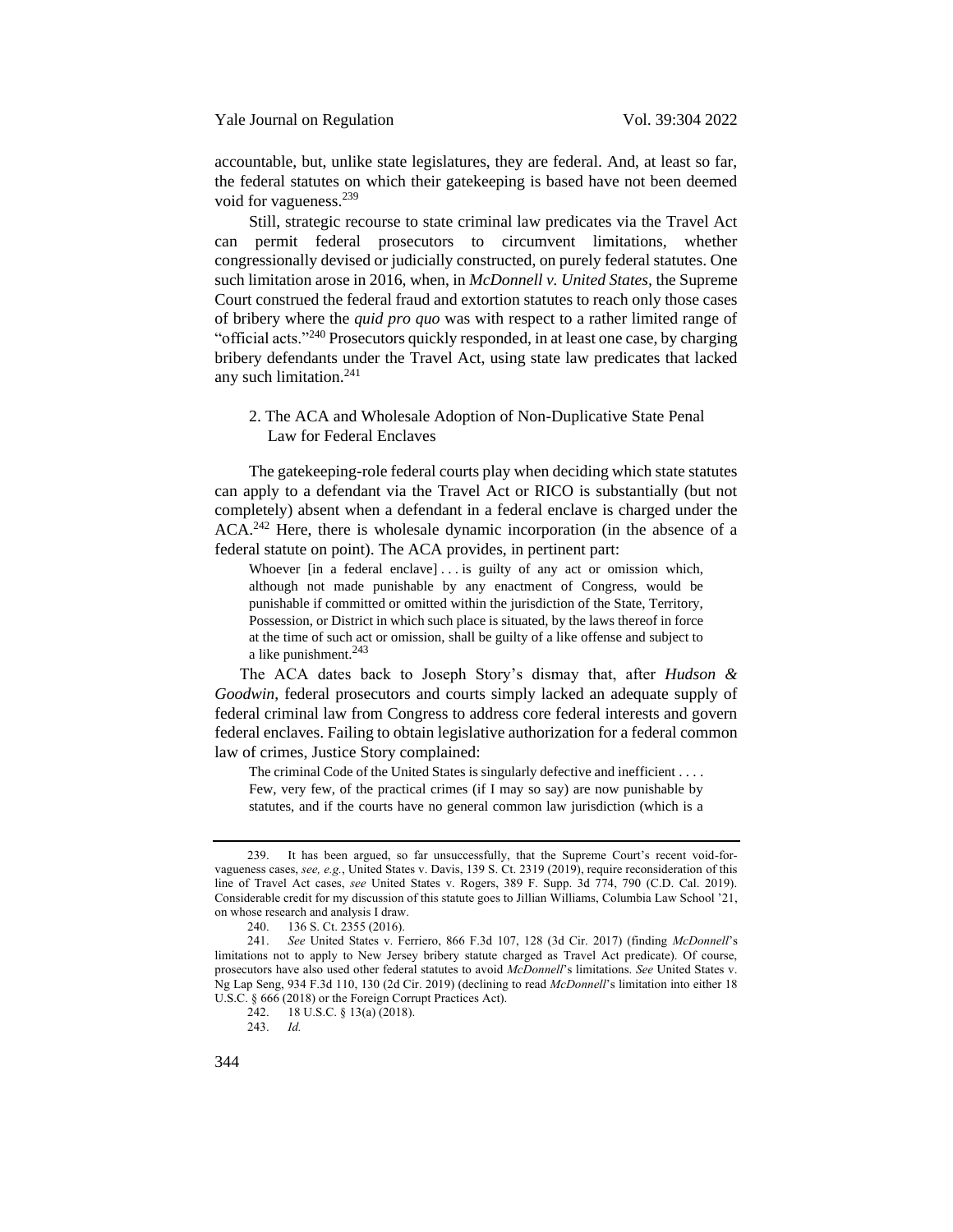accountable, but, unlike state legislatures, they are federal. And, at least so far, the federal statutes on which their gatekeeping is based have not been deemed void for vagueness.<sup>239</sup>

Still, strategic recourse to state criminal law predicates via the Travel Act can permit federal prosecutors to circumvent limitations, whether congressionally devised or judicially constructed, on purely federal statutes. One such limitation arose in 2016, when, in *McDonnell v. United States,* the Supreme Court construed the federal fraud and extortion statutes to reach only those cases of bribery where the *quid pro quo* was with respect to a rather limited range of "official acts."<sup>240</sup> Prosecutors quickly responded, in at least one case, by charging bribery defendants under the Travel Act, using state law predicates that lacked any such limitation. $241$ 

# <span id="page-40-0"></span>2. The ACA and Wholesale Adoption of Non-Duplicative State Penal Law for Federal Enclaves

The gatekeeping-role federal courts play when deciding which state statutes can apply to a defendant via the Travel Act or RICO is substantially (but not completely) absent when a defendant in a federal enclave is charged under the ACA.<sup>242</sup> Here, there is wholesale dynamic incorporation (in the absence of a federal statute on point). The ACA provides, in pertinent part:

Whoever [in a federal enclave] . . . is guilty of any act or omission which, although not made punishable by any enactment of Congress, would be punishable if committed or omitted within the jurisdiction of the State, Territory, Possession, or District in which such place is situated, by the laws thereof in force at the time of such act or omission, shall be guilty of a like offense and subject to a like punishment.<sup>243</sup>

The ACA dates back to Joseph Story's dismay that, after *Hudson & Goodwin*, federal prosecutors and courts simply lacked an adequate supply of federal criminal law from Congress to address core federal interests and govern federal enclaves. Failing to obtain legislative authorization for a federal common law of crimes, Justice Story complained:

The criminal Code of the United States is singularly defective and inefficient . . . . Few, very few, of the practical crimes (if I may so say) are now punishable by statutes, and if the courts have no general common law jurisdiction (which is a

<sup>239.</sup> It has been argued, so far unsuccessfully, that the Supreme Court's recent void-forvagueness cases, *see, e.g.*, United States v. Davis, 139 S. Ct. 2319 (2019), require reconsideration of this line of Travel Act cases, *see* United States v. Rogers, 389 F. Supp. 3d 774, 790 (C.D. Cal. 2019). Considerable credit for my discussion of this statute goes to Jillian Williams, Columbia Law School '21, on whose research and analysis I draw.

<sup>240.</sup> 136 S. Ct. 2355 (2016).

<sup>241.</sup> *See* United States v. Ferriero, 866 F.3d 107, 128 (3d Cir. 2017) (finding *McDonnell*'s limitations not to apply to New Jersey bribery statute charged as Travel Act predicate). Of course, prosecutors have also used other federal statutes to avoid *McDonnell*'s limitations. *See* United States v. Ng Lap Seng, 934 F.3d 110, 130 (2d Cir. 2019) (declining to read *McDonnell*'s limitation into either 18 U.S.C. § 666 (2018) or the Foreign Corrupt Practices Act).<br>242. 18 U.S.C. § 13(a) (2018).

<sup>18</sup> U.S.C. § 13(a) (2018).

<sup>243.</sup> *Id.*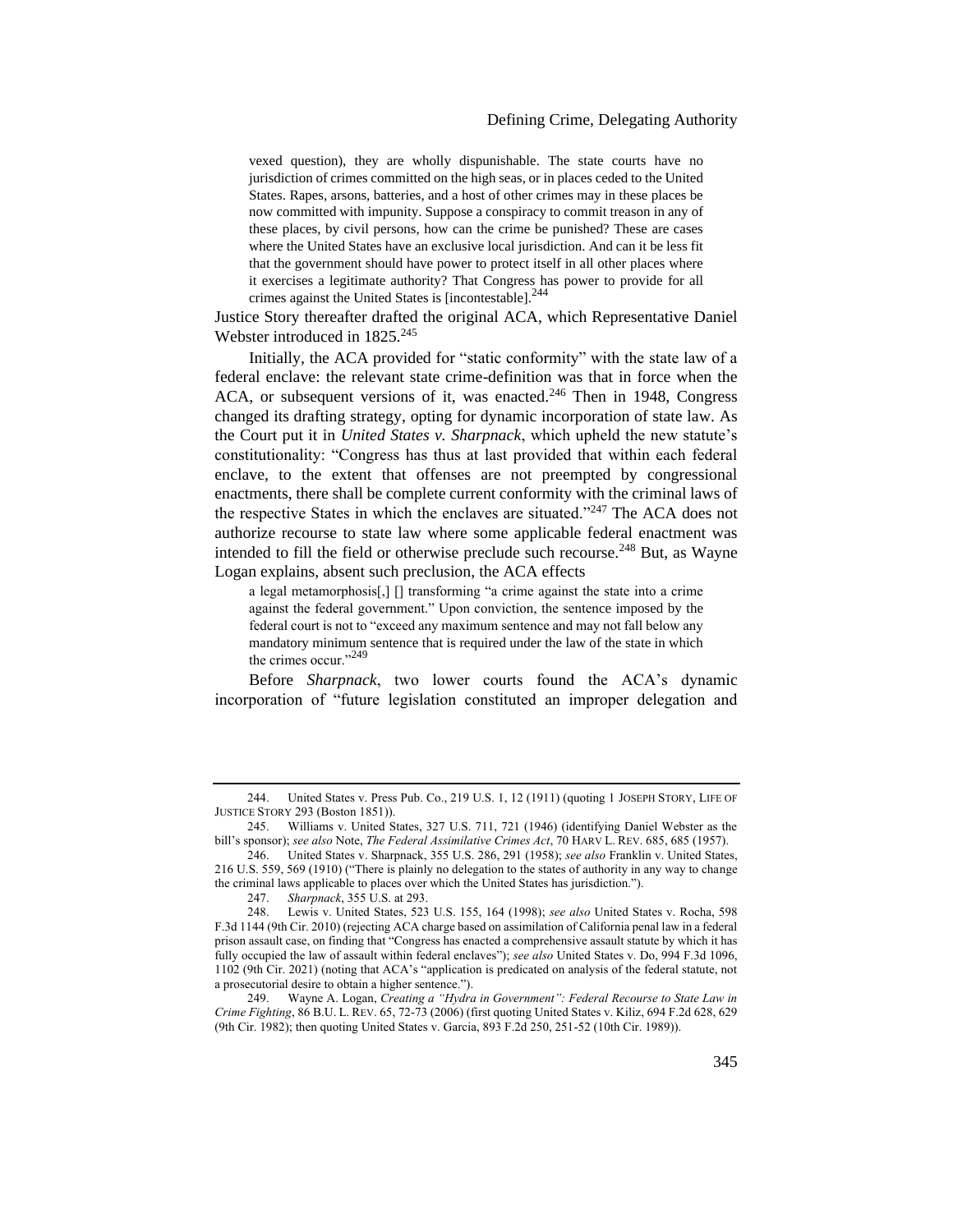vexed question), they are wholly dispunishable. The state courts have no jurisdiction of crimes committed on the high seas, or in places ceded to the United States. Rapes, arsons, batteries, and a host of other crimes may in these places be now committed with impunity. Suppose a conspiracy to commit treason in any of these places, by civil persons, how can the crime be punished? These are cases where the United States have an exclusive local jurisdiction. And can it be less fit that the government should have power to protect itself in all other places where it exercises a legitimate authority? That Congress has power to provide for all crimes against the United States is [incontestable].<sup>244</sup>

Justice Story thereafter drafted the original ACA, which Representative Daniel Webster introduced in  $1825.^{245}$ 

Initially, the ACA provided for "static conformity" with the state law of a federal enclave: the relevant state crime-definition was that in force when the ACA, or subsequent versions of it, was enacted.<sup>246</sup> Then in 1948, Congress changed its drafting strategy, opting for dynamic incorporation of state law. As the Court put it in *United States v. Sharpnack*, which upheld the new statute's constitutionality: "Congress has thus at last provided that within each federal enclave, to the extent that offenses are not preempted by congressional enactments, there shall be complete current conformity with the criminal laws of the respective States in which the enclaves are situated."<sup>247</sup> The ACA does not authorize recourse to state law where some applicable federal enactment was intended to fill the field or otherwise preclude such recourse.<sup>248</sup> But, as Wayne Logan explains, absent such preclusion, the ACA effects

<span id="page-41-0"></span>a legal metamorphosis[,] [] transforming "a crime against the state into a crime against the federal government." Upon conviction, the sentence imposed by the federal court is not to "exceed any maximum sentence and may not fall below any mandatory minimum sentence that is required under the law of the state in which the crimes occur."<sup>249</sup>

Before *Sharpnack*, two lower courts found the ACA's dynamic incorporation of "future legislation constituted an improper delegation and

<sup>244.</sup> United States v. Press Pub. Co., 219 U.S. 1, 12 (1911) (quoting 1 JOSEPH STORY, LIFE OF JUSTICE STORY 293 (Boston 1851)).

<sup>245.</sup> Williams v. United States, 327 U.S. 711, 721 (1946) (identifying Daniel Webster as the bill's sponsor); *see also* Note, *The Federal Assimilative Crimes Act*, 70 HARV L. REV. 685, 685 (1957).

<sup>246.</sup> United States v. Sharpnack, 355 U.S. 286, 291 (1958); *see also* Franklin v. United States, 216 U.S. 559, 569 (1910) ("There is plainly no delegation to the states of authority in any way to change the criminal laws applicable to places over which the United States has jurisdiction.").

<sup>247.</sup> *Sharpnack*, 355 U.S. at 293.

<sup>248.</sup> Lewis v. United States, 523 U.S. 155, 164 (1998); *see also* United States v. Rocha, 598 F.3d 1144 (9th Cir. 2010) (rejecting ACA charge based on assimilation of California penal law in a federal prison assault case, on finding that "Congress has enacted a comprehensive assault statute by which it has fully occupied the law of assault within federal enclaves"); *see also* United States v. Do, 994 F.3d 1096, 1102 (9th Cir. 2021) (noting that ACA's "application is predicated on analysis of the federal statute, not a prosecutorial desire to obtain a higher sentence.").<br>
249 Wayne A. Logan, Creating a "Hydra"

<sup>249.</sup> Wayne A. Logan, *Creating a "Hydra in Government": Federal Recourse to State Law in Crime Fighting*, 86 B.U. L. REV. 65, 72-73 (2006) (first quoting United States v. Kiliz, 694 F.2d 628, 629 (9th Cir. 1982); then quoting United States v. Garcia, 893 F.2d 250, 251-52 (10th Cir. 1989)).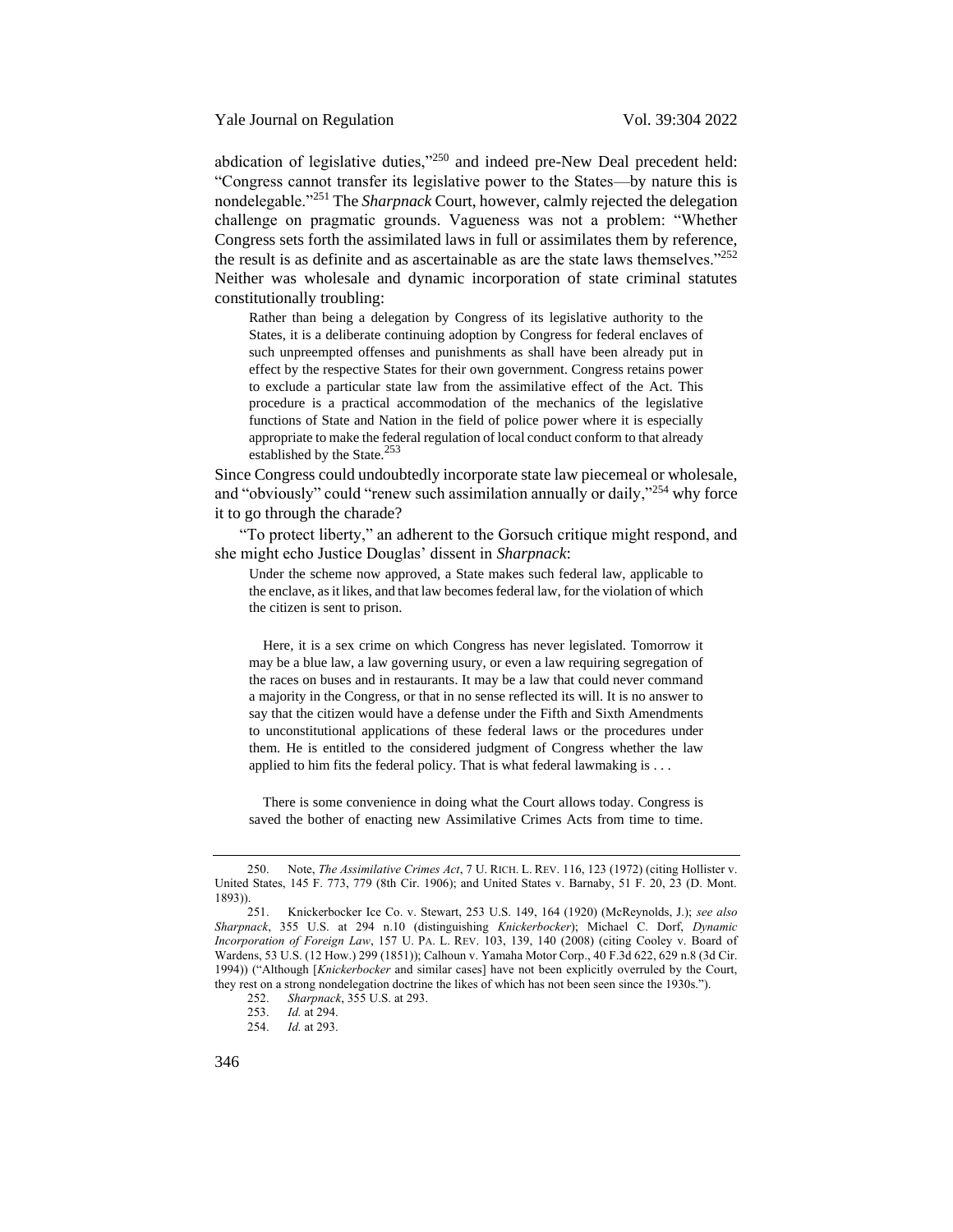Yale Journal on Regulation Vol. 39:304 2022

<span id="page-42-0"></span>abdication of legislative duties, $v^{250}$  and indeed pre-New Deal precedent held: "Congress cannot transfer its legislative power to the States—by nature this is nondelegable."<sup>251</sup> The *Sharpnack* Court, however, calmly rejected the delegation challenge on pragmatic grounds. Vagueness was not a problem: "Whether Congress sets forth the assimilated laws in full or assimilates them by reference, the result is as definite and as ascertainable as are the state laws themselves."<sup>252</sup> Neither was wholesale and dynamic incorporation of state criminal statutes constitutionally troubling:

<span id="page-42-1"></span>Rather than being a delegation by Congress of its legislative authority to the States, it is a deliberate continuing adoption by Congress for federal enclaves of such unpreempted offenses and punishments as shall have been already put in effect by the respective States for their own government. Congress retains power to exclude a particular state law from the assimilative effect of the Act. This procedure is a practical accommodation of the mechanics of the legislative functions of State and Nation in the field of police power where it is especially appropriate to make the federal regulation of local conduct conform to that already established by the State.<sup>253</sup>

Since Congress could undoubtedly incorporate state law piecemeal or wholesale, and "obviously" could "renew such assimilation annually or daily,"<sup>254</sup> why force it to go through the charade?

"To protect liberty," an adherent to the Gorsuch critique might respond, and she might echo Justice Douglas' dissent in *Sharpnack*:

<span id="page-42-2"></span>Under the scheme now approved, a State makes such federal law, applicable to the enclave, as it likes, and that law becomes federal law, for the violation of which the citizen is sent to prison.

Here, it is a sex crime on which Congress has never legislated. Tomorrow it may be a blue law, a law governing usury, or even a law requiring segregation of the races on buses and in restaurants. It may be a law that could never command a majority in the Congress, or that in no sense reflected its will. It is no answer to say that the citizen would have a defense under the Fifth and Sixth Amendments to unconstitutional applications of these federal laws or the procedures under them. He is entitled to the considered judgment of Congress whether the law applied to him fits the federal policy. That is what federal lawmaking is . . .

There is some convenience in doing what the Court allows today. Congress is saved the bother of enacting new Assimilative Crimes Acts from time to time.

<sup>250.</sup> Note, *The Assimilative Crimes Act*, 7 U. RICH. L. REV. 116, 123 (1972) (citing Hollister v. United States, 145 F. 773, 779 (8th Cir. 1906); and United States v. Barnaby, 51 F. 20, 23 (D. Mont. 1893)).

<sup>251.</sup> Knickerbocker Ice Co. v. Stewart, 253 U.S. 149, 164 (1920) (McReynolds, J.); *see also Sharpnack*, 355 U.S. at 294 n.10 (distinguishing *Knickerbocker*); Michael C. Dorf, *Dynamic Incorporation of Foreign Law*, 157 U. PA. L. REV. 103, 139, 140 (2008) (citing Cooley v. Board of Wardens, 53 U.S. (12 How.) 299 (1851)); Calhoun v. Yamaha Motor Corp., 40 F.3d 622, 629 n.8 (3d Cir. 1994)) ("Although [*Knickerbocker* and similar cases] have not been explicitly overruled by the Court, they rest on a strong nondelegation doctrine the likes of which has not been seen since the 1930s.").<br>252. Sharpnack, 355 U.S. at 293.

<sup>252.</sup> *Sharpnack*, 355 U.S. at 293.

*Id.* at 294.

<sup>254.</sup> *Id.* at 293.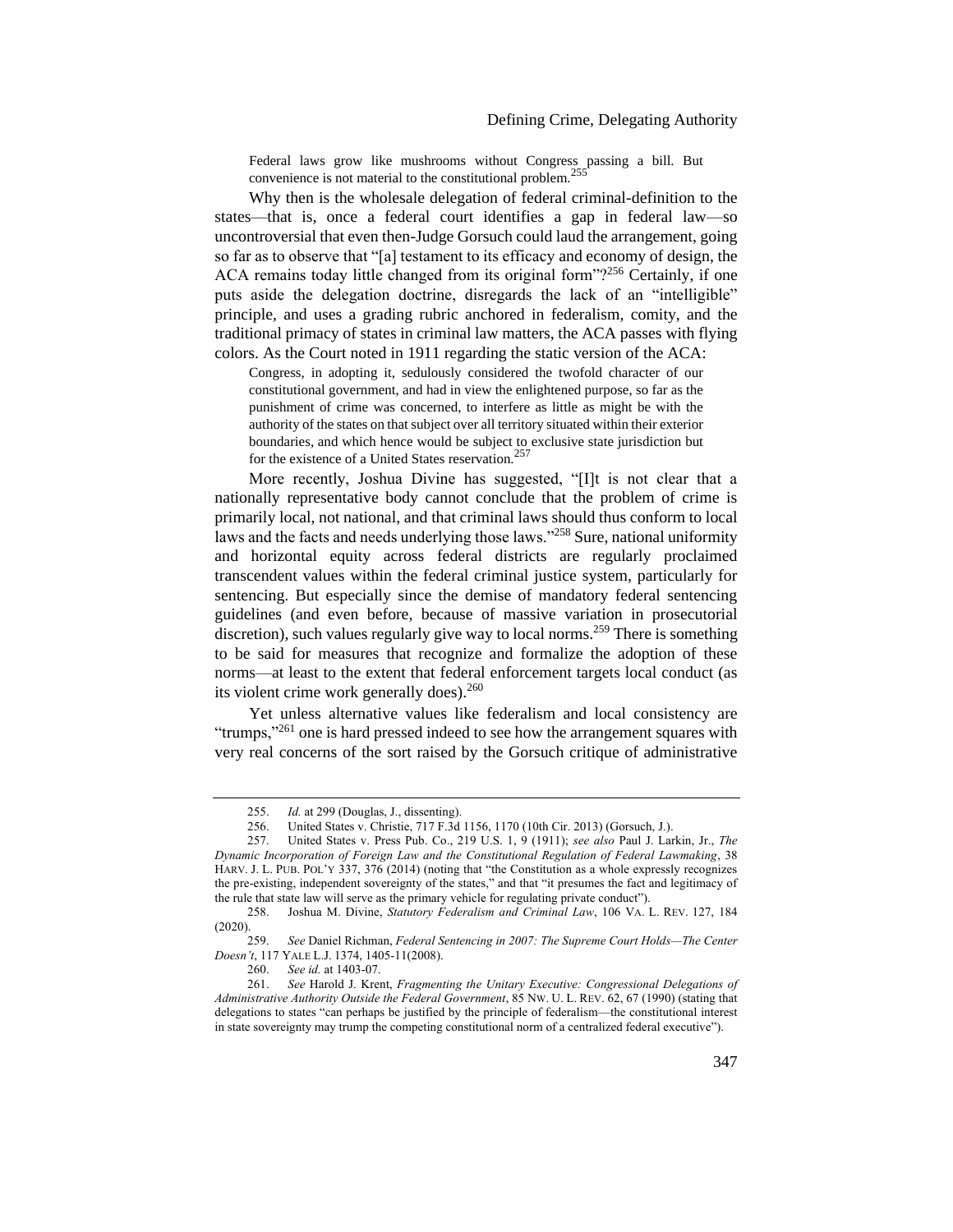Federal laws grow like mushrooms without Congress passing a bill. But convenience is not material to the constitutional problem.<sup>255</sup>

Why then is the wholesale delegation of federal criminal-definition to the states—that is, once a federal court identifies a gap in federal law—so uncontroversial that even then-Judge Gorsuch could laud the arrangement, going so far as to observe that "[a] testament to its efficacy and economy of design, the ACA remains today little changed from its original form"?<sup>256</sup> Certainly, if one puts aside the delegation doctrine, disregards the lack of an "intelligible" principle, and uses a grading rubric anchored in federalism, comity, and the traditional primacy of states in criminal law matters, the ACA passes with flying colors. As the Court noted in 1911 regarding the static version of the ACA:

<span id="page-43-2"></span>Congress, in adopting it, sedulously considered the twofold character of our constitutional government, and had in view the enlightened purpose, so far as the punishment of crime was concerned, to interfere as little as might be with the authority of the states on that subject over all territory situated within their exterior boundaries, and which hence would be subject to exclusive state jurisdiction but for the existence of a United States reservation.<sup>257</sup>

<span id="page-43-1"></span>More recently, Joshua Divine has suggested, "[I]t is not clear that a nationally representative body cannot conclude that the problem of crime is primarily local, not national, and that criminal laws should thus conform to local laws and the facts and needs underlying those laws."<sup>258</sup> Sure, national uniformity and horizontal equity across federal districts are regularly proclaimed transcendent values within the federal criminal justice system, particularly for sentencing. But especially since the demise of mandatory federal sentencing guidelines (and even before, because of massive variation in prosecutorial discretion), such values regularly give way to local norms.<sup>259</sup> There is something to be said for measures that recognize and formalize the adoption of these norms—at least to the extent that federal enforcement targets local conduct (as its violent crime work generally does).<sup>260</sup>

<span id="page-43-0"></span>Yet unless alternative values like federalism and local consistency are "trumps,"<sup>261</sup> one is hard pressed indeed to see how the arrangement squares with very real concerns of the sort raised by the Gorsuch critique of administrative

<sup>255.</sup> *Id.* at 299 (Douglas, J., dissenting).

<sup>256.</sup> United States v. Christie, 717 F.3d 1156, 1170 (10th Cir. 2013) (Gorsuch, J.).<br>257. United States v. Press Pub. Co., 219 U.S. 1, 9 (1911); see also Paul J. Lar

<sup>257.</sup> United States v. Press Pub. Co., 219 U.S. 1, 9 (1911); *see also* Paul J. Larkin, Jr., *The Dynamic Incorporation of Foreign Law and the Constitutional Regulation of Federal Lawmaking*, 38 HARV. J. L. PUB. POL'Y 337, 376 (2014) (noting that "the Constitution as a whole expressly recognizes the pre-existing, independent sovereignty of the states," and that "it presumes the fact and legitimacy of the rule that state law will serve as the primary vehicle for regulating private conduct").

<sup>258.</sup> Joshua M. Divine, *Statutory Federalism and Criminal Law*, 106 VA. L. REV. 127, 184 (2020).

<sup>259.</sup> *See* Daniel Richman, *Federal Sentencing in 2007: The Supreme Court Holds—The Center Doesn't*, 117 YALE L.J. 1374, 1405-11(2008).

<sup>260.</sup> *See id.* at 1403-07.

<sup>261.</sup> *See* Harold J. Krent, *Fragmenting the Unitary Executive: Congressional Delegations of Administrative Authority Outside the Federal Government*, 85 NW. U. L. REV. 62, 67 (1990) (stating that delegations to states "can perhaps be justified by the principle of federalism—the constitutional interest in state sovereignty may trump the competing constitutional norm of a centralized federal executive").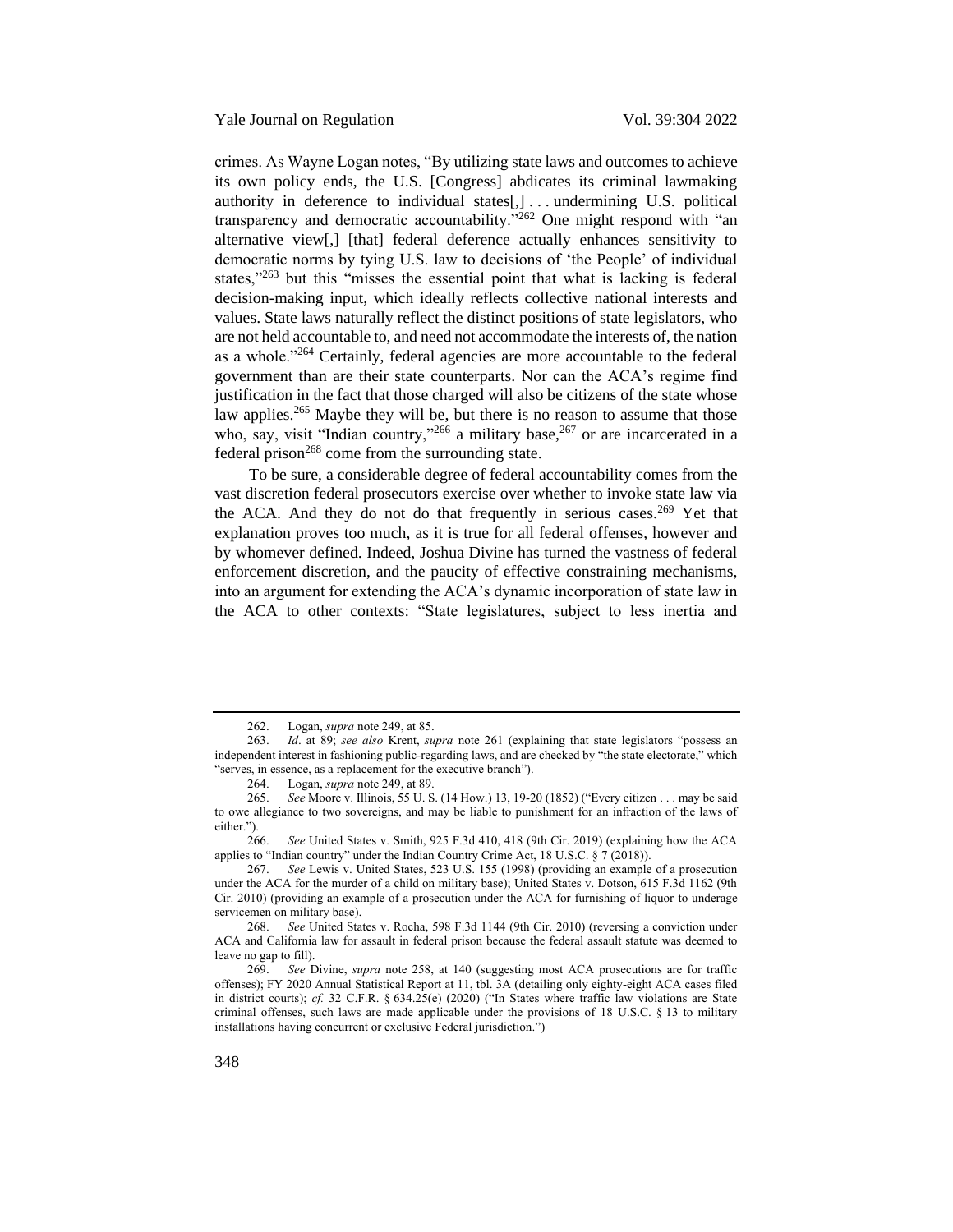Yale Journal on Regulation Vol. 39:304 2022

crimes. As Wayne Logan notes, "By utilizing state laws and outcomes to achieve its own policy ends, the U.S. [Congress] abdicates its criminal lawmaking authority in deference to individual states[,] . . . undermining U.S. political transparency and democratic accountability."<sup>262</sup> One might respond with "an alternative view[,] [that] federal deference actually enhances sensitivity to democratic norms by tying U.S. law to decisions of 'the People' of individual states,"<sup>263</sup> but this "misses the essential point that what is lacking is federal decision-making input, which ideally reflects collective national interests and values. State laws naturally reflect the distinct positions of state legislators, who are not held accountable to, and need not accommodate the interests of, the nation as a whole."<sup>264</sup> Certainly, federal agencies are more accountable to the federal government than are their state counterparts. Nor can the ACA's regime find justification in the fact that those charged will also be citizens of the state whose law applies.<sup>265</sup> Maybe they will be, but there is no reason to assume that those who, say, visit "Indian country,"<sup>266</sup> a military base,<sup>267</sup> or are incarcerated in a federal prison<sup>268</sup> come from the surrounding state.

To be sure, a considerable degree of federal accountability comes from the vast discretion federal prosecutors exercise over whether to invoke state law via the ACA. And they do not do that frequently in serious cases.<sup>269</sup> Yet that explanation proves too much, as it is true for all federal offenses, however and by whomever defined. Indeed, Joshua Divine has turned the vastness of federal enforcement discretion, and the paucity of effective constraining mechanisms, into an argument for extending the ACA's dynamic incorporation of state law in the ACA to other contexts: "State legislatures, subject to less inertia and

<sup>262.</sup> Logan, *supra* not[e 249,](#page-41-0) at 85.<br>263. *Id.* at 89: see also Krent. su

<sup>263.</sup> *Id*. at 89; *see also* Krent, *supra* note [261](#page-43-0) (explaining that state legislators "possess an independent interest in fashioning public-regarding laws, and are checked by "the state electorate," which "serves, in essence, as a replacement for the executive branch").

<sup>264.</sup> Logan, *supra* not[e 249,](#page-41-0) at 89.

<sup>265.</sup> *See* Moore v. Illinois, 55 U. S. (14 How.) 13, 19-20 (1852) ("Every citizen . . . may be said to owe allegiance to two sovereigns, and may be liable to punishment for an infraction of the laws of either.").

<sup>266.</sup> *See* United States v. Smith, 925 F.3d 410, 418 (9th Cir. 2019) (explaining how the ACA applies to "Indian country" under the Indian Country Crime Act, 18 U.S.C. § 7 (2018)).

<sup>267.</sup> *See* Lewis v. United States, 523 U.S. 155 (1998) (providing an example of a prosecution under the ACA for the murder of a child on military base); United States v. Dotson, 615 F.3d 1162 (9th Cir. 2010) (providing an example of a prosecution under the ACA for furnishing of liquor to underage servicemen on military base).

<sup>268.</sup> *See* United States v. Rocha, 598 F.3d 1144 (9th Cir. 2010) (reversing a conviction under ACA and California law for assault in federal prison because the federal assault statute was deemed to leave no gap to fill).

<sup>269.</sup> *See* Divine, *supra* note 258, at 140 (suggesting most ACA prosecutions are for traffic offenses); FY 2020 Annual Statistical Report at 11, tbl. 3A (detailing only eighty-eight ACA cases filed in district courts); *cf.* 32 C.F.R. § 634.25(e) (2020) ("In States where traffic law violations are State criminal offenses, such laws are made applicable under the provisions of 18 U.S.C.  $\S$  13 to military installations having concurrent or exclusive Federal jurisdiction.")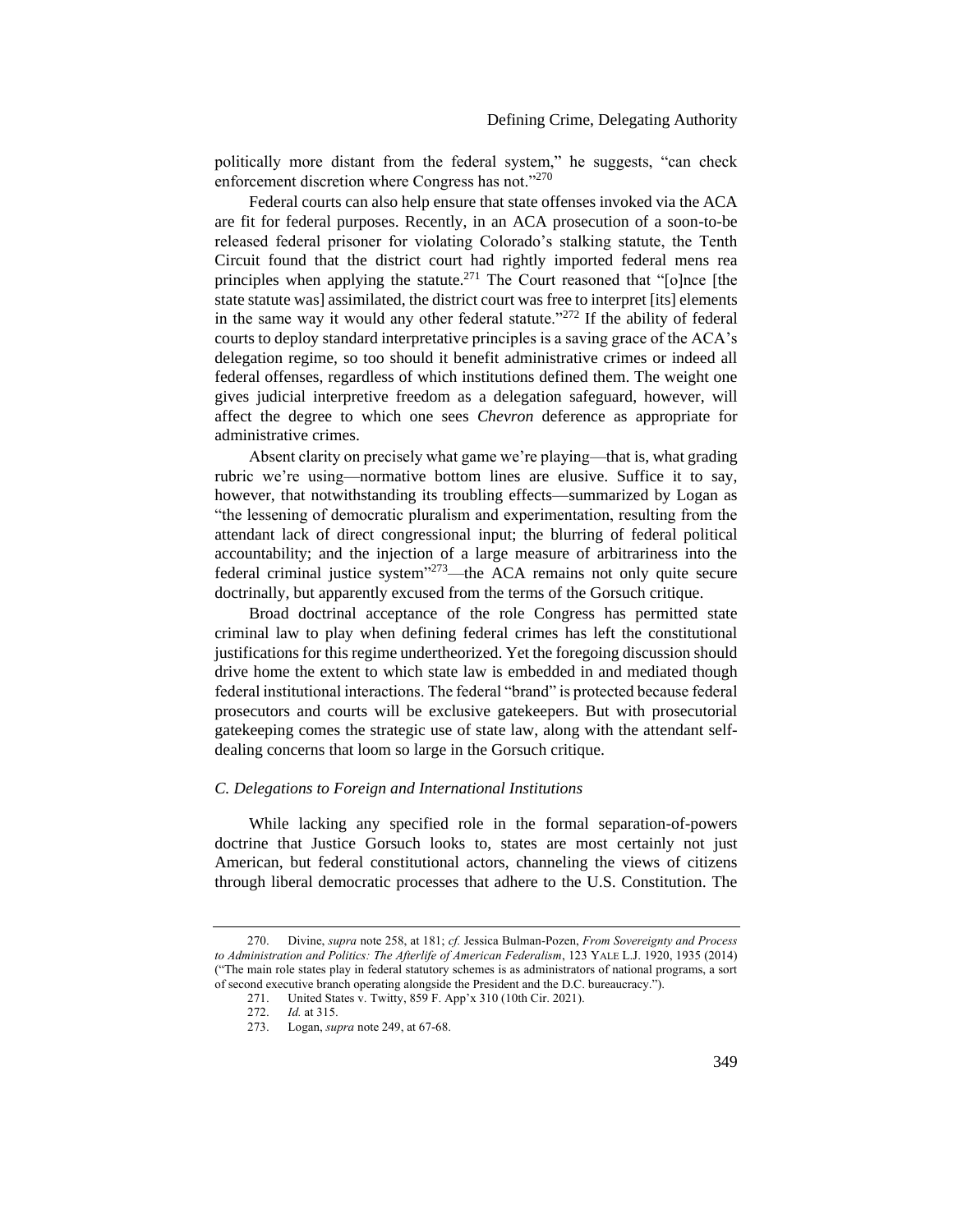politically more distant from the federal system," he suggests, "can check enforcement discretion where Congress has not."<sup>270</sup>

<span id="page-45-1"></span>Federal courts can also help ensure that state offenses invoked via the ACA are fit for federal purposes. Recently, in an ACA prosecution of a soon-to-be released federal prisoner for violating Colorado's stalking statute, the Tenth Circuit found that the district court had rightly imported federal mens rea principles when applying the statute.<sup>271</sup> The Court reasoned that "[o]nce [the state statute was] assimilated, the district court was free to interpret [its] elements in the same way it would any other federal statute." $272$  If the ability of federal courts to deploy standard interpretative principles is a saving grace of the ACA's delegation regime, so too should it benefit administrative crimes or indeed all federal offenses, regardless of which institutions defined them. The weight one gives judicial interpretive freedom as a delegation safeguard, however, will affect the degree to which one sees *Chevron* deference as appropriate for administrative crimes.

Absent clarity on precisely what game we're playing—that is, what grading rubric we're using—normative bottom lines are elusive. Suffice it to say, however, that notwithstanding its troubling effects—summarized by Logan as "the lessening of democratic pluralism and experimentation, resulting from the attendant lack of direct congressional input; the blurring of federal political accountability; and the injection of a large measure of arbitrariness into the federal criminal justice system<sup>"273</sup>—the ACA remains not only quite secure doctrinally, but apparently excused from the terms of the Gorsuch critique.

Broad doctrinal acceptance of the role Congress has permitted state criminal law to play when defining federal crimes has left the constitutional justifications for this regime undertheorized. Yet the foregoing discussion should drive home the extent to which state law is embedded in and mediated though federal institutional interactions. The federal "brand" is protected because federal prosecutors and courts will be exclusive gatekeepers. But with prosecutorial gatekeeping comes the strategic use of state law, along with the attendant selfdealing concerns that loom so large in the Gorsuch critique.

### <span id="page-45-0"></span>*C. Delegations to Foreign and International Institutions*

While lacking any specified role in the formal separation-of-powers doctrine that Justice Gorsuch looks to, states are most certainly not just American, but federal constitutional actors, channeling the views of citizens through liberal democratic processes that adhere to the U.S. Constitution. The

<sup>270.</sup> Divine, *supra* not[e 258,](#page-43-1) at 181; *cf.* Jessica Bulman-Pozen, *From Sovereignty and Process to Administration and Politics: The Afterlife of American Federalism*, 123 YALE L.J. 1920, 1935 (2014) ("The main role states play in federal statutory schemes is as administrators of national programs, a sort of second executive branch operating alongside the President and the D.C. bureaucracy.").<br>271. United States v. Twitty, 859 F. App'x 310 (10th Cir. 2021).

United States v. Twitty, 859 F. App'x 310 (10th Cir. 2021).

<sup>272.</sup> *Id.* at 315.

<sup>273.</sup> Logan, *supra* not[e 249,](#page-41-0) at 67-68.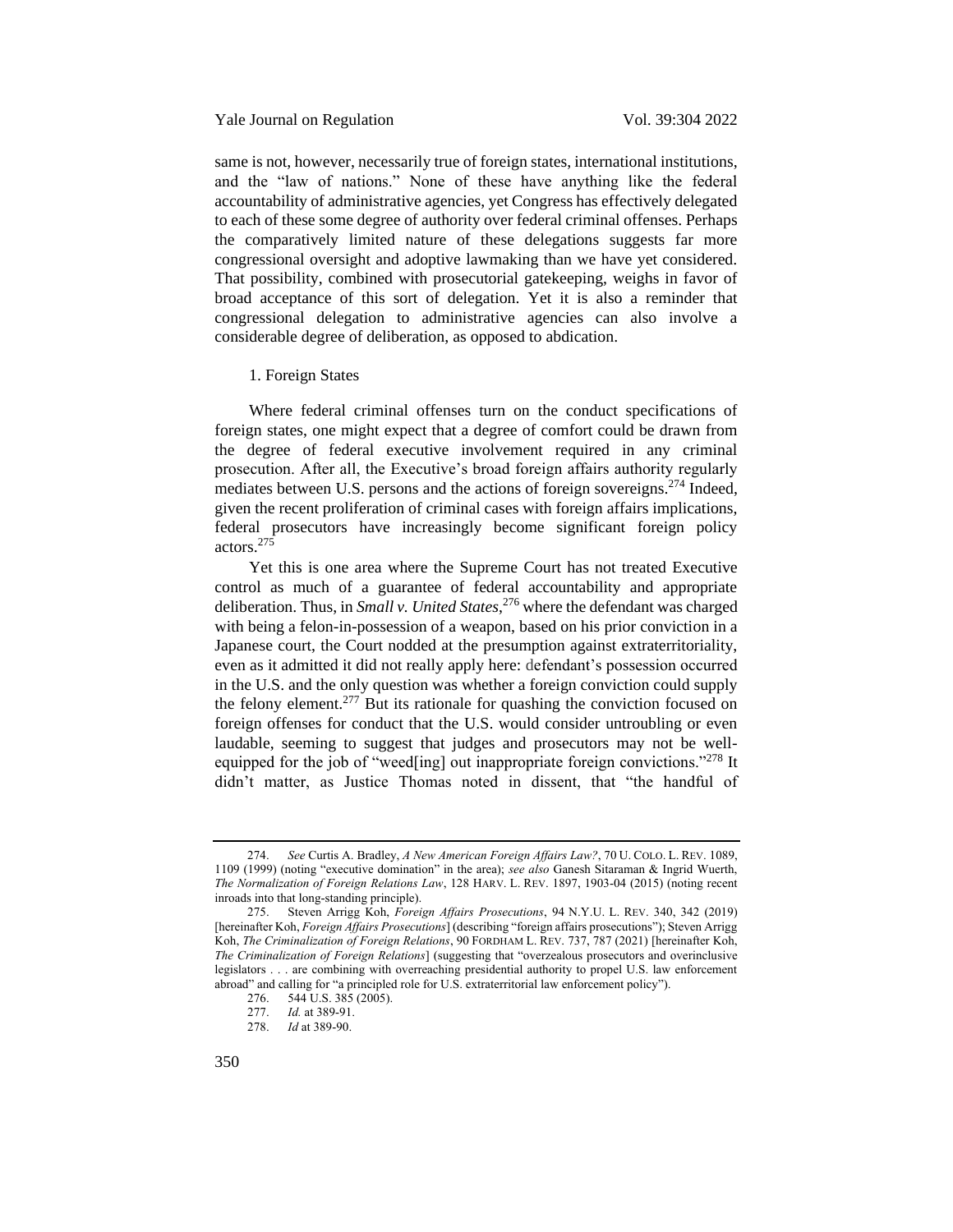### Yale Journal on Regulation Vol. 39:304 2022

same is not, however, necessarily true of foreign states, international institutions, and the "law of nations." None of these have anything like the federal accountability of administrative agencies, yet Congress has effectively delegated to each of these some degree of authority over federal criminal offenses. Perhaps the comparatively limited nature of these delegations suggests far more congressional oversight and adoptive lawmaking than we have yet considered. That possibility, combined with prosecutorial gatekeeping, weighs in favor of broad acceptance of this sort of delegation. Yet it is also a reminder that congressional delegation to administrative agencies can also involve a considerable degree of deliberation, as opposed to abdication.

# <span id="page-46-0"></span>1. Foreign States

Where federal criminal offenses turn on the conduct specifications of foreign states, one might expect that a degree of comfort could be drawn from the degree of federal executive involvement required in any criminal prosecution. After all, the Executive's broad foreign affairs authority regularly mediates between U.S. persons and the actions of foreign sovereigns.<sup>274</sup> Indeed, given the recent proliferation of criminal cases with foreign affairs implications, federal prosecutors have increasingly become significant foreign policy actors.<sup>275</sup>

<span id="page-46-1"></span>Yet this is one area where the Supreme Court has not treated Executive control as much of a guarantee of federal accountability and appropriate deliberation. Thus, in *Small v. United States*, <sup>276</sup> where the defendant was charged with being a felon-in-possession of a weapon, based on his prior conviction in a Japanese court, the Court nodded at the presumption against extraterritoriality, even as it admitted it did not really apply here: defendant's possession occurred in the U.S. and the only question was whether a foreign conviction could supply the felony element.<sup>277</sup> But its rationale for quashing the conviction focused on foreign offenses for conduct that the U.S. would consider untroubling or even laudable, seeming to suggest that judges and prosecutors may not be wellequipped for the job of "weed[ing] out inappropriate foreign convictions."<sup>278</sup> It didn't matter, as Justice Thomas noted in dissent, that "the handful of

<sup>274.</sup> *See* Curtis A. Bradley, *A New American Foreign Affairs Law?*, 70 U. COLO. L. REV. 1089, 1109 (1999) (noting "executive domination" in the area); *see also* Ganesh Sitaraman & Ingrid Wuerth, *The Normalization of Foreign Relations Law*, 128 HARV. L. REV. 1897, 1903-04 (2015) (noting recent inroads into that long-standing principle).

<sup>275.</sup> Steven Arrigg Koh, *Foreign Affairs Prosecutions*, 94 N.Y.U. L. REV. 340, 342 (2019) [hereinafter Koh, *Foreign Affairs Prosecutions*] (describing "foreign affairs prosecutions"); Steven Arrigg Koh, *The Criminalization of Foreign Relations*, 90 FORDHAM L. REV. 737, 787 (2021) [hereinafter Koh, *The Criminalization of Foreign Relations*] (suggesting that "overzealous prosecutors and overinclusive legislators . . . are combining with overreaching presidential authority to propel U.S. law enforcement abroad" and calling for "a principled role for U.S. extraterritorial law enforcement policy").<br>276. 544 U.S. 385 (2005).

<sup>276. 544</sup> U.S. 385 (2005).<br>277 Id at 389-91

*Id.* at 389-91.

<sup>278.</sup> *Id* at 389-90.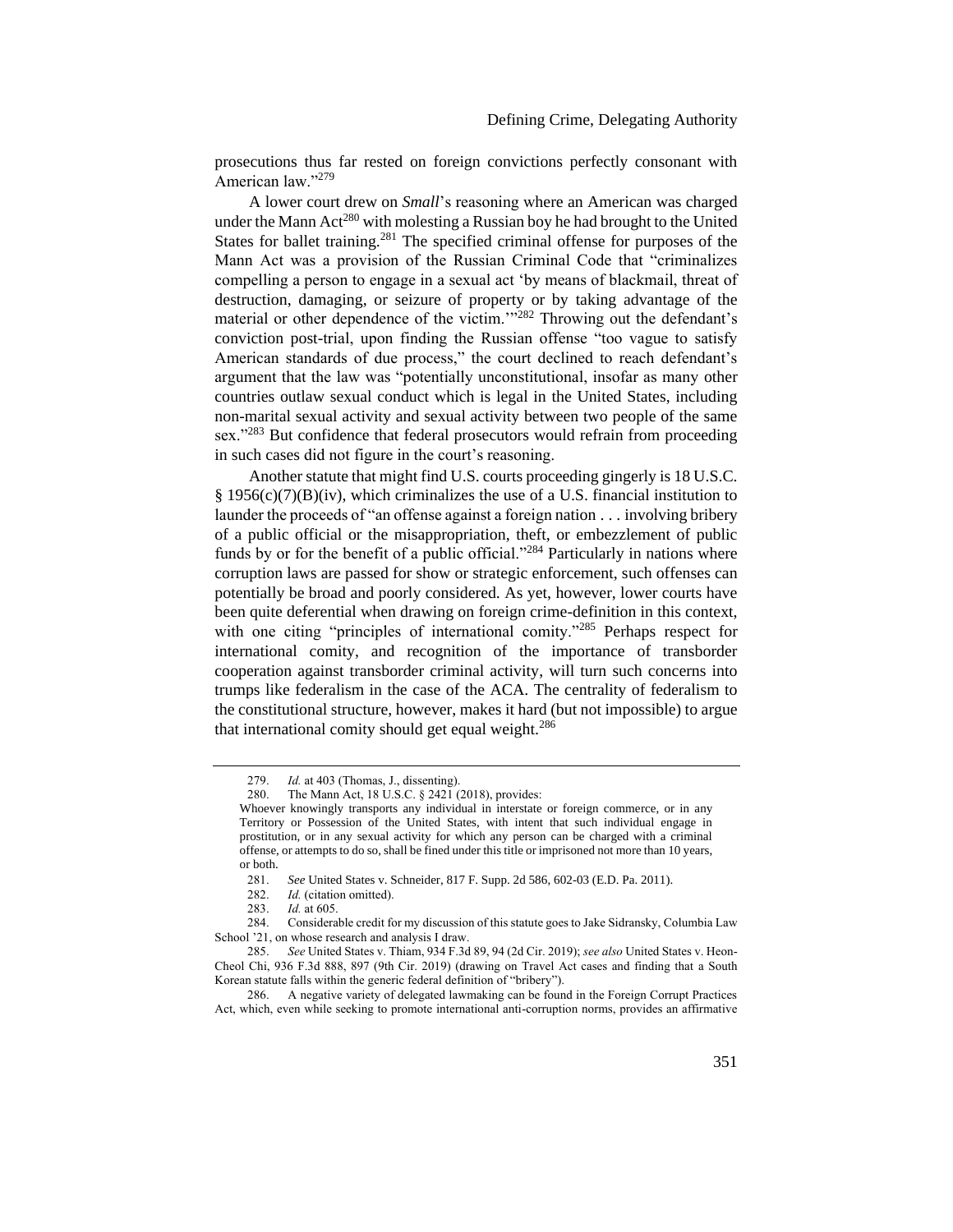prosecutions thus far rested on foreign convictions perfectly consonant with American law."<sup>279</sup>

A lower court drew on *Small*'s reasoning where an American was charged under the Mann Act<sup>280</sup> with molesting a Russian boy he had brought to the United States for ballet training.<sup>281</sup> The specified criminal offense for purposes of the Mann Act was a provision of the Russian Criminal Code that "criminalizes compelling a person to engage in a sexual act 'by means of blackmail, threat of destruction, damaging, or seizure of property or by taking advantage of the material or other dependence of the victim."<sup>282</sup> Throwing out the defendant's conviction post-trial, upon finding the Russian offense "too vague to satisfy American standards of due process," the court declined to reach defendant's argument that the law was "potentially unconstitutional, insofar as many other countries outlaw sexual conduct which is legal in the United States, including non-marital sexual activity and sexual activity between two people of the same sex."<sup>283</sup> But confidence that federal prosecutors would refrain from proceeding in such cases did not figure in the court's reasoning.

Another statute that might find U.S. courts proceeding gingerly is 18 U.S.C.  $§$  1956(c)(7)(B)(iv), which criminalizes the use of a U.S. financial institution to launder the proceeds of "an offense against a foreign nation . . . involving bribery of a public official or the misappropriation, theft, or embezzlement of public funds by or for the benefit of a public official."<sup>284</sup> Particularly in nations where corruption laws are passed for show or strategic enforcement, such offenses can potentially be broad and poorly considered. As yet, however, lower courts have been quite deferential when drawing on foreign crime-definition in this context, with one citing "principles of international comity."<sup>285</sup> Perhaps respect for international comity, and recognition of the importance of transborder cooperation against transborder criminal activity, will turn such concerns into trumps like federalism in the case of the ACA. The centrality of federalism to the constitutional structure, however, makes it hard (but not impossible) to argue that international comity should get equal weight.<sup>286</sup>

<sup>279.</sup> *Id.* at 403 (Thomas, J., dissenting).

<sup>280.</sup> The Mann Act, 18 U.S.C. § 2421 (2018), provides:

Whoever knowingly transports any individual in interstate or foreign commerce, or in any Territory or Possession of the United States, with intent that such individual engage in prostitution, or in any sexual activity for which any person can be charged with a criminal offense, or attempts to do so, shall be fined under this title or imprisoned not more than 10 years, or both.

<sup>281.</sup> *See* United States v. Schneider, 817 F. Supp. 2d 586, 602-03 (E.D. Pa. 2011).

<sup>282.</sup> *Id.* (citation omitted).

<sup>283.</sup> *Id.* at 605.

<sup>284.</sup> Considerable credit for my discussion of this statute goes to Jake Sidransky, Columbia Law School '21, on whose research and analysis I draw.

<sup>285.</sup> *See* United States v. Thiam, 934 F.3d 89, 94 (2d Cir. 2019); *see also* United States v. Heon-Cheol Chi, 936 F.3d 888, 897 (9th Cir. 2019) (drawing on Travel Act cases and finding that a South Korean statute falls within the generic federal definition of "bribery").

<sup>286.</sup> A negative variety of delegated lawmaking can be found in the Foreign Corrupt Practices Act, which, even while seeking to promote international anti-corruption norms, provides an affirmative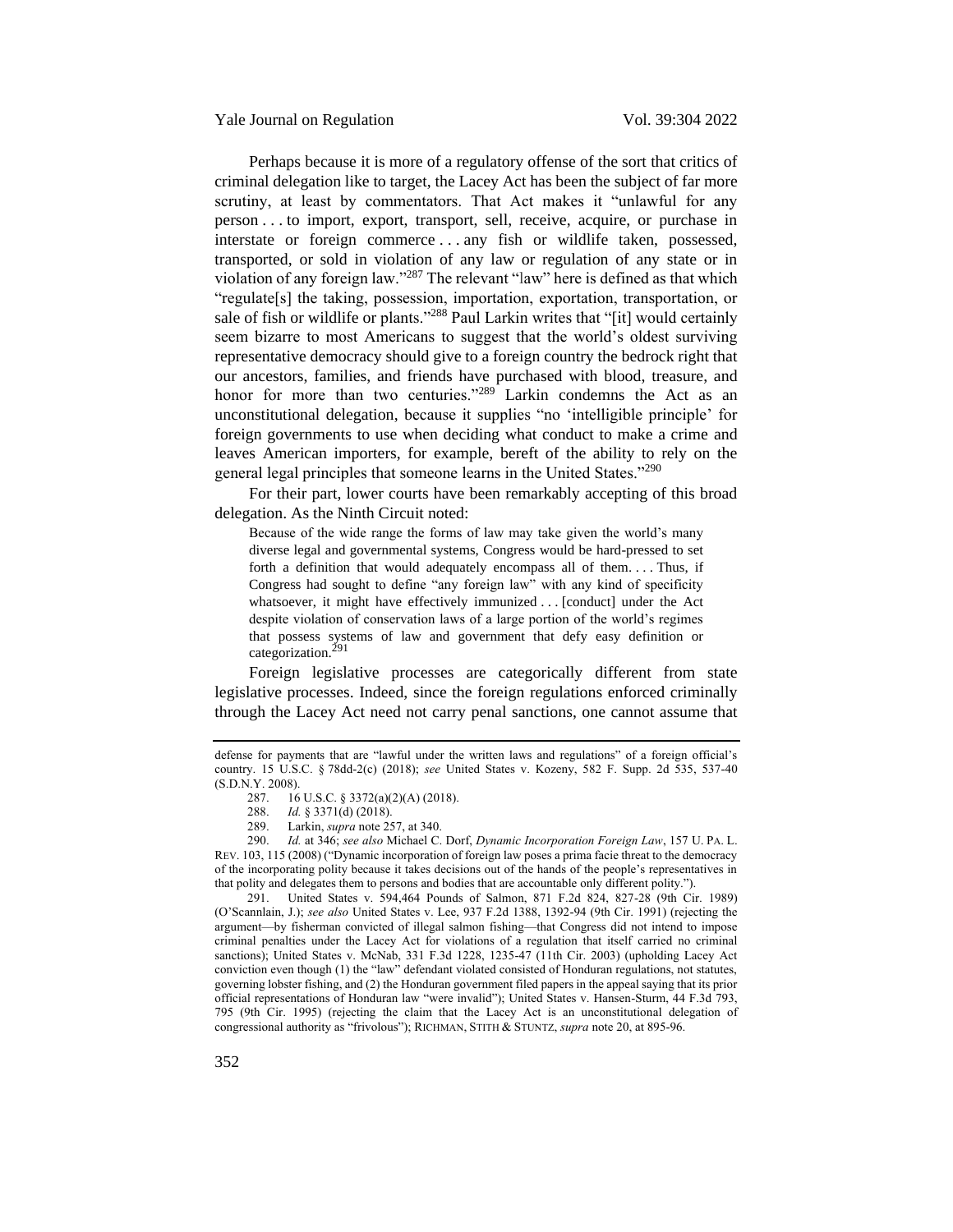Yale Journal on Regulation Vol. 39:304 2022

Perhaps because it is more of a regulatory offense of the sort that critics of criminal delegation like to target, the Lacey Act has been the subject of far more scrutiny, at least by commentators. That Act makes it "unlawful for any person . . . to import, export, transport, sell, receive, acquire, or purchase in interstate or foreign commerce . . . any fish or wildlife taken, possessed, transported, or sold in violation of any law or regulation of any state or in violation of any foreign law."<sup>287</sup> The relevant "law" here is defined as that which "regulate[s] the taking, possession, importation, exportation, transportation, or sale of fish or wildlife or plants."<sup>288</sup> Paul Larkin writes that "[it] would certainly seem bizarre to most Americans to suggest that the world's oldest surviving representative democracy should give to a foreign country the bedrock right that our ancestors, families, and friends have purchased with blood, treasure, and honor for more than two centuries."<sup>289</sup> Larkin condemns the Act as an unconstitutional delegation, because it supplies "no 'intelligible principle' for foreign governments to use when deciding what conduct to make a crime and leaves American importers, for example, bereft of the ability to rely on the general legal principles that someone learns in the United States."<sup>290</sup>

For their part, lower courts have been remarkably accepting of this broad delegation. As the Ninth Circuit noted:

<span id="page-48-0"></span>Because of the wide range the forms of law may take given the world's many diverse legal and governmental systems, Congress would be hard-pressed to set forth a definition that would adequately encompass all of them. . . . Thus, if Congress had sought to define "any foreign law" with any kind of specificity whatsoever, it might have effectively immunized . . . [conduct] under the Act despite violation of conservation laws of a large portion of the world's regimes that possess systems of law and government that defy easy definition or categorization.<sup>291</sup>

Foreign legislative processes are categorically different from state legislative processes. Indeed, since the foreign regulations enforced criminally through the Lacey Act need not carry penal sanctions, one cannot assume that

291. United States v. 594,464 Pounds of Salmon, 871 F.2d 824, 827-28 (9th Cir. 1989) (O'Scannlain, J.); *see also* United States v. Lee, 937 F.2d 1388, 1392-94 (9th Cir. 1991) (rejecting the argument—by fisherman convicted of illegal salmon fishing—that Congress did not intend to impose criminal penalties under the Lacey Act for violations of a regulation that itself carried no criminal sanctions); United States v. McNab, 331 F.3d 1228, 1235-47 (11th Cir. 2003) (upholding Lacey Act conviction even though (1) the "law" defendant violated consisted of Honduran regulations, not statutes, governing lobster fishing, and (2) the Honduran government filed papers in the appeal saying that its prior official representations of Honduran law "were invalid"); United States v. Hansen-Sturm, 44 F.3d 793, 795 (9th Cir. 1995) (rejecting the claim that the Lacey Act is an unconstitutional delegation of congressional authority as "frivolous"); RICHMAN, STITH & STUNTZ, *supra* not[e 20,](#page-5-0) at 895-96.

defense for payments that are "lawful under the written laws and regulations" of a foreign official's country. 15 U.S.C. § 78dd-2(c) (2018); *see* United States v. Kozeny, 582 F. Supp. 2d 535, 537-40 (S.D.N.Y. 2008).<br>287. 16

<sup>16</sup> U.S.C. § 3372(a)(2)(A) (2018).

<sup>288.</sup> *Id.* § 3371(d) (2018).

<sup>289.</sup> Larkin, *supra* not[e 257,](#page-43-2) at 340.

<sup>290.</sup> *Id.* at 346; *see also* Michael C. Dorf, *Dynamic Incorporation Foreign Law*, 157 U. PA. L. REV. 103, 115 (2008) ("Dynamic incorporation of foreign law poses a prima facie threat to the democracy of the incorporating polity because it takes decisions out of the hands of the people's representatives in that polity and delegates them to persons and bodies that are accountable only different polity.").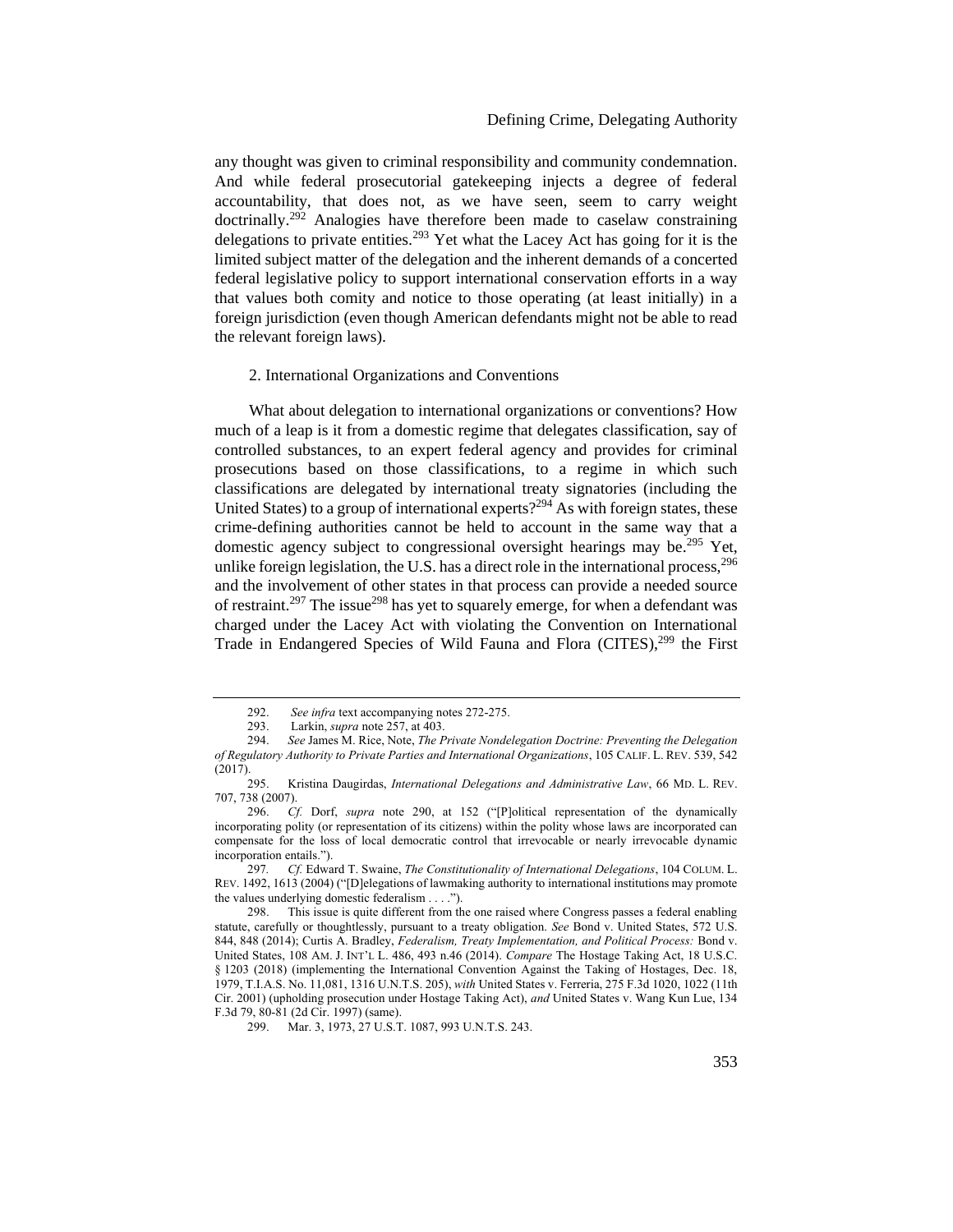# Defining Crime, Delegating Authority

any thought was given to criminal responsibility and community condemnation. And while federal prosecutorial gatekeeping injects a degree of federal accountability, that does not, as we have seen, seem to carry weight doctrinally.<sup>292</sup> Analogies have therefore been made to caselaw constraining delegations to private entities.<sup>293</sup> Yet what the Lacey Act has going for it is the limited subject matter of the delegation and the inherent demands of a concerted federal legislative policy to support international conservation efforts in a way that values both comity and notice to those operating (at least initially) in a foreign jurisdiction (even though American defendants might not be able to read the relevant foreign laws).

# <span id="page-49-0"></span>2. International Organizations and Conventions

What about delegation to international organizations or conventions? How much of a leap is it from a domestic regime that delegates classification, say of controlled substances, to an expert federal agency and provides for criminal prosecutions based on those classifications, to a regime in which such classifications are delegated by international treaty signatories (including the United States) to a group of international experts?<sup>294</sup> As with foreign states, these crime-defining authorities cannot be held to account in the same way that a domestic agency subject to congressional oversight hearings may be.<sup>295</sup> Yet, unlike foreign legislation, the U.S. has a direct role in the international process.<sup>296</sup> and the involvement of other states in that process can provide a needed source of restraint.<sup>297</sup> The issue<sup>298</sup> has yet to squarely emerge, for when a defendant was charged under the Lacey Act with violating the Convention on International Trade in Endangered Species of Wild Fauna and Flora (CITES),<sup>299</sup> the First

<sup>292.</sup> *See infra* text accompanying note[s 272](#page-45-1)[-275.](#page-46-1)

<sup>293.</sup> Larkin, *supra* not[e 257,](#page-43-2) at 403.<br>294. See James M. Rice. Note. The P.

<sup>294.</sup> *See* James M. Rice, Note, *The Private Nondelegation Doctrine: Preventing the Delegation of Regulatory Authority to Private Parties and International Organizations*, 105 CALIF. L. REV. 539, 542  $(2017)$ .<br>295.

<sup>295.</sup> Kristina Daugirdas, *International Delegations and Administrative Law*, 66 MD. L. REV. 707, 738 (2007).

<sup>296.</sup> *Cf.* Dorf, *supra* note [290,](#page-48-0) at 152 ("[P]olitical representation of the dynamically incorporating polity (or representation of its citizens) within the polity whose laws are incorporated can compensate for the loss of local democratic control that irrevocable or nearly irrevocable dynamic incorporation entails.").

<sup>297</sup>*. Cf.* Edward T. Swaine, *The Constitutionality of International Delegations*, 104 COLUM. L. REV. 1492, 1613 (2004) ("[D]elegations of lawmaking authority to international institutions may promote the values underlying domestic federalism . . . .").

<sup>298.</sup> This issue is quite different from the one raised where Congress passes a federal enabling statute, carefully or thoughtlessly, pursuant to a treaty obligation. *See* Bond v. United States, 572 U.S. 844, 848 (2014); Curtis A. Bradley, *Federalism, Treaty Implementation, and Political Process:* Bond v. United States, 108 AM. J. INT'L L. 486, 493 n.46 (2014). *Compare* The Hostage Taking Act, 18 U.S.C. § 1203 (2018) (implementing the International Convention Against the Taking of Hostages, Dec. 18, 1979, T.I.A.S. No. 11,081, 1316 U.N.T.S. 205), *with* United States v. Ferreria, 275 F.3d 1020, 1022 (11th Cir. 2001) (upholding prosecution under Hostage Taking Act), *and* United States v. Wang Kun Lue, 134 F.3d 79, 80-81 (2d Cir. 1997) (same).

<sup>299.</sup> Mar. 3, 1973, 27 U.S.T. 1087, 993 U.N.T.S. 243.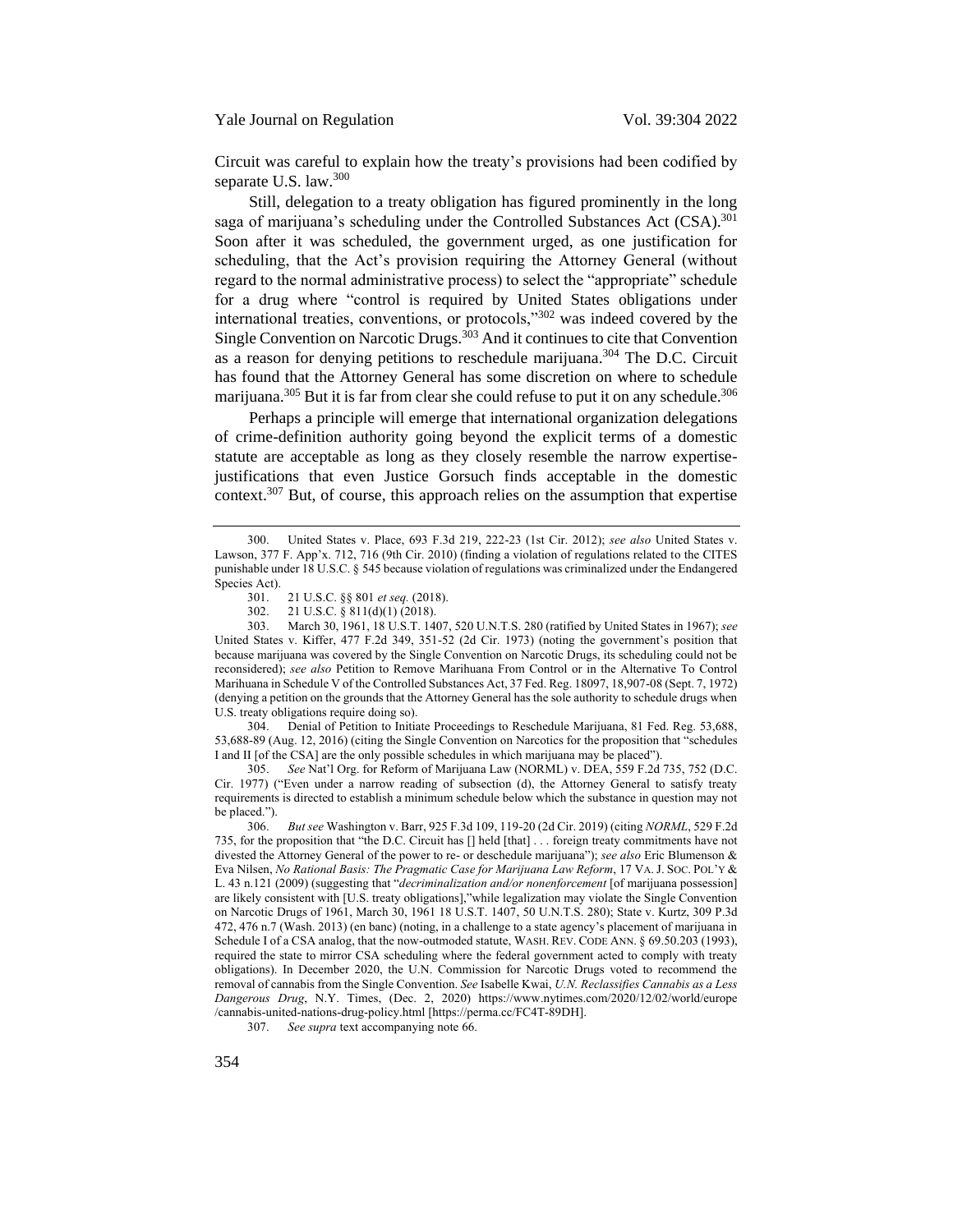Circuit was careful to explain how the treaty's provisions had been codified by separate U.S. law.<sup>300</sup>

Still, delegation to a treaty obligation has figured prominently in the long saga of marijuana's scheduling under the Controlled Substances Act (CSA).<sup>301</sup> Soon after it was scheduled, the government urged, as one justification for scheduling, that the Act's provision requiring the Attorney General (without regard to the normal administrative process) to select the "appropriate" schedule for a drug where "control is required by United States obligations under international treaties, conventions, or protocols,"<sup>302</sup> was indeed covered by the Single Convention on Narcotic Drugs.<sup>303</sup> And it continues to cite that Convention as a reason for denying petitions to reschedule marijuana.<sup>304</sup> The D.C. Circuit has found that the Attorney General has some discretion on where to schedule marijuana.<sup>305</sup> But it is far from clear she could refuse to put it on any schedule.<sup>306</sup>

Perhaps a principle will emerge that international organization delegations of crime-definition authority going beyond the explicit terms of a domestic statute are acceptable as long as they closely resemble the narrow expertisejustifications that even Justice Gorsuch finds acceptable in the domestic context.<sup>307</sup> But, of course, this approach relies on the assumption that expertise

304. Denial of Petition to Initiate Proceedings to Reschedule Marijuana, 81 Fed. Reg. 53,688, 53,688-89 (Aug. 12, 2016) (citing the Single Convention on Narcotics for the proposition that "schedules I and II [of the CSA] are the only possible schedules in which marijuana may be placed").

305. *See* Nat'l Org. for Reform of Marijuana Law (NORML) v. DEA, 559 F.2d 735, 752 (D.C. Cir. 1977) ("Even under a narrow reading of subsection (d), the Attorney General to satisfy treaty requirements is directed to establish a minimum schedule below which the substance in question may not be placed.").

<sup>300.</sup> United States v. Place, 693 F.3d 219, 222-23 (1st Cir. 2012); *see also* United States v. Lawson, 377 F. App'x. 712, 716 (9th Cir. 2010) (finding a violation of regulations related to the CITES punishable under 18 U.S.C. § 545 because violation of regulations was criminalized under the Endangered Species Act).

<sup>301.</sup> 21 U.S.C. §§ 801 *et seq.* (2018).

<sup>302. 21</sup> U.S.C. § 811(d)(1) (2018).<br>303 March 30 1961 18 U.S.T. 140

<sup>303.</sup> March 30, 1961, 18 U.S.T. 1407, 520 U.N.T.S. 280 (ratified by United States in 1967); *see* United States v. Kiffer, 477 F.2d 349, 351-52 (2d Cir. 1973) (noting the government's position that because marijuana was covered by the Single Convention on Narcotic Drugs, its scheduling could not be reconsidered); *see also* Petition to Remove Marihuana From Control or in the Alternative To Control Marihuana in Schedule V of the Controlled Substances Act, 37 Fed. Reg. 18097, 18,907-08 (Sept. 7, 1972) (denying a petition on the grounds that the Attorney General has the sole authority to schedule drugs when U.S. treaty obligations require doing so).

<sup>306.</sup> *But see* Washington v. Barr, 925 F.3d 109, 119-20 (2d Cir. 2019) (citing *NORML*, 529 F.2d 735, for the proposition that "the D.C. Circuit has [] held [that] . . . foreign treaty commitments have not divested the Attorney General of the power to re- or deschedule marijuana"); *see also* Eric Blumenson & Eva Nilsen, *No Rational Basis: The Pragmatic Case for Marijuana Law Reform*, 17 VA.J. SOC. POL'Y & L. 43 n.121 (2009) (suggesting that "*decriminalization and/or nonenforcement* [of marijuana possession] are likely consistent with [U.S. treaty obligations],"while legalization may violate the Single Convention on Narcotic Drugs of 1961, March 30, 1961 18 U.S.T. 1407, 50 U.N.T.S. 280); State v. Kurtz, 309 P.3d 472, 476 n.7 (Wash. 2013) (en banc) (noting, in a challenge to a state agency's placement of marijuana in Schedule I of a CSA analog, that the now-outmoded statute, WASH. REV. CODE ANN. § 69.50.203 (1993), required the state to mirror CSA scheduling where the federal government acted to comply with treaty obligations). In December 2020, the U.N. Commission for Narcotic Drugs voted to recommend the removal of cannabis from the Single Convention. *See* Isabelle Kwai, *U.N. Reclassifies Cannabis as a Less Dangerous Drug*, N.Y. Times, (Dec. 2, 2020) https://www.nytimes.com/2020/12/02/world/europe /cannabis-united-nations-drug-policy.html [https://perma.cc/FC4T-89DH].

<sup>307.</sup> *See supra* text accompanying not[e 66.](#page-13-1)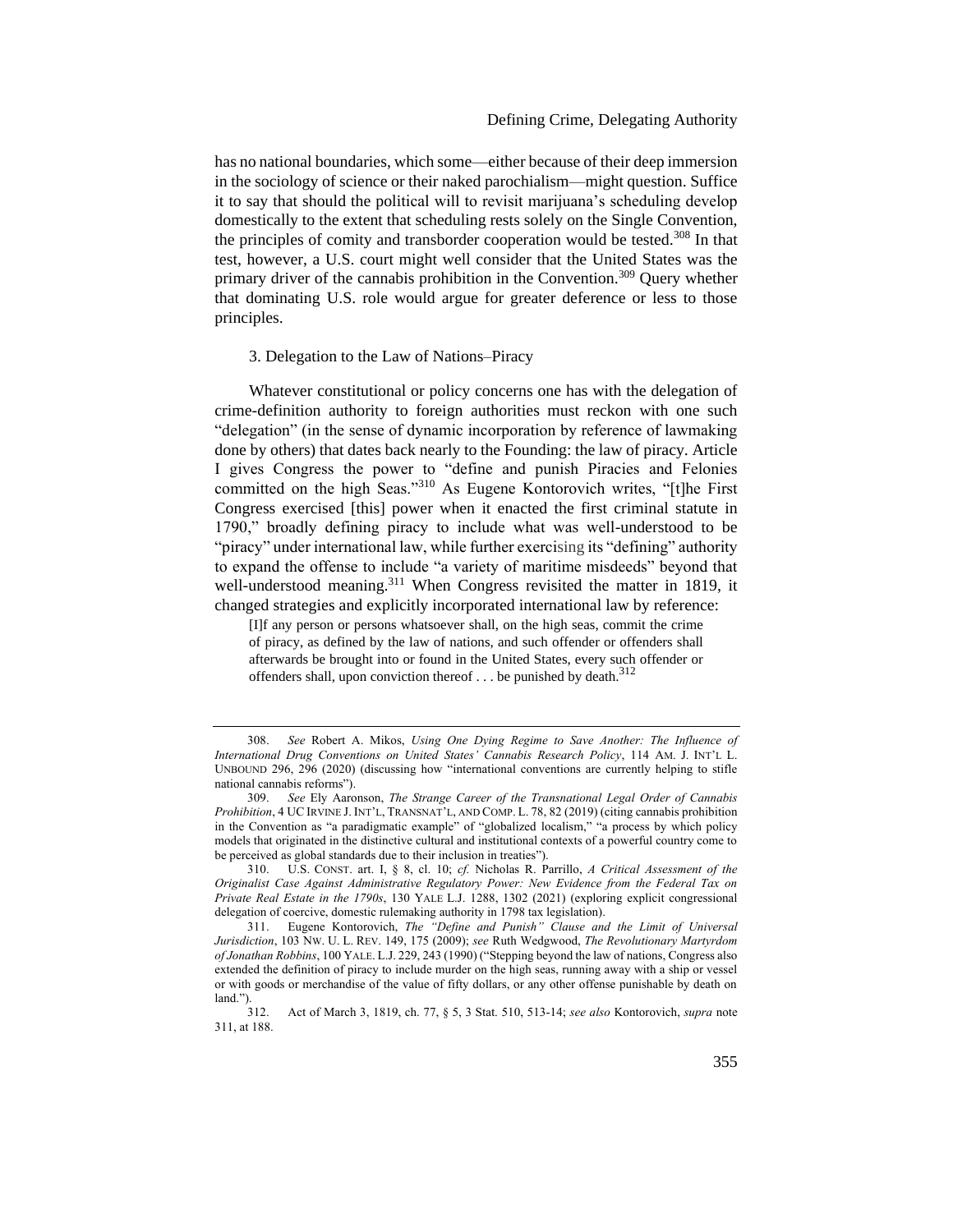### Defining Crime, Delegating Authority

has no national boundaries, which some—either because of their deep immersion in the sociology of science or their naked parochialism—might question. Suffice it to say that should the political will to revisit marijuana's scheduling develop domestically to the extent that scheduling rests solely on the Single Convention, the principles of comity and transborder cooperation would be tested.<sup>308</sup> In that test, however, a U.S. court might well consider that the United States was the primary driver of the cannabis prohibition in the Convention.<sup>309</sup> Ouery whether that dominating U.S. role would argue for greater deference or less to those principles.

### <span id="page-51-0"></span>3. Delegation to the Law of Nations–Piracy

Whatever constitutional or policy concerns one has with the delegation of crime-definition authority to foreign authorities must reckon with one such "delegation" (in the sense of dynamic incorporation by reference of lawmaking done by others) that dates back nearly to the Founding: the law of piracy. Article I gives Congress the power to "define and punish Piracies and Felonies committed on the high Seas."<sup>310</sup> As Eugene Kontorovich writes, "[t]he First Congress exercised [this] power when it enacted the first criminal statute in 1790," broadly defining piracy to include what was well-understood to be "piracy" under international law, while further exercising its "defining" authority to expand the offense to include "a variety of maritime misdeeds" beyond that well-understood meaning.<sup>311</sup> When Congress revisited the matter in 1819, it changed strategies and explicitly incorporated international law by reference:

<span id="page-51-1"></span>[I]f any person or persons whatsoever shall, on the high seas, commit the crime of piracy, as defined by the law of nations, and such offender or offenders shall afterwards be brought into or found in the United States, every such offender or offenders shall, upon conviction thereof  $\dots$  be punished by death.<sup>312</sup>

<sup>308.</sup> *See* Robert A. Mikos, *Using One Dying Regime to Save Another: The Influence of International Drug Conventions on United States' Cannabis Research Policy*, 114 AM. J. INT'L L. UNBOUND 296, 296 (2020) (discussing how "international conventions are currently helping to stifle national cannabis reforms").

<sup>309.</sup> *See* Ely Aaronson, *The Strange Career of the Transnational Legal Order of Cannabis Prohibition*, 4 UC IRVINE J. INT'L, TRANSNAT'L, AND COMP. L. 78, 82 (2019) (citing cannabis prohibition in the Convention as "a paradigmatic example" of "globalized localism," "a process by which policy models that originated in the distinctive cultural and institutional contexts of a powerful country come to be perceived as global standards due to their inclusion in treaties").

<sup>310.</sup> U.S. CONST. art. I, § 8, cl. 10; *cf.* Nicholas R. Parrillo, *A Critical Assessment of the Originalist Case Against Administrative Regulatory Power: New Evidence from the Federal Tax on Private Real Estate in the 1790s*, 130 YALE L.J. 1288, 1302 (2021) (exploring explicit congressional delegation of coercive, domestic rulemaking authority in 1798 tax legislation).

<sup>311.</sup> Eugene Kontorovich, *The "Define and Punish" Clause and the Limit of Universal Jurisdiction*, 103 NW. U. L. REV. 149, 175 (2009); *see* Ruth Wedgwood, *The Revolutionary Martyrdom of Jonathan Robbins*, 100 YALE. L.J. 229, 243 (1990) ("Stepping beyond the law of nations, Congress also extended the definition of piracy to include murder on the high seas, running away with a ship or vessel or with goods or merchandise of the value of fifty dollars, or any other offense punishable by death on  $\frac{\text{land."}}{312.}$ 

<sup>312.</sup> Act of March 3, 1819, ch. 77, § 5, 3 Stat. 510, 513-14; *see also* Kontorovich, *supra* note [311,](#page-51-1) at 188.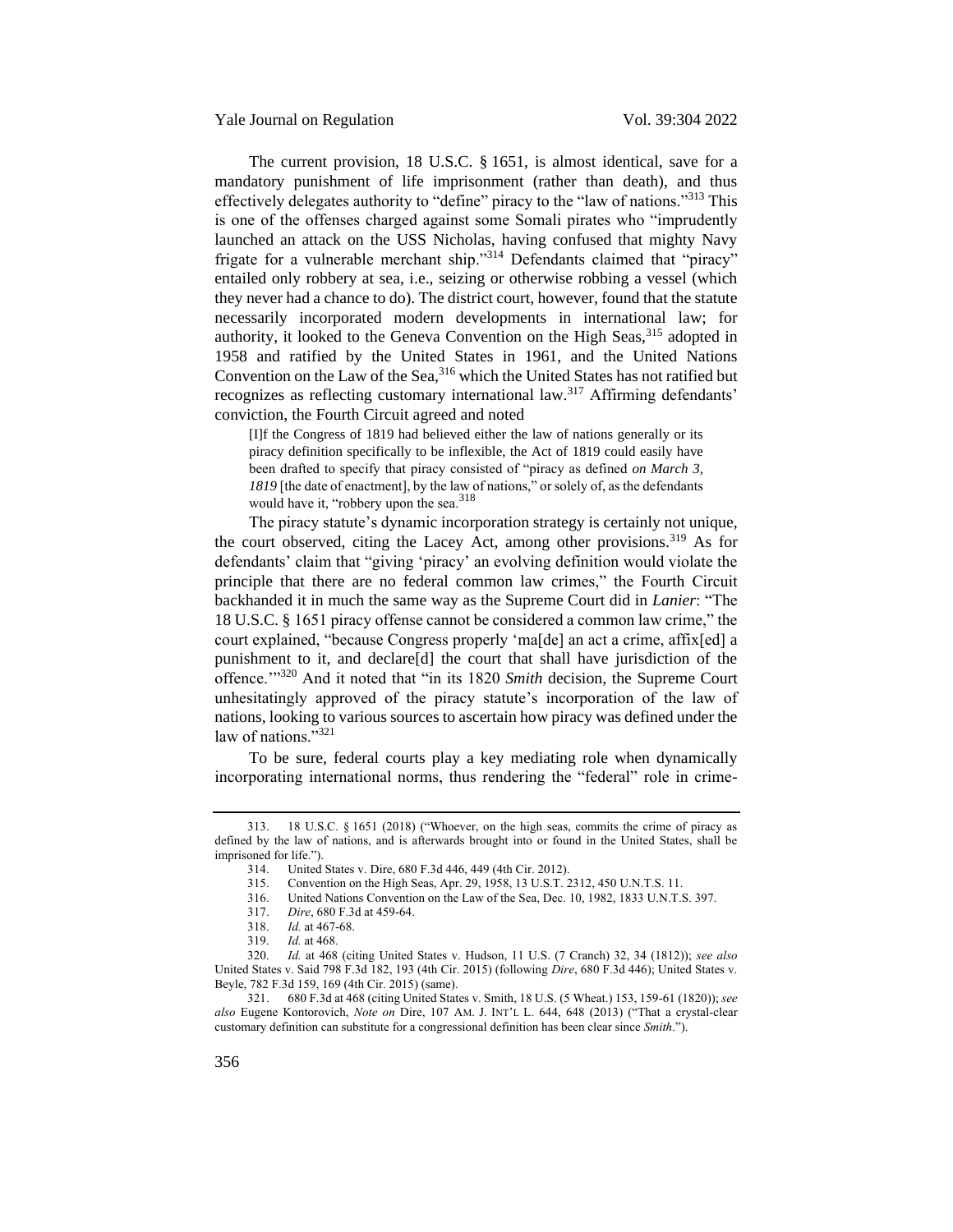Yale Journal on Regulation Vol. 39:304 2022

The current provision, 18 U.S.C. § 1651, is almost identical, save for a mandatory punishment of life imprisonment (rather than death), and thus effectively delegates authority to "define" piracy to the "law of nations."<sup>313</sup> This is one of the offenses charged against some Somali pirates who "imprudently launched an attack on the USS Nicholas, having confused that mighty Navy frigate for a vulnerable merchant ship."<sup>314</sup> Defendants claimed that "piracy" entailed only robbery at sea, i.e., seizing or otherwise robbing a vessel (which they never had a chance to do). The district court, however, found that the statute necessarily incorporated modern developments in international law; for authority, it looked to the Geneva Convention on the High Seas,<sup>315</sup> adopted in 1958 and ratified by the United States in 1961, and the United Nations Convention on the Law of the Sea,<sup>316</sup> which the United States has not ratified but recognizes as reflecting customary international law.<sup>317</sup> Affirming defendants' conviction, the Fourth Circuit agreed and noted

[I]f the Congress of 1819 had believed either the law of nations generally or its piracy definition specifically to be inflexible, the Act of 1819 could easily have been drafted to specify that piracy consisted of "piracy as defined *on March 3, 1819* [the date of enactment], by the law of nations," or solely of, as the defendants would have it, "robbery upon the sea.<sup>318</sup>

The piracy statute's dynamic incorporation strategy is certainly not unique, the court observed, citing the Lacey Act, among other provisions.<sup>319</sup> As for defendants' claim that "giving 'piracy' an evolving definition would violate the principle that there are no federal common law crimes," the Fourth Circuit backhanded it in much the same way as the Supreme Court did in *Lanier*: "The 18 U.S.C. § 1651 piracy offense cannot be considered a common law crime," the court explained, "because Congress properly 'ma[de] an act a crime, affix[ed] a punishment to it, and declare[d] the court that shall have jurisdiction of the offence."<sup>320</sup> And it noted that "in its 1820 *Smith* decision, the Supreme Court unhesitatingly approved of the piracy statute's incorporation of the law of nations, looking to various sources to ascertain how piracy was defined under the law of nations."<sup>321</sup>

<span id="page-52-0"></span>To be sure, federal courts play a key mediating role when dynamically incorporating international norms, thus rendering the "federal" role in crime-

321. 680 F.3d at 468 (citing United States v. Smith, 18 U.S. (5 Wheat.) 153, 159-61 (1820)); *see also* Eugene Kontorovich, *Note on* Dire, 107 AM. J. INT'L L. 644, 648 (2013) ("That a crystal-clear customary definition can substitute for a congressional definition has been clear since *Smith*.").

<sup>313.</sup> 18 U.S.C. § 1651 (2018) ("Whoever, on the high seas, commits the crime of piracy as defined by the law of nations, and is afterwards brought into or found in the United States, shall be imprisoned for life.").

<sup>314.</sup> United States v. Dire, 680 F.3d 446, 449 (4th Cir. 2012).

<sup>315.</sup> Convention on the High Seas, Apr. 29, 1958, 13 U.S.T. 2312, 450 U.N.T.S. 11.

<sup>316.</sup> United Nations Convention on the Law of the Sea, Dec. 10, 1982, 1833 U.N.T.S. 397.

<sup>317.</sup> *Dire*, 680 F.3d at 459-64.

<sup>318.</sup> *Id.* at 467-68.

<sup>319.</sup> *Id.* at 468.

<sup>320.</sup> *Id.* at 468 (citing United States v. Hudson, 11 U.S. (7 Cranch) 32, 34 (1812)); *see also* United States v. Said 798 F.3d 182, 193 (4th Cir. 2015) (following *Dire*, 680 F.3d 446); United States v. Beyle, 782 F.3d 159, 169 (4th Cir. 2015) (same).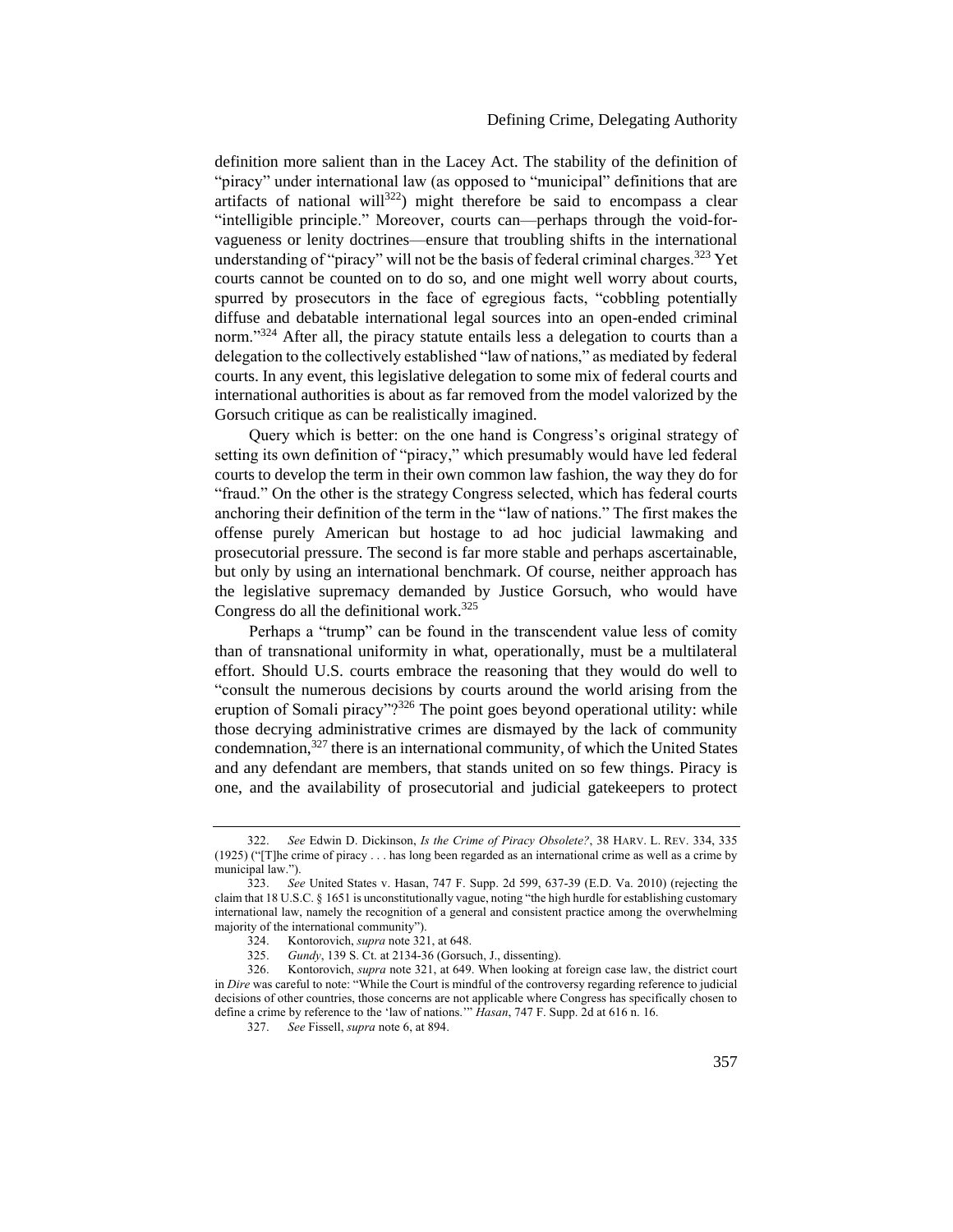definition more salient than in the Lacey Act. The stability of the definition of "piracy" under international law (as opposed to "municipal" definitions that are artifacts of national will<sup>322</sup>) might therefore be said to encompass a clear "intelligible principle." Moreover, courts can—perhaps through the void-forvagueness or lenity doctrines—ensure that troubling shifts in the international understanding of "piracy" will not be the basis of federal criminal charges.<sup>323</sup> Yet courts cannot be counted on to do so, and one might well worry about courts, spurred by prosecutors in the face of egregious facts, "cobbling potentially diffuse and debatable international legal sources into an open-ended criminal norm."<sup>324</sup> After all, the piracy statute entails less a delegation to courts than a delegation to the collectively established "law of nations," as mediated by federal courts. In any event, this legislative delegation to some mix of federal courts and international authorities is about as far removed from the model valorized by the Gorsuch critique as can be realistically imagined.

Query which is better: on the one hand is Congress's original strategy of setting its own definition of "piracy," which presumably would have led federal courts to develop the term in their own common law fashion, the way they do for "fraud." On the other is the strategy Congress selected, which has federal courts anchoring their definition of the term in the "law of nations." The first makes the offense purely American but hostage to ad hoc judicial lawmaking and prosecutorial pressure. The second is far more stable and perhaps ascertainable, but only by using an international benchmark. Of course, neither approach has the legislative supremacy demanded by Justice Gorsuch, who would have Congress do all the definitional work. $325$ 

Perhaps a "trump" can be found in the transcendent value less of comity than of transnational uniformity in what, operationally, must be a multilateral effort. Should U.S. courts embrace the reasoning that they would do well to "consult the numerous decisions by courts around the world arising from the eruption of Somali piracy"? $326$  The point goes beyond operational utility: while those decrying administrative crimes are dismayed by the lack of community condemnation,<sup>327</sup> there is an international community, of which the United States and any defendant are members, that stands united on so few things. Piracy is one, and the availability of prosecutorial and judicial gatekeepers to protect

<sup>322.</sup> *See* Edwin D. Dickinson, *Is the Crime of Piracy Obsolete?*, 38 HARV. L. REV. 334, 335 (1925) ("[T]he crime of piracy . . . has long been regarded as an international crime as well as a crime by municipal law.").

<sup>323.</sup> *See* United States v. Hasan, 747 F. Supp. 2d 599, 637-39 (E.D. Va. 2010) (rejecting the claim that 18 U.S.C. § 1651 is unconstitutionally vague, noting "the high hurdle for establishing customary international law, namely the recognition of a general and consistent practice among the overwhelming majority of the international community").

<sup>324.</sup> Kontorovich, *supra* not[e 321,](#page-52-0) at 648.

<sup>325.</sup> *Gundy*, 139 S. Ct. at 2134-36 (Gorsuch, J., dissenting).

<sup>326.</sup> Kontorovich, *supra* not[e 321,](#page-52-0) at 649. When looking at foreign case law, the district court in *Dire* was careful to note: "While the Court is mindful of the controversy regarding reference to judicial decisions of other countries, those concerns are not applicable where Congress has specifically chosen to define a crime by reference to the 'law of nations.'" *Hasan*, 747 F. Supp. 2d at 616 n. 16.

<sup>327.</sup> *See* Fissell, *supra* not[e 6,](#page-2-1) at 894.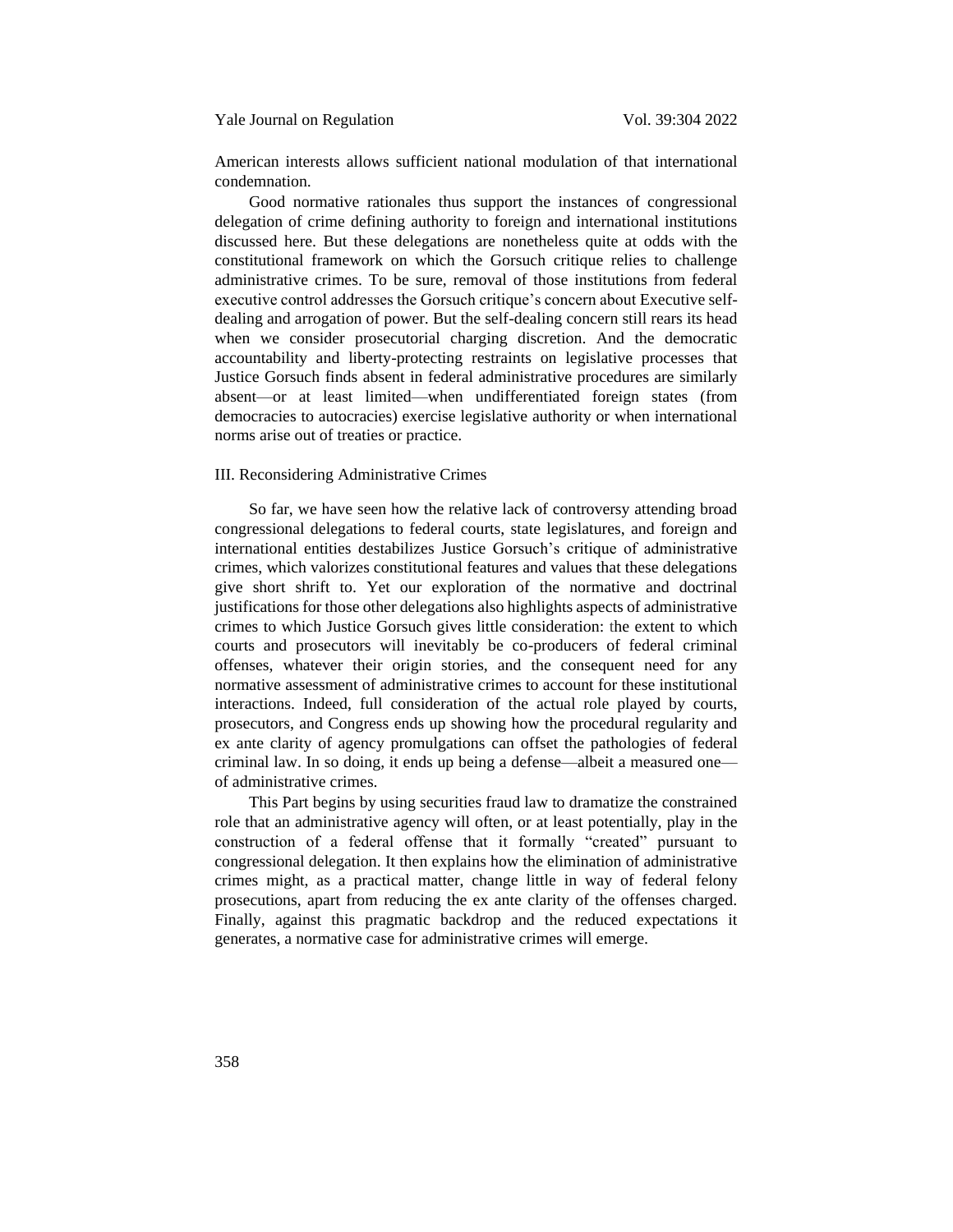# Yale Journal on Regulation Vol. 39:304 2022

American interests allows sufficient national modulation of that international condemnation.

Good normative rationales thus support the instances of congressional delegation of crime defining authority to foreign and international institutions discussed here. But these delegations are nonetheless quite at odds with the constitutional framework on which the Gorsuch critique relies to challenge administrative crimes. To be sure, removal of those institutions from federal executive control addresses the Gorsuch critique's concern about Executive selfdealing and arrogation of power. But the self-dealing concern still rears its head when we consider prosecutorial charging discretion. And the democratic accountability and liberty-protecting restraints on legislative processes that Justice Gorsuch finds absent in federal administrative procedures are similarly absent—or at least limited—when undifferentiated foreign states (from democracies to autocracies) exercise legislative authority or when international norms arise out of treaties or practice.

# <span id="page-54-0"></span>III. Reconsidering Administrative Crimes

So far, we have seen how the relative lack of controversy attending broad congressional delegations to federal courts, state legislatures, and foreign and international entities destabilizes Justice Gorsuch's critique of administrative crimes, which valorizes constitutional features and values that these delegations give short shrift to. Yet our exploration of the normative and doctrinal justifications for those other delegations also highlights aspects of administrative crimes to which Justice Gorsuch gives little consideration: the extent to which courts and prosecutors will inevitably be co-producers of federal criminal offenses, whatever their origin stories, and the consequent need for any normative assessment of administrative crimes to account for these institutional interactions. Indeed, full consideration of the actual role played by courts, prosecutors, and Congress ends up showing how the procedural regularity and ex ante clarity of agency promulgations can offset the pathologies of federal criminal law. In so doing, it ends up being a defense—albeit a measured one of administrative crimes.

This Part begins by using securities fraud law to dramatize the constrained role that an administrative agency will often, or at least potentially, play in the construction of a federal offense that it formally "created" pursuant to congressional delegation. It then explains how the elimination of administrative crimes might, as a practical matter, change little in way of federal felony prosecutions, apart from reducing the ex ante clarity of the offenses charged. Finally, against this pragmatic backdrop and the reduced expectations it generates, a normative case for administrative crimes will emerge.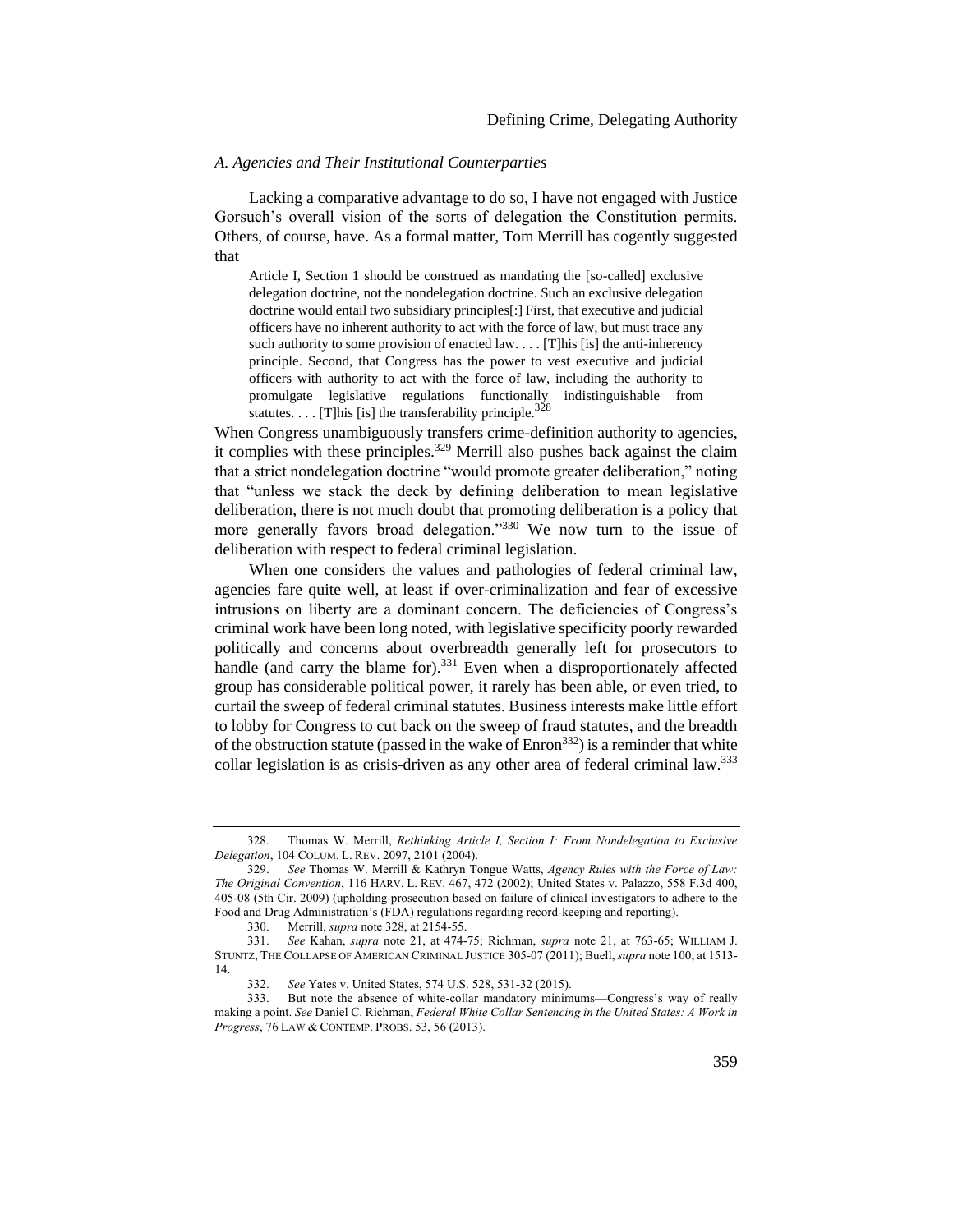### <span id="page-55-0"></span>*A. Agencies and Their Institutional Counterparties*

Lacking a comparative advantage to do so, I have not engaged with Justice Gorsuch's overall vision of the sorts of delegation the Constitution permits. Others, of course, have. As a formal matter, Tom Merrill has cogently suggested that

<span id="page-55-1"></span>Article I, Section 1 should be construed as mandating the [so-called] exclusive delegation doctrine, not the nondelegation doctrine. Such an exclusive delegation doctrine would entail two subsidiary principles[:] First, that executive and judicial officers have no inherent authority to act with the force of law, but must trace any such authority to some provision of enacted  $law$ ... [T]his [is] the anti-inherency principle. Second, that Congress has the power to vest executive and judicial officers with authority to act with the force of law, including the authority to promulgate legislative regulations functionally indistinguishable from statutes.  $\ldots$  [T]his [is] the transferability principle.<sup>328</sup>

When Congress unambiguously transfers crime-definition authority to agencies, it complies with these principles.<sup>329</sup> Merrill also pushes back against the claim that a strict nondelegation doctrine "would promote greater deliberation," noting that "unless we stack the deck by defining deliberation to mean legislative deliberation, there is not much doubt that promoting deliberation is a policy that more generally favors broad delegation."<sup>330</sup> We now turn to the issue of deliberation with respect to federal criminal legislation.

When one considers the values and pathologies of federal criminal law, agencies fare quite well, at least if over-criminalization and fear of excessive intrusions on liberty are a dominant concern. The deficiencies of Congress's criminal work have been long noted, with legislative specificity poorly rewarded politically and concerns about overbreadth generally left for prosecutors to handle (and carry the blame for).<sup>331</sup> Even when a disproportionately affected group has considerable political power, it rarely has been able, or even tried, to curtail the sweep of federal criminal statutes. Business interests make little effort to lobby for Congress to cut back on the sweep of fraud statutes, and the breadth of the obstruction statute (passed in the wake of  $\text{Enron}^{332}$ ) is a reminder that white collar legislation is as crisis-driven as any other area of federal criminal law.<sup>333</sup>

<sup>328.</sup> Thomas W. Merrill, *Rethinking Article I, Section I: From Nondelegation to Exclusive Delegation*, 104 COLUM. L. REV. 2097, 2101 (2004).

<sup>329.</sup> *See* Thomas W. Merrill & Kathryn Tongue Watts, *Agency Rules with the Force of Law: The Original Convention*, 116 HARV. L. REV. 467, 472 (2002); United States v. Palazzo, 558 F.3d 400, 405-08 (5th Cir. 2009) (upholding prosecution based on failure of clinical investigators to adhere to the Food and Drug Administration's (FDA) regulations regarding record-keeping and reporting).

<sup>330.</sup> Merrill, *supra* not[e 328,](#page-55-1) at 2154-55.

<sup>331.</sup> *See* Kahan, *supra* note [21,](#page-6-1) at 474-75; Richman, *supra* note [21,](#page-6-1) at 763-65; WILLIAM J. STUNTZ, THE COLLAPSE OF AMERICAN CRIMINAL JUSTICE 305-07 (2011); Buell, *supra* not[e 100,](#page-19-0) at 1513- 14.

<sup>332.</sup> *See* Yates v. United States, 574 U.S. 528, 531-32 (2015).

But note the absence of white-collar mandatory minimums—Congress's way of really making a point. *See* Daniel C. Richman, *Federal White Collar Sentencing in the United States: A Work in Progress*, 76 LAW & CONTEMP. PROBS. 53, 56 (2013).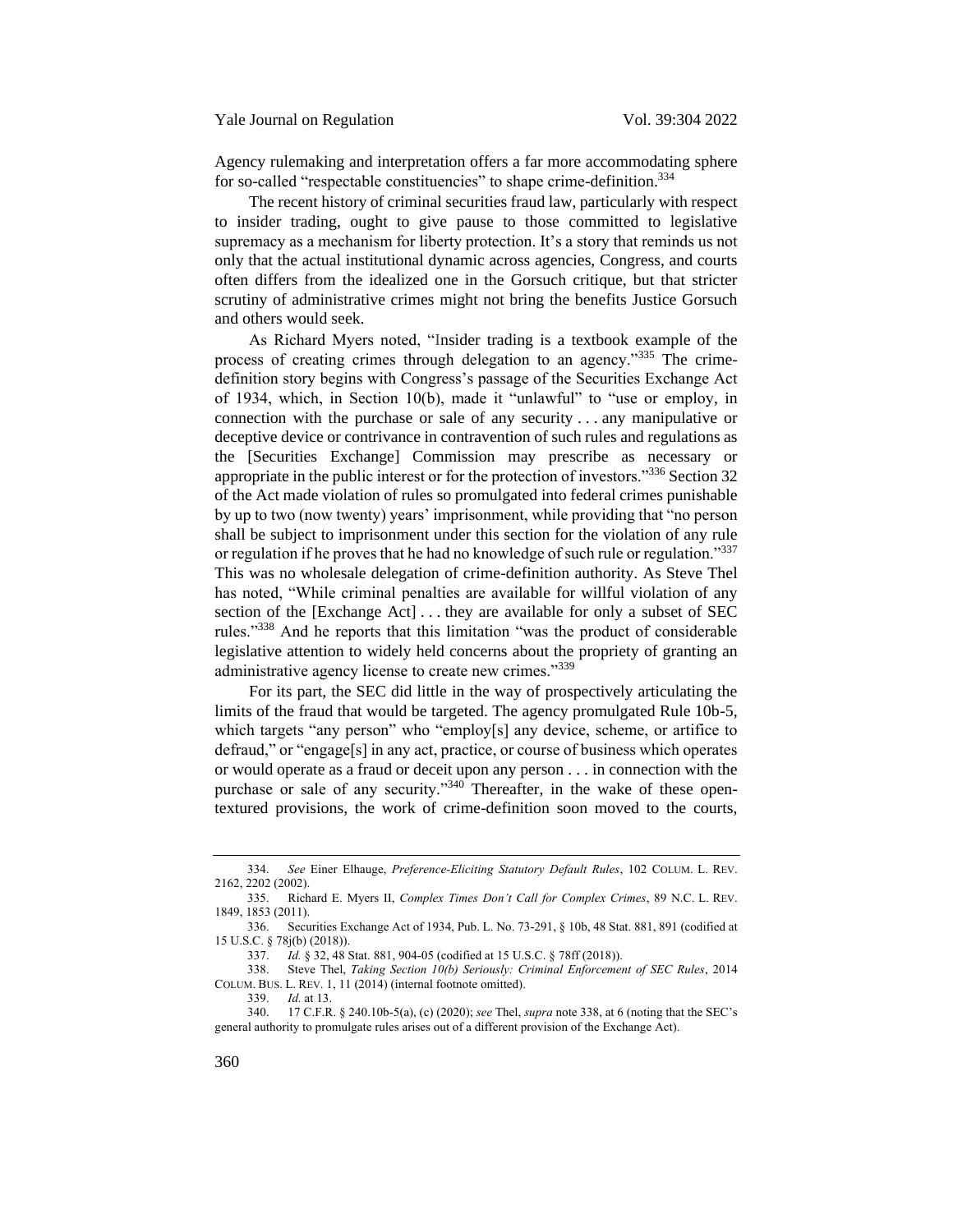<span id="page-56-1"></span>Agency rulemaking and interpretation offers a far more accommodating sphere for so-called "respectable constituencies" to shape crime-definition.<sup>334</sup>

The recent history of criminal securities fraud law, particularly with respect to insider trading, ought to give pause to those committed to legislative supremacy as a mechanism for liberty protection. It's a story that reminds us not only that the actual institutional dynamic across agencies, Congress, and courts often differs from the idealized one in the Gorsuch critique, but that stricter scrutiny of administrative crimes might not bring the benefits Justice Gorsuch and others would seek.

As Richard Myers noted, "Insider trading is a textbook example of the process of creating crimes through delegation to an agency."<sup>335</sup> The crimedefinition story begins with Congress's passage of the Securities Exchange Act of 1934, which, in Section 10(b), made it "unlawful" to "use or employ, in connection with the purchase or sale of any security . . . any manipulative or deceptive device or contrivance in contravention of such rules and regulations as the [Securities Exchange] Commission may prescribe as necessary or appropriate in the public interest or for the protection of investors."<sup>336</sup> Section 32 of the Act made violation of rules so promulgated into federal crimes punishable by up to two (now twenty) years' imprisonment, while providing that "no person shall be subject to imprisonment under this section for the violation of any rule or regulation if he proves that he had no knowledge of such rule or regulation."<sup>337</sup> This was no wholesale delegation of crime-definition authority. As Steve Thel has noted, "While criminal penalties are available for willful violation of any section of the [Exchange Act] . . . they are available for only a subset of SEC rules."<sup>338</sup> And he reports that this limitation "was the product of considerable legislative attention to widely held concerns about the propriety of granting an administrative agency license to create new crimes."<sup>339</sup>

<span id="page-56-0"></span>For its part, the SEC did little in the way of prospectively articulating the limits of the fraud that would be targeted. The agency promulgated Rule 10b-5, which targets "any person" who "employ[s] any device, scheme, or artifice to defraud," or "engage[s] in any act, practice, or course of business which operates or would operate as a fraud or deceit upon any person . . . in connection with the purchase or sale of any security."<sup>340</sup> Thereafter, in the wake of these opentextured provisions, the work of crime-definition soon moved to the courts,

*Id.* at 13.

<sup>334.</sup> *See* Einer Elhauge, *Preference-Eliciting Statutory Default Rules*, 102 COLUM. L. REV. 2162, 2202 (2002).

<sup>335.</sup> Richard E. Myers II, *Complex Times Don't Call for Complex Crimes*, 89 N.C. L. REV. 1849, 1853 (2011).

<sup>336.</sup> Securities Exchange Act of 1934, Pub. L. No. 73-291, § 10b, 48 Stat. 881, 891 (codified at 15 U.S.C. § 78j(b) (2018)).

<sup>337.</sup> *Id.* § 32, 48 Stat. 881, 904-05 (codified at 15 U.S.C. § 78ff (2018)).

<sup>338.</sup> Steve Thel, *Taking Section 10(b) Seriously: Criminal Enforcement of SEC Rules*, 2014 COLUM. BUS. L. REV. 1, 11 (2014) (internal footnote omitted).<br>339.  $Id.$  at 13.

<sup>340.</sup> 17 C.F.R. § 240.10b-5(a), (c) (2020); *see* Thel, *supra* not[e 338](#page-56-0), at 6 (noting that the SEC's general authority to promulgate rules arises out of a different provision of the Exchange Act).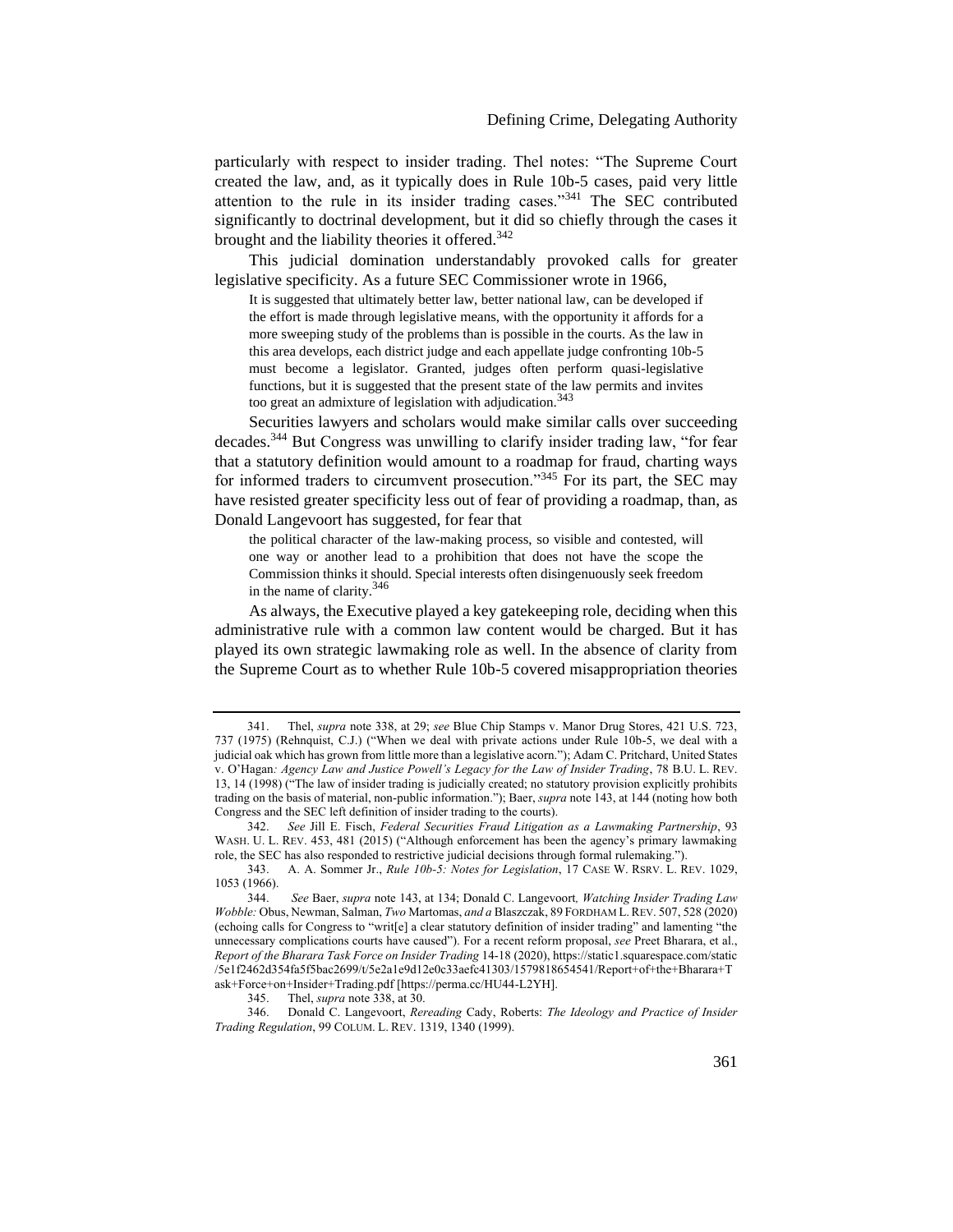particularly with respect to insider trading. Thel notes: "The Supreme Court created the law, and, as it typically does in Rule 10b-5 cases, paid very little attention to the rule in its insider trading cases."<sup>341</sup> The SEC contributed significantly to doctrinal development, but it did so chiefly through the cases it brought and the liability theories it offered.<sup>342</sup>

This judicial domination understandably provoked calls for greater legislative specificity. As a future SEC Commissioner wrote in 1966,

<span id="page-57-0"></span>It is suggested that ultimately better law, better national law, can be developed if the effort is made through legislative means, with the opportunity it affords for a more sweeping study of the problems than is possible in the courts. As the law in this area develops, each district judge and each appellate judge confronting 10b-5 must become a legislator. Granted, judges often perform quasi-legislative functions, but it is suggested that the present state of the law permits and invites too great an admixture of legislation with adjudication.<sup>343</sup>

<span id="page-57-1"></span>Securities lawyers and scholars would make similar calls over succeeding decades.<sup>344</sup> But Congress was unwilling to clarify insider trading law, "for fear that a statutory definition would amount to a roadmap for fraud, charting ways for informed traders to circumvent prosecution."<sup>345</sup> For its part, the SEC may have resisted greater specificity less out of fear of providing a roadmap, than, as Donald Langevoort has suggested, for fear that

the political character of the law-making process, so visible and contested, will one way or another lead to a prohibition that does not have the scope the Commission thinks it should. Special interests often disingenuously seek freedom in the name of clarity.<sup>346</sup>

As always, the Executive played a key gatekeeping role, deciding when this administrative rule with a common law content would be charged. But it has played its own strategic lawmaking role as well. In the absence of clarity from the Supreme Court as to whether Rule 10b-5 covered misappropriation theories

<sup>341.</sup> Thel, *supra* note [338,](#page-56-0) at 29; *see* Blue Chip Stamps v. Manor Drug Stores, 421 U.S. 723, 737 (1975) (Rehnquist, C.J.) ("When we deal with private actions under Rule 10b-5, we deal with a judicial oak which has grown from little more than a legislative acorn."); Adam C. Pritchard, United States v. O'Hagan*: Agency Law and Justice Powell's Legacy for the Law of Insider Trading*, 78 B.U. L. REV. 13, 14 (1998) ("The law of insider trading is judicially created; no statutory provision explicitly prohibits trading on the basis of material, non-public information."); Baer, *supra* note [143,](#page-24-0) at 144 (noting how both Congress and the SEC left definition of insider trading to the courts).

<sup>342.</sup> *See* Jill E. Fisch, *Federal Securities Fraud Litigation as a Lawmaking Partnership*, 93 WASH. U. L. REV. 453, 481 (2015) ("Although enforcement has been the agency's primary lawmaking role, the SEC has also responded to restrictive judicial decisions through formal rulemaking.").

<sup>343.</sup> A. A. Sommer Jr., *Rule 10b-5: Notes for Legislation*, 17 CASE W. RSRV. L. REV. 1029, 1053 (1966).

<sup>344.</sup> *See* Baer, *supra* not[e 143,](#page-24-0) at 134; Donald C. Langevoort*, Watching Insider Trading Law Wobble:* Obus, Newman, Salman, *Two* Martomas, *and a* Blaszczak, 89 FORDHAM L.REV. 507, 528 (2020) (echoing calls for Congress to "writ[e] a clear statutory definition of insider trading" and lamenting "the unnecessary complications courts have caused"). For a recent reform proposal, *see* Preet Bharara, et al., *Report of the Bharara Task Force on Insider Trading* 14-18 (2020), https://static1.squarespace.com/static /5e1f2462d354fa5f5bac2699/t/5e2a1e9d12e0c33aefc41303/1579818654541/Report+of+the+Bharara+T ask+Force+on+Insider+Trading.pdf [https://perma.cc/HU44-L2YH].<br>345. Thel, *supra* note 338, at 30.

Thel, *supra* not[e 338,](#page-56-0) at 30.

<sup>346.</sup> Donald C. Langevoort, *Rereading* Cady, Roberts: *The Ideology and Practice of Insider Trading Regulation*, 99 COLUM. L. REV. 1319, 1340 (1999).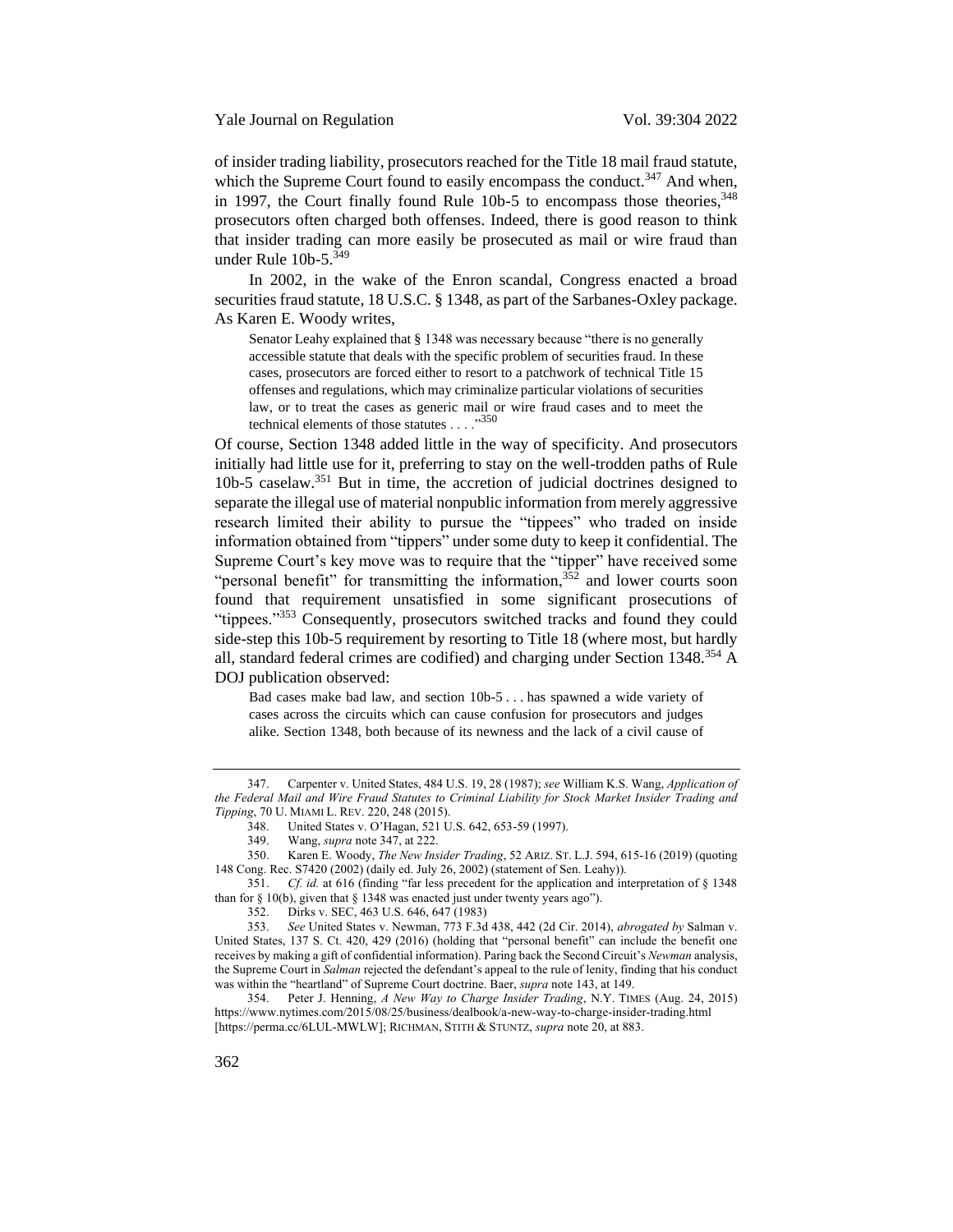of insider trading liability, prosecutors reached for the Title 18 mail fraud statute, which the Supreme Court found to easily encompass the conduct.<sup>347</sup> And when, in 1997, the Court finally found Rule 10b-5 to encompass those theories,  $348$ prosecutors often charged both offenses. Indeed, there is good reason to think that insider trading can more easily be prosecuted as mail or wire fraud than under Rule 10b-5.<sup>349</sup>

In 2002, in the wake of the Enron scandal, Congress enacted a broad securities fraud statute, 18 U.S.C. § 1348, as part of the Sarbanes-Oxley package. As Karen E. Woody writes,

<span id="page-58-1"></span><span id="page-58-0"></span>Senator Leahy explained that § 1348 was necessary because "there is no generally accessible statute that deals with the specific problem of securities fraud. In these cases, prosecutors are forced either to resort to a patchwork of technical Title 15 offenses and regulations, which may criminalize particular violations of securities law, or to treat the cases as generic mail or wire fraud cases and to meet the technical elements of those statutes  $\dots$ <sup>350</sup>

Of course, Section 1348 added little in the way of specificity. And prosecutors initially had little use for it, preferring to stay on the well-trodden paths of Rule 10b-5 caselaw.<sup>351</sup> But in time, the accretion of judicial doctrines designed to separate the illegal use of material nonpublic information from merely aggressive research limited their ability to pursue the "tippees" who traded on inside information obtained from "tippers" under some duty to keep it confidential. The Supreme Court's key move was to require that the "tipper" have received some "personal benefit" for transmitting the information,<sup>352</sup> and lower courts soon found that requirement unsatisfied in some significant prosecutions of "tippees."<sup>353</sup> Consequently, prosecutors switched tracks and found they could side-step this 10b-5 requirement by resorting to Title 18 (where most, but hardly all, standard federal crimes are codified) and charging under Section  $1348^{354}$  A DOJ publication observed:

Bad cases make bad law, and section 10b-5 . . . has spawned a wide variety of cases across the circuits which can cause confusion for prosecutors and judges alike. Section 1348, both because of its newness and the lack of a civil cause of

354. Peter J. Henning, *A New Way to Charge Insider Trading*, N.Y. TIMES (Aug. 24, 2015) https://www.nytimes.com/2015/08/25/business/dealbook/a-new-way-to-charge-insider-trading.html [https://perma.cc/6LUL-MWLW]; RICHMAN, STITH & STUNTZ, *supra* not[e 20,](#page-5-0) at 883.

<sup>347.</sup> Carpenter v. United States, 484 U.S. 19, 28 (1987); *see* William K.S. Wang, *Application of the Federal Mail and Wire Fraud Statutes to Criminal Liability for Stock Market Insider Trading and Tipping*, 70 U. MIAMI L. REV. 220, 248 (2015).

<sup>348.</sup> United States v. O'Hagan, 521 U.S. 642, 653-59 (1997).<br>349. Wang, *supra* note 347, at 222.

<sup>349.</sup> Wang, *supra* not[e 347,](#page-58-0) at 222.

<sup>350.</sup> Karen E. Woody, *The New Insider Trading*, 52 ARIZ. ST. L.J. 594, 615-16 (2019) (quoting 148 Cong. Rec. S7420 (2002) (daily ed. July 26, 2002) (statement of Sen. Leahy)).

<sup>351.</sup> *Cf. id.* at 616 (finding "far less precedent for the application and interpretation of § 1348 than for  $\S$  10(b), given that  $\S$  1348 was enacted just under twenty years ago").

<sup>352.</sup> Dirks v. SEC, 463 U.S. 646, 647 (1983)

<sup>353.</sup> *See* United States v. Newman, 773 F.3d 438, 442 (2d Cir. 2014), *abrogated by* Salman v. United States, 137 S. Ct. 420, 429 (2016) (holding that "personal benefit" can include the benefit one receives by making a gift of confidential information). Paring back the Second Circuit's *Newman* analysis, the Supreme Court in *Salman* rejected the defendant's appeal to the rule of lenity, finding that his conduct was within the "heartland" of Supreme Court doctrine. Baer, *supra* not[e 143,](#page-24-0) at 149.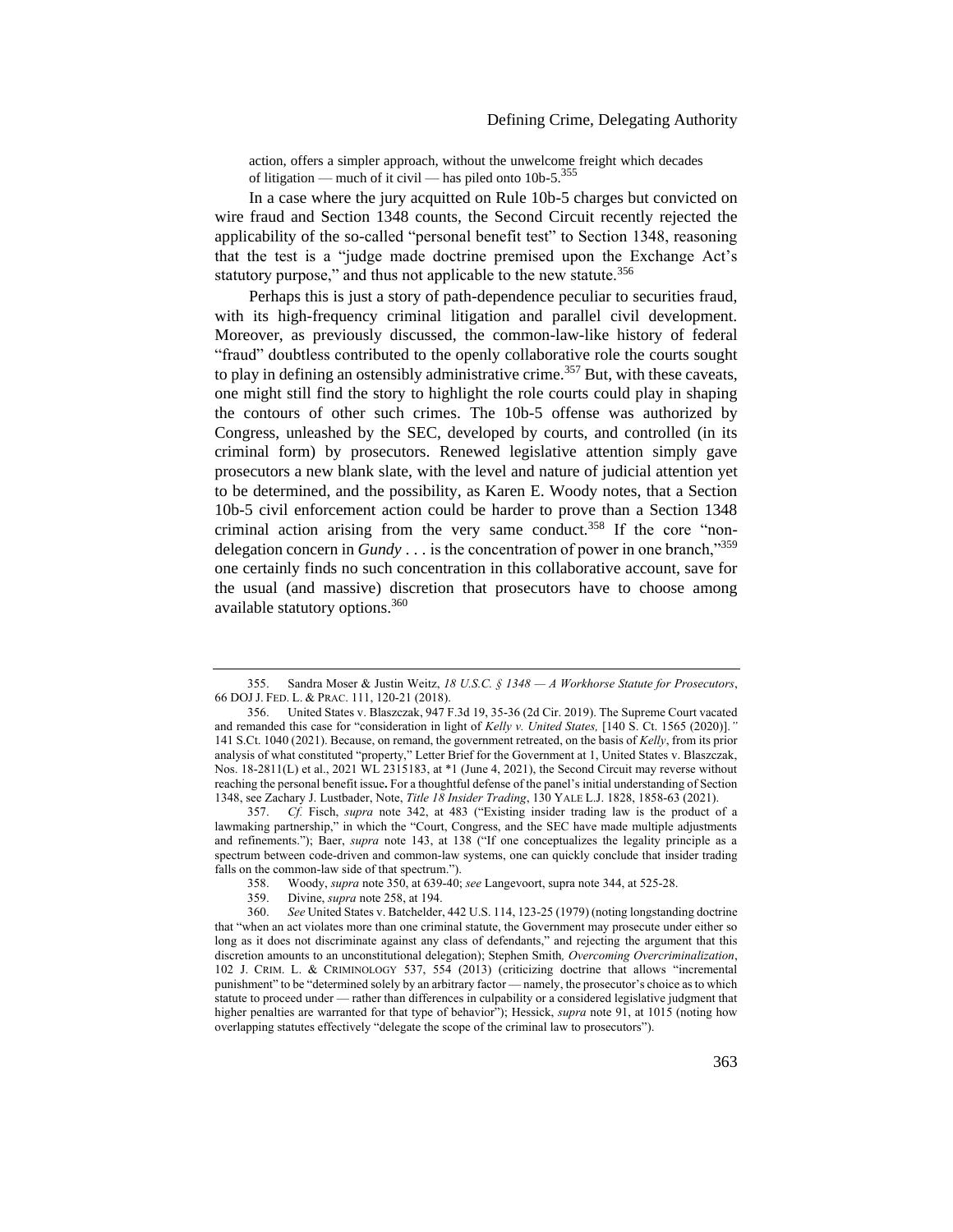action, offers a simpler approach, without the unwelcome freight which decades of litigation — much of it civil — has piled onto  $10b-5$ <sup>355</sup>

In a case where the jury acquitted on Rule 10b-5 charges but convicted on wire fraud and Section 1348 counts, the Second Circuit recently rejected the applicability of the so-called "personal benefit test" to Section 1348, reasoning that the test is a "judge made doctrine premised upon the Exchange Act's statutory purpose," and thus not applicable to the new statute.<sup>356</sup>

Perhaps this is just a story of path-dependence peculiar to securities fraud, with its high-frequency criminal litigation and parallel civil development. Moreover, as previously discussed, the common-law-like history of federal "fraud" doubtless contributed to the openly collaborative role the courts sought to play in defining an ostensibly administrative crime.<sup>357</sup> But, with these caveats, one might still find the story to highlight the role courts could play in shaping the contours of other such crimes. The 10b-5 offense was authorized by Congress, unleashed by the SEC, developed by courts, and controlled (in its criminal form) by prosecutors. Renewed legislative attention simply gave prosecutors a new blank slate, with the level and nature of judicial attention yet to be determined, and the possibility, as Karen E. Woody notes, that a Section 10b-5 civil enforcement action could be harder to prove than a Section 1348 criminal action arising from the very same conduct.<sup>358</sup> If the core "nondelegation concern in *Gundy* . . . is the concentration of power in one branch,"<sup>359</sup> one certainly finds no such concentration in this collaborative account, save for the usual (and massive) discretion that prosecutors have to choose among available statutory options.<sup>360</sup>

357. *Cf.* Fisch, *supra* note [342](#page-57-0), at 483 ("Existing insider trading law is the product of a lawmaking partnership," in which the "Court, Congress, and the SEC have made multiple adjustments and refinements."); Baer, *supra* note [143](#page-24-0), at 138 ("If one conceptualizes the legality principle as a spectrum between code-driven and common-law systems, one can quickly conclude that insider trading falls on the common-law side of that spectrum.").

<sup>355.</sup> Sandra Moser & Justin Weitz, *18 U.S.C. § 1348 — A Workhorse Statute for Prosecutors*, 66 DOJ J. FED. L. & PRAC. 111, 120-21 (2018).

<sup>356.</sup> United States v. Blaszczak, 947 F.3d 19, 35-36 (2d Cir. 2019). The Supreme Court vacated and remanded this case for "consideration in light of *Kelly v. United States,* [140 S. Ct. 1565 (2020)].*"*  141 S.Ct. 1040 (2021). Because, on remand, the government retreated, on the basis of *Kelly*, from its prior analysis of what constituted "property," Letter Brief for the Government at 1, United States v. Blaszczak, Nos. 18-2811(L) et al., 2021 WL 2315183, at \*1 (June 4, 2021), the Second Circuit may reverse without reaching the personal benefit issue**.** For a thoughtful defense of the panel's initial understanding of Section 1348, see Zachary J. Lustbader, Note, *Title 18 Insider Trading*, 130 YALE L.J. 1828, 1858-63 (2021).

<sup>358.</sup> Woody, *supra* not[e 350,](#page-58-1) at 639-40; *see* Langevoort, supra not[e 344,](#page-57-1) at 525-28.

<sup>359.</sup> Divine, *supra* note [258,](#page-43-1) at 194.

<sup>360.</sup> *See* United States v. Batchelder, 442 U.S. 114, 123-25 (1979) (noting longstanding doctrine that "when an act violates more than one criminal statute, the Government may prosecute under either so long as it does not discriminate against any class of defendants," and rejecting the argument that this discretion amounts to an unconstitutional delegation); Stephen Smith*, Overcoming Overcriminalization*, 102 J. CRIM. L. & CRIMINOLOGY 537, 554 (2013) (criticizing doctrine that allows "incremental punishment" to be "determined solely by an arbitrary factor — namely, the prosecutor's choice as to which statute to proceed under — rather than differences in culpability or a considered legislative judgment that higher penalties are warranted for that type of behavior"); Hessick, *supra* not[e 91,](#page-17-1) at 1015 (noting how overlapping statutes effectively "delegate the scope of the criminal law to prosecutors").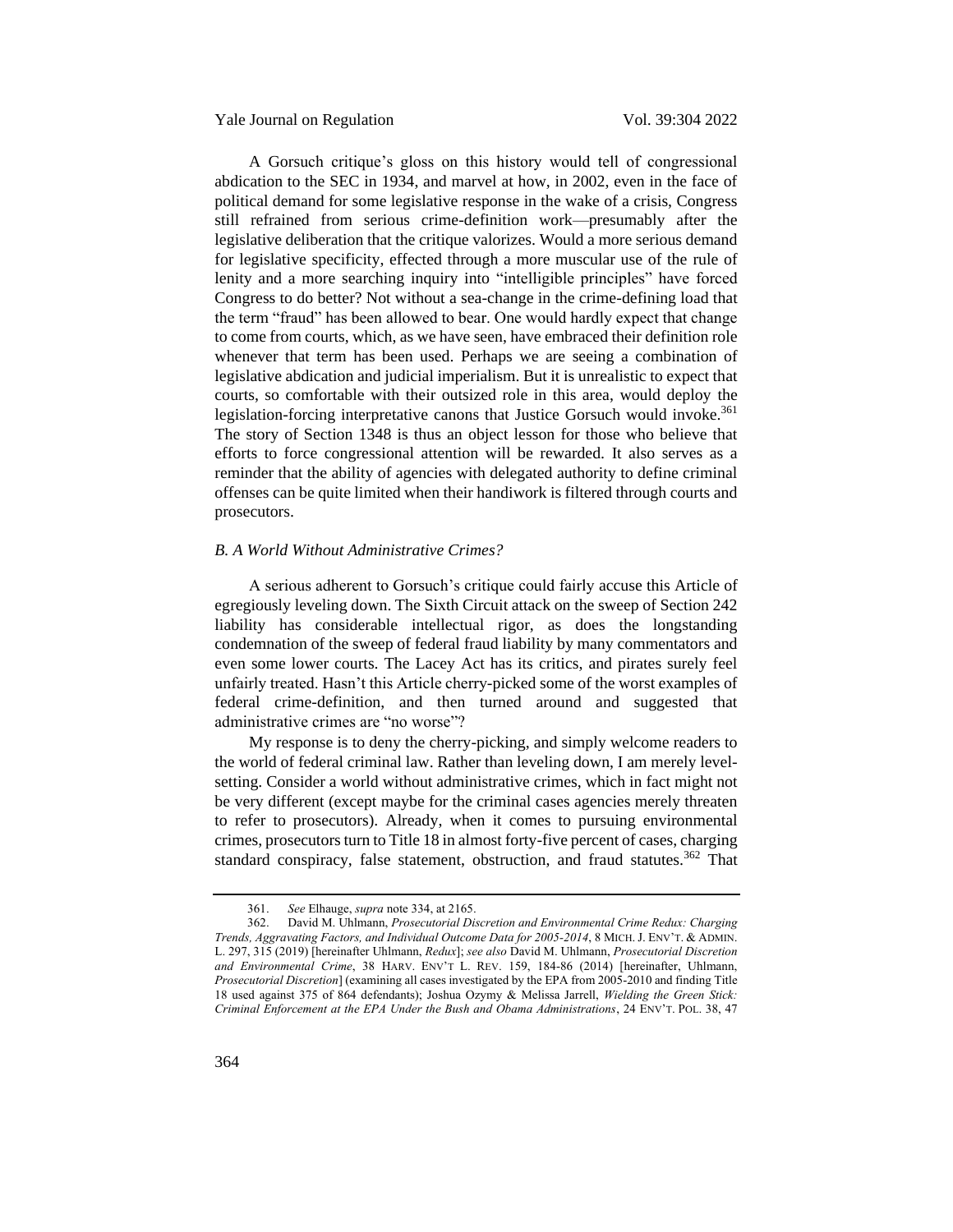Yale Journal on Regulation Vol. 39:304 2022

A Gorsuch critique's gloss on this history would tell of congressional abdication to the SEC in 1934, and marvel at how, in 2002, even in the face of political demand for some legislative response in the wake of a crisis, Congress still refrained from serious crime-definition work—presumably after the legislative deliberation that the critique valorizes. Would a more serious demand for legislative specificity, effected through a more muscular use of the rule of lenity and a more searching inquiry into "intelligible principles" have forced Congress to do better? Not without a sea-change in the crime-defining load that the term "fraud" has been allowed to bear. One would hardly expect that change to come from courts, which, as we have seen, have embraced their definition role whenever that term has been used. Perhaps we are seeing a combination of legislative abdication and judicial imperialism. But it is unrealistic to expect that courts, so comfortable with their outsized role in this area, would deploy the legislation-forcing interpretative canons that Justice Gorsuch would invoke.<sup>361</sup> The story of Section 1348 is thus an object lesson for those who believe that efforts to force congressional attention will be rewarded. It also serves as a reminder that the ability of agencies with delegated authority to define criminal offenses can be quite limited when their handiwork is filtered through courts and prosecutors.

# <span id="page-60-0"></span>*B. A World Without Administrative Crimes?*

A serious adherent to Gorsuch's critique could fairly accuse this Article of egregiously leveling down. The Sixth Circuit attack on the sweep of Section 242 liability has considerable intellectual rigor, as does the longstanding condemnation of the sweep of federal fraud liability by many commentators and even some lower courts. The Lacey Act has its critics, and pirates surely feel unfairly treated. Hasn't this Article cherry-picked some of the worst examples of federal crime-definition, and then turned around and suggested that administrative crimes are "no worse"?

My response is to deny the cherry-picking, and simply welcome readers to the world of federal criminal law. Rather than leveling down, I am merely levelsetting. Consider a world without administrative crimes, which in fact might not be very different (except maybe for the criminal cases agencies merely threaten to refer to prosecutors). Already, when it comes to pursuing environmental crimes, prosecutors turn to Title 18 in almost forty-five percent of cases, charging standard conspiracy, false statement, obstruction, and fraud statutes.<sup>362</sup> That

<span id="page-60-1"></span><sup>361.</sup> *See* Elhauge, *supra* not[e 334,](#page-56-1) at 2165.

<sup>362.</sup> David M. Uhlmann, *Prosecutorial Discretion and Environmental Crime Redux: Charging Trends, Aggravating Factors, and Individual Outcome Data for 2005-2014*, 8 MICH.J. ENV'T. & ADMIN. L. 297, 315 (2019) [hereinafter Uhlmann, *Redux*]; *see also* David M. Uhlmann, *Prosecutorial Discretion and Environmental Crime*, 38 HARV. ENV'T L. REV. 159, 184-86 (2014) [hereinafter, Uhlmann, *Prosecutorial Discretion*] (examining all cases investigated by the EPA from 2005-2010 and finding Title 18 used against 375 of 864 defendants); Joshua Ozymy & Melissa Jarrell, *Wielding the Green Stick: Criminal Enforcement at the EPA Under the Bush and Obama Administrations*, 24 ENV'T. POL. 38, 47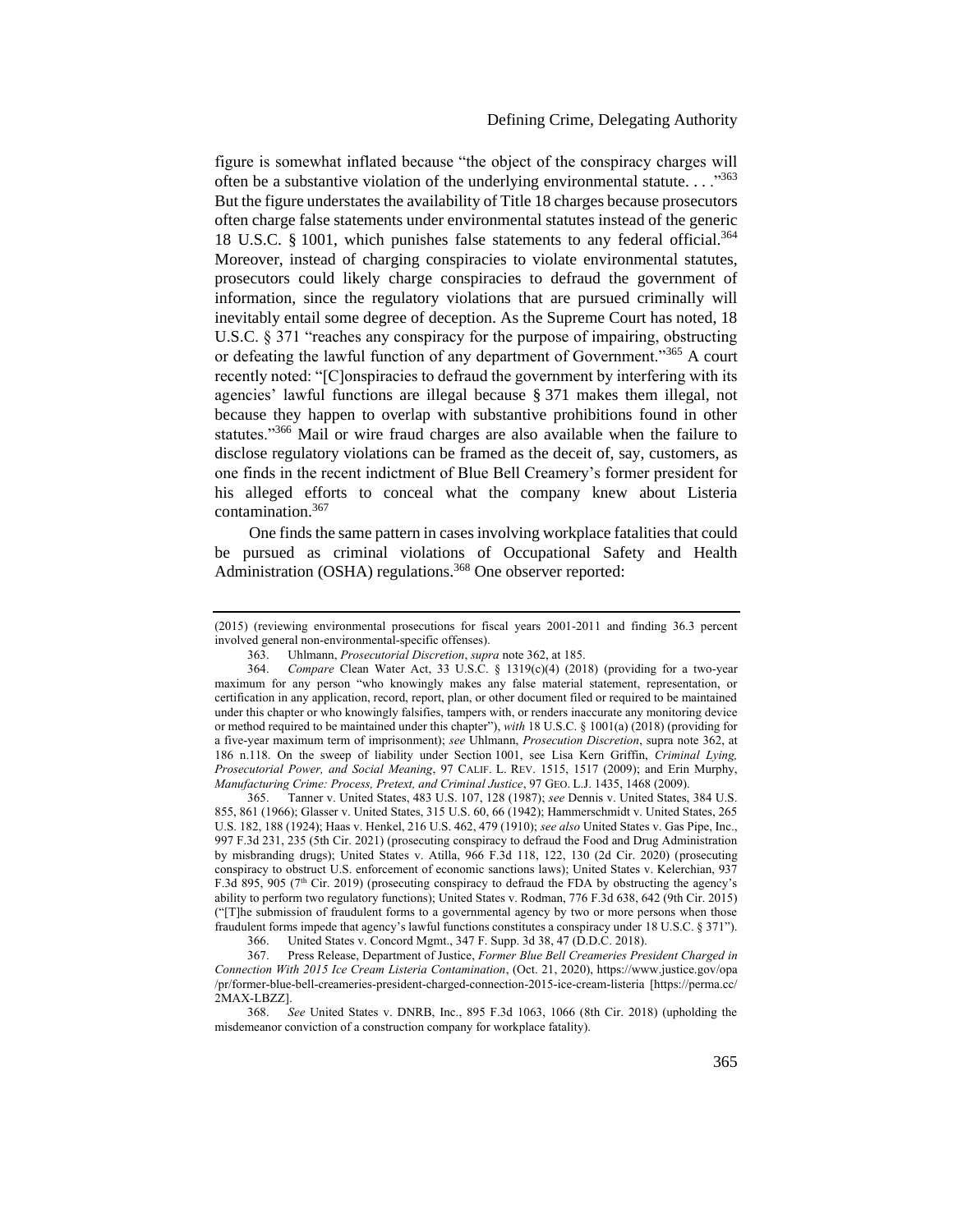<span id="page-61-1"></span>figure is somewhat inflated because "the object of the conspiracy charges will often be a substantive violation of the underlying environmental statute.  $\ldots$ <sup>363</sup> But the figure understates the availability of Title 18 charges because prosecutors often charge false statements under environmental statutes instead of the generic 18 U.S.C. § 1001, which punishes false statements to any federal official.<sup>364</sup> Moreover, instead of charging conspiracies to violate environmental statutes, prosecutors could likely charge conspiracies to defraud the government of information, since the regulatory violations that are pursued criminally will inevitably entail some degree of deception. As the Supreme Court has noted, 18 U.S.C. § 371 "reaches any conspiracy for the purpose of impairing, obstructing or defeating the lawful function of any department of Government."<sup>365</sup> A court recently noted: "[C]onspiracies to defraud the government by interfering with its agencies' lawful functions are illegal because § 371 makes them illegal, not because they happen to overlap with substantive prohibitions found in other statutes."<sup>366</sup> Mail or wire fraud charges are also available when the failure to disclose regulatory violations can be framed as the deceit of, say, customers, as one finds in the recent indictment of Blue Bell Creamery's former president for his alleged efforts to conceal what the company knew about Listeria contamination.<sup>367</sup>

<span id="page-61-0"></span>One finds the same pattern in cases involving workplace fatalities that could be pursued as criminal violations of Occupational Safety and Health Administration (OSHA) regulations.<sup>368</sup> One observer reported:

365. Tanner v. United States, 483 U.S. 107, 128 (1987); *see* Dennis v. United States, 384 U.S. 855, 861 (1966); Glasser v. United States, 315 U.S. 60, 66 (1942); Hammerschmidt v. United States, 265 U.S. 182, 188 (1924); Haas v. Henkel, 216 U.S. 462, 479 (1910); *see also* United States v. Gas Pipe, Inc., 997 F.3d 231, 235 (5th Cir. 2021) (prosecuting conspiracy to defraud the Food and Drug Administration by misbranding drugs); United States v. Atilla, 966 F.3d 118, 122, 130 (2d Cir. 2020) (prosecuting conspiracy to obstruct U.S. enforcement of economic sanctions laws); United States v. Kelerchian, 937 F.3d 895, 905 ( $7<sup>th</sup>$  Cir. 2019) (prosecuting conspiracy to defraud the FDA by obstructing the agency's ability to perform two regulatory functions); United States v. Rodman, 776 F.3d 638, 642 (9th Cir. 2015) ("[T]he submission of fraudulent forms to a governmental agency by two or more persons when those fraudulent forms impede that agency's lawful functions constitutes a conspiracy under 18 U.S.C. § 371").

366. United States v. Concord Mgmt., 347 F. Supp. 3d 38, 47 (D.D.C. 2018).<br>367. Press Release, Department of Justice, Former Blue Bell Creameries Pre.

367. Press Release, Department of Justice, *Former Blue Bell Creameries President Charged in Connection With 2015 Ice Cream Listeria Contamination*, (Oct. 21, 2020), https://www.justice.gov/opa /pr/former-blue-bell-creameries-president-charged-connection-2015-ice-cream-listeria [https://perma.cc/ 2MAX-LBZZ].

368. *See* United States v. DNRB, Inc., 895 F.3d 1063, 1066 (8th Cir. 2018) (upholding the misdemeanor conviction of a construction company for workplace fatality).

<sup>(2015) (</sup>reviewing environmental prosecutions for fiscal years 2001-2011 and finding 36.3 percent involved general non-environmental-specific offenses).

<sup>363.</sup> Uhlmann, *Prosecutorial Discretion*, *supra* not[e 362,](#page-60-1) at 185.

<sup>364.</sup> *Compare* Clean Water Act, 33 U.S.C. § 1319(c)(4) (2018) (providing for a two-year maximum for any person "who knowingly makes any false material statement, representation, or certification in any application, record, report, plan, or other document filed or required to be maintained under this chapter or who knowingly falsifies, tampers with, or renders inaccurate any monitoring device or method required to be maintained under this chapter"), *with* 18 U.S.C. § 1001(a) (2018) (providing for a five-year maximum term of imprisonment); *see* Uhlmann, *Prosecution Discretion*, supra not[e 362,](#page-60-1) at 186 n.118. On the sweep of liability under Section 1001, see Lisa Kern Griffin, *Criminal Lying, Prosecutorial Power, and Social Meaning*, 97 CALIF. L. REV. 1515, 1517 (2009); and Erin Murphy, *Manufacturing Crime: Process, Pretext, and Criminal Justice, 97 GEO. L.J. 1435, 1468 (2009).*<br>365. Tanner v. United States, 483 U.S. 107, 128 (1987); *see Dennis v. United States*.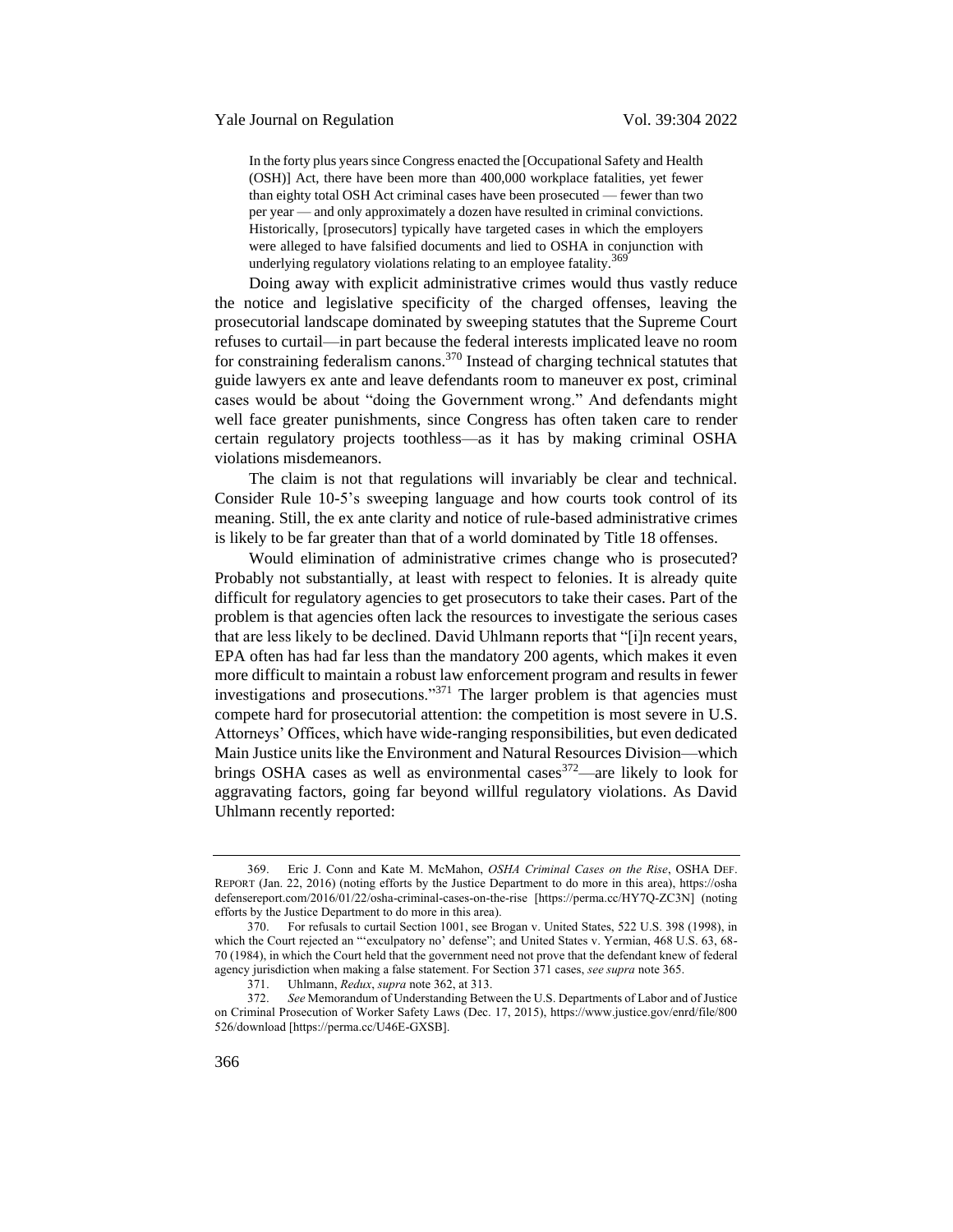# Yale Journal on Regulation Vol. 39:304 2022

<span id="page-62-0"></span>In the forty plus years since Congress enacted the [Occupational Safety and Health (OSH)] Act, there have been more than 400,000 workplace fatalities, yet fewer than eighty total OSH Act criminal cases have been prosecuted — fewer than two per year — and only approximately a dozen have resulted in criminal convictions. Historically, [prosecutors] typically have targeted cases in which the employers were alleged to have falsified documents and lied to OSHA in conjunction with underlying regulatory violations relating to an employee fatality.<sup>369</sup>

Doing away with explicit administrative crimes would thus vastly reduce the notice and legislative specificity of the charged offenses, leaving the prosecutorial landscape dominated by sweeping statutes that the Supreme Court refuses to curtail—in part because the federal interests implicated leave no room for constraining federalism canons.<sup>370</sup> Instead of charging technical statutes that guide lawyers ex ante and leave defendants room to maneuver ex post, criminal cases would be about "doing the Government wrong." And defendants might well face greater punishments, since Congress has often taken care to render certain regulatory projects toothless—as it has by making criminal OSHA violations misdemeanors.

The claim is not that regulations will invariably be clear and technical. Consider Rule 10-5's sweeping language and how courts took control of its meaning. Still, the ex ante clarity and notice of rule-based administrative crimes is likely to be far greater than that of a world dominated by Title 18 offenses.

Would elimination of administrative crimes change who is prosecuted? Probably not substantially, at least with respect to felonies. It is already quite difficult for regulatory agencies to get prosecutors to take their cases. Part of the problem is that agencies often lack the resources to investigate the serious cases that are less likely to be declined. David Uhlmann reports that "[i]n recent years, EPA often has had far less than the mandatory 200 agents, which makes it even more difficult to maintain a robust law enforcement program and results in fewer investigations and prosecutions."<sup>371</sup> The larger problem is that agencies must compete hard for prosecutorial attention: the competition is most severe in U.S. Attorneys' Offices, which have wide-ranging responsibilities, but even dedicated Main Justice units like the Environment and Natural Resources Division—which brings OSHA cases as well as environmental cases $372$ —are likely to look for aggravating factors, going far beyond willful regulatory violations. As David Uhlmann recently reported:

<sup>369.</sup> Eric J. Conn and Kate M. McMahon, *OSHA Criminal Cases on the Rise*, OSHA DEF. REPORT (Jan. 22, 2016) (noting efforts by the Justice Department to do more in this area), https://osha defensereport.com/2016/01/22/osha-criminal-cases-on-the-rise [https://perma.cc/HY7Q-ZC3N] (noting efforts by the Justice Department to do more in this area).

<sup>370.</sup> For refusals to curtail Section 1001, see Brogan v. United States, 522 U.S. 398 (1998), in which the Court rejected an "'exculpatory no' defense"; and United States v. Yermian, 468 U.S. 63, 68-70 (1984), in which the Court held that the government need not prove that the defendant knew of federal agency jurisdiction when making a false statement. For Section 371 cases, *see supra* note [365.](#page-61-0)

<sup>371.</sup> Uhlmann, *Redux*, *supra* note [362,](#page-60-1) at 313.

<sup>372.</sup> *See* Memorandum of Understanding Between the U.S. Departments of Labor and of Justice on Criminal Prosecution of Worker Safety Laws (Dec. 17, 2015), https://www.justice.gov/enrd/file/800 526/download [https://perma.cc/U46E-GXSB].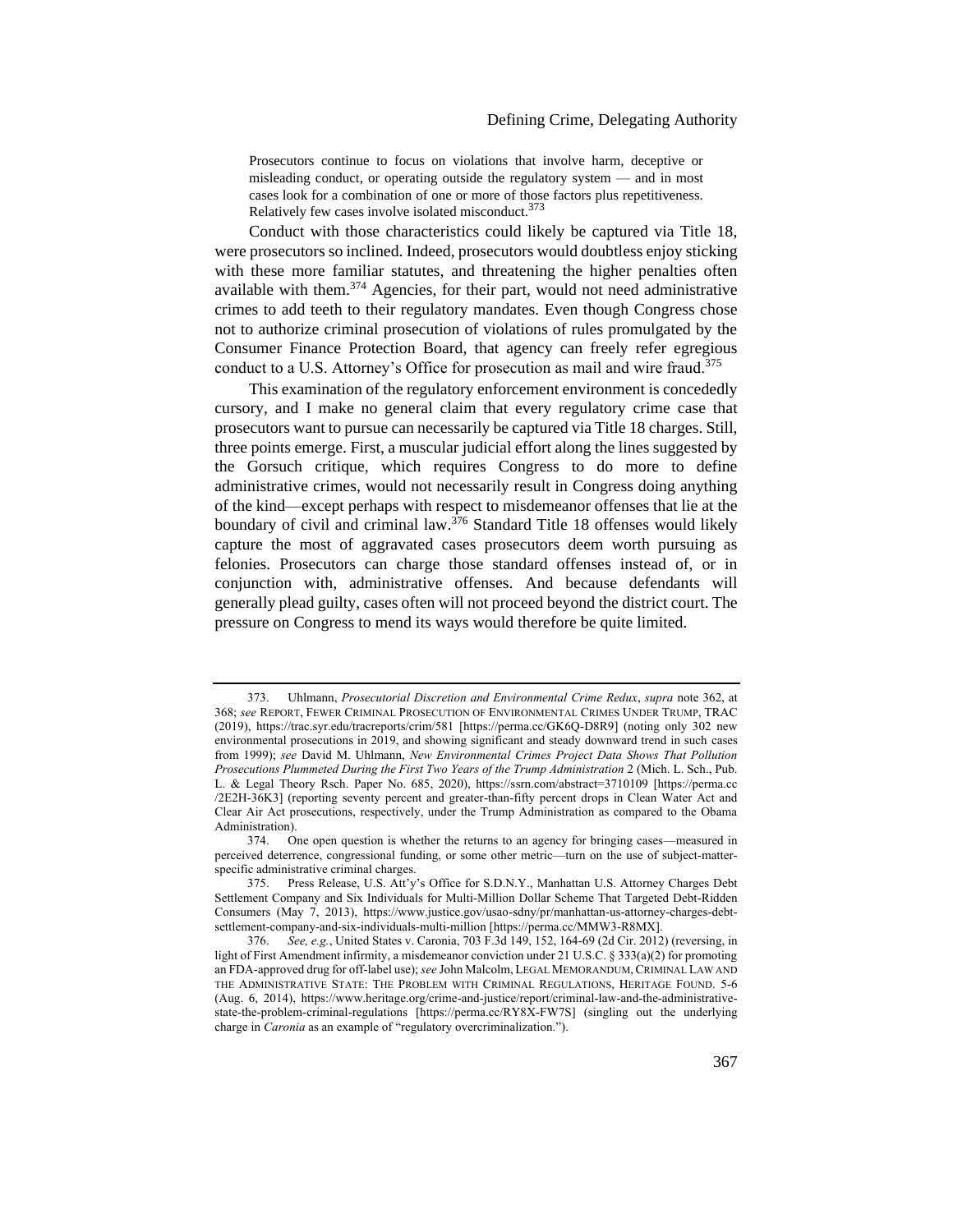Prosecutors continue to focus on violations that involve harm, deceptive or misleading conduct, or operating outside the regulatory system — and in most cases look for a combination of one or more of those factors plus repetitiveness. Relatively few cases involve isolated misconduct.<sup>373</sup>

Conduct with those characteristics could likely be captured via Title 18, were prosecutors so inclined. Indeed, prosecutors would doubtless enjoy sticking with these more familiar statutes, and threatening the higher penalties often available with them.<sup>374</sup> Agencies, for their part, would not need administrative crimes to add teeth to their regulatory mandates. Even though Congress chose not to authorize criminal prosecution of violations of rules promulgated by the Consumer Finance Protection Board, that agency can freely refer egregious conduct to a U.S. Attorney's Office for prosecution as mail and wire fraud.<sup>375</sup>

This examination of the regulatory enforcement environment is concededly cursory, and I make no general claim that every regulatory crime case that prosecutors want to pursue can necessarily be captured via Title 18 charges. Still, three points emerge. First, a muscular judicial effort along the lines suggested by the Gorsuch critique, which requires Congress to do more to define administrative crimes, would not necessarily result in Congress doing anything of the kind—except perhaps with respect to misdemeanor offenses that lie at the boundary of civil and criminal law.<sup>376</sup> Standard Title 18 offenses would likely capture the most of aggravated cases prosecutors deem worth pursuing as felonies. Prosecutors can charge those standard offenses instead of, or in conjunction with, administrative offenses. And because defendants will generally plead guilty, cases often will not proceed beyond the district court. The pressure on Congress to mend its ways would therefore be quite limited.

<sup>373.</sup> Uhlmann, *Prosecutorial Discretion and Environmental Crime Redux*, *supra* not[e 362,](#page-60-1) at 368; *see* REPORT, FEWER CRIMINAL PROSECUTION OF ENVIRONMENTAL CRIMES UNDER TRUMP, TRAC (2019), https://trac.syr.edu/tracreports/crim/581 [https://perma.cc/GK6Q-D8R9] (noting only 302 new environmental prosecutions in 2019, and showing significant and steady downward trend in such cases from 1999); *see* David M. Uhlmann, *New Environmental Crimes Project Data Shows That Pollution Prosecutions Plummeted During the First Two Years of the Trump Administration* 2 (Mich. L. Sch., Pub. L. & Legal Theory Rsch. Paper No. 685, 2020), https://ssrn.com/abstract=3710109 [https://perma.cc /2E2H-36K3] (reporting seventy percent and greater-than-fifty percent drops in Clean Water Act and Clear Air Act prosecutions, respectively, under the Trump Administration as compared to the Obama Administration).

<sup>374.</sup> One open question is whether the returns to an agency for bringing cases—measured in perceived deterrence, congressional funding, or some other metric—turn on the use of subject-matterspecific administrative criminal charges.

<sup>375.</sup> Press Release, U.S. Att'y's Office for S.D.N.Y., Manhattan U.S. Attorney Charges Debt Settlement Company and Six Individuals for Multi-Million Dollar Scheme That Targeted Debt-Ridden Consumers (May 7, 2013), https://www.justice.gov/usao-sdny/pr/manhattan-us-attorney-charges-debtsettlement-company-and-six-individuals-multi-million [https://perma.cc/MMW3-R8MX].

<sup>376.</sup> *See, e.g.*, United States v. Caronia, 703 F.3d 149, 152, 164-69 (2d Cir. 2012) (reversing, in light of First Amendment infirmity, a misdemeanor conviction under 21 U.S.C. § 333(a)(2) for promoting an FDA-approved drug for off-label use); *see* John Malcolm, LEGAL MEMORANDUM,CRIMINAL LAW AND THE ADMINISTRATIVE STATE: THE PROBLEM WITH CRIMINAL REGULATIONS, HERITAGE FOUND. 5-6 (Aug. 6, 2014), https://www.heritage.org/crime-and-justice/report/criminal-law-and-the-administrativestate-the-problem-criminal-regulations [https://perma.cc/RY8X-FW7S] (singling out the underlying charge in *Caronia* as an example of "regulatory overcriminalization.").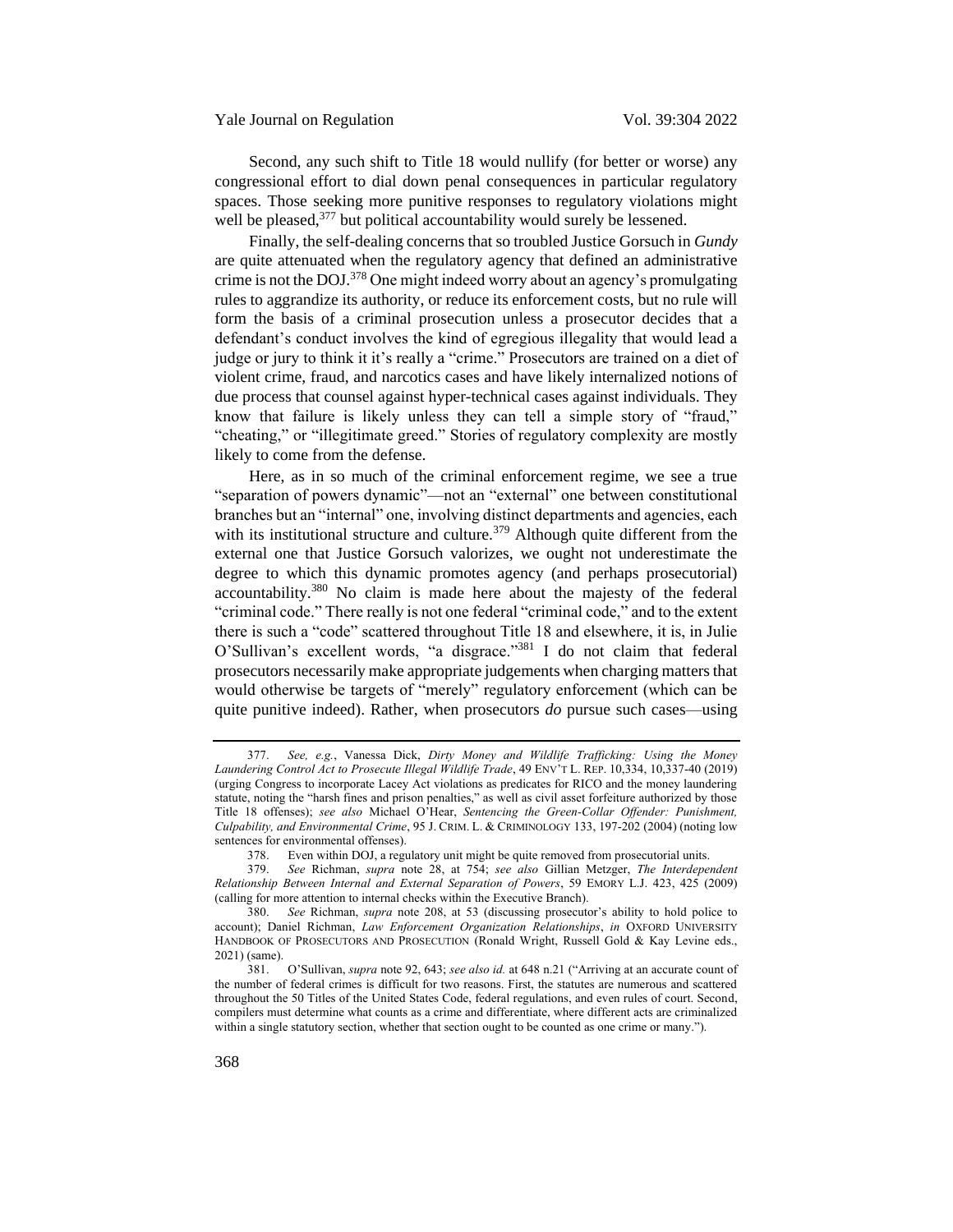Second, any such shift to Title 18 would nullify (for better or worse) any congressional effort to dial down penal consequences in particular regulatory spaces. Those seeking more punitive responses to regulatory violations might well be pleased,  $377$  but political accountability would surely be lessened.

Finally, the self-dealing concerns that so troubled Justice Gorsuch in *Gundy*  are quite attenuated when the regulatory agency that defined an administrative crime is not the DOJ.<sup>378</sup> One might indeed worry about an agency's promulgating rules to aggrandize its authority, or reduce its enforcement costs, but no rule will form the basis of a criminal prosecution unless a prosecutor decides that a defendant's conduct involves the kind of egregious illegality that would lead a judge or jury to think it it's really a "crime." Prosecutors are trained on a diet of violent crime, fraud, and narcotics cases and have likely internalized notions of due process that counsel against hyper-technical cases against individuals. They know that failure is likely unless they can tell a simple story of "fraud," "cheating," or "illegitimate greed." Stories of regulatory complexity are mostly likely to come from the defense.

Here, as in so much of the criminal enforcement regime, we see a true "separation of powers dynamic"—not an "external" one between constitutional branches but an "internal" one, involving distinct departments and agencies, each with its institutional structure and culture.<sup>379</sup> Although quite different from the external one that Justice Gorsuch valorizes, we ought not underestimate the degree to which this dynamic promotes agency (and perhaps prosecutorial) accountability.<sup>380</sup> No claim is made here about the majesty of the federal "criminal code." There really is not one federal "criminal code," and to the extent there is such a "code" scattered throughout Title 18 and elsewhere, it is, in Julie O'Sullivan's excellent words, "a disgrace."<sup>381</sup> I do not claim that federal prosecutors necessarily make appropriate judgements when charging matters that would otherwise be targets of "merely" regulatory enforcement (which can be quite punitive indeed). Rather, when prosecutors *do* pursue such cases—using

<sup>377.</sup> *See, e.g.*, Vanessa Dick, *Dirty Money and Wildlife Trafficking: Using the Money Laundering Control Act to Prosecute Illegal Wildlife Trade*, 49 ENV'T L. REP. 10,334, 10,337-40 (2019) (urging Congress to incorporate Lacey Act violations as predicates for RICO and the money laundering statute, noting the "harsh fines and prison penalties," as well as civil asset forfeiture authorized by those Title 18 offenses); *see also* Michael O'Hear, *Sentencing the Green-Collar Offender: Punishment, Culpability, and Environmental Crime*, 95 J. CRIM. L. & CRIMINOLOGY 133, 197-202 (2004) (noting low sentences for environmental offenses).

<sup>378.</sup> Even within DOJ, a regulatory unit might be quite removed from prosecutorial units.

<sup>379.</sup> *See* Richman, *supra* note [28,](#page-8-0) at 754; *see also* Gillian Metzger, *The Interdependent Relationship Between Internal and External Separation of Powers*, 59 EMORY L.J. 423, 425 (2009) (calling for more attention to internal checks within the Executive Branch).

<sup>380.</sup> *See* Richman, *supra* note [208](#page-35-1), at 53 (discussing prosecutor's ability to hold police to account); Daniel Richman, *Law Enforcement Organization Relationships*, *in* OXFORD UNIVERSITY HANDBOOK OF PROSECUTORS AND PROSECUTION (Ronald Wright, Russell Gold & Kay Levine eds., 2021) (same).

<sup>381.</sup> O'Sullivan, *supra* not[e 92,](#page-17-3) 643; *see also id.* at 648 n.21 ("Arriving at an accurate count of the number of federal crimes is difficult for two reasons. First, the statutes are numerous and scattered throughout the 50 Titles of the United States Code, federal regulations, and even rules of court. Second, compilers must determine what counts as a crime and differentiate, where different acts are criminalized within a single statutory section, whether that section ought to be counted as one crime or many.").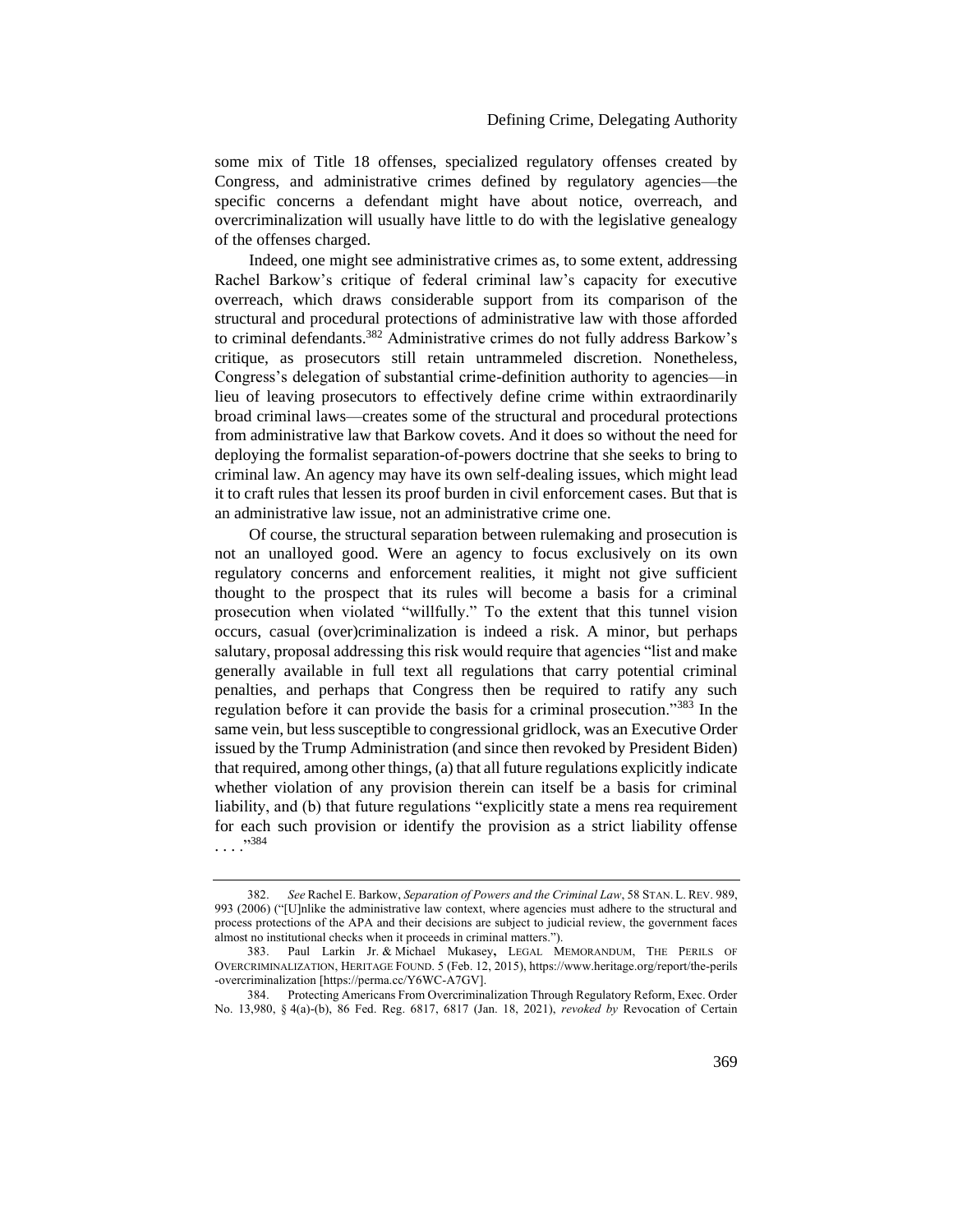some mix of Title 18 offenses, specialized regulatory offenses created by Congress, and administrative crimes defined by regulatory agencies—the specific concerns a defendant might have about notice, overreach, and overcriminalization will usually have little to do with the legislative genealogy of the offenses charged.

Indeed, one might see administrative crimes as, to some extent, addressing Rachel Barkow's critique of federal criminal law's capacity for executive overreach, which draws considerable support from its comparison of the structural and procedural protections of administrative law with those afforded to criminal defendants.<sup>382</sup> Administrative crimes do not fully address Barkow's critique, as prosecutors still retain untrammeled discretion. Nonetheless, Congress's delegation of substantial crime-definition authority to agencies—in lieu of leaving prosecutors to effectively define crime within extraordinarily broad criminal laws—creates some of the structural and procedural protections from administrative law that Barkow covets. And it does so without the need for deploying the formalist separation-of-powers doctrine that she seeks to bring to criminal law. An agency may have its own self-dealing issues, which might lead it to craft rules that lessen its proof burden in civil enforcement cases. But that is an administrative law issue, not an administrative crime one.

Of course, the structural separation between rulemaking and prosecution is not an unalloyed good. Were an agency to focus exclusively on its own regulatory concerns and enforcement realities, it might not give sufficient thought to the prospect that its rules will become a basis for a criminal prosecution when violated "willfully." To the extent that this tunnel vision occurs, casual (over)criminalization is indeed a risk. A minor, but perhaps salutary, proposal addressing this risk would require that agencies "list and make generally available in full text all regulations that carry potential criminal penalties, and perhaps that Congress then be required to ratify any such regulation before it can provide the basis for a criminal prosecution."<sup>383</sup> In the same vein, but less susceptible to congressional gridlock, was an Executive Order issued by the Trump Administration (and since then revoked by President Biden) that required, among other things, (a) that all future regulations explicitly indicate whether violation of any provision therein can itself be a basis for criminal liability, and (b) that future regulations "explicitly state a mens rea requirement for each such provision or identify the provision as a strict liability offense . . . ."<sup>384</sup>

<sup>382.</sup> *See* Rachel E. Barkow, *Separation of Powers and the Criminal Law*, 58 STAN. L. REV. 989, 993 (2006) ("[U]nlike the administrative law context, where agencies must adhere to the structural and process protections of the APA and their decisions are subject to judicial review, the government faces almost no institutional checks when it proceeds in criminal matters.").<br>383. Paul Larkin Jr. & Michael Mukasev. LEGAL M

<sup>383.</sup> Paul Larkin Jr. & Michael Mukasey**,** LEGAL MEMORANDUM, THE PERILS OF OVERCRIMINALIZATION, HERITAGE FOUND. 5 (Feb. 12, 2015), https://www.heritage.org/report/the-perils -overcriminalization [https://perma.cc/Y6WC-A7GV].

<sup>384.</sup> Protecting Americans From Overcriminalization Through Regulatory Reform, Exec. Order No. 13,980, § 4(a)-(b), 86 Fed. Reg. 6817, 6817 (Jan. 18, 2021), *revoked by* Revocation of Certain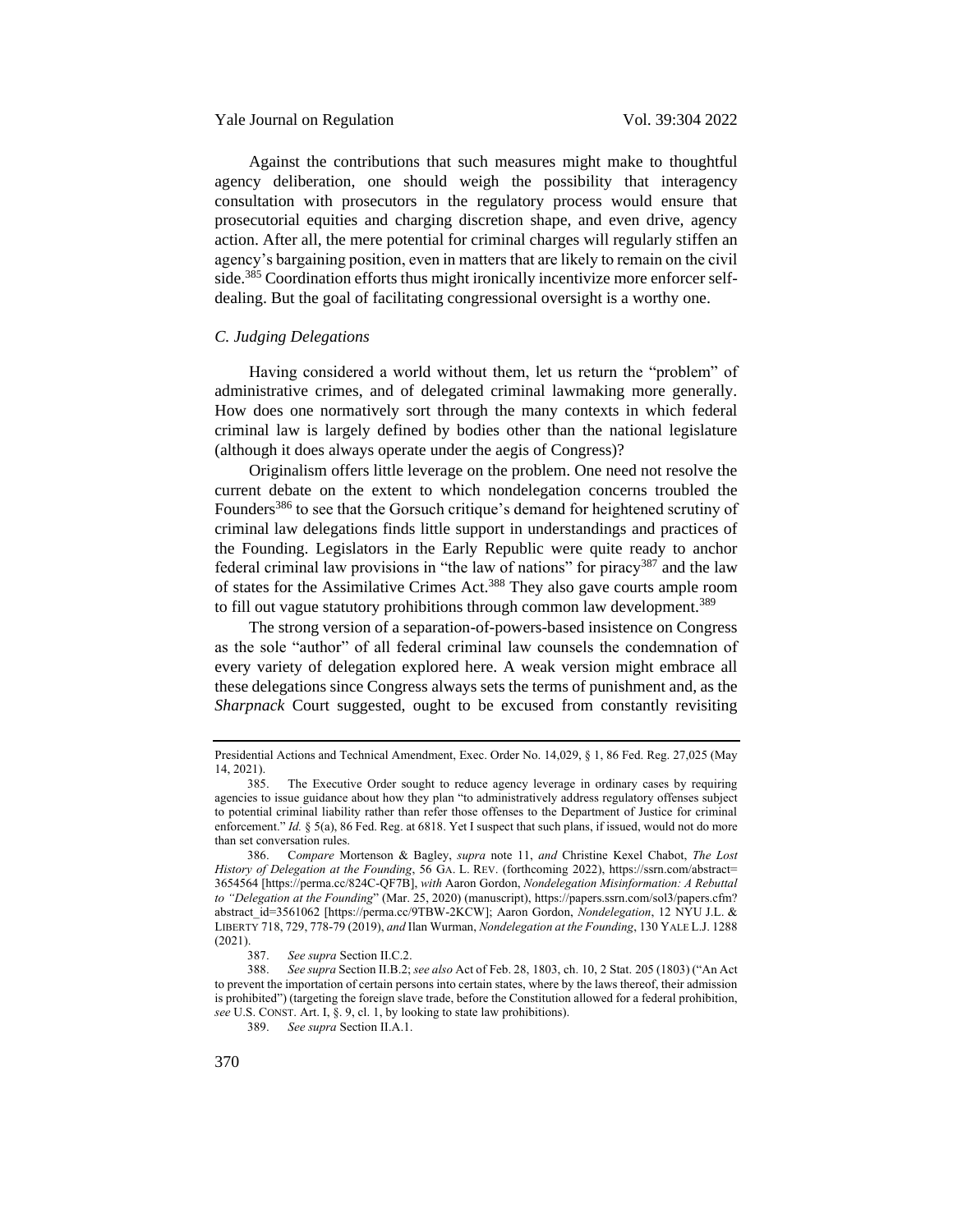### Yale Journal on Regulation Vol. 39:304 2022

Against the contributions that such measures might make to thoughtful agency deliberation, one should weigh the possibility that interagency consultation with prosecutors in the regulatory process would ensure that prosecutorial equities and charging discretion shape, and even drive, agency action. After all, the mere potential for criminal charges will regularly stiffen an agency's bargaining position, even in matters that are likely to remain on the civil side.<sup>385</sup> Coordination efforts thus might ironically incentivize more enforcer selfdealing. But the goal of facilitating congressional oversight is a worthy one.

### <span id="page-66-0"></span>*C. Judging Delegations*

Having considered a world without them, let us return the "problem" of administrative crimes, and of delegated criminal lawmaking more generally. How does one normatively sort through the many contexts in which federal criminal law is largely defined by bodies other than the national legislature (although it does always operate under the aegis of Congress)?

Originalism offers little leverage on the problem. One need not resolve the current debate on the extent to which nondelegation concerns troubled the Founders<sup>386</sup> to see that the Gorsuch critique's demand for heightened scrutiny of criminal law delegations finds little support in understandings and practices of the Founding. Legislators in the Early Republic were quite ready to anchor federal criminal law provisions in "the law of nations" for piracy<sup>387</sup> and the law of states for the Assimilative Crimes Act.<sup>388</sup> They also gave courts ample room to fill out vague statutory prohibitions through common law development.<sup>389</sup>

The strong version of a separation-of-powers-based insistence on Congress as the sole "author" of all federal criminal law counsels the condemnation of every variety of delegation explored here. A weak version might embrace all these delegations since Congress always sets the terms of punishment and, as the *Sharpnack* Court suggested, ought to be excused from constantly revisiting

Presidential Actions and Technical Amendment, Exec. Order No. 14,029, § 1, 86 Fed. Reg. 27,025 (May 14, 2021).

The Executive Order sought to reduce agency leverage in ordinary cases by requiring agencies to issue guidance about how they plan "to administratively address regulatory offenses subject to potential criminal liability rather than refer those offenses to the Department of Justice for criminal enforcement." *Id.* § 5(a), 86 Fed. Reg. at 6818. Yet I suspect that such plans, if issued, would not do more than set conversation rules.

<sup>386.</sup> C*ompare* Mortenson & Bagley, *supra* note [11,](#page-3-1) *and* Christine Kexel Chabot, *The Lost History of Delegation at the Founding*, 56 GA. L. REV. (forthcoming 2022), https://ssrn.com/abstract= 3654564 [https://perma.cc/824C-QF7B], *with* Aaron Gordon, *Nondelegation Misinformation: A Rebuttal to "Delegation at the Founding*" (Mar. 25, 2020) (manuscript), https://papers.ssrn.com/sol3/papers.cfm? abstract\_id=3561062 [https://perma.cc/9TBW-2KCW]; Aaron Gordon, *Nondelegation*, 12 NYU J.L. & LIBERTY 718, 729, 778-79 (2019), *and* Ilan Wurman, *Nondelegation at the Founding*, 130 YALE L.J. 1288  $(2021).$ <br>387.

See supra Section II.C.2.

<sup>388.</sup> *See supra* Section II.B.2; *see also* Act of Feb. 28, 1803, ch. 10, 2 Stat. 205 (1803) ("An Act to prevent the importation of certain persons into certain states, where by the laws thereof, their admission is prohibited") (targeting the foreign slave trade, before the Constitution allowed for a federal prohibition, *see* U.S. CONST. Art. I, §. 9, cl. 1, by looking to state law prohibitions).

<sup>389.</sup> *See supra* Section II.A.1.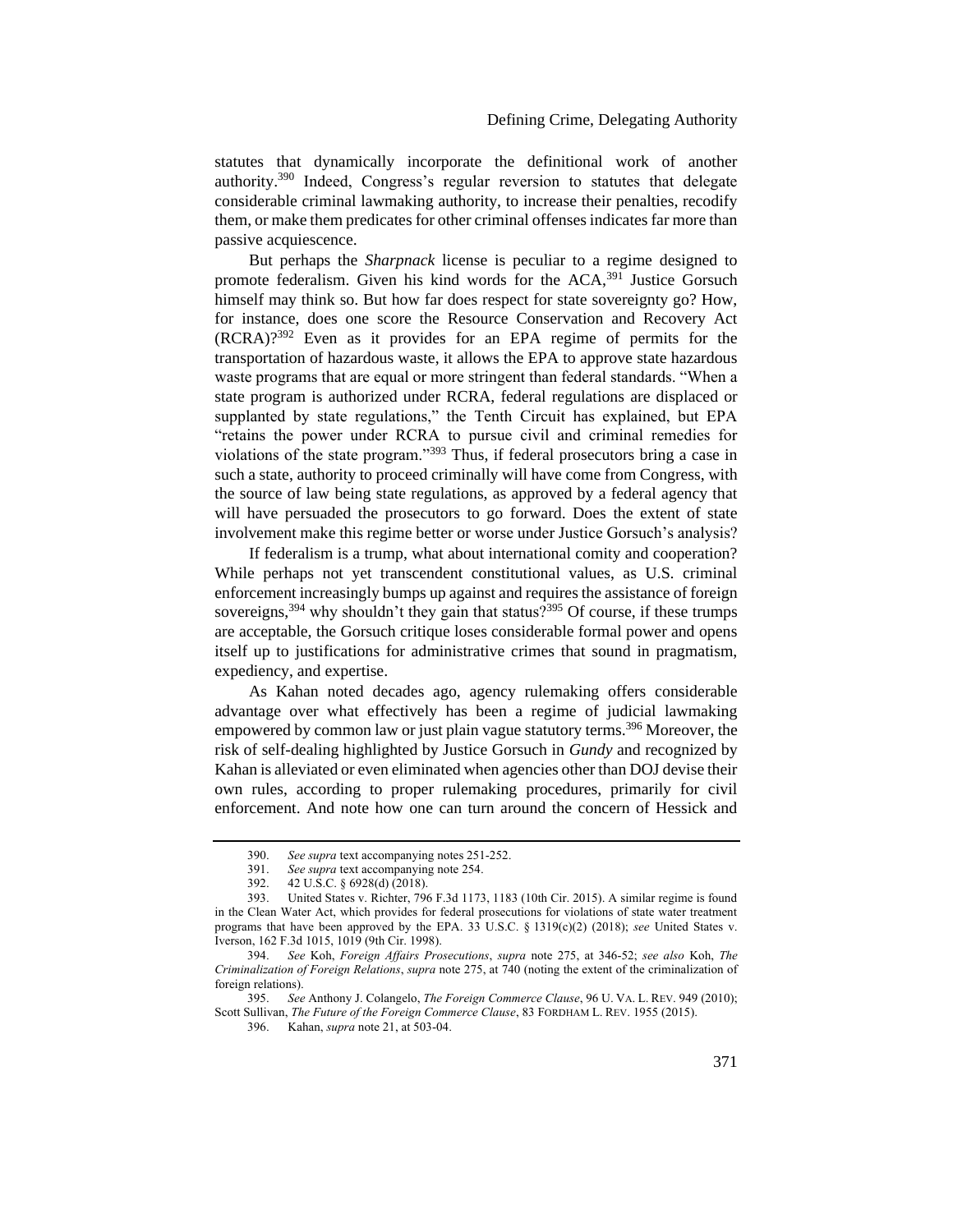statutes that dynamically incorporate the definitional work of another authority.<sup>390</sup> Indeed, Congress's regular reversion to statutes that delegate considerable criminal lawmaking authority, to increase their penalties, recodify them, or make them predicates for other criminal offenses indicates far more than passive acquiescence.

But perhaps the *Sharpnack* license is peculiar to a regime designed to promote federalism. Given his kind words for the ACA,<sup>391</sup> Justice Gorsuch himself may think so. But how far does respect for state sovereignty go? How, for instance, does one score the Resource Conservation and Recovery Act (RCRA)?<sup>392</sup> Even as it provides for an EPA regime of permits for the transportation of hazardous waste, it allows the EPA to approve state hazardous waste programs that are equal or more stringent than federal standards. "When a state program is authorized under RCRA, federal regulations are displaced or supplanted by state regulations," the Tenth Circuit has explained, but EPA "retains the power under RCRA to pursue civil and criminal remedies for violations of the state program."<sup>393</sup> Thus, if federal prosecutors bring a case in such a state, authority to proceed criminally will have come from Congress, with the source of law being state regulations, as approved by a federal agency that will have persuaded the prosecutors to go forward. Does the extent of state involvement make this regime better or worse under Justice Gorsuch's analysis?

If federalism is a trump, what about international comity and cooperation? While perhaps not yet transcendent constitutional values, as U.S. criminal enforcement increasingly bumps up against and requires the assistance of foreign sovereigns,  $394$  why shouldn't they gain that status? $395$  Of course, if these trumps are acceptable, the Gorsuch critique loses considerable formal power and opens itself up to justifications for administrative crimes that sound in pragmatism, expediency, and expertise.

As Kahan noted decades ago, agency rulemaking offers considerable advantage over what effectively has been a regime of judicial lawmaking empowered by common law or just plain vague statutory terms.<sup>396</sup> Moreover, the risk of self-dealing highlighted by Justice Gorsuch in *Gundy* and recognized by Kahan is alleviated or even eliminated when agencies other than DOJ devise their own rules, according to proper rulemaking procedures, primarily for civil enforcement. And note how one can turn around the concern of Hessick and

<sup>390.</sup> *See supra* text accompanying notes [251](#page-42-0)[-252.](#page-42-1)

<sup>391.</sup> *See supra* text accompanying not[e 254.](#page-42-2)

<sup>392.</sup> 42 U.S.C. § 6928(d) (2018).

<sup>393.</sup> United States v. Richter, 796 F.3d 1173, 1183 (10th Cir. 2015). A similar regime is found in the Clean Water Act, which provides for federal prosecutions for violations of state water treatment programs that have been approved by the EPA. 33 U.S.C. § 1319(c)(2) (2018); *see* United States v. Iverson, 162 F.3d 1015, 1019 (9th Cir. 1998).

<sup>394.</sup> *See* Koh, *Foreign Affairs Prosecutions*, *supra* note [275,](#page-46-1) at 346-52; *see also* Koh, *The Criminalization of Foreign Relations*, *supra* not[e 275,](#page-46-1) at 740 (noting the extent of the criminalization of foreign relations).<br>395. See

<sup>395.</sup> *See* Anthony J. Colangelo, *The Foreign Commerce Clause*, 96 U. VA. L. REV. 949 (2010); Scott Sullivan, *The Future of the Foreign Commerce Clause*, 83 FORDHAM L. REV. 1955 (2015).

<sup>396.</sup> Kahan, *supra* note [21,](#page-6-1) at 503-04.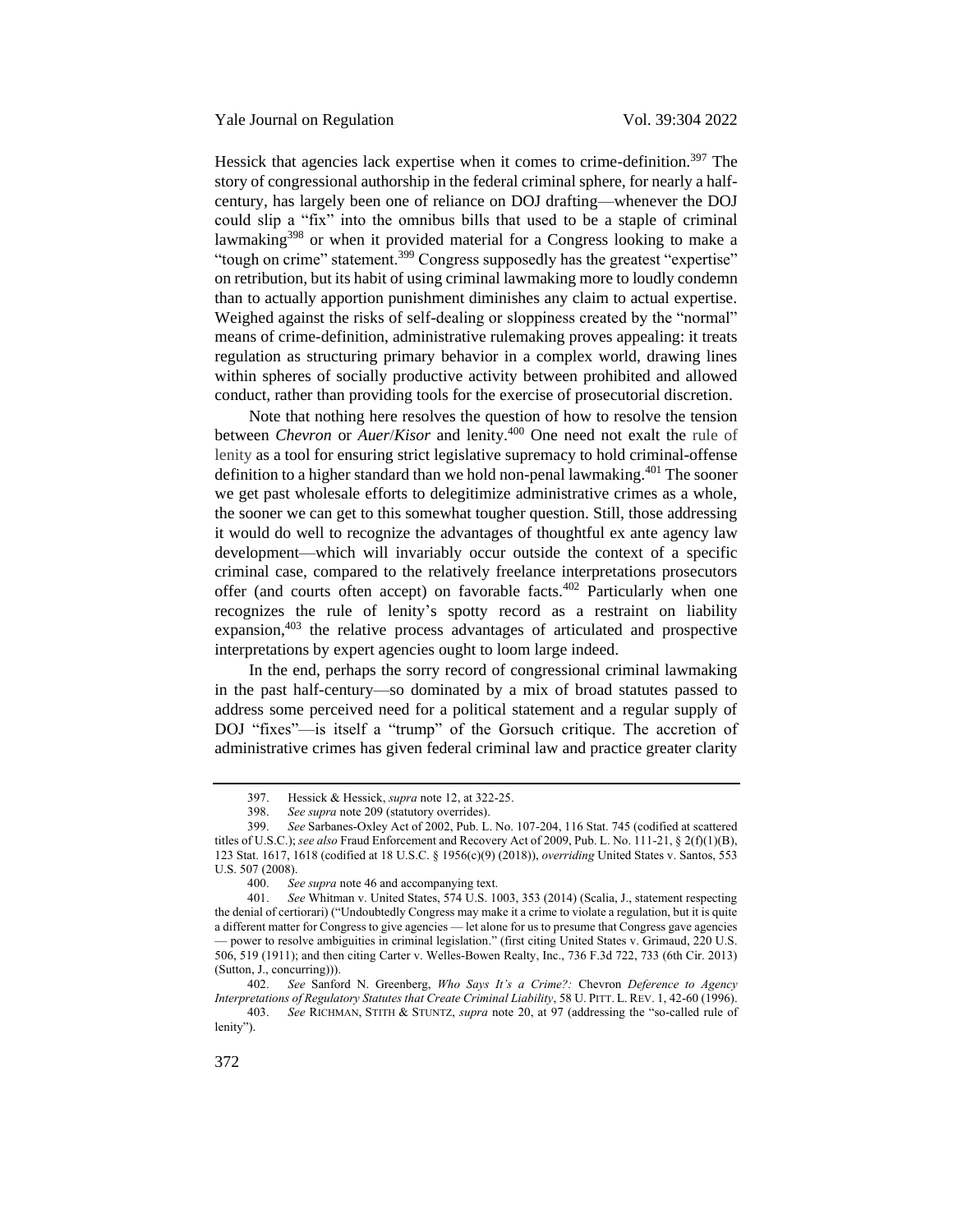Hessick that agencies lack expertise when it comes to crime-definition.<sup>397</sup> The story of congressional authorship in the federal criminal sphere, for nearly a halfcentury, has largely been one of reliance on DOJ drafting—whenever the DOJ could slip a "fix" into the omnibus bills that used to be a staple of criminal lawmaking<sup>398</sup> or when it provided material for a Congress looking to make a "tough on crime" statement.<sup>399</sup> Congress supposedly has the greatest "expertise" on retribution, but its habit of using criminal lawmaking more to loudly condemn than to actually apportion punishment diminishes any claim to actual expertise. Weighed against the risks of self-dealing or sloppiness created by the "normal" means of crime-definition, administrative rulemaking proves appealing: it treats regulation as structuring primary behavior in a complex world, drawing lines within spheres of socially productive activity between prohibited and allowed conduct, rather than providing tools for the exercise of prosecutorial discretion.

Note that nothing here resolves the question of how to resolve the tension between *Chevron* or *Auer*/*Kisor* and lenity.<sup>400</sup> One need not exalt the rule of lenity as a tool for ensuring strict legislative supremacy to hold criminal-offense definition to a higher standard than we hold non-penal lawmaking.<sup>401</sup> The sooner we get past wholesale efforts to delegitimize administrative crimes as a whole, the sooner we can get to this somewhat tougher question. Still, those addressing it would do well to recognize the advantages of thoughtful ex ante agency law development—which will invariably occur outside the context of a specific criminal case, compared to the relatively freelance interpretations prosecutors offer (and courts often accept) on favorable facts.<sup>402</sup> Particularly when one recognizes the rule of lenity's spotty record as a restraint on liability expansion,<sup>403</sup> the relative process advantages of articulated and prospective interpretations by expert agencies ought to loom large indeed.

In the end, perhaps the sorry record of congressional criminal lawmaking in the past half-century—so dominated by a mix of broad statutes passed to address some perceived need for a political statement and a regular supply of DOJ "fixes"—is itself a "trump" of the Gorsuch critique. The accretion of administrative crimes has given federal criminal law and practice greater clarity

<sup>397.</sup> Hessick & Hessick, *supra* note [12,](#page-3-0) at 322-25.

<sup>398.</sup> *See supra* not[e 209](#page-35-0) (statutory overrides).

<sup>399.</sup> *See* Sarbanes-Oxley Act of 2002, Pub. L. No. 107-204, 116 Stat. 745 (codified at scattered titles of U.S.C.); *see also* Fraud Enforcement and Recovery Act of 2009, Pub. L. No. 111-21, § 2(f)(1)(B), 123 Stat. 1617, 1618 (codified at 18 U.S.C. § 1956(c)(9) (2018)), *overriding* United States v. Santos, 553 U.S. 507 (2008).

<sup>400.</sup> *See supra* not[e 46](#page-10-0) and accompanying text.<br>401 *See* Whitman v United States 574 U.S. 10

See Whitman v. United States, 574 U.S. 1003, 353 (2014) (Scalia, J., statement respecting the denial of certiorari) ("Undoubtedly Congress may make it a crime to violate a regulation, but it is quite a different matter for Congress to give agencies — let alone for us to presume that Congress gave agencies — power to resolve ambiguities in criminal legislation." (first citing United States v. Grimaud, 220 U.S. 506, 519 (1911); and then citing Carter v. Welles-Bowen Realty, Inc., 736 F.3d 722, 733 (6th Cir. 2013) (Sutton, J., concurring))).

<sup>402.</sup> *See* Sanford N. Greenberg, *Who Says It's a Crime?:* Chevron *Deference to Agency Interpretations of Regulatory Statutes that Create Criminal Liability*, 58 U. PITT. L. REV. 1, 42-60 (1996).

<sup>403.</sup> *See* RICHMAN, STITH & STUNTZ, *supra* note [20](#page-5-0), at 97 (addressing the "so-called rule of lenity").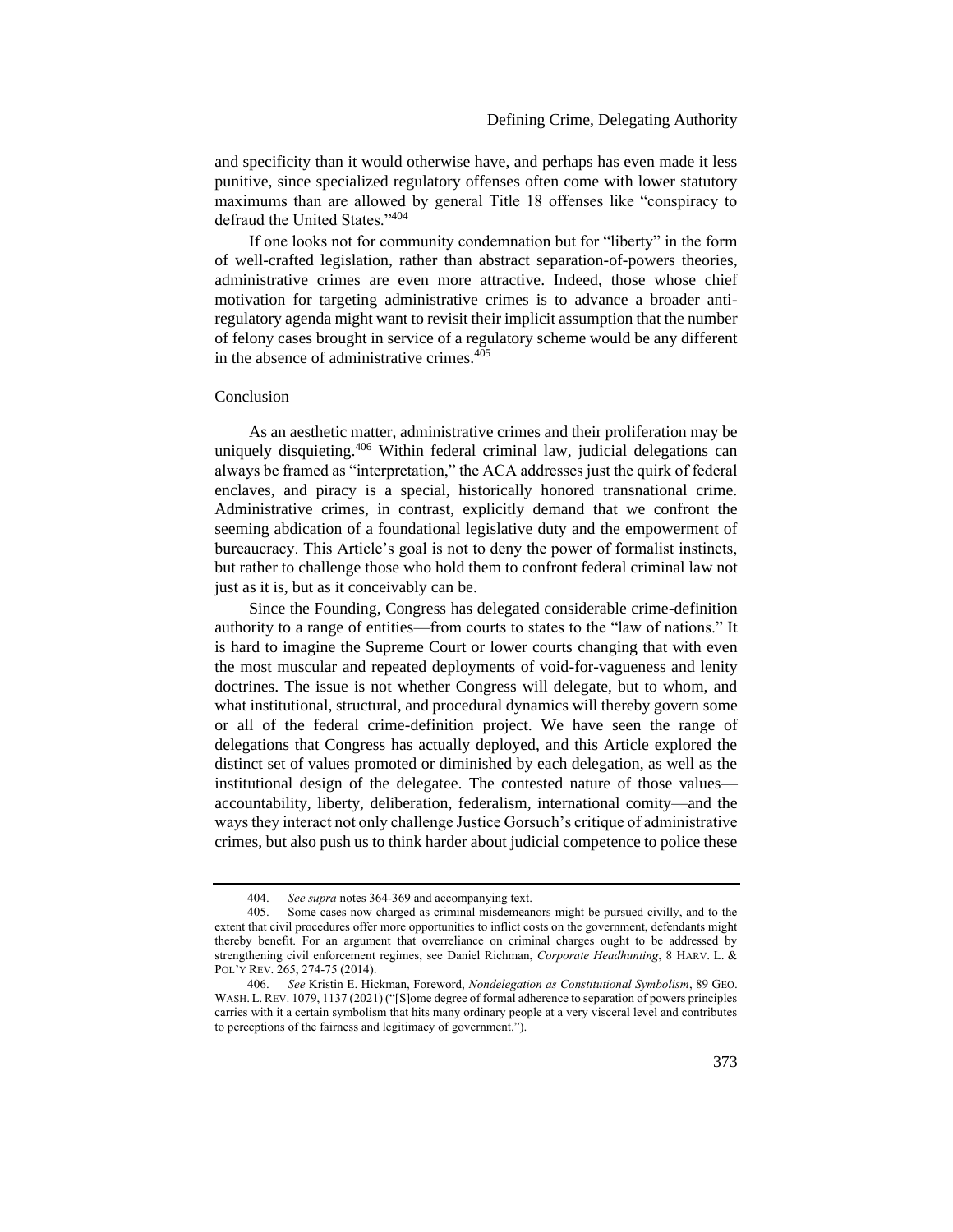and specificity than it would otherwise have, and perhaps has even made it less punitive, since specialized regulatory offenses often come with lower statutory maximums than are allowed by general Title 18 offenses like "conspiracy to defraud the United States."<sup>404</sup>

If one looks not for community condemnation but for "liberty" in the form of well-crafted legislation, rather than abstract separation-of-powers theories, administrative crimes are even more attractive. Indeed, those whose chief motivation for targeting administrative crimes is to advance a broader antiregulatory agenda might want to revisit their implicit assumption that the number of felony cases brought in service of a regulatory scheme would be any different in the absence of administrative crimes. $405$ 

### <span id="page-69-0"></span>Conclusion

As an aesthetic matter, administrative crimes and their proliferation may be uniquely disquieting.<sup>406</sup> Within federal criminal law, judicial delegations can always be framed as "interpretation," the ACA addresses just the quirk of federal enclaves, and piracy is a special, historically honored transnational crime. Administrative crimes, in contrast, explicitly demand that we confront the seeming abdication of a foundational legislative duty and the empowerment of bureaucracy. This Article's goal is not to deny the power of formalist instincts, but rather to challenge those who hold them to confront federal criminal law not just as it is, but as it conceivably can be.

Since the Founding, Congress has delegated considerable crime-definition authority to a range of entities—from courts to states to the "law of nations." It is hard to imagine the Supreme Court or lower courts changing that with even the most muscular and repeated deployments of void-for-vagueness and lenity doctrines. The issue is not whether Congress will delegate, but to whom, and what institutional, structural, and procedural dynamics will thereby govern some or all of the federal crime-definition project. We have seen the range of delegations that Congress has actually deployed, and this Article explored the distinct set of values promoted or diminished by each delegation, as well as the institutional design of the delegatee. The contested nature of those values accountability, liberty, deliberation, federalism, international comity—and the ways they interact not only challenge Justice Gorsuch's critique of administrative crimes, but also push us to think harder about judicial competence to police these

<sup>404.</sup> *See supra* note[s 364](#page-61-1)[-369](#page-62-0) and accompanying text.

<sup>405.</sup> Some cases now charged as criminal misdemeanors might be pursued civilly, and to the extent that civil procedures offer more opportunities to inflict costs on the government, defendants might thereby benefit. For an argument that overreliance on criminal charges ought to be addressed by strengthening civil enforcement regimes, see Daniel Richman, *Corporate Headhunting*, 8 HARV. L. & POL'Y REV. 265, 274-75 (2014).

<sup>406.</sup> *See* Kristin E. Hickman, Foreword, *Nondelegation as Constitutional Symbolism*, 89 GEO. WASH. L.REV. 1079, 1137 (2021) ("[S]ome degree of formal adherence to separation of powers principles carries with it a certain symbolism that hits many ordinary people at a very visceral level and contributes to perceptions of the fairness and legitimacy of government.").